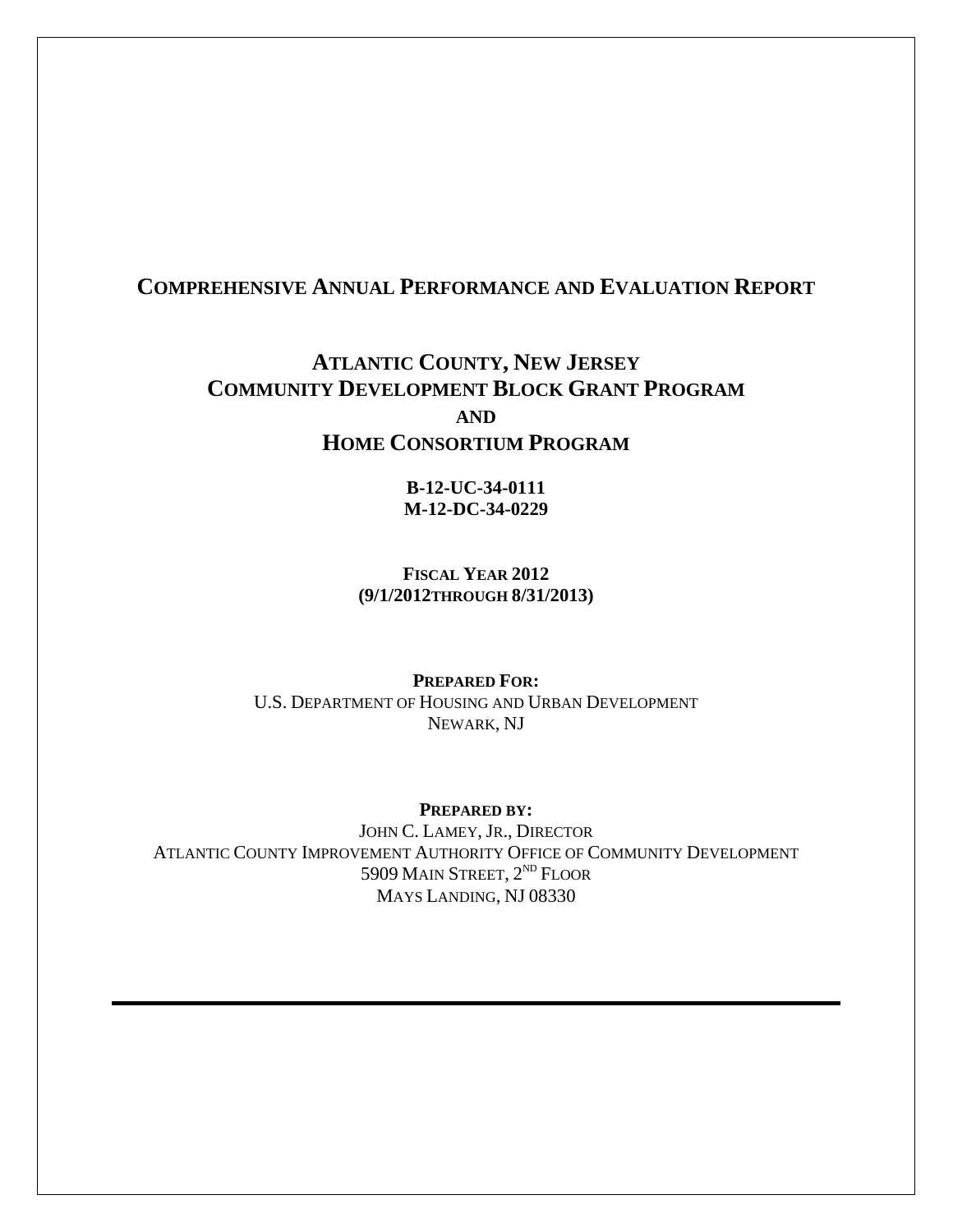### **COMPREHENSIVE ANNUAL PERFORMANCE AND EVALUATION REPORT**

## **ATLANTIC COUNTY, NEW JERSEY COMMUNITY DEVELOPMENT BLOCK GRANT PROGRAM AND HOME CONSORTIUM PROGRAM**

**B-12-UC-34-0111 M-12-DC-34-0229** 

**FISCAL YEAR 2012 (9/1/2012THROUGH 8/31/2013)** 

**PREPARED FOR:**  U.S. DEPARTMENT OF HOUSING AND URBAN DEVELOPMENT NEWARK, NJ

**PREPARED BY:** 

JOHN C. LAMEY, JR., DIRECTOR ATLANTIC COUNTY IMPROVEMENT AUTHORITY OFFICE OF COMMUNITY DEVELOPMENT 5909 MAIN STREET, 2<sup>ND</sup> FLOOR MAYS LANDING, NJ 08330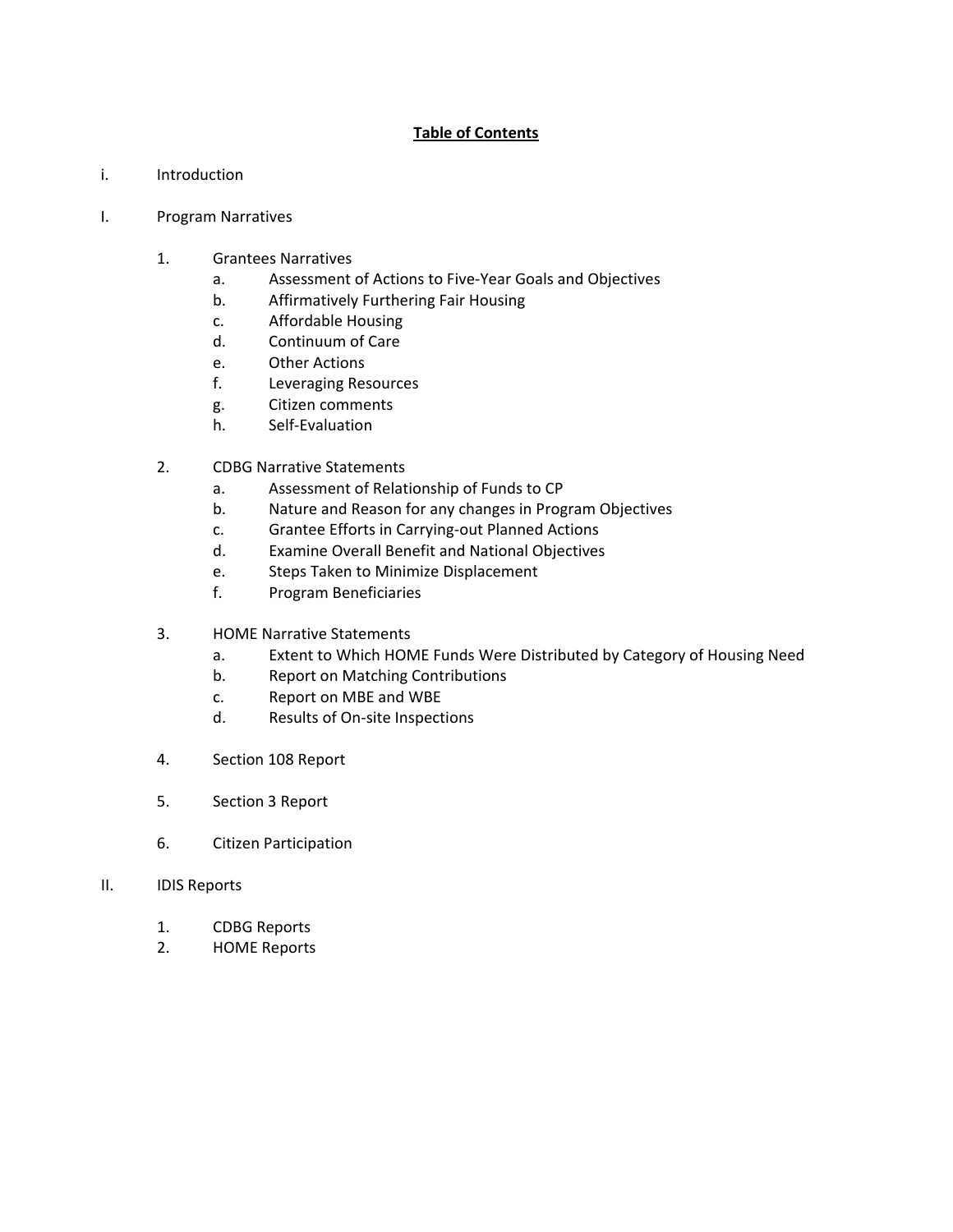#### **Table of Contents**

- i. Introduction
- I. Program Narratives
	- 1. Grantees Narratives
		- a. Assessment of Actions to Five‐Year Goals and Objectives
		- b. Affirmatively Furthering Fair Housing
		- c. Affordable Housing
		- d. Continuum of Care
		- e. Other Actions
		- f. Leveraging Resources
		- g. Citizen comments
		- h. Self‐Evaluation
	- 2. CDBG Narrative Statements
		- a. Assessment of Relationship of Funds to CP
		- b. Nature and Reason for any changes in Program Objectives
		- c. Grantee Efforts in Carrying‐out Planned Actions
		- d. Examine Overall Benefit and National Objectives
		- e. Steps Taken to Minimize Displacement
		- f. Program Beneficiaries
	- 3. HOME Narrative Statements
		- a. Extent to Which HOME Funds Were Distributed by Category of Housing Need
		- b. Report on Matching Contributions
		- c. Report on MBE and WBE
		- d. Results of On‐site Inspections
	- 4. Section 108 Report
	- 5. Section 3 Report
	- 6. Citizen Participation
- II. IDIS Reports
	- 1. CDBG Reports
	- 2. HOME Reports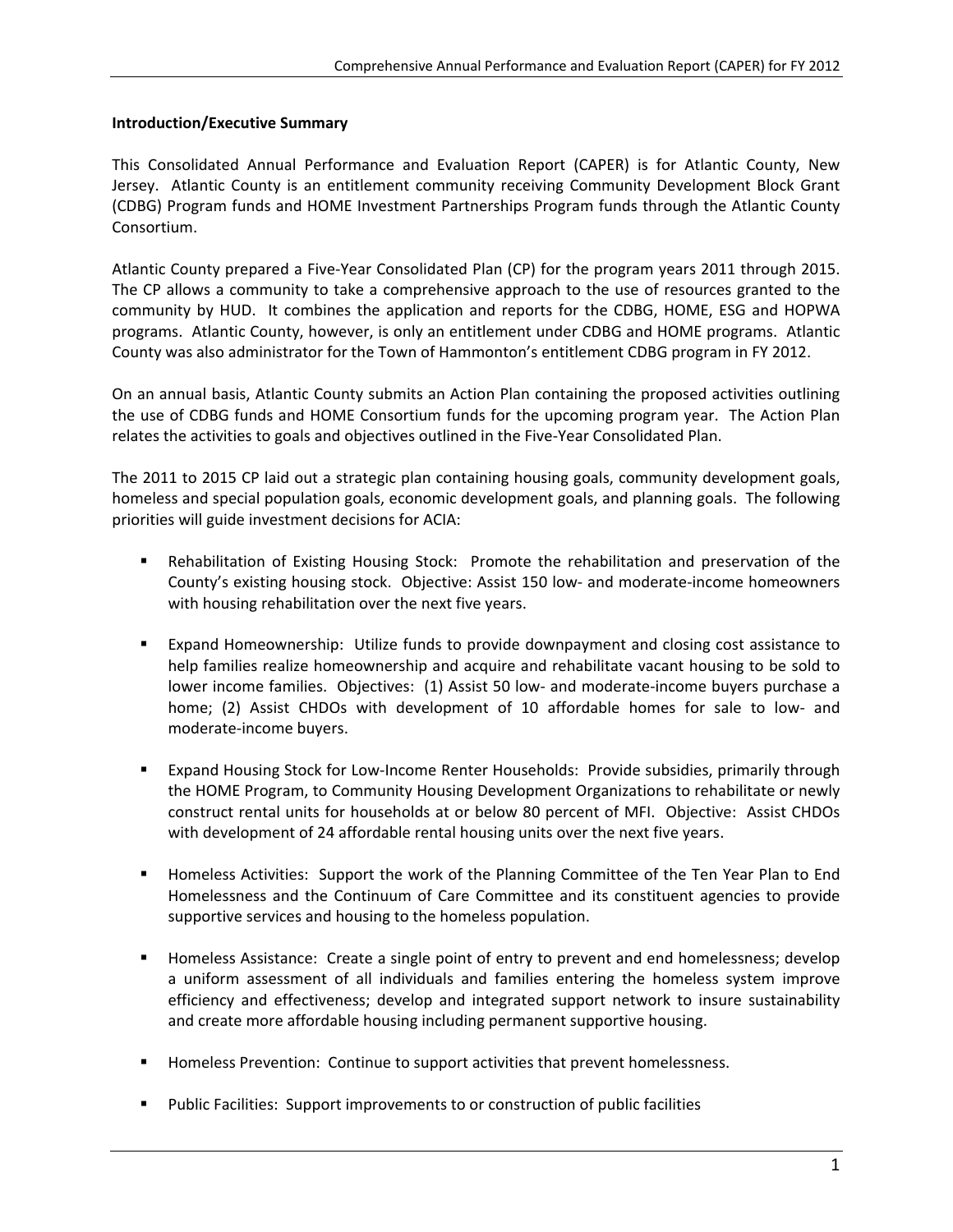#### **Introduction/Executive Summary**

This Consolidated Annual Performance and Evaluation Report (CAPER) is for Atlantic County, New Jersey. Atlantic County is an entitlement community receiving Community Development Block Grant (CDBG) Program funds and HOME Investment Partnerships Program funds through the Atlantic County Consortium.

Atlantic County prepared a Five‐Year Consolidated Plan (CP) for the program years 2011 through 2015. The CP allows a community to take a comprehensive approach to the use of resources granted to the community by HUD. It combines the application and reports for the CDBG, HOME, ESG and HOPWA programs. Atlantic County, however, is only an entitlement under CDBG and HOME programs. Atlantic County was also administrator for the Town of Hammonton's entitlement CDBG program in FY 2012.

On an annual basis, Atlantic County submits an Action Plan containing the proposed activities outlining the use of CDBG funds and HOME Consortium funds for the upcoming program year. The Action Plan relates the activities to goals and objectives outlined in the Five‐Year Consolidated Plan.

The 2011 to 2015 CP laid out a strategic plan containing housing goals, community development goals, homeless and special population goals, economic development goals, and planning goals. The following priorities will guide investment decisions for ACIA:

- Rehabilitation of Existing Housing Stock: Promote the rehabilitation and preservation of the County's existing housing stock. Objective: Assist 150 low‐ and moderate‐income homeowners with housing rehabilitation over the next five years.
- Expand Homeownership: Utilize funds to provide downpayment and closing cost assistance to help families realize homeownership and acquire and rehabilitate vacant housing to be sold to lower income families. Objectives: (1) Assist 50 low‐ and moderate‐income buyers purchase a home; (2) Assist CHDOs with development of 10 affordable homes for sale to low- and moderate‐income buyers.
- Expand Housing Stock for Low-Income Renter Households: Provide subsidies, primarily through the HOME Program, to Community Housing Development Organizations to rehabilitate or newly construct rental units for households at or below 80 percent of MFI. Objective: Assist CHDOs with development of 24 affordable rental housing units over the next five years.
- Homeless Activities: Support the work of the Planning Committee of the Ten Year Plan to End Homelessness and the Continuum of Care Committee and its constituent agencies to provide supportive services and housing to the homeless population.
- **Homeless Assistance: Create a single point of entry to prevent and end homelessness; develop** a uniform assessment of all individuals and families entering the homeless system improve efficiency and effectiveness; develop and integrated support network to insure sustainability and create more affordable housing including permanent supportive housing.
- **Homeless Prevention: Continue to support activities that prevent homelessness.**
- Public Facilities: Support improvements to or construction of public facilities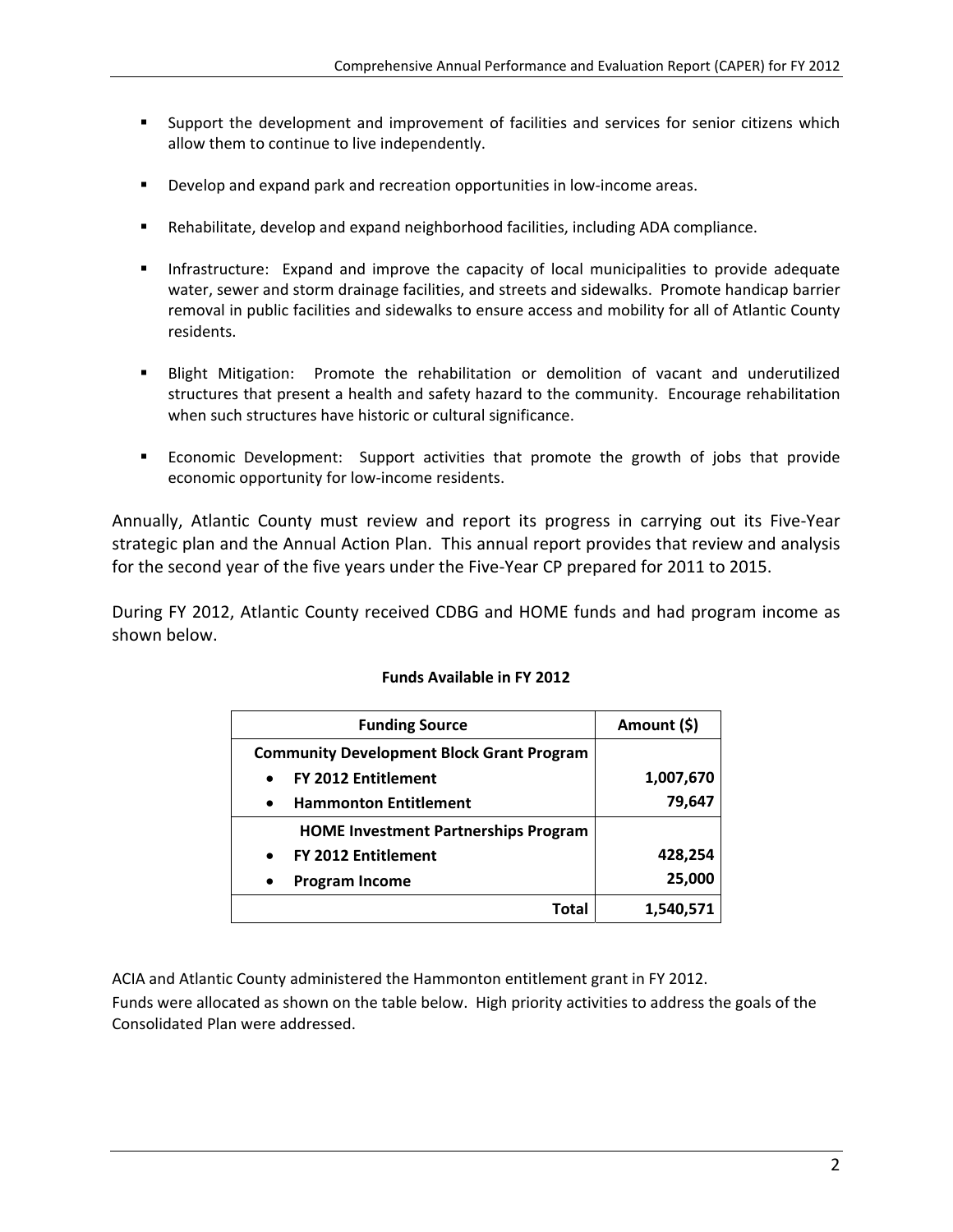- Support the development and improvement of facilities and services for senior citizens which allow them to continue to live independently.
- Develop and expand park and recreation opportunities in low-income areas.
- Rehabilitate, develop and expand neighborhood facilities, including ADA compliance.
- **Infrastructure:** Expand and improve the capacity of local municipalities to provide adequate water, sewer and storm drainage facilities, and streets and sidewalks. Promote handicap barrier removal in public facilities and sidewalks to ensure access and mobility for all of Atlantic County residents.
- Blight Mitigation: Promote the rehabilitation or demolition of vacant and underutilized structures that present a health and safety hazard to the community. Encourage rehabilitation when such structures have historic or cultural significance.
- Economic Development: Support activities that promote the growth of jobs that provide economic opportunity for low-income residents.

Annually, Atlantic County must review and report its progress in carrying out its Five‐Year strategic plan and the Annual Action Plan. This annual report provides that review and analysis for the second year of the five years under the Five-Year CP prepared for 2011 to 2015.

During FY 2012, Atlantic County received CDBG and HOME funds and had program income as shown below.

| <b>Funding Source</b>                            | Amount (\$) |
|--------------------------------------------------|-------------|
| <b>Community Development Block Grant Program</b> |             |
| <b>FY 2012 Entitlement</b><br>$\bullet$          | 1,007,670   |
| <b>Hammonton Entitlement</b><br>$\bullet$        | 79,647      |
| <b>HOME Investment Partnerships Program</b>      |             |
| <b>FY 2012 Entitlement</b><br>$\bullet$          | 428,254     |
| <b>Program Income</b>                            | 25,000      |
| Total                                            | 1,540,571   |

#### **Funds Available in FY 2012**

ACIA and Atlantic County administered the Hammonton entitlement grant in FY 2012.

Funds were allocated as shown on the table below. High priority activities to address the goals of the Consolidated Plan were addressed.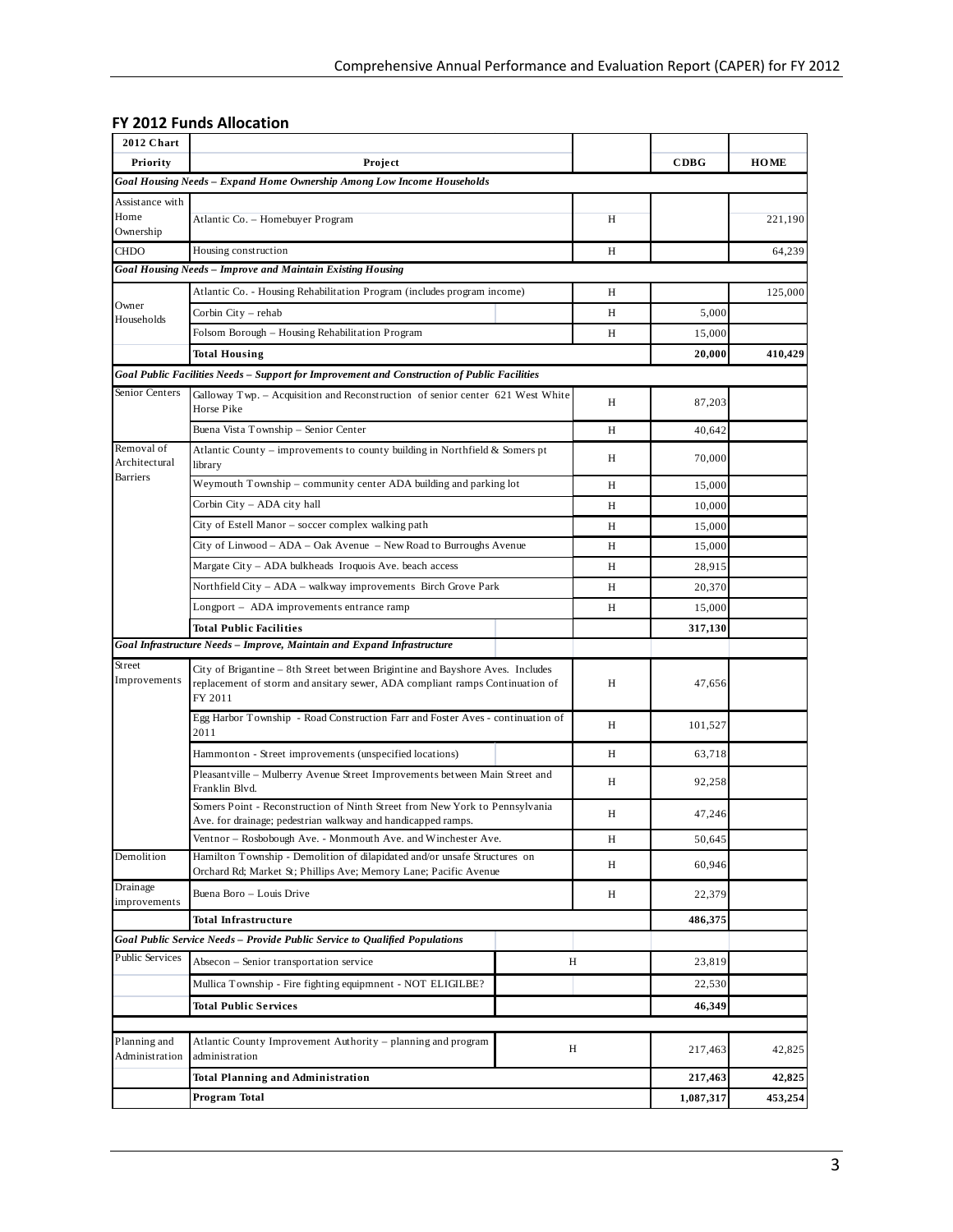### **FY 2012 Funds Allocation**

| 2012 Chart                           |                                                                                                                                                                           |   |         |           |             |
|--------------------------------------|---------------------------------------------------------------------------------------------------------------------------------------------------------------------------|---|---------|-----------|-------------|
| Priority                             | Project                                                                                                                                                                   |   |         | CDBG      | <b>HOME</b> |
|                                      | Goal Housing Needs - Expand Home Ownership Among Low Income Households                                                                                                    |   |         |           |             |
| Assistance with<br>Home<br>Ownership | Atlantic Co. - Homebuyer Program                                                                                                                                          |   | H       |           | 221,190     |
| <b>CHDO</b>                          | Housing construction                                                                                                                                                      |   | Н       |           | 64,239      |
|                                      | Goal Housing Needs - Improve and Maintain Existing Housing                                                                                                                |   |         |           |             |
|                                      | Atlantic Co. - Housing Rehabilitation Program (includes program income)                                                                                                   |   | H       |           | 125,000     |
| Owner                                | Corbin City – rehab                                                                                                                                                       |   | Н       | 5,000     |             |
| Households                           | Folsom Borough - Housing Rehabilitation Program                                                                                                                           |   | Н       | 15,000    |             |
|                                      | <b>Total Housing</b>                                                                                                                                                      |   |         | 20,000    | 410,429     |
|                                      | Goal Public Facilities Needs - Support for Improvement and Construction of Public Facilities                                                                              |   |         |           |             |
| Senior Centers                       | Galloway Twp. – Acquisition and Reconstruction of senior center 621 West White<br>Horse Pike                                                                              |   | H       | 87,203    |             |
|                                      | Buena Vista Township - Senior Center                                                                                                                                      |   | H       | 40,642    |             |
| Removal of<br>Architectural          | Atlantic County – improvements to county building in Northfield $\&$ Somers pt<br>library                                                                                 |   | Н       | 70,000    |             |
| <b>Barriers</b>                      | Weymouth Township – community center ADA building and parking lot                                                                                                         |   | Н       | 15,000    |             |
|                                      | Corbin City - ADA city hall                                                                                                                                               |   | H       | 10,000    |             |
|                                      | City of Estell Manor – soccer complex walking path                                                                                                                        |   | Н       | 15,000    |             |
|                                      | City of Linwood – ADA – Oak Avenue – New Road to Burroughs Avenue                                                                                                         |   | Н       | 15,000    |             |
|                                      | Margate City - ADA bulkheads Iroquois Ave. beach access                                                                                                                   |   | Н       | 28.915    |             |
|                                      | Northfield City - ADA - walkway improvements Birch Grove Park                                                                                                             |   | Н       | 20,370    |             |
|                                      | Longport – ADA improvements entrance ramp                                                                                                                                 |   | H       | 15,000    |             |
|                                      | <b>Total Public Facilities</b>                                                                                                                                            |   | 317,130 |           |             |
|                                      | Goal Infrastructure Needs - Improve, Maintain and Expand Infrastructure                                                                                                   |   |         |           |             |
| Street<br>Improvements               | City of Brigantine – 8th Street between Brigintine and Bayshore Aves. Includes<br>replacement of storm and ansitary sewer, ADA compliant ramps Continuation of<br>FY 2011 | Н | 47,656  |           |             |
|                                      | Egg Harbor Township - Road Construction Farr and Foster Aves - continuation of<br>2011                                                                                    | Н | 101,527 |           |             |
|                                      | Hammonton - Street improvements (unspecified locations)                                                                                                                   |   | Н       | 63,718    |             |
|                                      | Pleasant ville - Mulberry Avenue Street Improvements between Main Street and<br>Franklin Blvd.                                                                            |   | Н       | 92,258    |             |
|                                      | Somers Point - Reconstruction of Ninth Street from New York to Pennsylvania<br>Ave. for drainage; pedestrian walkway and handicapped ramps.                               |   | Н       | 47,246    |             |
|                                      | Ventnor - Rosbobough Ave. - Monmouth Ave. and Winchester Ave.                                                                                                             |   | Η       | 50,645    |             |
| Demolition                           | Hamilton Township - Demolition of dilapidated and/or unsafe Structures on<br>Orchard Rd; Market St; Phillips Ave; Memory Lane; Pacific Avenue                             |   | Н       | 60,946    |             |
| Drainage<br>improvements             | Buena Boro - Louis Drive                                                                                                                                                  |   | Η       | 22,379    |             |
|                                      | <b>Total Infrastructure</b>                                                                                                                                               |   |         | 486,375   |             |
|                                      | Goal Public Service Needs - Provide Public Service to Qualified Populations                                                                                               |   |         |           |             |
| <b>Public Services</b>               | Absecon - Senior transportation service                                                                                                                                   |   | Н       | 23,819    |             |
|                                      | Mullica Township - Fire fighting equipmnent - NOT ELIGILBE?                                                                                                               |   |         | 22,530    |             |
|                                      | <b>Total Public Services</b>                                                                                                                                              |   |         | 46,349    |             |
|                                      |                                                                                                                                                                           |   |         |           |             |
| Planning and<br>Administration       | Atlantic County Improvement Authority – planning and program<br>administration                                                                                            | Η |         |           |             |
|                                      | Total Planning and Administration                                                                                                                                         |   |         | 217,463   | 42,825      |
|                                      | Program Total                                                                                                                                                             |   |         | 1,087,317 | 453,254     |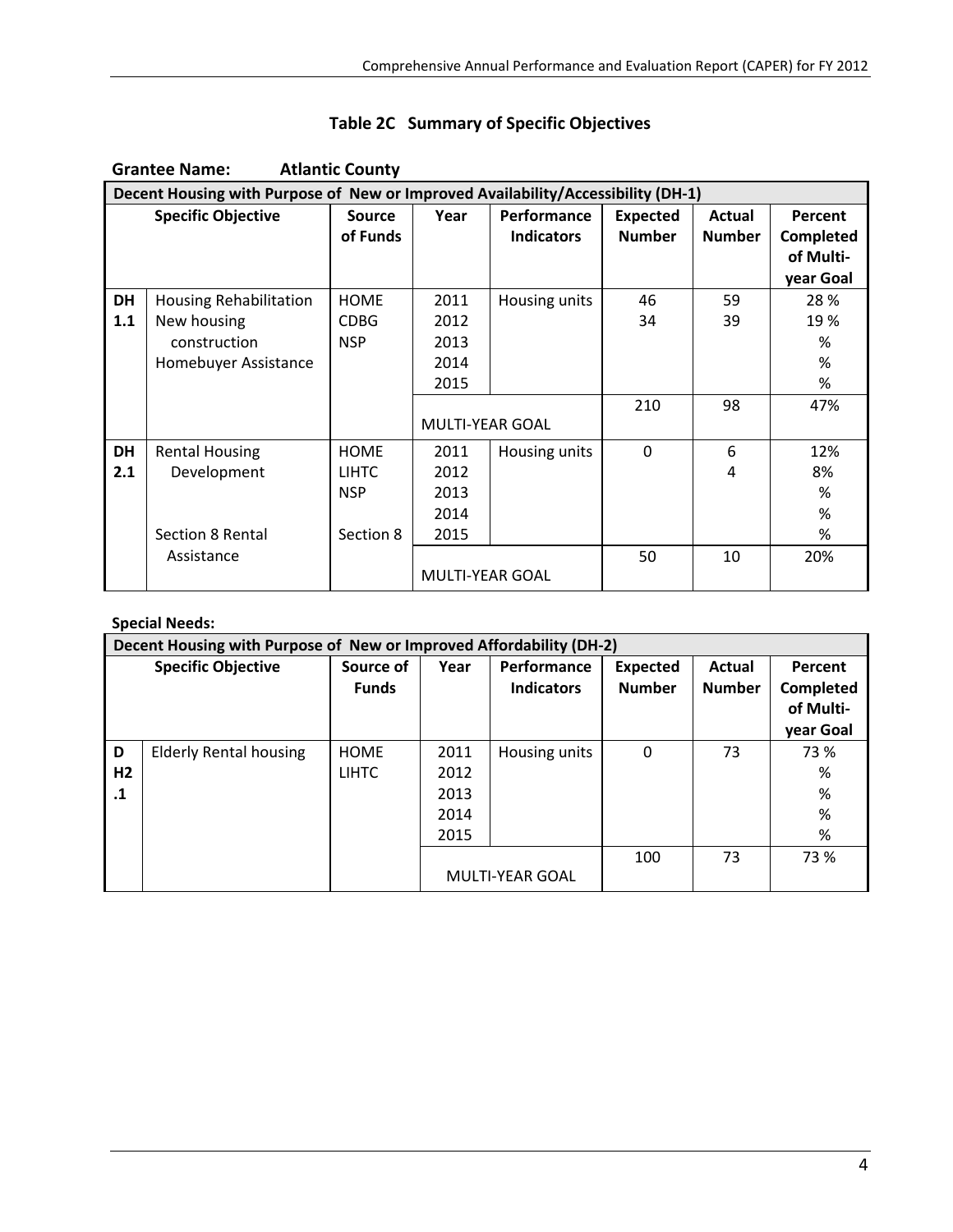|           | <b>Atlantic County</b><br><b>Grantee Name:</b>                                   |               |                        |                   |                 |               |           |  |  |  |  |  |
|-----------|----------------------------------------------------------------------------------|---------------|------------------------|-------------------|-----------------|---------------|-----------|--|--|--|--|--|
|           | Decent Housing with Purpose of New or Improved Availability/Accessibility (DH-1) |               |                        |                   |                 |               |           |  |  |  |  |  |
|           | <b>Specific Objective</b>                                                        | <b>Source</b> | Year                   | Performance       | <b>Expected</b> | Actual        | Percent   |  |  |  |  |  |
|           |                                                                                  | of Funds      |                        | <b>Indicators</b> | <b>Number</b>   | <b>Number</b> | Completed |  |  |  |  |  |
|           |                                                                                  |               |                        |                   |                 |               | of Multi- |  |  |  |  |  |
|           |                                                                                  |               |                        |                   |                 |               | year Goal |  |  |  |  |  |
| <b>DH</b> | Housing Rehabilitation                                                           | <b>HOME</b>   | 2011                   | Housing units     | 46              | 59            | 28 %      |  |  |  |  |  |
| 1.1       | New housing                                                                      | <b>CDBG</b>   | 2012                   |                   | 34              | 39            | 19 %      |  |  |  |  |  |
|           | construction                                                                     | <b>NSP</b>    | 2013                   |                   |                 |               | %         |  |  |  |  |  |
|           | Homebuyer Assistance                                                             |               | 2014                   |                   |                 |               | %         |  |  |  |  |  |
|           |                                                                                  |               | 2015                   |                   |                 |               | %         |  |  |  |  |  |
|           |                                                                                  |               |                        |                   | 210             | 98            | 47%       |  |  |  |  |  |
|           |                                                                                  |               | <b>MULTI-YEAR GOAL</b> |                   |                 |               |           |  |  |  |  |  |
| <b>DH</b> | <b>Rental Housing</b>                                                            | <b>HOME</b>   | 2011                   | Housing units     | $\Omega$        | 6             | 12%       |  |  |  |  |  |
| 2.1       | Development                                                                      | <b>LIHTC</b>  | 2012                   |                   |                 | 4             | 8%        |  |  |  |  |  |
|           |                                                                                  | <b>NSP</b>    | 2013                   |                   |                 |               | %         |  |  |  |  |  |
|           |                                                                                  |               | 2014                   |                   |                 |               | %         |  |  |  |  |  |
|           | Section 8 Rental                                                                 | Section 8     | 2015                   |                   |                 |               | %         |  |  |  |  |  |
|           | Assistance                                                                       |               |                        |                   | 50              | 10            | 20%       |  |  |  |  |  |
|           |                                                                                  |               | <b>MULTI-YEAR GOAL</b> |                   |                 |               |           |  |  |  |  |  |

### **Table 2C Summary of Specific Objectives**

#### **Special Needs:**

|                                  | Decent Housing with Purpose of New or Improved Affordability (DH-2) |                             |                                      |                                  |                                  |                         |                                                       |
|----------------------------------|---------------------------------------------------------------------|-----------------------------|--------------------------------------|----------------------------------|----------------------------------|-------------------------|-------------------------------------------------------|
|                                  | <b>Specific Objective</b>                                           | Source of<br><b>Funds</b>   | Year                                 | Performance<br><b>Indicators</b> | <b>Expected</b><br><b>Number</b> | Actual<br><b>Number</b> | Percent<br><b>Completed</b><br>of Multi-<br>year Goal |
| D<br>H <sub>2</sub><br>$\cdot$ 1 | <b>Elderly Rental housing</b>                                       | <b>HOME</b><br><b>LIHTC</b> | 2011<br>2012<br>2013<br>2014<br>2015 | Housing units                    | 0                                | 73                      | 73 %<br>%<br>%<br>%<br>%                              |
|                                  |                                                                     |                             |                                      | MULTI-YEAR GOAL                  | 100                              | 73                      | 73 %                                                  |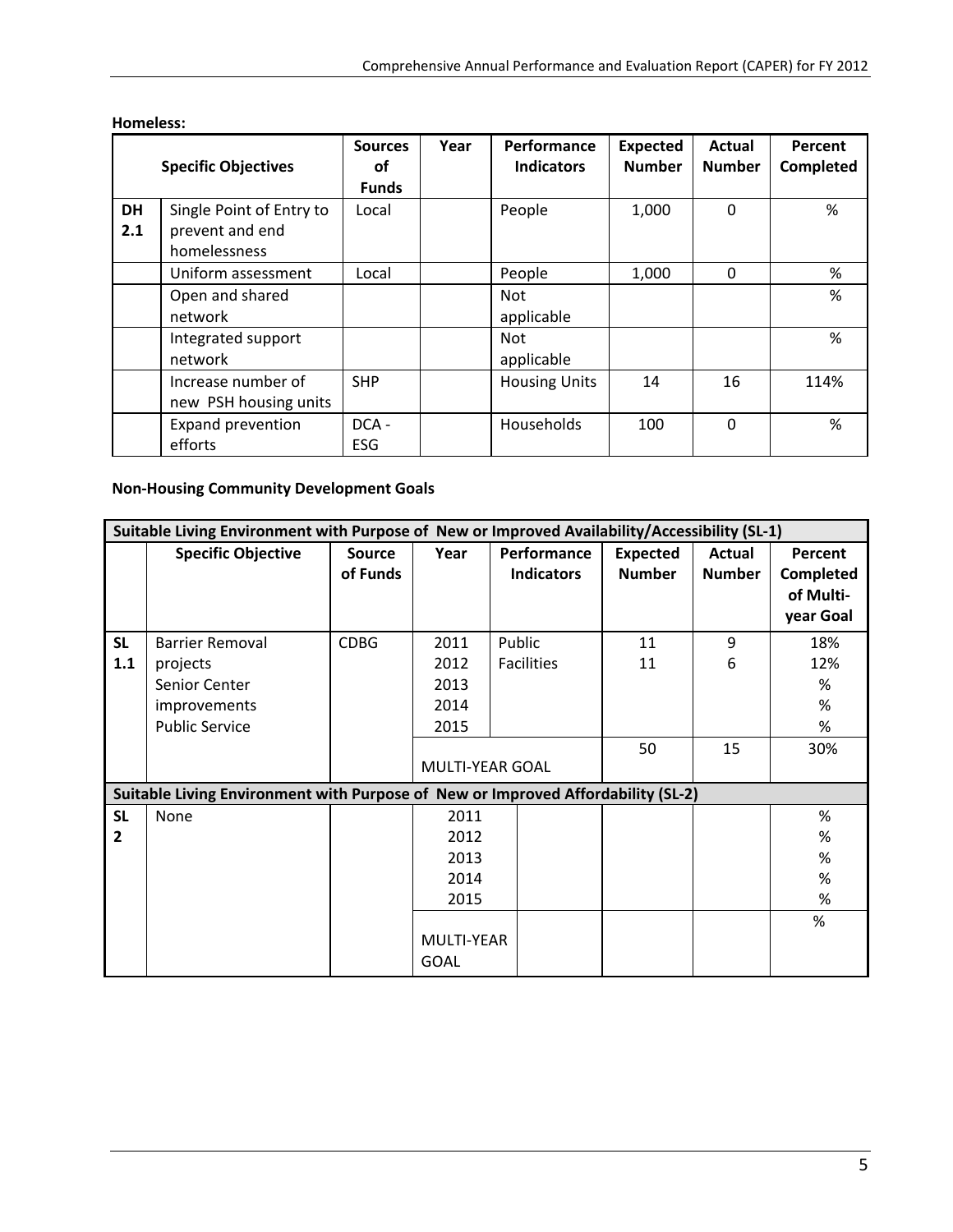| <b>Specific Objectives</b> |                                                             | <b>Sources</b><br>οf<br><b>Funds</b> | Year | Performance<br><b>Indicators</b> | <b>Expected</b><br><b>Number</b> | Actual<br><b>Number</b> | Percent<br>Completed |
|----------------------------|-------------------------------------------------------------|--------------------------------------|------|----------------------------------|----------------------------------|-------------------------|----------------------|
| <b>DH</b><br>2.1           | Single Point of Entry to<br>prevent and end<br>homelessness | Local                                |      | People                           | 1,000                            | $\Omega$                | %                    |
|                            | Uniform assessment<br>Open and shared<br>network            | Local                                |      | People<br>Not<br>applicable      | 1,000                            | $\Omega$                | %<br>%               |
|                            | Integrated support<br>network                               |                                      |      | <b>Not</b><br>applicable         |                                  |                         | %                    |
|                            | Increase number of<br>new PSH housing units                 | <b>SHP</b>                           |      | <b>Housing Units</b>             | 14                               | 16                      | 114%                 |
|                            | Expand prevention<br>efforts                                | DCA-<br><b>ESG</b>                   |      | Households                       | 100                              | $\Omega$                | %                    |

#### **Homeless:**

#### **Non‐Housing Community Development Goals**

|                             | Suitable Living Environment with Purpose of New or Improved Availability/Accessibility (SL-1) |                           |                                                                   |                                  |                                  |                         |                                                |
|-----------------------------|-----------------------------------------------------------------------------------------------|---------------------------|-------------------------------------------------------------------|----------------------------------|----------------------------------|-------------------------|------------------------------------------------|
|                             | <b>Specific Objective</b>                                                                     | <b>Source</b><br>of Funds | Year                                                              | Performance<br><b>Indicators</b> | <b>Expected</b><br><b>Number</b> | Actual<br><b>Number</b> | Percent<br>Completed<br>of Multi-<br>year Goal |
| <b>SL</b><br>1.1            | <b>Barrier Removal</b><br>projects<br>Senior Center<br>improvements<br><b>Public Service</b>  | <b>CDBG</b>               | 2011<br>2012<br>2013<br>2014<br>2015                              | Public<br><b>Facilities</b>      | 11<br>11<br>50                   | 9<br>6<br>15            | 18%<br>12%<br>%<br>%<br>$\%$<br>30%            |
|                             | Suitable Living Environment with Purpose of New or Improved Affordability (SL-2)              |                           | <b>MULTI-YEAR GOAL</b>                                            |                                  |                                  |                         |                                                |
| <b>SL</b><br>$\overline{2}$ | None                                                                                          |                           | 2011<br>2012<br>2013<br>2014<br>2015<br>MULTI-YEAR<br><b>GOAL</b> |                                  |                                  |                         | %<br>%<br>%<br>%<br>%<br>%                     |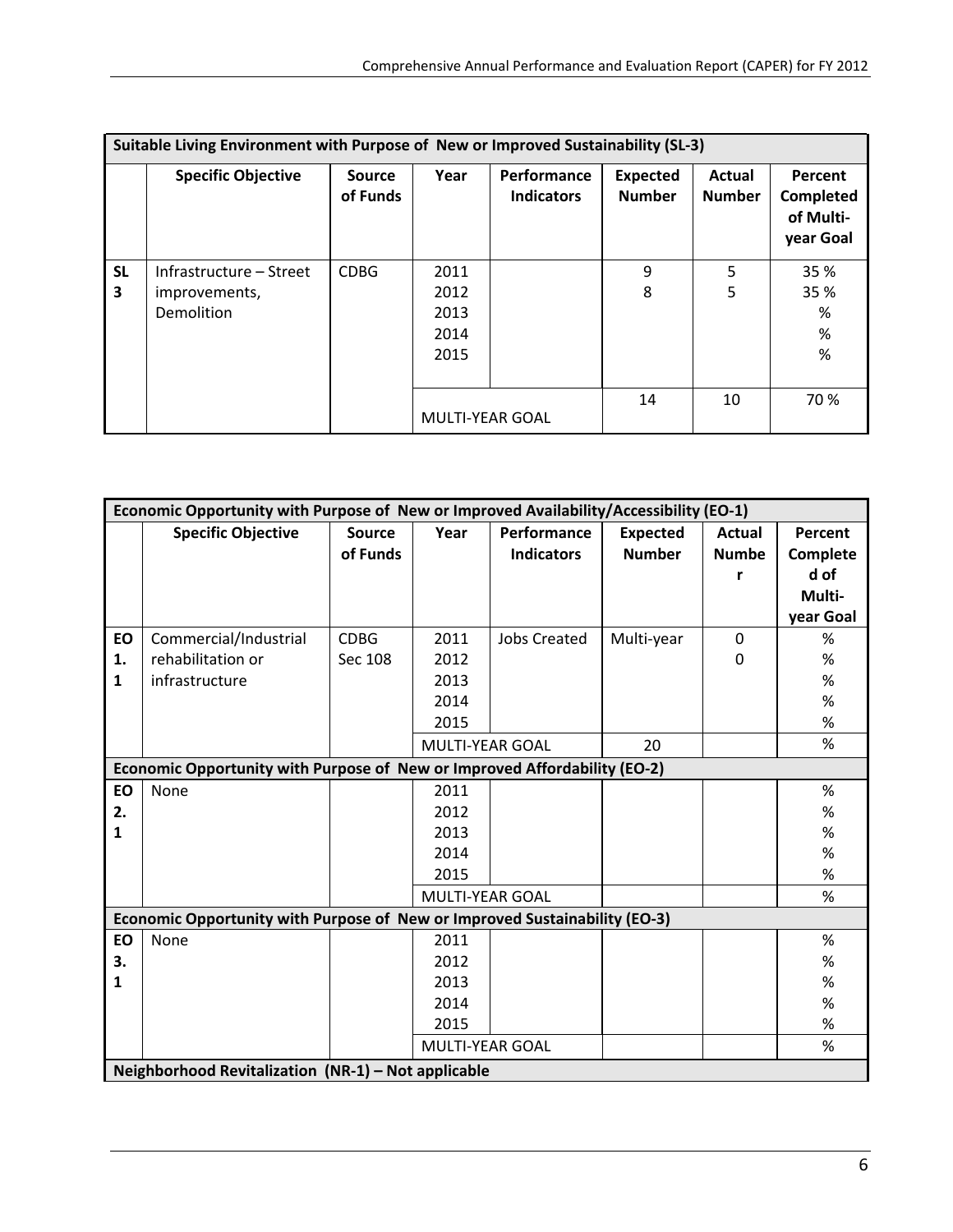|                | Suitable Living Environment with Purpose of New or Improved Sustainability (SL-3) |                           |                                      |                                  |                                  |                         |                                                |  |  |  |  |
|----------------|-----------------------------------------------------------------------------------|---------------------------|--------------------------------------|----------------------------------|----------------------------------|-------------------------|------------------------------------------------|--|--|--|--|
|                | <b>Specific Objective</b>                                                         | <b>Source</b><br>of Funds | Year                                 | Performance<br><b>Indicators</b> | <b>Expected</b><br><b>Number</b> | Actual<br><b>Number</b> | Percent<br>Completed<br>of Multi-<br>year Goal |  |  |  |  |
| <b>SL</b><br>3 | Infrastructure – Street<br>improvements,<br>Demolition                            | <b>CDBG</b>               | 2011<br>2012<br>2013<br>2014<br>2015 |                                  | 9<br>8                           | 5<br>5                  | 35 %<br>35 %<br>%<br>%<br>%                    |  |  |  |  |
|                |                                                                                   |                           | <b>MULTI-YEAR GOAL</b>               |                                  | 14                               | 10                      | 70 %                                           |  |  |  |  |

|           | Economic Opportunity with Purpose of New or Improved Availability/Accessibility (EO-1) |               |                        |                     |                 |              |           |
|-----------|----------------------------------------------------------------------------------------|---------------|------------------------|---------------------|-----------------|--------------|-----------|
|           | <b>Specific Objective</b>                                                              | <b>Source</b> | Year                   | Performance         | <b>Expected</b> | Actual       | Percent   |
|           |                                                                                        | of Funds      |                        | <b>Indicators</b>   | <b>Number</b>   | <b>Numbe</b> | Complete  |
|           |                                                                                        |               |                        |                     |                 | r            | d of      |
|           |                                                                                        |               |                        |                     |                 |              | Multi-    |
|           |                                                                                        |               |                        |                     |                 |              | year Goal |
| <b>EO</b> | Commercial/Industrial                                                                  | <b>CDBG</b>   | 2011                   | <b>Jobs Created</b> | Multi-year      | $\mathbf 0$  | %         |
| 1.        | rehabilitation or                                                                      | Sec 108       | 2012                   |                     |                 | 0            | %         |
| 1         | infrastructure                                                                         |               | 2013                   |                     |                 |              | %         |
|           |                                                                                        |               | 2014                   |                     |                 |              | %         |
|           |                                                                                        |               | 2015                   |                     |                 |              | $\%$      |
|           |                                                                                        |               | <b>MULTI-YEAR GOAL</b> |                     | 20              |              | $\%$      |
|           | Economic Opportunity with Purpose of New or Improved Affordability (EO-2)              |               |                        |                     |                 |              |           |
| EO        | None                                                                                   |               | 2011                   |                     |                 |              | %         |
| 2.        |                                                                                        |               | 2012                   |                     |                 |              | $\%$      |
| 1         |                                                                                        |               | 2013                   |                     |                 |              | %         |
|           |                                                                                        |               | 2014                   |                     |                 |              | %         |
|           |                                                                                        |               | 2015                   |                     |                 |              | %         |
|           |                                                                                        |               | <b>MULTI-YEAR GOAL</b> |                     |                 |              | %         |
|           | Economic Opportunity with Purpose of New or Improved Sustainability (EO-3)             |               |                        |                     |                 |              |           |
| <b>EO</b> | None                                                                                   |               | 2011                   |                     |                 |              | %         |
| 3.        |                                                                                        |               | 2012                   |                     |                 |              | %         |
| 1         |                                                                                        |               | 2013                   |                     |                 |              | %         |
|           |                                                                                        |               | 2014                   |                     |                 |              | %         |
|           |                                                                                        |               | 2015                   |                     |                 |              | %         |
|           |                                                                                        |               | <b>MULTI-YEAR GOAL</b> |                     |                 |              | $\%$      |
|           | Neighborhood Revitalization (NR-1) - Not applicable                                    |               |                        |                     |                 |              |           |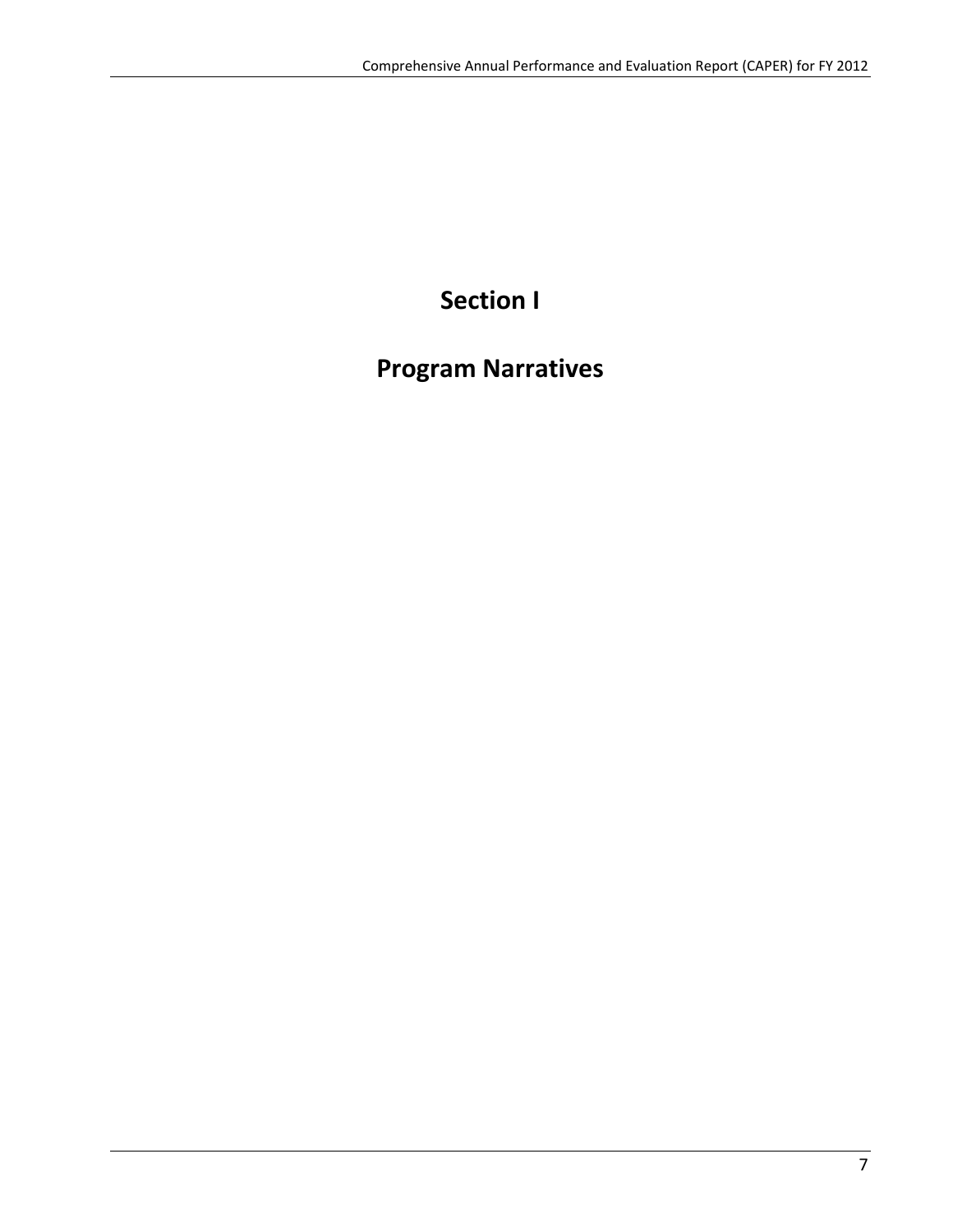# **Section I**

## **Program Narratives**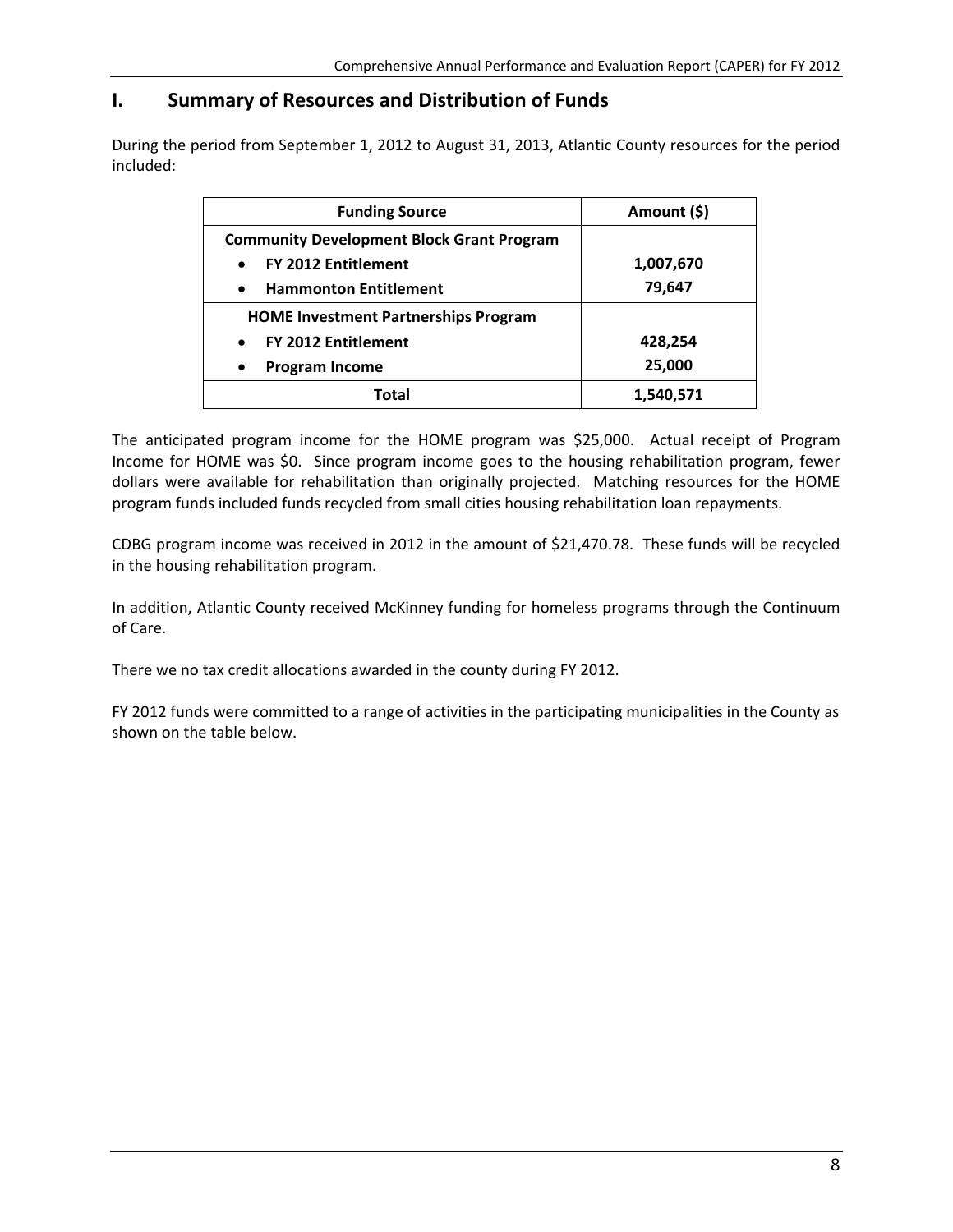### **I. Summary of Resources and Distribution of Funds**

During the period from September 1, 2012 to August 31, 2013, Atlantic County resources for the period included:

| <b>Funding Source</b>                            | Amount (\$) |  |  |
|--------------------------------------------------|-------------|--|--|
| <b>Community Development Block Grant Program</b> |             |  |  |
| <b>FY 2012 Entitlement</b><br>$\bullet$          | 1,007,670   |  |  |
| <b>Hammonton Entitlement</b><br>$\bullet$        | 79,647      |  |  |
| <b>HOME Investment Partnerships Program</b>      |             |  |  |
| <b>FY 2012 Entitlement</b><br>$\bullet$          | 428,254     |  |  |
| <b>Program Income</b><br>$\bullet$               | 25,000      |  |  |
| Total                                            | 1,540,571   |  |  |

The anticipated program income for the HOME program was \$25,000. Actual receipt of Program Income for HOME was \$0. Since program income goes to the housing rehabilitation program, fewer dollars were available for rehabilitation than originally projected. Matching resources for the HOME program funds included funds recycled from small cities housing rehabilitation loan repayments.

CDBG program income was received in 2012 in the amount of \$21,470.78. These funds will be recycled in the housing rehabilitation program.

In addition, Atlantic County received McKinney funding for homeless programs through the Continuum of Care.

There we no tax credit allocations awarded in the county during FY 2012.

FY 2012 funds were committed to a range of activities in the participating municipalities in the County as shown on the table below.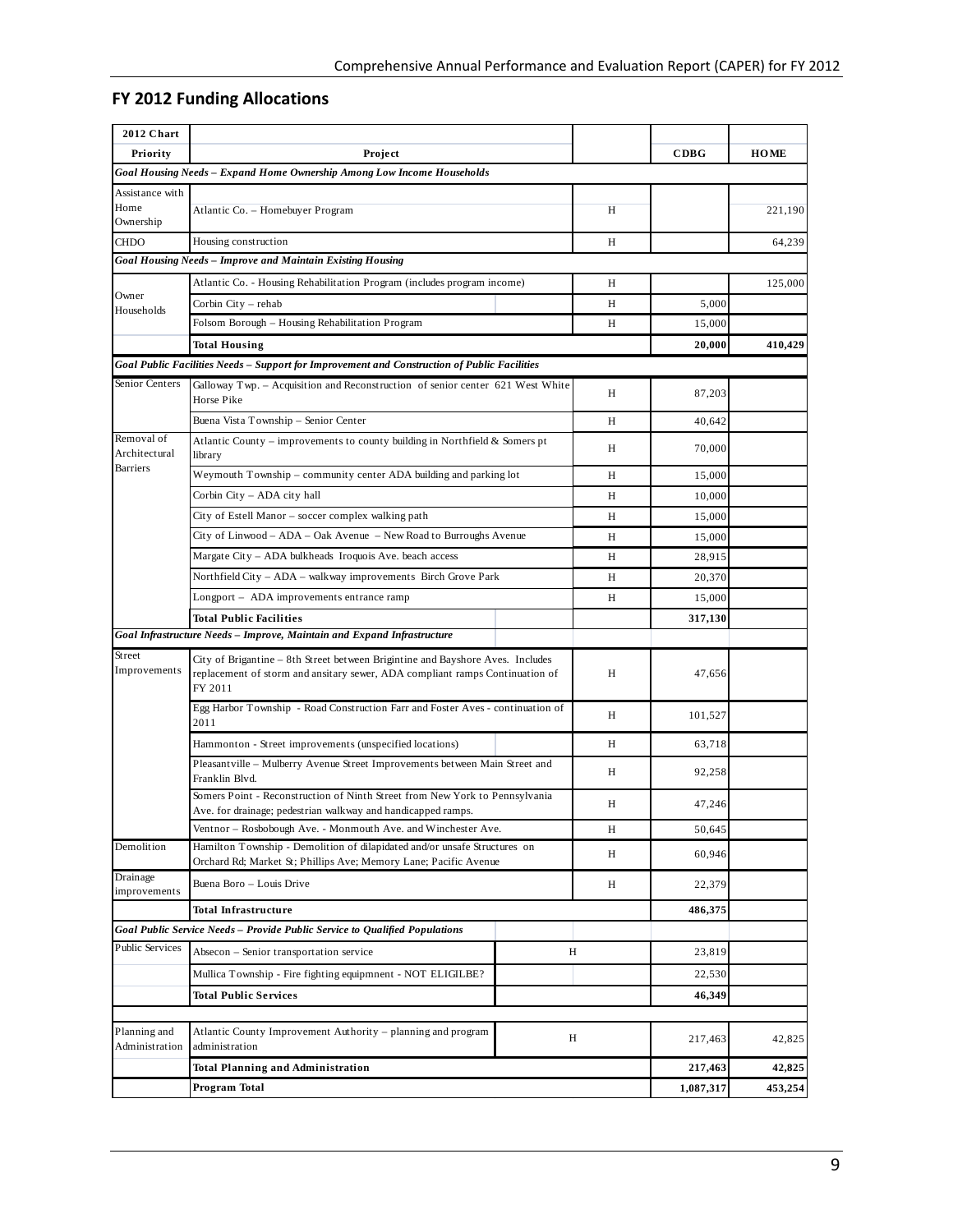### **FY 2012 Funding Allocations**

| 2012 Chart                     |                                                                                                                                                                           |   |           |             |
|--------------------------------|---------------------------------------------------------------------------------------------------------------------------------------------------------------------------|---|-----------|-------------|
| Priority                       | Project                                                                                                                                                                   |   | CDBG      | <b>HOME</b> |
|                                | Goal Housing Needs - Expand Home Ownership Among Low Income Households                                                                                                    |   |           |             |
| Assistance with                |                                                                                                                                                                           |   |           |             |
| Home<br>Ownership              | Atlantic Co. - Homebuyer Program                                                                                                                                          | Н |           | 221,190     |
| <b>CHDO</b>                    | Housing construction                                                                                                                                                      | H |           | 64,239      |
|                                | Goal Housing Needs - Improve and Maintain Existing Housing                                                                                                                |   |           |             |
|                                | Atlantic Co. - Housing Rehabilitation Program (includes program income)                                                                                                   | H |           | 125,000     |
| Owner                          | Corbin City - rehab                                                                                                                                                       | H | 5,000     |             |
| Households                     | Folsom Borough – Housing Rehabilitation Program                                                                                                                           | Н | 15,000    |             |
|                                | <b>Total Housing</b>                                                                                                                                                      |   | 20,000    | 410,429     |
|                                | Goal Public Facilities Needs - Support for Improvement and Construction of Public Facilities                                                                              |   |           |             |
| Senior Centers                 | Galloway Twp. – Acquisition and Reconstruction of senior center 621 West White<br>Horse Pike                                                                              | Н | 87,203    |             |
|                                | Buena Vista Township - Senior Center                                                                                                                                      | H | 40,642    |             |
| Removal of                     | Atlantic County – improvements to county building in Northfield & Somers pt                                                                                               |   |           |             |
| Architectural                  | library                                                                                                                                                                   | Н | 70,000    |             |
| <b>Barriers</b>                | Weymouth Township – community center ADA building and parking lot                                                                                                         | H | 15,000    |             |
|                                | Corbin City - ADA city hall                                                                                                                                               | H | 10,000    |             |
|                                | City of Estell Manor – soccer complex walking path                                                                                                                        | H | 15,000    |             |
|                                | City of Linwood – ADA – Oak Avenue – New Road to Burroughs Avenue                                                                                                         | H | 15,000    |             |
|                                | Margate City – ADA bulkheads Iroquois Ave. beach access                                                                                                                   | H | 28,915    |             |
|                                | Northfield City - ADA - walkway improvements Birch Grove Park                                                                                                             | H | 20,370    |             |
|                                | Longport – ADA improvements entrance ramp                                                                                                                                 | H | 15,000    |             |
|                                | Total Public Facilities                                                                                                                                                   |   | 317,130   |             |
|                                | Goal Infrastructure Needs - Improve, Maintain and Expand Infrastructure                                                                                                   |   |           |             |
| Street<br>Improvements         | City of Brigantine – 8th Street between Brigintine and Bayshore Aves. Includes<br>replacement of storm and ansitary sewer, ADA compliant ramps Continuation of<br>FY 2011 | Н | 47,656    |             |
|                                | Egg Harbor Township - Road Construction Farr and Foster Aves - continuation of<br>2011                                                                                    | Н | 101,527   |             |
|                                | Hammonton - Street improvements (unspecified locations)                                                                                                                   | Н | 63,718    |             |
|                                | Pleasant ville – Mulberry Avenue Street Improvements between Main Street and<br>Franklin Blvd.                                                                            | H | 92,258    |             |
|                                | Somers Point - Reconstruction of Ninth Street from New York to Pennsylvania<br>Ave. for drainage; pedestrian walkway and handicapped ramps.                               | H | 47,246    |             |
|                                | Ventnor - Rosbobough Ave. - Monmouth Ave. and Winchester Ave.                                                                                                             | Н | 50,645    |             |
| Demolition                     | Hamilton Township - Demolition of dilapidated and/or unsafe Structures on<br>Orchard Rd; Market St; Phillips Ave; Memory Lane; Pacific Avenue                             | Н | 60,946    |             |
| Drainage<br>improvements       | Buena Boro - Louis Drive                                                                                                                                                  | Н | 22,379    |             |
|                                | Total Infrastructure                                                                                                                                                      |   | 486,375   |             |
|                                | Goal Public Service Needs - Provide Public Service to Qualified Populations                                                                                               |   |           |             |
| Public Services                | Absecon - Senior transportation service<br>H                                                                                                                              |   | 23,819    |             |
|                                | Mullica Township - Fire fighting equipmnent - NOT ELIGILBE?                                                                                                               |   | 22,530    |             |
|                                | Total Public Services                                                                                                                                                     |   | 46,349    |             |
|                                |                                                                                                                                                                           |   |           |             |
| Planning and<br>Administration | Atlantic County Improvement Authority – planning and program<br>Η<br>administration                                                                                       |   | 217,463   | 42,825      |
|                                | <b>Total Planning and Administration</b>                                                                                                                                  |   | 217,463   | 42,825      |
|                                | Program Total                                                                                                                                                             |   | 1,087,317 | 453,254     |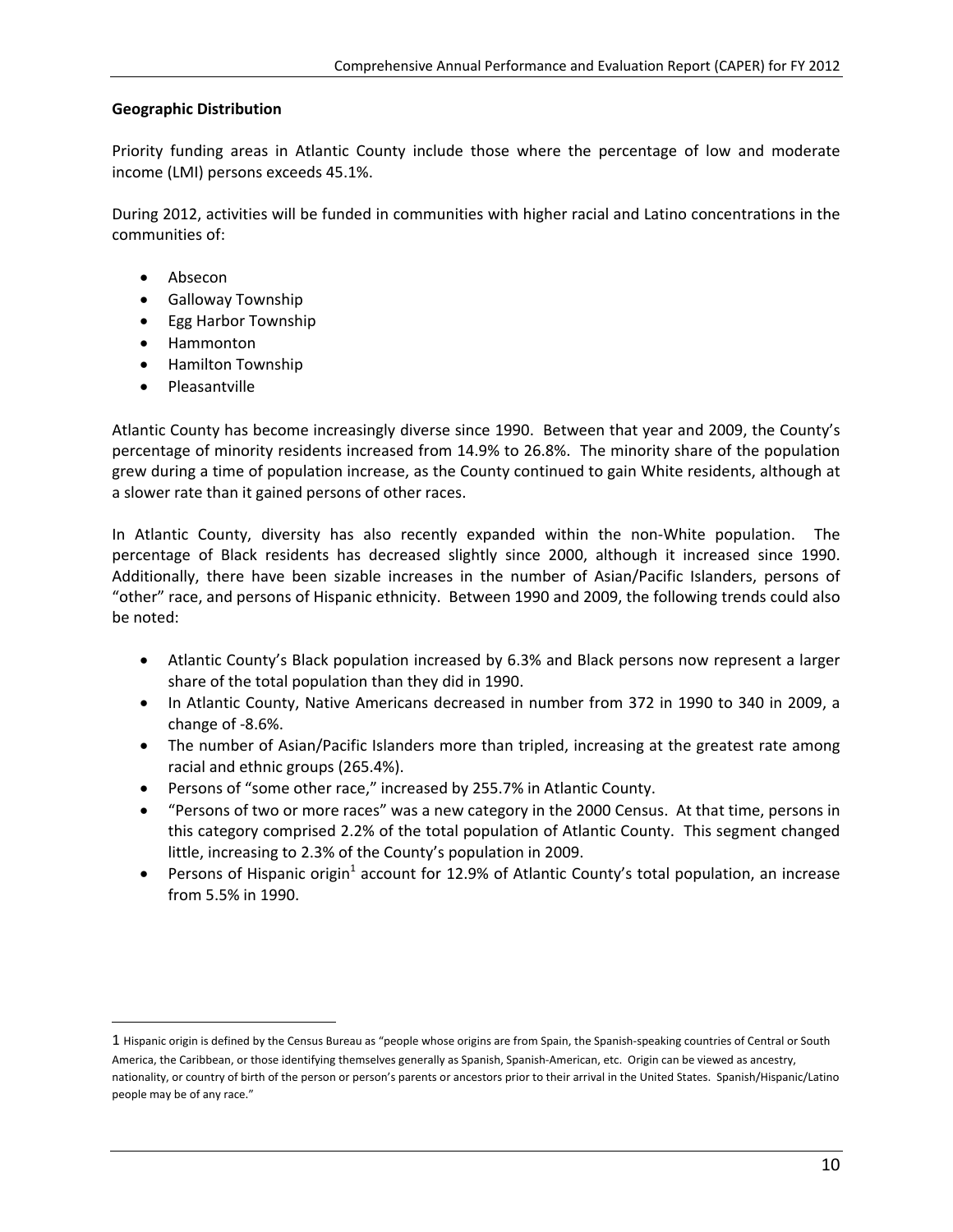#### **Geographic Distribution**

Priority funding areas in Atlantic County include those where the percentage of low and moderate income (LMI) persons exceeds 45.1%.

During 2012, activities will be funded in communities with higher racial and Latino concentrations in the communities of:

- Absecon
- **•** Galloway Township
- Egg Harbor Township
- Hammonton
- Hamilton Township
- Pleasantville

 $\overline{a}$ 

Atlantic County has become increasingly diverse since 1990. Between that year and 2009, the County's percentage of minority residents increased from 14.9% to 26.8%. The minority share of the population grew during a time of population increase, as the County continued to gain White residents, although at a slower rate than it gained persons of other races.

In Atlantic County, diversity has also recently expanded within the non-White population. The percentage of Black residents has decreased slightly since 2000, although it increased since 1990. Additionally, there have been sizable increases in the number of Asian/Pacific Islanders, persons of "other" race, and persons of Hispanic ethnicity. Between 1990 and 2009, the following trends could also be noted:

- Atlantic County's Black population increased by 6.3% and Black persons now represent a larger share of the total population than they did in 1990.
- In Atlantic County, Native Americans decreased in number from 372 in 1990 to 340 in 2009, a change of ‐8.6%.
- The number of Asian/Pacific Islanders more than tripled, increasing at the greatest rate among racial and ethnic groups (265.4%).
- Persons of "some other race," increased by 255.7% in Atlantic County.
- "Persons of two or more races" was a new category in the 2000 Census. At that time, persons in this category comprised 2.2% of the total population of Atlantic County. This segment changed little, increasing to 2.3% of the County's population in 2009.
- Persons of Hispanic origin<sup>1</sup> account for 12.9% of Atlantic County's total population, an increase from 5.5% in 1990.

<sup>1</sup> Hispanic origin is defined by the Census Bureau as "people whose origins are from Spain, the Spanish‐speaking countries of Central or South America, the Caribbean, or those identifying themselves generally as Spanish, Spanish‐American, etc. Origin can be viewed as ancestry, nationality, or country of birth of the person or person's parents or ancestors prior to their arrival in the United States. Spanish/Hispanic/Latino people may be of any race."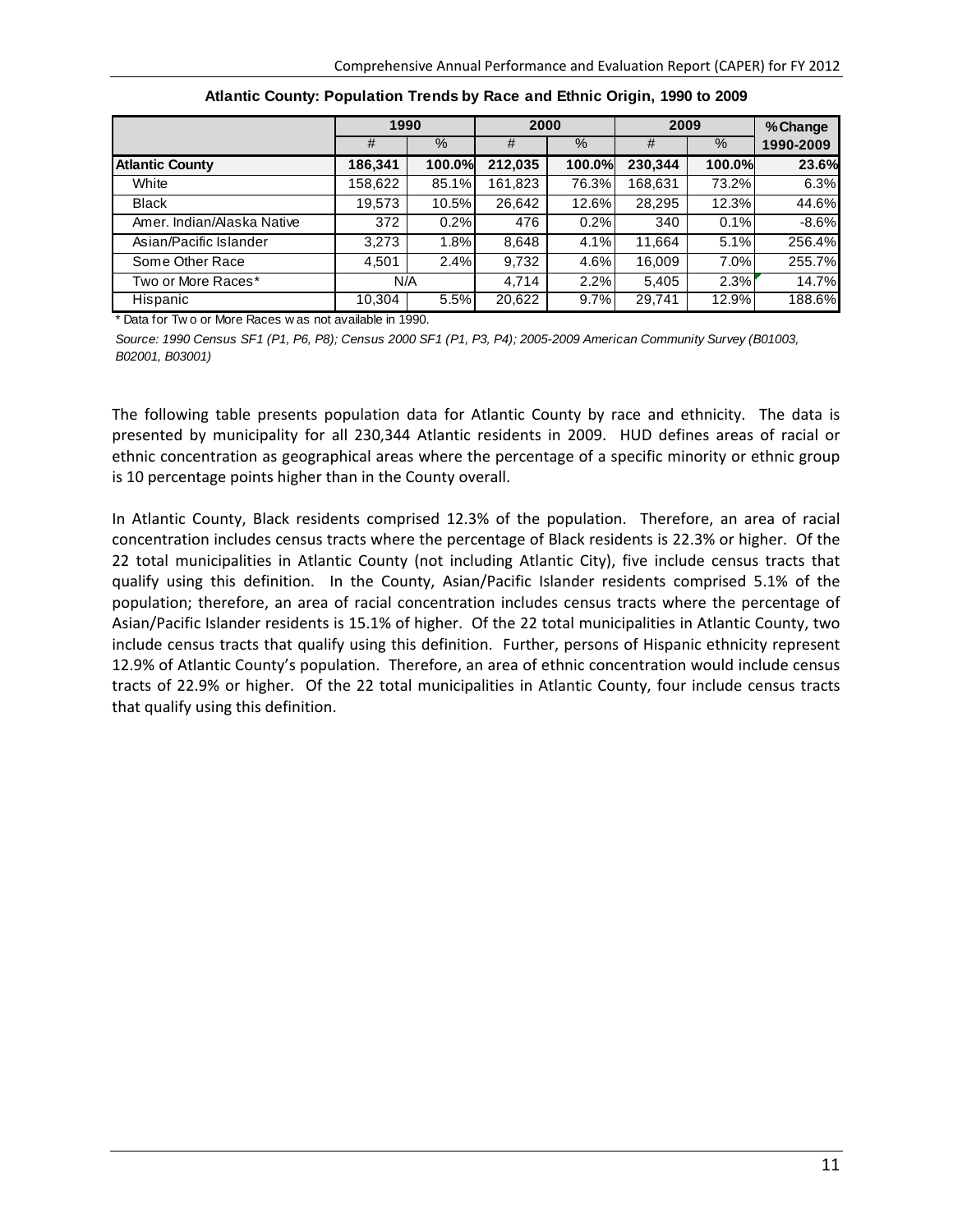|                            | 1990    |        | 2000    |        | 2009    |        | % Change  |
|----------------------------|---------|--------|---------|--------|---------|--------|-----------|
|                            | #       | $\%$   | #       | $\%$   | #       | %      | 1990-2009 |
| <b>Atlantic County</b>     | 186,341 | 100.0% | 212,035 | 100.0% | 230,344 | 100.0% | 23.6%     |
| White                      | 158,622 | 85.1%  | 161,823 | 76.3%  | 168,631 | 73.2%  | 6.3%      |
| <b>Black</b>               | 19,573  | 10.5%  | 26,642  | 12.6%  | 28,295  | 12.3%  | 44.6%     |
| Amer, Indian/Alaska Native | 372     | 0.2%   | 476     | 0.2%   | 340     | 0.1%   | $-8.6%$   |
| Asian/Pacific Islander     | 3.273   | 1.8%   | 8,648   | 4.1%   | 11,664  | 5.1%   | 256.4%    |
| Some Other Race            | 4,501   | 2.4%   | 9,732   | 4.6%   | 16.009  | 7.0%   | 255.7%    |
| Two or More Races*         | N/A     |        | 4,714   | 2.2%   | 5,405   | 2.3%   | 14.7%     |
| Hispanic                   | 10,304  | 5.5%   | 20,622  | 9.7%   | 29,741  | 12.9%  | 188.6%    |

**Atlantic County: Population Trends by Race and Ethnic Origin, 1990 to 2009**

\* Data for Tw o or More Races w as not available in 1990.

*Source: 1990 Census SF1 (P1, P6, P8); Census 2000 SF1 (P1, P3, P4); 2005-2009 American Community Survey (B01003, B02001, B03001)*

The following table presents population data for Atlantic County by race and ethnicity. The data is presented by municipality for all 230,344 Atlantic residents in 2009. HUD defines areas of racial or ethnic concentration as geographical areas where the percentage of a specific minority or ethnic group is 10 percentage points higher than in the County overall.

In Atlantic County, Black residents comprised 12.3% of the population. Therefore, an area of racial concentration includes census tracts where the percentage of Black residents is 22.3% or higher. Of the 22 total municipalities in Atlantic County (not including Atlantic City), five include census tracts that qualify using this definition. In the County, Asian/Pacific Islander residents comprised 5.1% of the population; therefore, an area of racial concentration includes census tracts where the percentage of Asian/Pacific Islander residents is 15.1% of higher. Of the 22 total municipalities in Atlantic County, two include census tracts that qualify using this definition. Further, persons of Hispanic ethnicity represent 12.9% of Atlantic County's population. Therefore, an area of ethnic concentration would include census tracts of 22.9% or higher. Of the 22 total municipalities in Atlantic County, four include census tracts that qualify using this definition.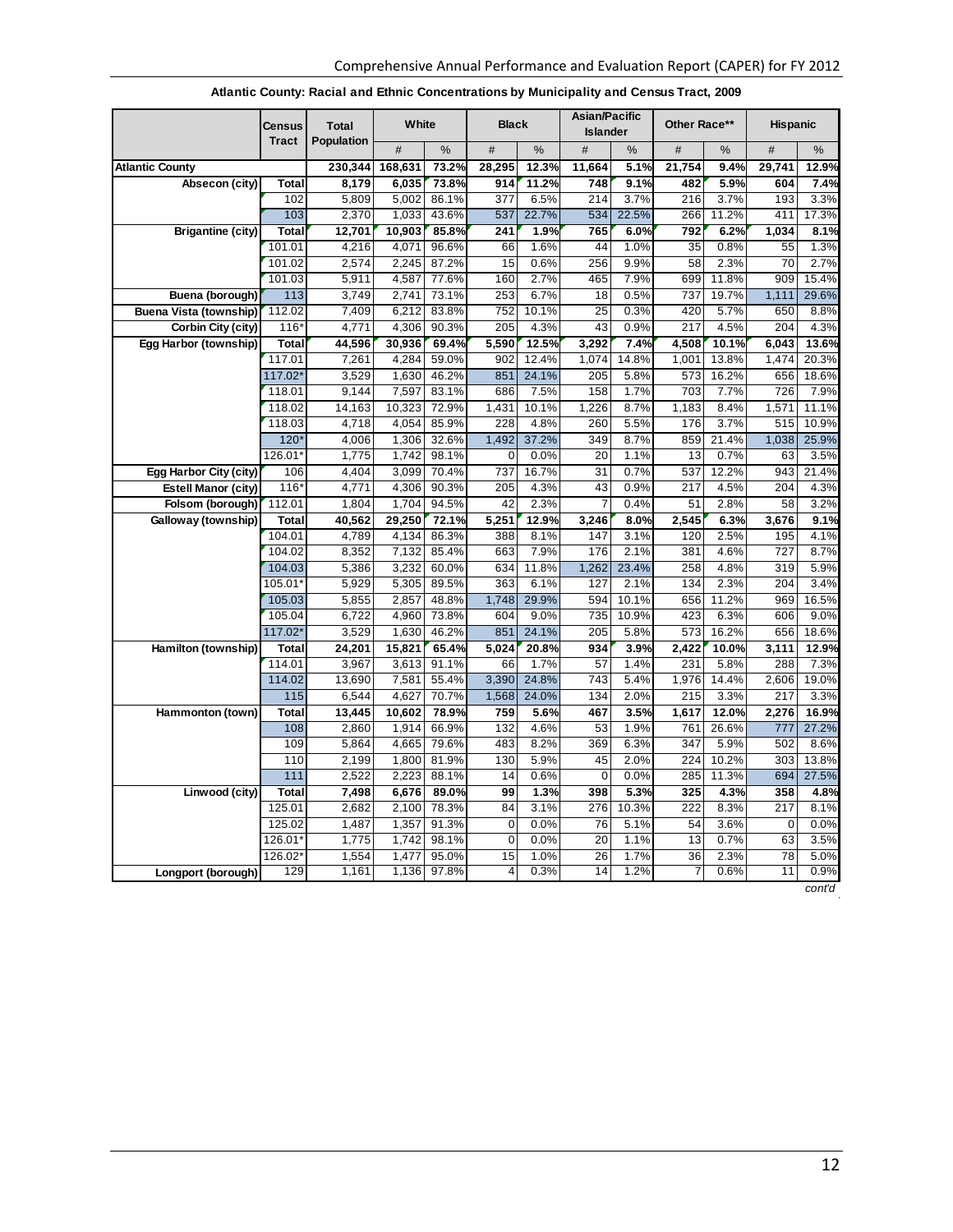|                               | <b>Census</b>     | <b>Total</b>   | White          |                | <b>Black</b>     |               | Asian/Pacific<br><b>Islander</b> |              | Other Race** |               | <b>Hispanic</b> |               |
|-------------------------------|-------------------|----------------|----------------|----------------|------------------|---------------|----------------------------------|--------------|--------------|---------------|-----------------|---------------|
|                               | <b>Tract</b>      | Population     | #              | %              | #                | %             | #                                | %            | #            | %             | #               | %             |
| <b>Atlantic County</b>        |                   | 230,344        | 168,631        | 73.2%          | 28,295           | 12.3%         | 11,664                           | 5.1%         | 21,754       | 9.4%          | 29,741          | 12.9%         |
| Absecon (city)                | Total             | 8,179          | 6,035          | 73.8%          | 914              | 11.2%         | 748                              | 9.1%         | 482          | 5.9%          | 604             | 7.4%          |
|                               | 102               | 5,809          | 5,002          | 86.1%          | 377              | 6.5%          | 214                              | 3.7%         | 216          | 3.7%          | 193             | 3.3%          |
|                               | 103               | 2,370          | 1,033          | 43.6%          | 537              | 22.7%         | 534                              | 22.5%        | 266          | 11.2%         | 411             | 17.3%         |
| <b>Brigantine (city)</b>      | Total             | 12,701         | 10,903         | 85.8%          | 241              | 1.9%          | 765                              | 6.0%         | 792          | 6.2%          | 1,034           | 8.1%          |
|                               | 101.01            | 4,216          | 4,071          | 96.6%          | 66               | 1.6%          | 44                               | 1.0%         | 35           | 0.8%          | 55              | 1.3%          |
|                               | 101.02            | 2,574          | 2,245          | 87.2%          | 15               | 0.6%          | 256                              | 9.9%         | 58           | 2.3%          | 70              | 2.7%          |
|                               | 101.03            | 5,911          | 4,587          | 77.6%          | 160              | 2.7%          | 465                              | 7.9%         | 699          | 11.8%         | 909             | 15.4%         |
| Buena (borough)               | 113               | 3,749          | 2,741          | 73.1%          | 253              | 6.7%          | 18                               | 0.5%         | 737          | 19.7%         | 1,111           | 29.6%         |
| <b>Buena Vista (township)</b> | 112.02            | 7,409          | 6,212          | 83.8%          | 752              | 10.1%         | 25                               | 0.3%         | 420          | 5.7%          | 650             | 8.8%          |
| Corbin City (city)            | $116*$            | 4,771          | 4,306          | 90.3%          | 205              | 4.3%          | 43                               | 0.9%         | 217          | 4.5%          | 204             | 4.3%          |
| Egg Harbor (township)         | Total             | 44,596         | 30,936         | 69.4%          | 5,590            | 12.5%         | 3,292                            | 7.4%         | 4,508        | 10.1%         | 6,043           | 13.6%         |
|                               | 117.01            | 7,261          | 4,284          | 59.0%          | 902              | 12.4%         | 1,074                            | 14.8%        | 1,001        | 13.8%         | 1,474           | 20.3%         |
|                               | 117.02*           | 3,529<br>9.144 | 1,630<br>7,597 | 46.2%<br>83.1% | 851<br>686       | 24.1%         | 205<br>158                       | 5.8%<br>1.7% | 573<br>703   | 16.2%<br>7.7% | 656<br>726      | 18.6%<br>7.9% |
|                               | 118.01<br>118.02  | 14,163         | 10,323         | 72.9%          | 1,431            | 7.5%<br>10.1% | 1,226                            | 8.7%         | 1,183        | 8.4%          | 1,571           | 11.1%         |
|                               | 118.03            | 4,718          | 4,054          | 85.9%          | 228              | 4.8%          | 260                              | 5.5%         | 176          | 3.7%          | 515             | 10.9%         |
|                               | $120*$            | 4,006          | 1,306          | 32.6%          | 1,492            | 37.2%         | 349                              | 8.7%         | 859          | 21.4%         | 1,038           | 25.9%         |
|                               | 126.01*           | 1,775          | 1.742          | 98.1%          | $\Omega$         | 0.0%          | 20                               | 1.1%         | 13           | 0.7%          | 63              | 3.5%          |
| Egg Harbor City (city)        | 106               | 4,404          | 3,099          | 70.4%          | 737              | 16.7%         | 31                               | 0.7%         | 537          | 12.2%         | 943             | 21.4%         |
| <b>Estell Manor (city)</b>    | $116*$            | 4,771          | 4,306          | 90.3%          | 205              | 4.3%          | 43                               | 0.9%         | 217          | 4.5%          | 204             | 4.3%          |
| Folsom (borough)              | 112.01            | 1,804          | 1,704          | 94.5%          | 42               | 2.3%          | $\overline{7}$                   | 0.4%         | 51           | 2.8%          | 58              | 3.2%          |
| Galloway (township)           | Total             | 40,562         | 29,250         | 72.1%          | 5,251            | 12.9%         | 3,246                            | 8.0%         | 2,545        | 6.3%          | 3,676           | 9.1%          |
|                               | 104.01            | 4,789          | 4,134          | 86.3%          | 388              | 8.1%          | 147                              | 3.1%         | 120          | 2.5%          | 195             | 4.1%          |
|                               | 104.02            | 8,352          | 7,132          | 85.4%          | 663              | 7.9%          | 176                              | 2.1%         | 381          | 4.6%          | 727             | 8.7%          |
|                               | 104.03            | 5,386          | 3,232          | 60.0%          | 634              | 11.8%         | 1,262                            | 23.4%        | 258          | 4.8%          | 319             | 5.9%          |
|                               | $105.01*$         | 5,929          | 5,305          | 89.5%          | 363              | 6.1%          | 127                              | 2.1%         | 134          | 2.3%          | 204             | 3.4%          |
|                               | 105.03            | 5,855          | 2,857          | 48.8%          | 1,748            | 29.9%         | 594                              | 10.1%        | 656          | 11.2%         | 969             | 16.5%         |
|                               | 105.04            | 6,722          | 4,960          | 73.8%          | 604              | 9.0%          | 735                              | 10.9%        | 423          | 6.3%          | 606             | 9.0%          |
|                               | 117.02*           | 3,529          | 1,630          | 46.2%          | 851              | 24.1%         | 205                              | 5.8%         | 573          | 16.2%         | 656             | 18.6%         |
| Hamilton (township)           | Total             | 24,201         | 15,821         | 65.4%          | 5,024            | 20.8%         | 934                              | 3.9%         | 2,422        | 10.0%         | 3,111           | 12.9%         |
|                               | 114.01            | 3,967          | 3,613          | 91.1%          | 66               | 1.7%          | 57                               | 1.4%         | 231          | 5.8%          | 288             | 7.3%          |
|                               | 114.02            | 13,690         | 7,581          | 55.4%          | 3,390            | 24.8%         | 743                              | 5.4%         | 1,976        | 14.4%         | 2,606           | 19.0%         |
|                               | 115               | 6,544          | 4,627          | 70.7%          | 1,568            | 24.0%         | 134                              | 2.0%         | 215          | 3.3%          | 217             | 3.3%          |
| Hammonton (town)              | Total             | 13,445         | 10,602         | 78.9%          | 759              | 5.6%          | 467                              | 3.5%         | 1,617        | 12.0%         | 2,276           | 16.9%         |
|                               | 108               | 2,860          | 1,914          | 66.9%          | 132              | 4.6%          | 53                               | 1.9%         | 761          | 26.6%         | 777             | 27.2%         |
|                               | 109               | 5,864          | 4,665          | 79.6%          | 483              | 8.2%          | 369                              | 6.3%         | 347          | 5.9%          | 502             | 8.6%          |
|                               | 110               | 2,199          | 1,800          | 81.9%          | 130              | 5.9%          | 45                               | 2.0%         | 224          | 10.2%         | 303             | 13.8%         |
|                               | 111               | 2,522          | 2,223          | 88.1%          | 14               | 0.6%          | $\overline{0}$                   | 0.0%         | 285          | 11.3%         | 694             | 27.5%         |
| Linwood (city)                | Total             | 7,498          | 6,676          | 89.0%          | 99               | 1.3%          | 398                              | 5.3%         | 325          | 4.3%          | 358             | 4.8%          |
|                               | 125.01            | 2,682          | 2,100          | 78.3%          | 84               | 3.1%          | 276                              | 10.3%        | 222          | 8.3%          | 217             | 8.1%          |
|                               | 125.02<br>126.01* | 1,487<br>1,775 | 1,357<br>1,742 | 91.3%<br>98.1% | 0<br>$\mathbf 0$ | 0.0%<br>0.0%  | 76<br>20                         | 5.1%<br>1.1% | 54<br>13     | 3.6%<br>0.7%  | $\Omega$<br>63  | 0.0%<br>3.5%  |
|                               | 126.02*           | 1,554          | 1,477          | 95.0%          | 15               | 1.0%          | 26                               | 1.7%         | 36           | 2.3%          | 78              | 5.0%          |
|                               | 129               | 1,161          | 1,136          | 97.8%          | $\overline{4}$   | 0.3%          | 14                               | 1.2%         | 7            | 0.6%          | 11              | 0.9%          |
| Longport (borough)            |                   |                |                |                |                  |               |                                  |              |              |               |                 |               |

#### **Atlantic County: Racial and Ethnic Concentrations by Municipality and Census Tract, 2009**

*cont'd*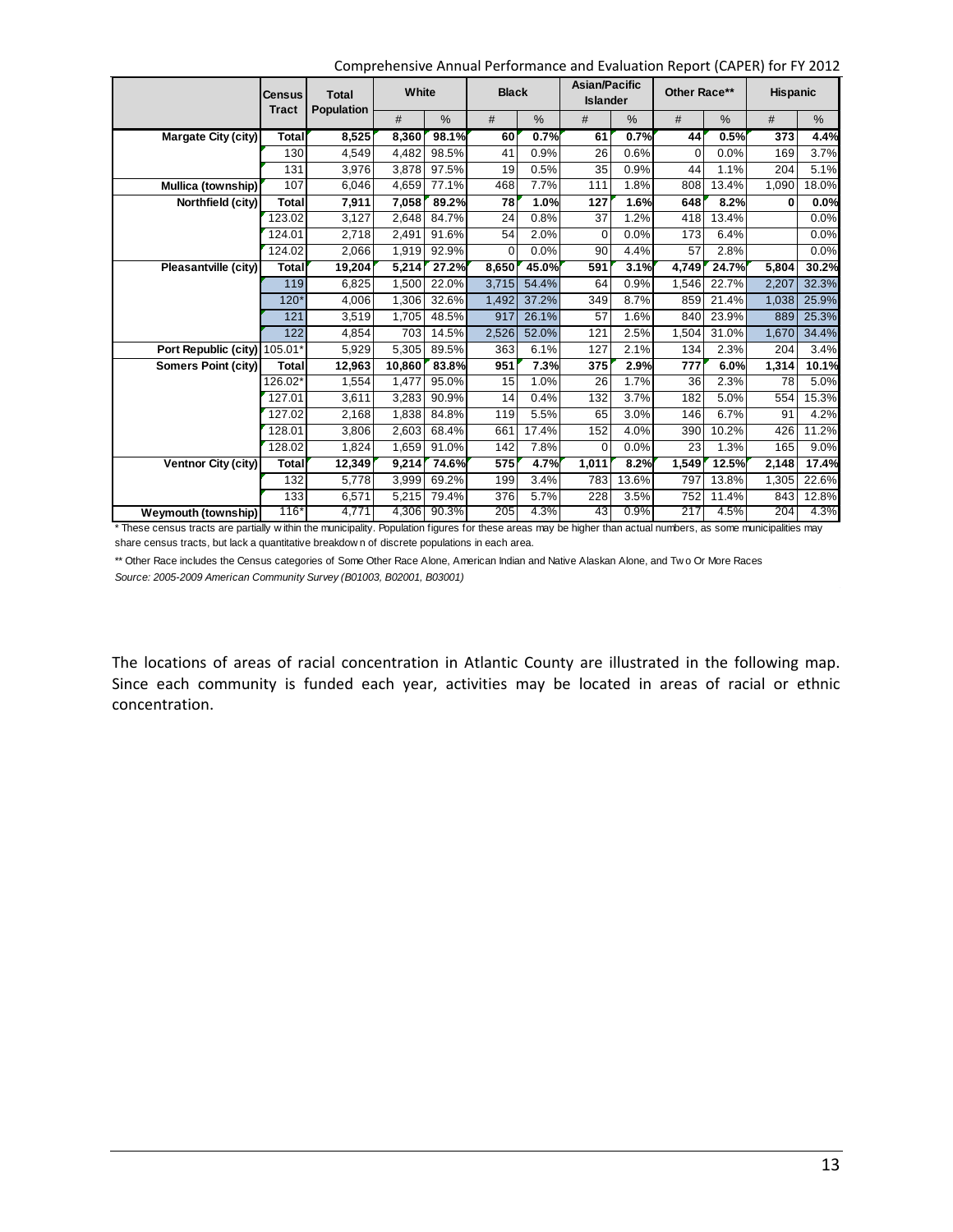Comprehensive Annual Performance and Evaluation Report (CAPER) for FY 2012

|                            | Census<br><b>Tract</b> | <b>Total</b><br>Population | White  |       | <b>Black</b>    |       | Asian/Pacific<br><b>Islander</b> |               | Other Race** |               | <b>Hispanic</b> |               |
|----------------------------|------------------------|----------------------------|--------|-------|-----------------|-------|----------------------------------|---------------|--------------|---------------|-----------------|---------------|
|                            |                        |                            | #      | $\%$  | #               | $\%$  | #                                | $\frac{0}{0}$ | #            | $\frac{0}{0}$ | #               | $\frac{0}{0}$ |
| Margate City (city)        | <b>Total</b>           | 8,525                      | 8,360  | 98.1% | 60              | 0.7%  | 61                               | 0.7%          | 44           | 0.5%          | 373             | 4.4%          |
|                            | 130                    | 4,549                      | 4,482  | 98.5% | 41              | 0.9%  | 26                               | 0.6%          | $\Omega$     | 0.0%          | 169             | 3.7%          |
|                            | 131                    | 3,976                      | 3,878  | 97.5% | 19              | 0.5%  | 35                               | 0.9%          | 44           | 1.1%          | 204             | 5.1%          |
| Mullica (township)         | 107                    | 6,046                      | 4,659  | 77.1% | 468             | 7.7%  | 111                              | 1.8%          | 808          | 13.4%         | 1.090           | 18.0%         |
| Northfield (city)          | <b>Total</b>           | 7,911                      | 7,058  | 89.2% | 78              | 1.0%  | 127                              | 1.6%          | 648          | 8.2%          | 0               | 0.0%          |
|                            | 123.02                 | 3,127                      | 2,648  | 84.7% | $\overline{24}$ | 0.8%  | 37                               | 1.2%          | 418          | 13.4%         |                 | 0.0%          |
|                            | 124.01                 | 2,718                      | 2,491  | 91.6% | 54              | 2.0%  | 0                                | 0.0%          | 173          | 6.4%          |                 | 0.0%          |
|                            | 124.02                 | 2,066                      | 1,919  | 92.9% | $\Omega$        | 0.0%  | 90                               | 4.4%          | 57           | 2.8%          |                 | 0.0%          |
| Pleasantville (city)       | <b>Total</b>           | 19,204                     | 5,214  | 27.2% | 8,650           | 45.0% | 591                              | 3.1%          | 4,749        | 24.7%         | 5,804           | 30.2%         |
|                            | 119                    | 6,825                      | 1,500  | 22.0% | 3,715           | 54.4% | 64                               | 0.9%          | 1,546        | 22.7%         | 2,207           | 32.3%         |
|                            | $120*$                 | 4,006                      | 1,306  | 32.6% | 1,492           | 37.2% | 349                              | 8.7%          | 859          | 21.4%         | 1,038           | 25.9%         |
|                            | 121                    | 3,519                      | 1,705  | 48.5% | 917             | 26.1% | 57                               | 1.6%          | 840          | 23.9%         | 889             | 25.3%         |
|                            | 122                    | 4,854                      | 703    | 14.5% | 2,526           | 52.0% | 121                              | 2.5%          | 1,504        | 31.0%         | 1,670           | 34.4%         |
| Port Republic (city)       | 105.01*                | 5,929                      | 5,305  | 89.5% | 363             | 6.1%  | 127                              | 2.1%          | 134          | 2.3%          | 204             | 3.4%          |
| Somers Point (city)        | Total                  | 12,963                     | 10,860 | 83.8% | 951             | 7.3%  | 375                              | 2.9%          | 777          | 6.0%          | 1,314           | 10.1%         |
|                            | 126.02*                | 1,554                      | 1,477  | 95.0% | 15              | 1.0%  | 26                               | 1.7%          | 36           | 2.3%          | 78              | 5.0%          |
|                            | 127.01                 | 3,611                      | 3,283  | 90.9% | 14              | 0.4%  | 132                              | 3.7%          | 182          | 5.0%          | 554             | 15.3%         |
|                            | 127.02                 | 2,168                      | 1,838  | 84.8% | 119             | 5.5%  | 65                               | 3.0%          | 146          | 6.7%          | 91              | 4.2%          |
|                            | 128.01                 | 3,806                      | 2,603  | 68.4% | 661             | 17.4% | 152                              | 4.0%          | 390          | 10.2%         | 426             | 11.2%         |
|                            | 128.02                 | 1,824                      | 1,659  | 91.0% | 142             | 7.8%  | 0                                | 0.0%          | 23           | 1.3%          | 165             | 9.0%          |
| Ventnor City (city)        | <b>Total</b>           | 12,349                     | 9,214  | 74.6% | 575             | 4.7%  | 1,011                            | 8.2%          | 1,549        | 12.5%         | 2,148           | 17.4%         |
|                            | 132                    | 5,778                      | 3.999  | 69.2% | 199             | 3.4%  | 783                              | 13.6%         | 797          | 13.8%         | 1,305           | 22.6%         |
|                            | 133                    | 6,571                      | 5,215  | 79.4% | 376             | 5.7%  | 228                              | 3.5%          | 752          | 11.4%         | 843             | 12.8%         |
| <b>Weymouth (township)</b> | $116*$                 | 4,771                      | 4,306  | 90.3% | 205             | 4.3%  | 43                               | 0.9%          | 217          | 4.5%          | 204             | 4.3%          |

\* These census tracts are partially w ithin the municipality. Population figures for these areas may be higher than actual numbers, as some municipalities may share census tracts, but lack a quantitative breakdow n of discrete populations in each area.

*Source: 2005-2009 American Community Survey (B01003, B02001, B03001)* \*\* Other Race includes the Census categories of Some Other Race Alone, American Indian and Native Alaskan Alone, and Two Or More Races

The locations of areas of racial concentration in Atlantic County are illustrated in the following map. Since each community is funded each year, activities may be located in areas of racial or ethnic concentration.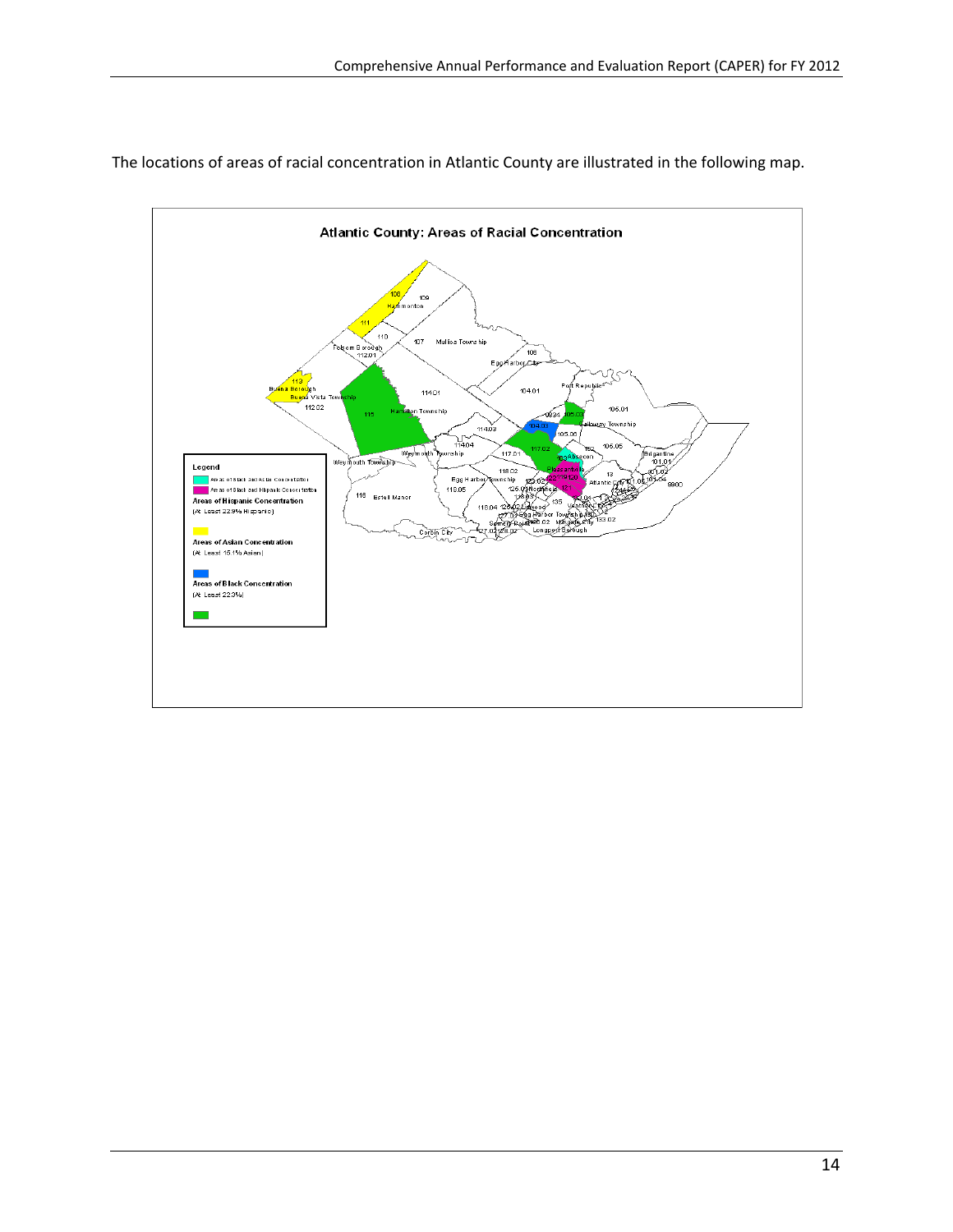

The locations of areas of racial concentration in Atlantic County are illustrated in the following map.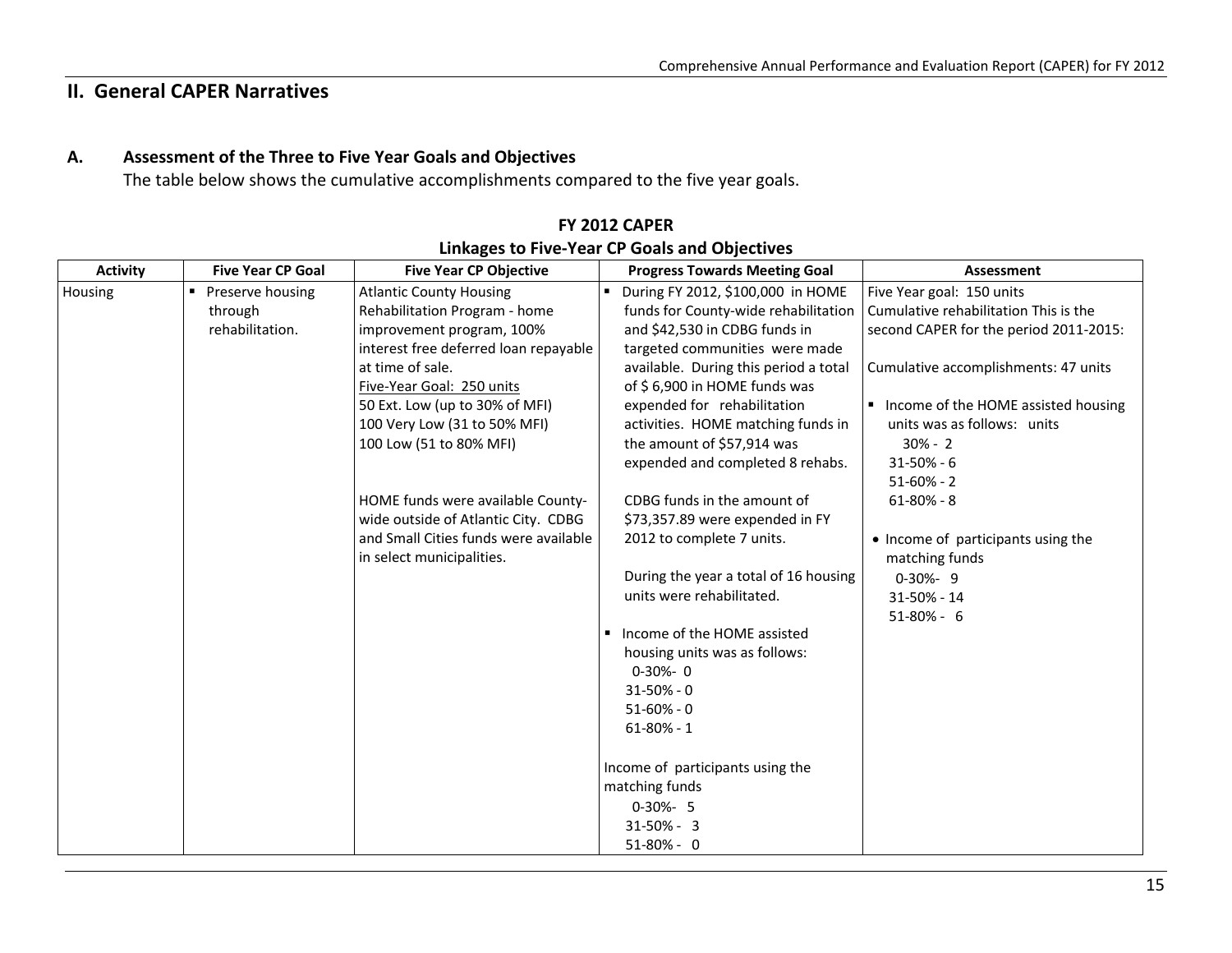### **II. General CAPER Narratives**

#### **A.Assessment of the Three to Five Year Goals and Objectives**

The table below shows the cumulative accomplishments compared to the five year goals.

| Activity | <b>Five Year CP Goal</b> | <b>Five Year CP Objective</b>         | <b>Progress Towards Meeting Goal</b>  | Assessment                             |
|----------|--------------------------|---------------------------------------|---------------------------------------|----------------------------------------|
| Housing  | Preserve housing         | <b>Atlantic County Housing</b>        | • During FY 2012, \$100,000 in HOME   | Five Year goal: 150 units              |
|          | through                  | Rehabilitation Program - home         | funds for County-wide rehabilitation  | Cumulative rehabilitation This is the  |
|          | rehabilitation.          | improvement program, 100%             | and \$42,530 in CDBG funds in         | second CAPER for the period 2011-2015: |
|          |                          | interest free deferred loan repayable | targeted communities were made        |                                        |
|          |                          | at time of sale.                      | available. During this period a total | Cumulative accomplishments: 47 units   |
|          |                          | Five-Year Goal: 250 units             | of $$6,900$ in HOME funds was         |                                        |
|          |                          | 50 Ext. Low (up to 30% of MFI)        | expended for rehabilitation           | ■ Income of the HOME assisted housing  |
|          |                          | 100 Very Low (31 to 50% MFI)          | activities. HOME matching funds in    | units was as follows: units            |
|          |                          | 100 Low (51 to 80% MFI)               | the amount of \$57,914 was            | $30\% - 2$                             |
|          |                          |                                       | expended and completed 8 rehabs.      | $31 - 50\% - 6$                        |
|          |                          |                                       |                                       | $51-60% - 2$                           |
|          |                          | HOME funds were available County-     | CDBG funds in the amount of           | $61 - 80\% - 8$                        |
|          |                          | wide outside of Atlantic City. CDBG   | \$73,357.89 were expended in FY       |                                        |
|          |                          | and Small Cities funds were available | 2012 to complete 7 units.             | • Income of participants using the     |
|          |                          | in select municipalities.             |                                       | matching funds                         |
|          |                          |                                       | During the year a total of 16 housing | $0-30% - 9$                            |
|          |                          |                                       | units were rehabilitated.             | 31-50% - 14                            |
|          |                          |                                       |                                       | $51-80% - 6$                           |
|          |                          |                                       | Income of the HOME assisted           |                                        |
|          |                          |                                       | housing units was as follows:         |                                        |
|          |                          |                                       | $0 - 30% - 0$                         |                                        |
|          |                          |                                       | $31 - 50\% - 0$                       |                                        |
|          |                          |                                       | $51 - 60\% - 0$                       |                                        |
|          |                          |                                       | $61 - 80\% - 1$                       |                                        |
|          |                          |                                       |                                       |                                        |
|          |                          |                                       | Income of participants using the      |                                        |
|          |                          |                                       | matching funds                        |                                        |
|          |                          |                                       | $0-30% - 5$                           |                                        |
|          |                          |                                       | $31 - 50\% - 3$                       |                                        |
|          |                          |                                       | $51-80% - 0$                          |                                        |

#### **FY 2012 CAPERLinkages to Five‐Year CP Goals and Objectives**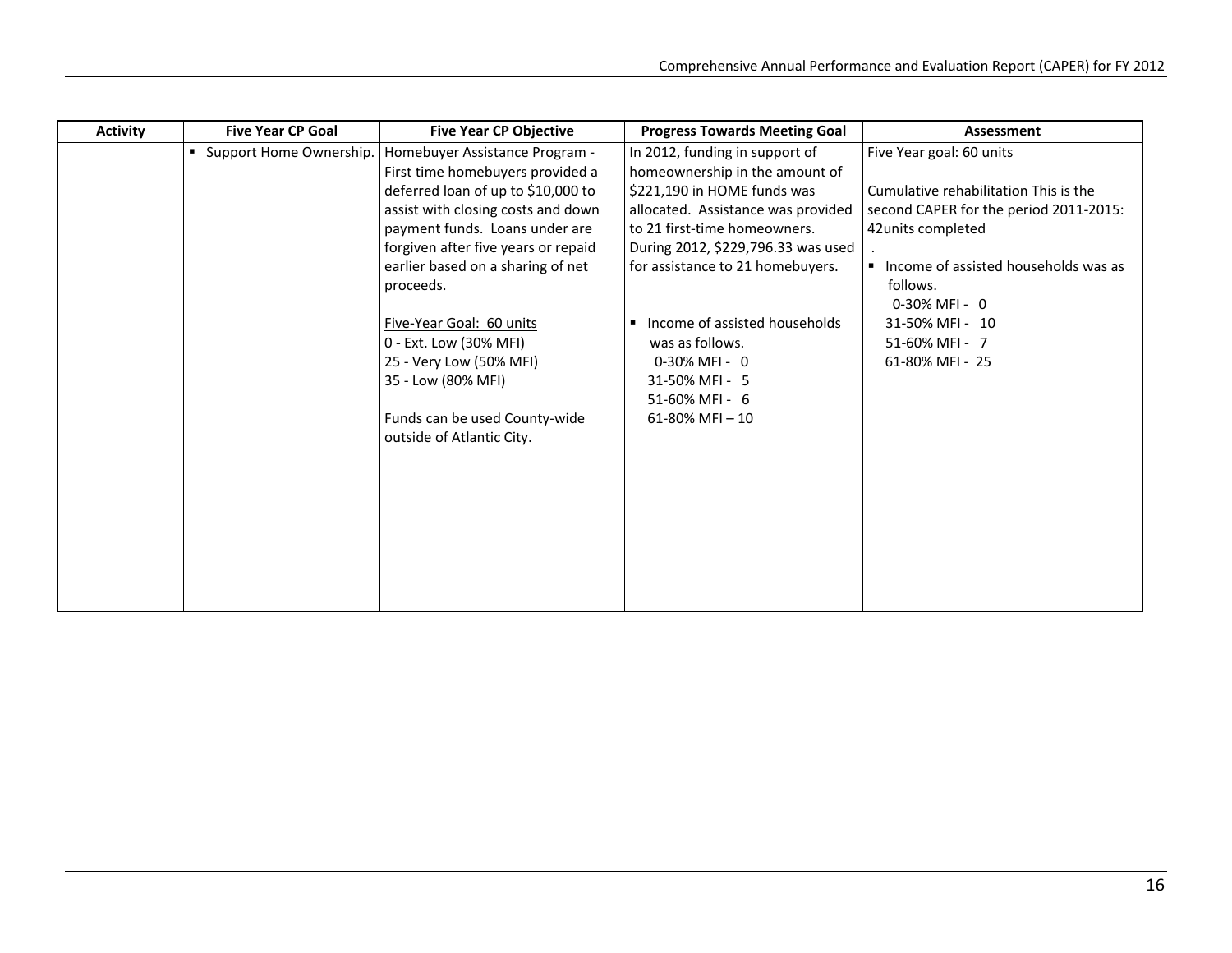| <b>Activity</b> | <b>Five Year CP Goal</b>  | <b>Five Year CP Objective</b>       | <b>Progress Towards Meeting Goal</b> | Assessment                             |
|-----------------|---------------------------|-------------------------------------|--------------------------------------|----------------------------------------|
|                 | • Support Home Ownership. | Homebuyer Assistance Program -      | In 2012, funding in support of       | Five Year goal: 60 units               |
|                 |                           | First time homebuyers provided a    | homeownership in the amount of       |                                        |
|                 |                           | deferred loan of up to \$10,000 to  | \$221,190 in HOME funds was          | Cumulative rehabilitation This is the  |
|                 |                           | assist with closing costs and down  | allocated. Assistance was provided   | second CAPER for the period 2011-2015: |
|                 |                           | payment funds. Loans under are      | to 21 first-time homeowners.         | 42 units completed                     |
|                 |                           | forgiven after five years or repaid | During 2012, \$229,796.33 was used   |                                        |
|                 |                           | earlier based on a sharing of net   | for assistance to 21 homebuyers.     | ■ Income of assisted households was as |
|                 |                           | proceeds.                           |                                      | follows.                               |
|                 |                           |                                     |                                      | $0-30\%$ MFI - 0                       |
|                 |                           | Five-Year Goal: 60 units            | Income of assisted households        | 31-50% MFI- 10                         |
|                 |                           | 0 - Ext. Low (30% MFI)              | was as follows.                      | 51-60% MFI - 7                         |
|                 |                           | 25 - Very Low (50% MFI)             | $0-30\%$ MFI - 0                     | 61-80% MFI - 25                        |
|                 |                           | 35 - Low (80% MFI)                  | 31-50% MFI - 5                       |                                        |
|                 |                           |                                     | 51-60% MFI - 6                       |                                        |
|                 |                           | Funds can be used County-wide       | $61-80\%$ MFI $-10$                  |                                        |
|                 |                           | outside of Atlantic City.           |                                      |                                        |
|                 |                           |                                     |                                      |                                        |
|                 |                           |                                     |                                      |                                        |
|                 |                           |                                     |                                      |                                        |
|                 |                           |                                     |                                      |                                        |
|                 |                           |                                     |                                      |                                        |
|                 |                           |                                     |                                      |                                        |
|                 |                           |                                     |                                      |                                        |
|                 |                           |                                     |                                      |                                        |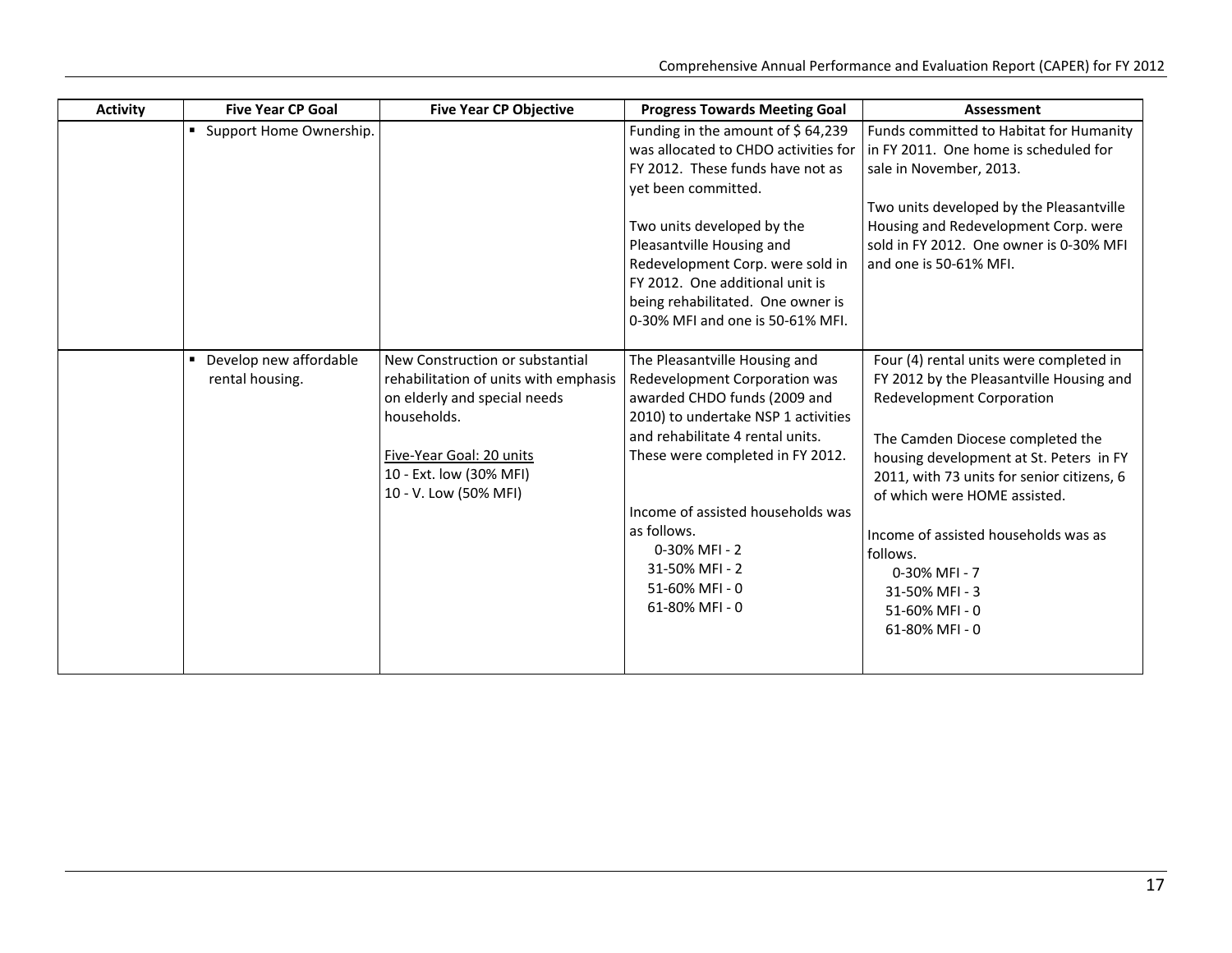| <b>Activity</b> | <b>Five Year CP Goal</b>                       | <b>Five Year CP Objective</b>                                                                                                                                                                           | <b>Progress Towards Meeting Goal</b>                                                                                                                                                                                                                                                                                                             | <b>Assessment</b>                                                                                                                                                                                                                                                                                                                                                                                               |
|-----------------|------------------------------------------------|---------------------------------------------------------------------------------------------------------------------------------------------------------------------------------------------------------|--------------------------------------------------------------------------------------------------------------------------------------------------------------------------------------------------------------------------------------------------------------------------------------------------------------------------------------------------|-----------------------------------------------------------------------------------------------------------------------------------------------------------------------------------------------------------------------------------------------------------------------------------------------------------------------------------------------------------------------------------------------------------------|
|                 | Support Home Ownership.<br>٠.                  |                                                                                                                                                                                                         | Funding in the amount of $$64,239$<br>was allocated to CHDO activities for<br>FY 2012. These funds have not as<br>yet been committed.<br>Two units developed by the<br>Pleasantville Housing and<br>Redevelopment Corp. were sold in<br>FY 2012. One additional unit is<br>being rehabilitated. One owner is<br>0-30% MFI and one is 50-61% MFI. | Funds committed to Habitat for Humanity<br>in FY 2011. One home is scheduled for<br>sale in November, 2013.<br>Two units developed by the Pleasantville<br>Housing and Redevelopment Corp. were<br>sold in FY 2012. One owner is 0-30% MFI<br>and one is 50-61% MFI.                                                                                                                                            |
|                 | Develop new affordable<br>٠<br>rental housing. | New Construction or substantial<br>rehabilitation of units with emphasis<br>on elderly and special needs<br>households.<br>Five-Year Goal: 20 units<br>10 - Ext. low (30% MFI)<br>10 - V. Low (50% MFI) | The Pleasantville Housing and<br>Redevelopment Corporation was<br>awarded CHDO funds (2009 and<br>2010) to undertake NSP 1 activities<br>and rehabilitate 4 rental units.<br>These were completed in FY 2012.<br>Income of assisted households was<br>as follows.<br>0-30% MFI - 2<br>31-50% MFI - 2<br>51-60% MFI - 0<br>61-80% MFI - 0         | Four (4) rental units were completed in<br>FY 2012 by the Pleasantville Housing and<br><b>Redevelopment Corporation</b><br>The Camden Diocese completed the<br>housing development at St. Peters in FY<br>2011, with 73 units for senior citizens, 6<br>of which were HOME assisted.<br>Income of assisted households was as<br>follows.<br>0-30% MFI - 7<br>31-50% MFI - 3<br>51-60% MFI - 0<br>61-80% MFI - 0 |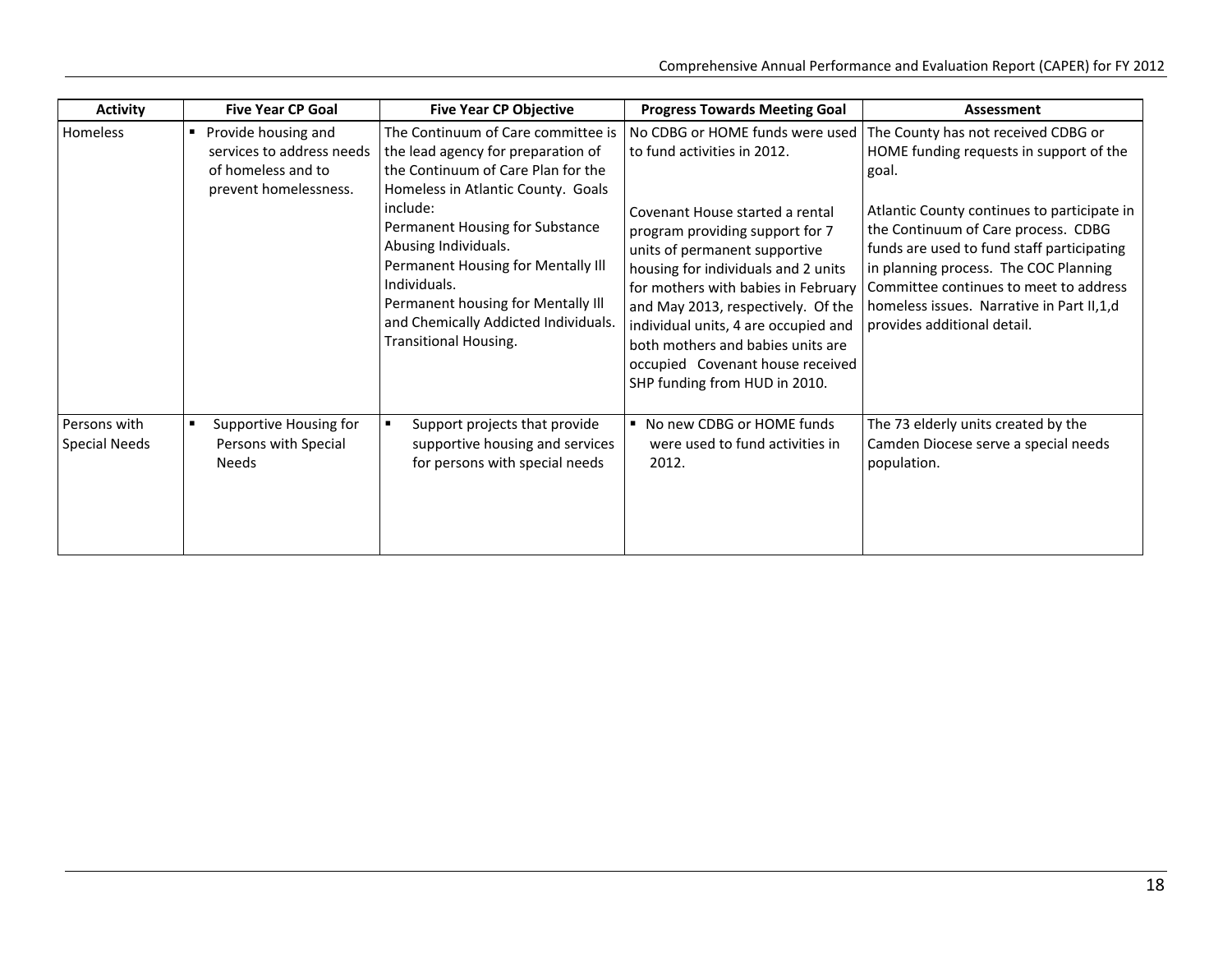| <b>Activity</b>                      | <b>Five Year CP Goal</b>                                                                                                                                                                                                                                                  | <b>Five Year CP Objective</b>                                                                                                                                                                                                    | <b>Progress Towards Meeting Goal</b>                                                                                                                                                                                                                                                                                                                                      | Assessment                                                                                                                                                                                                                                                                                        |  |
|--------------------------------------|---------------------------------------------------------------------------------------------------------------------------------------------------------------------------------------------------------------------------------------------------------------------------|----------------------------------------------------------------------------------------------------------------------------------------------------------------------------------------------------------------------------------|---------------------------------------------------------------------------------------------------------------------------------------------------------------------------------------------------------------------------------------------------------------------------------------------------------------------------------------------------------------------------|---------------------------------------------------------------------------------------------------------------------------------------------------------------------------------------------------------------------------------------------------------------------------------------------------|--|
| Homeless                             | The Continuum of Care committee is<br>Provide housing and<br>$\blacksquare$<br>the lead agency for preparation of<br>services to address needs<br>the Continuum of Care Plan for the<br>of homeless and to<br>prevent homelessness.<br>Homeless in Atlantic County. Goals |                                                                                                                                                                                                                                  | No CDBG or HOME funds were used<br>to fund activities in 2012.                                                                                                                                                                                                                                                                                                            | The County has not received CDBG or<br>HOME funding requests in support of the<br>goal.                                                                                                                                                                                                           |  |
|                                      |                                                                                                                                                                                                                                                                           | include:<br>Permanent Housing for Substance<br>Abusing Individuals.<br>Permanent Housing for Mentally III<br>Individuals.<br>Permanent housing for Mentally III<br>and Chemically Addicted Individuals.<br>Transitional Housing. | Covenant House started a rental<br>program providing support for 7<br>units of permanent supportive<br>housing for individuals and 2 units<br>for mothers with babies in February<br>and May 2013, respectively. Of the<br>individual units, 4 are occupied and<br>both mothers and babies units are<br>occupied Covenant house received<br>SHP funding from HUD in 2010. | Atlantic County continues to participate in<br>the Continuum of Care process. CDBG<br>funds are used to fund staff participating<br>in planning process. The COC Planning<br>Committee continues to meet to address<br>homeless issues. Narrative in Part II, 1, d<br>provides additional detail. |  |
| Persons with<br><b>Special Needs</b> | Supportive Housing for<br>$\blacksquare$<br>Persons with Special<br><b>Needs</b>                                                                                                                                                                                          | Support projects that provide<br>supportive housing and services<br>for persons with special needs                                                                                                                               | ■ No new CDBG or HOME funds<br>were used to fund activities in<br>2012.                                                                                                                                                                                                                                                                                                   | The 73 elderly units created by the<br>Camden Diocese serve a special needs<br>population.                                                                                                                                                                                                        |  |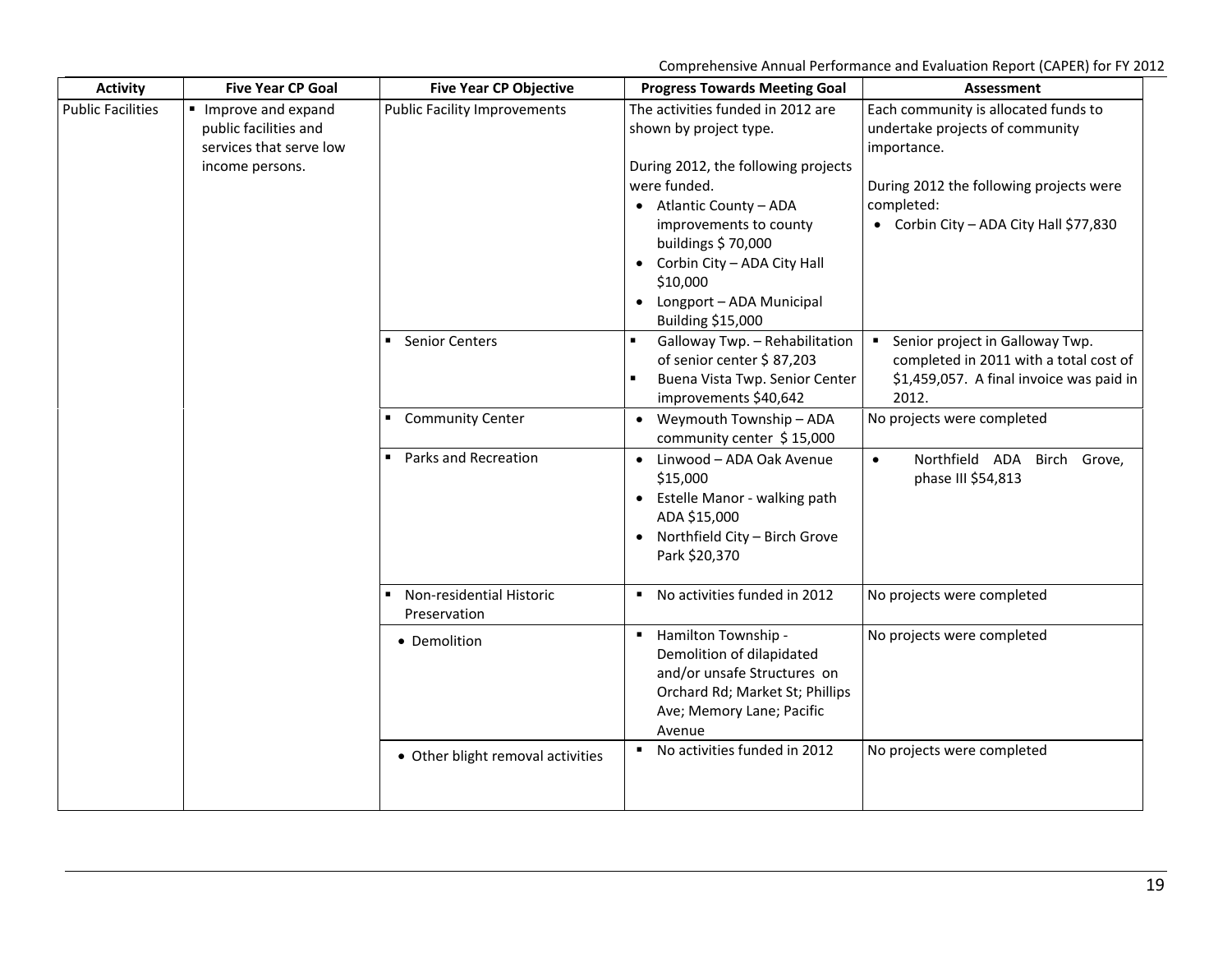Comprehensive Annual Performance and Evaluation Report (CAPER) for FY 2012

| <b>Activity</b>          | <b>Five Year CP Goal</b>                                                                  | <b>Five Year CP Objective</b>            | <b>Progress Towards Meeting Goal</b>                                                                                                                                                                                                                                                                 | <b>Assessment</b>                                                                                                                                                                         |
|--------------------------|-------------------------------------------------------------------------------------------|------------------------------------------|------------------------------------------------------------------------------------------------------------------------------------------------------------------------------------------------------------------------------------------------------------------------------------------------------|-------------------------------------------------------------------------------------------------------------------------------------------------------------------------------------------|
| <b>Public Facilities</b> | Improve and expand<br>public facilities and<br>services that serve low<br>income persons. | <b>Public Facility Improvements</b>      | The activities funded in 2012 are<br>shown by project type.<br>During 2012, the following projects<br>were funded.<br>• Atlantic County - ADA<br>improvements to county<br>buildings \$70,000<br>• Corbin City - ADA City Hall<br>\$10,000<br>• Longport - ADA Municipal<br><b>Building \$15,000</b> | Each community is allocated funds to<br>undertake projects of community<br>importance.<br>During 2012 the following projects were<br>completed:<br>• Corbin City - ADA City Hall \$77,830 |
|                          |                                                                                           | <b>Senior Centers</b>                    | Galloway Twp. - Rehabilitation<br>of senior center \$87,203<br>Buena Vista Twp. Senior Center<br>improvements \$40,642                                                                                                                                                                               | Senior project in Galloway Twp.<br>$\mathbf{r}$<br>completed in 2011 with a total cost of<br>\$1,459,057. A final invoice was paid in<br>2012.                                            |
|                          |                                                                                           | <b>Community Center</b>                  | • Weymouth Township - ADA<br>community center \$15,000                                                                                                                                                                                                                                               | No projects were completed                                                                                                                                                                |
|                          |                                                                                           | Parks and Recreation                     | • Linwood - ADA Oak Avenue<br>\$15,000<br>• Estelle Manor - walking path<br>ADA \$15,000<br>Northfield City - Birch Grove<br>Park \$20,370                                                                                                                                                           | Northfield ADA Birch Grove,<br>$\bullet$<br>phase III \$54,813                                                                                                                            |
|                          |                                                                                           | Non-residential Historic<br>Preservation | ■ No activities funded in 2012                                                                                                                                                                                                                                                                       | No projects were completed                                                                                                                                                                |
|                          |                                                                                           | • Demolition                             | Hamilton Township -<br>Demolition of dilapidated<br>and/or unsafe Structures on<br>Orchard Rd; Market St; Phillips<br>Ave; Memory Lane; Pacific<br>Avenue                                                                                                                                            | No projects were completed                                                                                                                                                                |
|                          |                                                                                           | • Other blight removal activities        | No activities funded in 2012                                                                                                                                                                                                                                                                         | No projects were completed                                                                                                                                                                |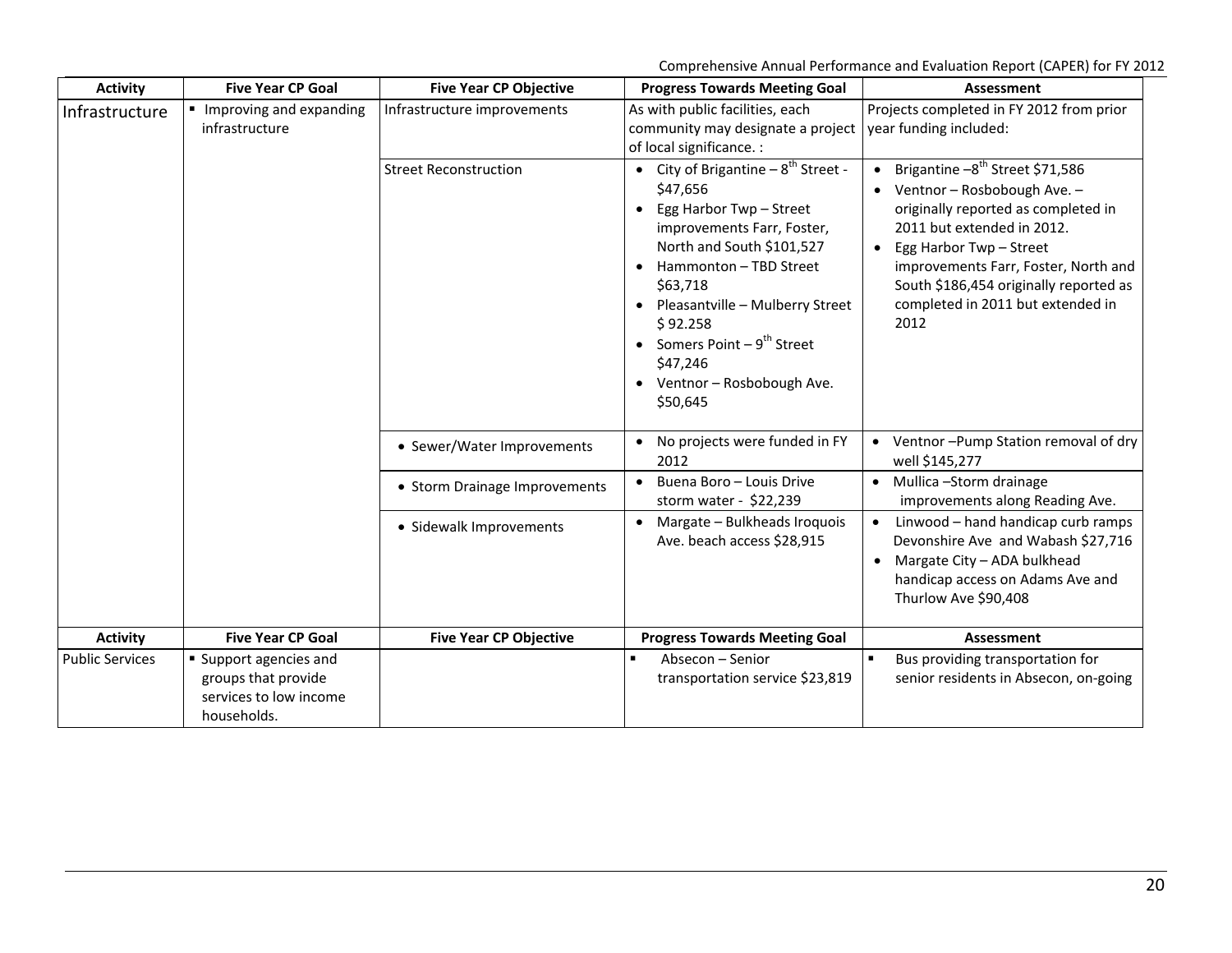Comprehensive Annual Performance and Evaluation Report (CAPER) for FY 2012

| <b>Activity</b>        | <b>Five Year CP Goal</b>                                                             | <b>Five Year CP Objective</b> | <b>Progress Towards Meeting Goal</b>                                                                                                                                                                                                                                                                                                      | <b>Assessment</b>                                                                                                                                                                                                                                                                                      |
|------------------------|--------------------------------------------------------------------------------------|-------------------------------|-------------------------------------------------------------------------------------------------------------------------------------------------------------------------------------------------------------------------------------------------------------------------------------------------------------------------------------------|--------------------------------------------------------------------------------------------------------------------------------------------------------------------------------------------------------------------------------------------------------------------------------------------------------|
| Infrastructure         | Improving and expanding<br>infrastructure                                            | Infrastructure improvements   | As with public facilities, each<br>community may designate a project<br>of local significance. :                                                                                                                                                                                                                                          | Projects completed in FY 2012 from prior<br>year funding included:                                                                                                                                                                                                                                     |
|                        |                                                                                      | <b>Street Reconstruction</b>  | • City of Brigantine $-8^{th}$ Street -<br>\$47,656<br>Egg Harbor Twp - Street<br>$\bullet$<br>improvements Farr, Foster,<br>North and South \$101,527<br>• Hammonton - TBD Street<br>\$63,718<br>• Pleasantville - Mulberry Street<br>\$92.258<br>• Somers Point $-9^{th}$ Street<br>\$47,246<br>• Ventnor - Rosbobough Ave.<br>\$50,645 | • Brigantine $-8^{th}$ Street \$71,586<br>Ventnor - Rosbobough Ave. -<br>originally reported as completed in<br>2011 but extended in 2012.<br>• Egg Harbor Twp - Street<br>improvements Farr, Foster, North and<br>South \$186,454 originally reported as<br>completed in 2011 but extended in<br>2012 |
|                        |                                                                                      | • Sewer/Water Improvements    | No projects were funded in FY<br>2012                                                                                                                                                                                                                                                                                                     | • Ventnor-Pump Station removal of dry<br>well \$145,277                                                                                                                                                                                                                                                |
|                        |                                                                                      | • Storm Drainage Improvements | Buena Boro - Louis Drive<br>$\bullet$<br>storm water - \$22,239                                                                                                                                                                                                                                                                           | • Mullica - Storm drainage<br>improvements along Reading Ave.                                                                                                                                                                                                                                          |
|                        |                                                                                      | • Sidewalk Improvements       | • Margate - Bulkheads Iroquois<br>Ave. beach access \$28,915                                                                                                                                                                                                                                                                              | • Linwood - hand handicap curb ramps<br>Devonshire Ave and Wabash \$27,716<br>Margate City - ADA bulkhead<br>$\bullet$<br>handicap access on Adams Ave and<br>Thurlow Ave \$90,408                                                                                                                     |
| <b>Activity</b>        | <b>Five Year CP Goal</b>                                                             | <b>Five Year CP Objective</b> | <b>Progress Towards Meeting Goal</b>                                                                                                                                                                                                                                                                                                      | Assessment                                                                                                                                                                                                                                                                                             |
| <b>Public Services</b> | Support agencies and<br>groups that provide<br>services to low income<br>households. |                               | Absecon - Senior<br>$\blacksquare$<br>transportation service \$23,819                                                                                                                                                                                                                                                                     | Bus providing transportation for<br>senior residents in Absecon, on-going                                                                                                                                                                                                                              |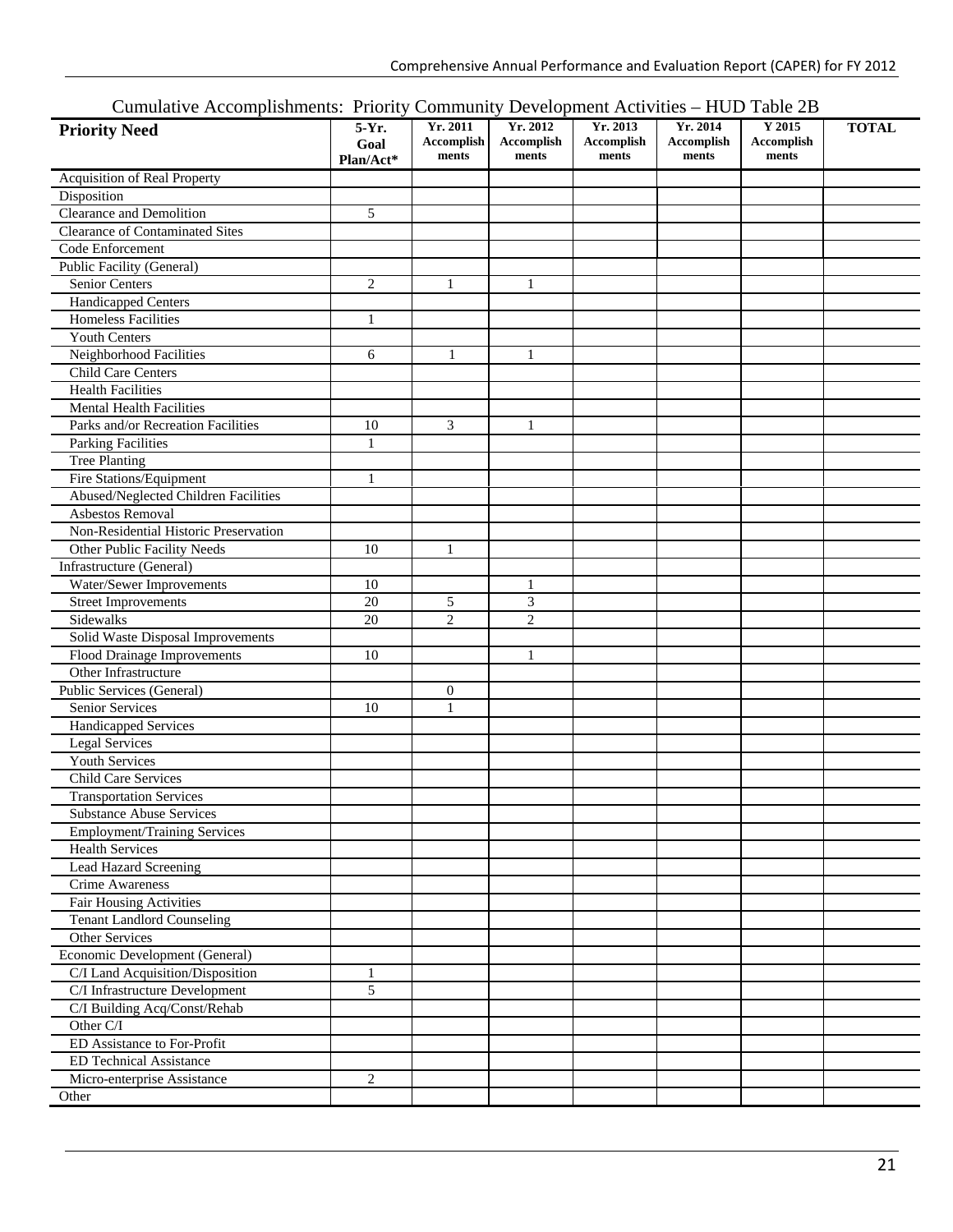#### Cumulative Accomplishments: Priority Community Development Activities – HUD Table 2B

| Camarative Accompagnments. Thorty Commantly Development Activities |                              |                                  |                                        |                                 |                                 | $110D$ 10010 $2D$             |              |
|--------------------------------------------------------------------|------------------------------|----------------------------------|----------------------------------------|---------------------------------|---------------------------------|-------------------------------|--------------|
| <b>Priority Need</b>                                               | $5-Yr.$<br>Goal<br>Plan/Act* | Yr. 2011<br>Accomplish<br>ments  | Yr. 2012<br><b>Accomplish</b><br>ments | Yr. 2013<br>Accomplish<br>ments | Yr. 2014<br>Accomplish<br>ments | Y 2015<br>Accomplish<br>ments | <b>TOTAL</b> |
| Acquisition of Real Property                                       |                              |                                  |                                        |                                 |                                 |                               |              |
| Disposition                                                        |                              |                                  |                                        |                                 |                                 |                               |              |
| Clearance and Demolition                                           | 5                            |                                  |                                        |                                 |                                 |                               |              |
| <b>Clearance of Contaminated Sites</b>                             |                              |                                  |                                        |                                 |                                 |                               |              |
| Code Enforcement                                                   |                              |                                  |                                        |                                 |                                 |                               |              |
| Public Facility (General)                                          |                              |                                  |                                        |                                 |                                 |                               |              |
| Senior Centers                                                     | $\overline{c}$               | 1                                | $\mathbf{1}$                           |                                 |                                 |                               |              |
| Handicapped Centers                                                |                              |                                  |                                        |                                 |                                 |                               |              |
| <b>Homeless Facilities</b>                                         | 1                            |                                  |                                        |                                 |                                 |                               |              |
| <b>Youth Centers</b>                                               |                              |                                  |                                        |                                 |                                 |                               |              |
| Neighborhood Facilities                                            | 6                            | 1                                | 1                                      |                                 |                                 |                               |              |
| Child Care Centers                                                 |                              |                                  |                                        |                                 |                                 |                               |              |
| <b>Health Facilities</b>                                           |                              |                                  |                                        |                                 |                                 |                               |              |
| <b>Mental Health Facilities</b>                                    |                              |                                  |                                        |                                 |                                 |                               |              |
| Parks and/or Recreation Facilities                                 | 10                           | 3                                | $\mathbf{1}$                           |                                 |                                 |                               |              |
| <b>Parking Facilities</b>                                          | $\mathbf{1}$                 |                                  |                                        |                                 |                                 |                               |              |
| <b>Tree Planting</b>                                               |                              |                                  |                                        |                                 |                                 |                               |              |
| <b>Fire Stations/Equipment</b>                                     | 1                            |                                  |                                        |                                 |                                 |                               |              |
| Abused/Neglected Children Facilities                               |                              |                                  |                                        |                                 |                                 |                               |              |
| Asbestos Removal                                                   |                              |                                  |                                        |                                 |                                 |                               |              |
| Non-Residential Historic Preservation                              |                              |                                  |                                        |                                 |                                 |                               |              |
| Other Public Facility Needs                                        | 10                           | $\mathbf{1}$                     |                                        |                                 |                                 |                               |              |
| Infrastructure (General)                                           |                              |                                  |                                        |                                 |                                 |                               |              |
| Water/Sewer Improvements                                           | 10                           |                                  | 1                                      |                                 |                                 |                               |              |
| <b>Street Improvements</b>                                         | 20                           | 5                                | 3                                      |                                 |                                 |                               |              |
| Sidewalks                                                          | 20                           | $\overline{c}$                   | $\overline{2}$                         |                                 |                                 |                               |              |
| Solid Waste Disposal Improvements                                  |                              |                                  |                                        |                                 |                                 |                               |              |
| Flood Drainage Improvements                                        | 10                           |                                  | 1                                      |                                 |                                 |                               |              |
| Other Infrastructure                                               |                              |                                  |                                        |                                 |                                 |                               |              |
| Public Services (General)                                          |                              |                                  |                                        |                                 |                                 |                               |              |
|                                                                    | 10                           | $\boldsymbol{0}$<br>$\mathbf{1}$ |                                        |                                 |                                 |                               |              |
| Senior Services                                                    |                              |                                  |                                        |                                 |                                 |                               |              |
| Handicapped Services                                               |                              |                                  |                                        |                                 |                                 |                               |              |
| <b>Legal Services</b>                                              |                              |                                  |                                        |                                 |                                 |                               |              |
| Youth Services                                                     |                              |                                  |                                        |                                 |                                 |                               |              |
| <b>Child Care Services</b>                                         |                              |                                  |                                        |                                 |                                 |                               |              |
| <b>Transportation Services</b>                                     |                              |                                  |                                        |                                 |                                 |                               |              |
| <b>Substance Abuse Services</b>                                    |                              |                                  |                                        |                                 |                                 |                               |              |
| <b>Employment/Training Services</b>                                |                              |                                  |                                        |                                 |                                 |                               |              |
| <b>Health Services</b>                                             |                              |                                  |                                        |                                 |                                 |                               |              |
| <b>Lead Hazard Screening</b>                                       |                              |                                  |                                        |                                 |                                 |                               |              |
| Crime Awareness                                                    |                              |                                  |                                        |                                 |                                 |                               |              |
| <b>Fair Housing Activities</b>                                     |                              |                                  |                                        |                                 |                                 |                               |              |
| <b>Tenant Landlord Counseling</b>                                  |                              |                                  |                                        |                                 |                                 |                               |              |
| Other Services                                                     |                              |                                  |                                        |                                 |                                 |                               |              |
| Economic Development (General)                                     |                              |                                  |                                        |                                 |                                 |                               |              |
| C/I Land Acquisition/Disposition                                   | 1                            |                                  |                                        |                                 |                                 |                               |              |
| C/I Infrastructure Development                                     | 5                            |                                  |                                        |                                 |                                 |                               |              |
| C/I Building Acq/Const/Rehab                                       |                              |                                  |                                        |                                 |                                 |                               |              |
| Other C/I                                                          |                              |                                  |                                        |                                 |                                 |                               |              |
| ED Assistance to For-Profit                                        |                              |                                  |                                        |                                 |                                 |                               |              |
| <b>ED Technical Assistance</b>                                     |                              |                                  |                                        |                                 |                                 |                               |              |
| Micro-enterprise Assistance                                        | $\overline{c}$               |                                  |                                        |                                 |                                 |                               |              |
| Other                                                              |                              |                                  |                                        |                                 |                                 |                               |              |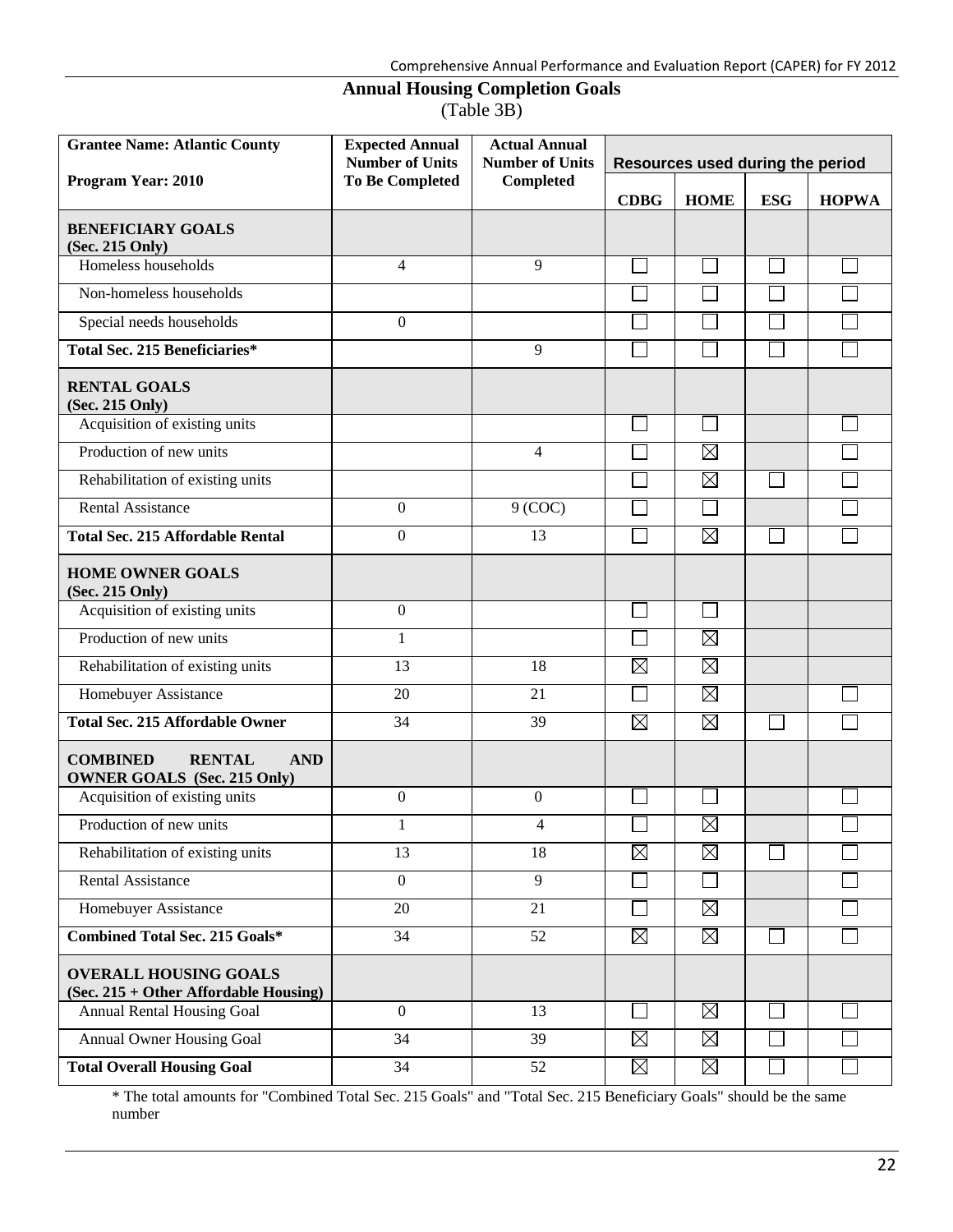## **Annual Housing Completion Goals**

(Table 3B)

| <b>Grantee Name: Atlantic County</b>                                                 | <b>Expected Annual</b><br><b>Number of Units</b> | <b>Actual Annual</b><br><b>Number of Units</b> | Resources used during the period |             |            |              |
|--------------------------------------------------------------------------------------|--------------------------------------------------|------------------------------------------------|----------------------------------|-------------|------------|--------------|
| Program Year: 2010                                                                   | <b>To Be Completed</b>                           | Completed                                      | <b>CDBG</b>                      | <b>HOME</b> | <b>ESG</b> | <b>HOPWA</b> |
| <b>BENEFICIARY GOALS</b><br>(Sec. 215 Only)                                          |                                                  |                                                |                                  |             |            |              |
| Homeless households                                                                  | 4                                                | 9                                              |                                  |             |            |              |
| Non-homeless households                                                              |                                                  |                                                |                                  |             |            |              |
| Special needs households                                                             | $\boldsymbol{0}$                                 |                                                |                                  |             |            |              |
| <b>Total Sec. 215 Beneficiaries*</b>                                                 |                                                  | 9                                              |                                  |             |            |              |
| <b>RENTAL GOALS</b><br>(Sec. 215 Only)                                               |                                                  |                                                |                                  |             |            |              |
| Acquisition of existing units                                                        |                                                  |                                                |                                  |             |            |              |
| Production of new units                                                              |                                                  | 4                                              |                                  | $\boxtimes$ |            |              |
| Rehabilitation of existing units                                                     |                                                  |                                                |                                  | $\boxtimes$ |            |              |
| <b>Rental Assistance</b>                                                             | $\boldsymbol{0}$                                 | $9$ (COC)                                      |                                  |             |            |              |
| <b>Total Sec. 215 Affordable Rental</b>                                              | $\boldsymbol{0}$                                 | 13                                             |                                  | $\boxtimes$ |            |              |
| <b>HOME OWNER GOALS</b><br>(Sec. 215 Only)                                           |                                                  |                                                |                                  |             |            |              |
| Acquisition of existing units                                                        | $\boldsymbol{0}$                                 |                                                |                                  |             |            |              |
| Production of new units                                                              | $\mathbf{1}$                                     |                                                |                                  | $\boxtimes$ |            |              |
| Rehabilitation of existing units                                                     | 13                                               | 18                                             | $\boxtimes$                      | $\boxtimes$ |            |              |
| Homebuyer Assistance                                                                 | 20                                               | 21                                             |                                  | $\boxtimes$ |            |              |
| <b>Total Sec. 215 Affordable Owner</b>                                               | 34                                               | 39                                             | $\boxtimes$                      | $\boxtimes$ |            |              |
| <b>COMBINED</b><br><b>RENTAL</b><br><b>AND</b><br><b>OWNER GOALS</b> (Sec. 215 Only) |                                                  |                                                |                                  |             |            |              |
| Acquisition of existing units                                                        | $\boldsymbol{0}$                                 | $\overline{0}$                                 |                                  |             |            |              |
| Production of new units                                                              | 1                                                | 4                                              |                                  | $\boxtimes$ |            |              |
| Rehabilitation of existing units                                                     | 13                                               | 18                                             | $\boxtimes$                      | $\boxtimes$ |            |              |
| <b>Rental Assistance</b>                                                             | $\mathbf{0}$                                     | $\overline{9}$                                 |                                  |             |            |              |
| Homebuyer Assistance                                                                 | 20                                               | 21                                             |                                  | $\boxtimes$ |            |              |
| <b>Combined Total Sec. 215 Goals*</b>                                                | 34                                               | 52                                             | $\boxtimes$                      | $\boxtimes$ |            |              |
| <b>OVERALL HOUSING GOALS</b><br>(Sec. 215 + Other Affordable Housing)                |                                                  |                                                |                                  |             |            |              |
| Annual Rental Housing Goal                                                           | $\mathbf{0}$                                     | 13                                             |                                  | $\boxtimes$ |            |              |
| <b>Annual Owner Housing Goal</b>                                                     | 34                                               | 39                                             | $\boxtimes$                      | $\boxtimes$ |            |              |
| <b>Total Overall Housing Goal</b>                                                    | 34                                               | 52                                             | $\boxtimes$                      | $\boxtimes$ |            |              |

\* The total amounts for "Combined Total Sec. 215 Goals" and "Total Sec. 215 Beneficiary Goals" should be the same number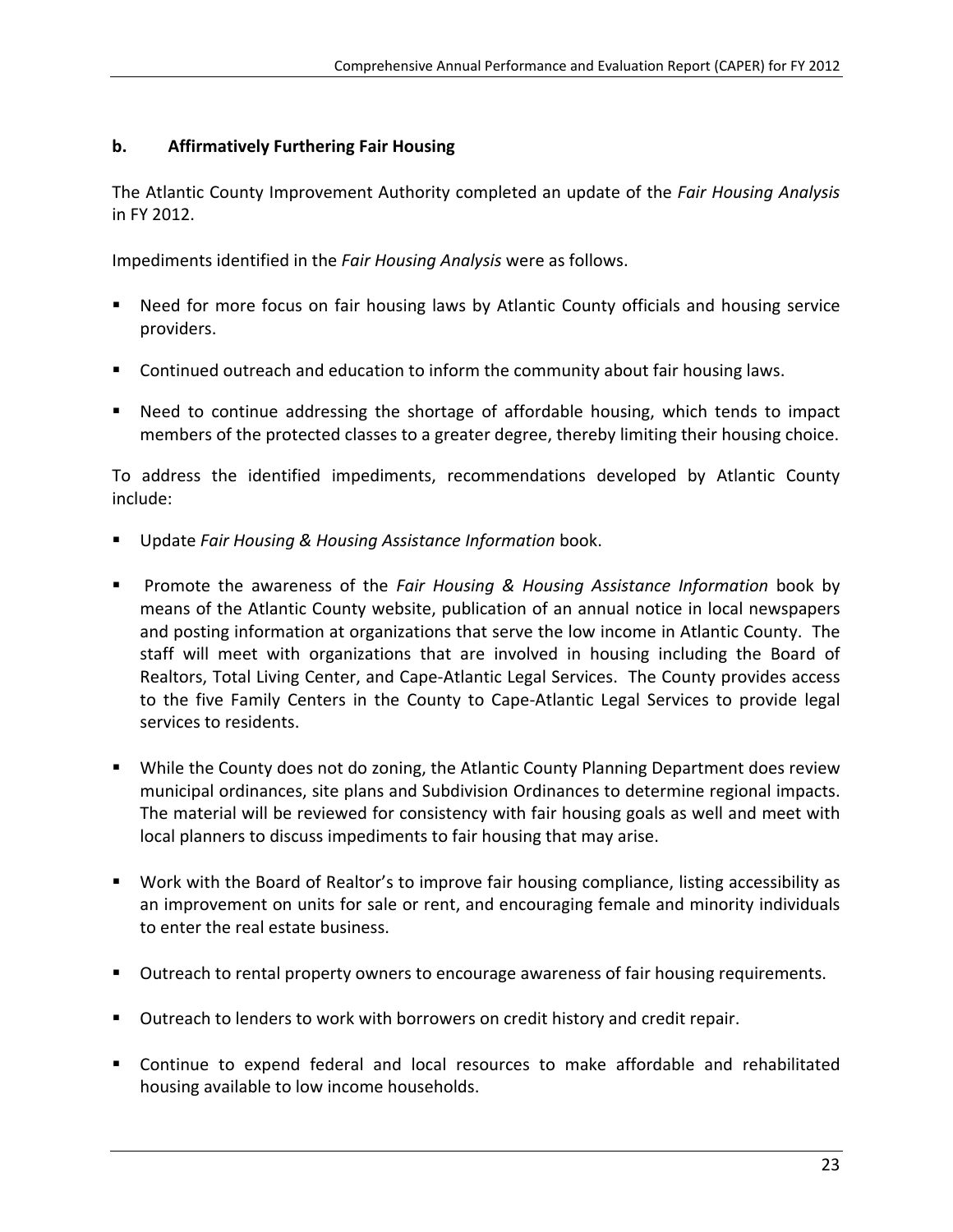#### **b. Affirmatively Furthering Fair Housing**

The Atlantic County Improvement Authority completed an update of the *Fair Housing Analysis* in FY 2012.

Impediments identified in the *Fair Housing Analysis* were as follows.

- Need for more focus on fair housing laws by Atlantic County officials and housing service providers.
- Continued outreach and education to inform the community about fair housing laws.
- Need to continue addressing the shortage of affordable housing, which tends to impact members of the protected classes to a greater degree, thereby limiting their housing choice.

To address the identified impediments, recommendations developed by Atlantic County include:

- Update *Fair Housing & Housing Assistance Information* book.
- Promote the awareness of the *Fair Housing & Housing Assistance Information* book by means of the Atlantic County website, publication of an annual notice in local newspapers and posting information at organizations that serve the low income in Atlantic County. The staff will meet with organizations that are involved in housing including the Board of Realtors, Total Living Center, and Cape‐Atlantic Legal Services. The County provides access to the five Family Centers in the County to Cape‐Atlantic Legal Services to provide legal services to residents.
- While the County does not do zoning, the Atlantic County Planning Department does review municipal ordinances, site plans and Subdivision Ordinances to determine regional impacts. The material will be reviewed for consistency with fair housing goals as well and meet with local planners to discuss impediments to fair housing that may arise.
- Work with the Board of Realtor's to improve fair housing compliance, listing accessibility as an improvement on units for sale or rent, and encouraging female and minority individuals to enter the real estate business.
- Outreach to rental property owners to encourage awareness of fair housing requirements.
- **Dutreach to lenders to work with borrowers on credit history and credit repair.**
- Continue to expend federal and local resources to make affordable and rehabilitated housing available to low income households.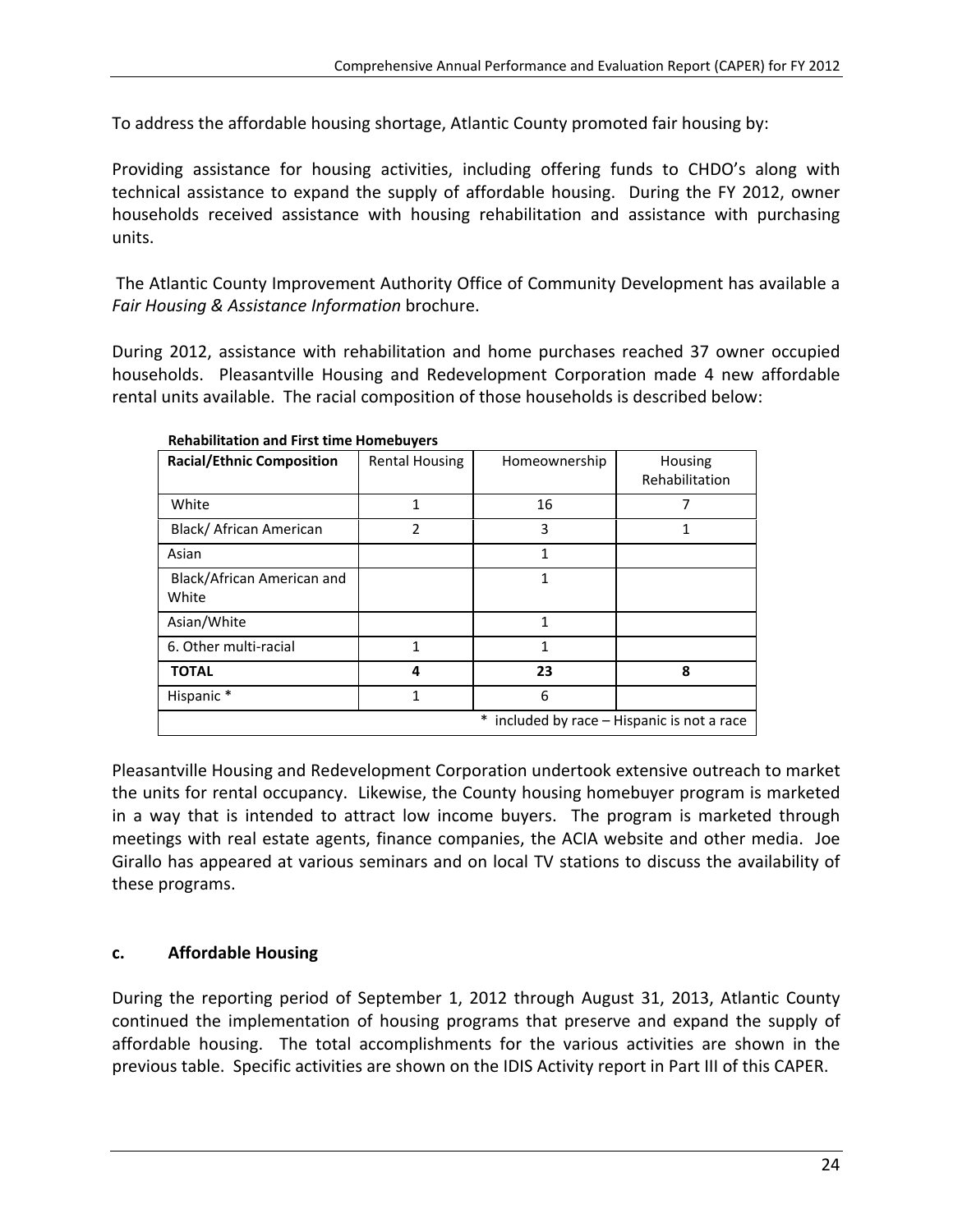To address the affordable housing shortage, Atlantic County promoted fair housing by:

Providing assistance for housing activities, including offering funds to CHDO's along with technical assistance to expand the supply of affordable housing. During the FY 2012, owner households received assistance with housing rehabilitation and assistance with purchasing units.

The Atlantic County Improvement Authority Office of Community Development has available a *Fair Housing & Assistance Information* brochure.

During 2012, assistance with rehabilitation and home purchases reached 37 owner occupied households. Pleasantville Housing and Redevelopment Corporation made 4 new affordable rental units available. The racial composition of those households is described below:

| <b>Racial/Ethnic Composition</b>    | <b>Rental Housing</b> | Homeownership | Housing<br>Rehabilitation                 |
|-------------------------------------|-----------------------|---------------|-------------------------------------------|
| White                               | 1                     | 16            | 7                                         |
| Black/ African American             | 2                     | 3             | 1                                         |
| Asian                               |                       | 1             |                                           |
| Black/African American and<br>White |                       | 1             |                                           |
| Asian/White                         |                       | 1             |                                           |
| 6. Other multi-racial               | 1                     | 1             |                                           |
| <b>TOTAL</b>                        | 4                     | 23            | 8                                         |
| Hispanic*                           | 1                     | 6             |                                           |
|                                     |                       | $\ast$        | included by race - Hispanic is not a race |

**Rehabilitation and First time Homebuyers**

Pleasantville Housing and Redevelopment Corporation undertook extensive outreach to market the units for rental occupancy. Likewise, the County housing homebuyer program is marketed in a way that is intended to attract low income buyers. The program is marketed through meetings with real estate agents, finance companies, the ACIA website and other media. Joe Girallo has appeared at various seminars and on local TV stations to discuss the availability of these programs.

### **c. Affordable Housing**

During the reporting period of September 1, 2012 through August 31, 2013, Atlantic County continued the implementation of housing programs that preserve and expand the supply of affordable housing. The total accomplishments for the various activities are shown in the previous table. Specific activities are shown on the IDIS Activity report in Part III of this CAPER.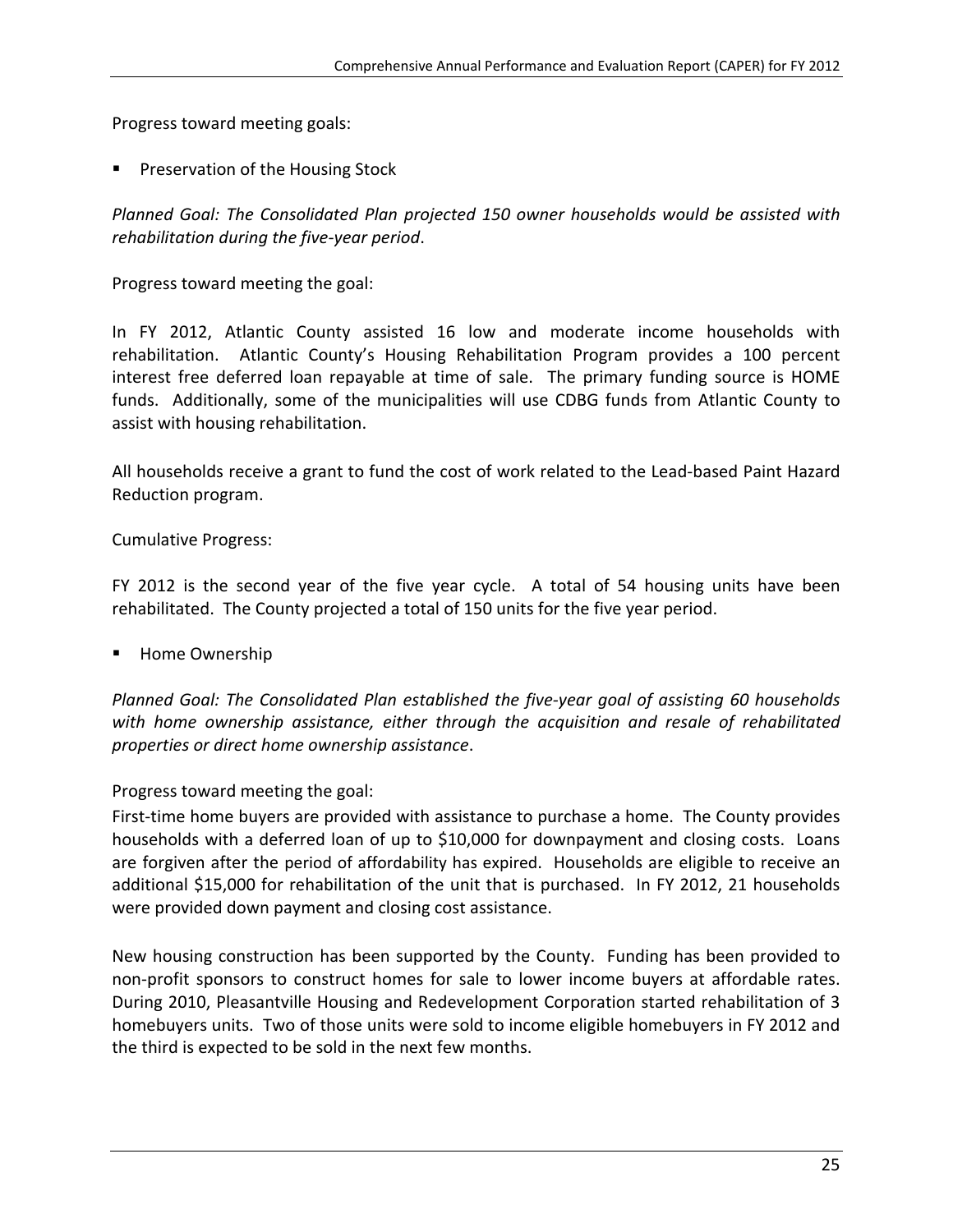Progress toward meeting goals:

Preservation of the Housing Stock

*Planned Goal: The Consolidated Plan projected 150 owner households would be assisted with rehabilitation during the five‐year period*.

Progress toward meeting the goal:

In FY 2012, Atlantic County assisted 16 low and moderate income households with rehabilitation. Atlantic County's Housing Rehabilitation Program provides a 100 percent interest free deferred loan repayable at time of sale. The primary funding source is HOME funds. Additionally, some of the municipalities will use CDBG funds from Atlantic County to assist with housing rehabilitation.

All households receive a grant to fund the cost of work related to the Lead‐based Paint Hazard Reduction program.

Cumulative Progress:

FY 2012 is the second year of the five year cycle. A total of 54 housing units have been rehabilitated. The County projected a total of 150 units for the five year period.

Home Ownership

*Planned Goal: The Consolidated Plan established the five‐year goal of assisting 60 households with home ownership assistance, either through the acquisition and resale of rehabilitated properties or direct home ownership assistance*.

Progress toward meeting the goal:

First-time home buyers are provided with assistance to purchase a home. The County provides households with a deferred loan of up to \$10,000 for downpayment and closing costs. Loans are forgiven after the period of affordability has expired. Households are eligible to receive an additional \$15,000 for rehabilitation of the unit that is purchased. In FY 2012, 21 households were provided down payment and closing cost assistance.

New housing construction has been supported by the County. Funding has been provided to non‐profit sponsors to construct homes for sale to lower income buyers at affordable rates. During 2010, Pleasantville Housing and Redevelopment Corporation started rehabilitation of 3 homebuyers units. Two of those units were sold to income eligible homebuyers in FY 2012 and the third is expected to be sold in the next few months.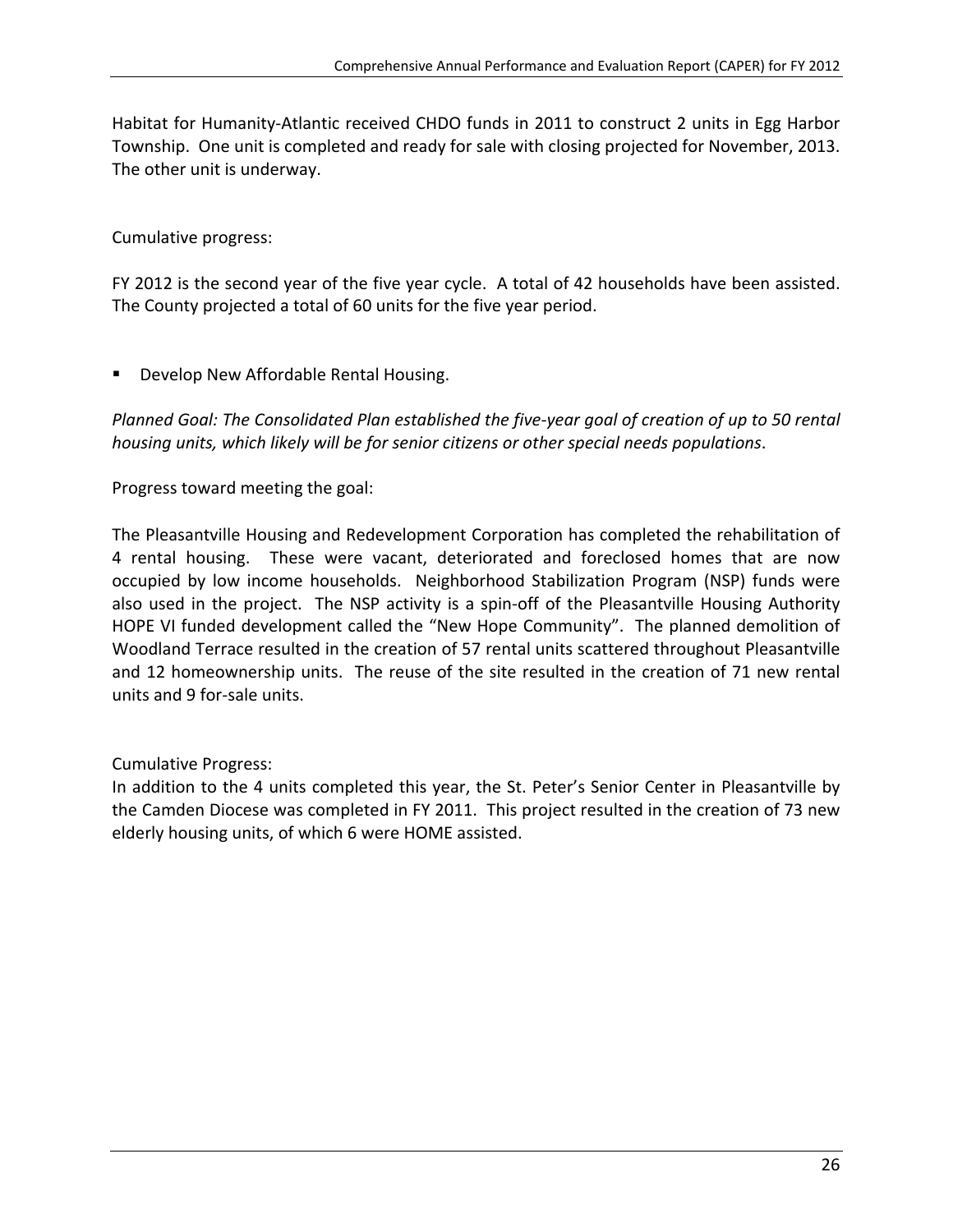Habitat for Humanity‐Atlantic received CHDO funds in 2011 to construct 2 units in Egg Harbor Township. One unit is completed and ready for sale with closing projected for November, 2013. The other unit is underway.

Cumulative progress:

FY 2012 is the second year of the five year cycle. A total of 42 households have been assisted. The County projected a total of 60 units for the five year period.

**Develop New Affordable Rental Housing.** 

*Planned Goal: The Consolidated Plan established the five‐year goal of creation of up to 50 rental housing units, which likely will be for senior citizens or other special needs populations*.

Progress toward meeting the goal:

The Pleasantville Housing and Redevelopment Corporation has completed the rehabilitation of 4 rental housing. These were vacant, deteriorated and foreclosed homes that are now occupied by low income households. Neighborhood Stabilization Program (NSP) funds were also used in the project. The NSP activity is a spin‐off of the Pleasantville Housing Authority HOPE VI funded development called the "New Hope Community". The planned demolition of Woodland Terrace resulted in the creation of 57 rental units scattered throughout Pleasantville and 12 homeownership units. The reuse of the site resulted in the creation of 71 new rental units and 9 for‐sale units.

Cumulative Progress:

In addition to the 4 units completed this year, the St. Peter's Senior Center in Pleasantville by the Camden Diocese was completed in FY 2011. This project resulted in the creation of 73 new elderly housing units, of which 6 were HOME assisted.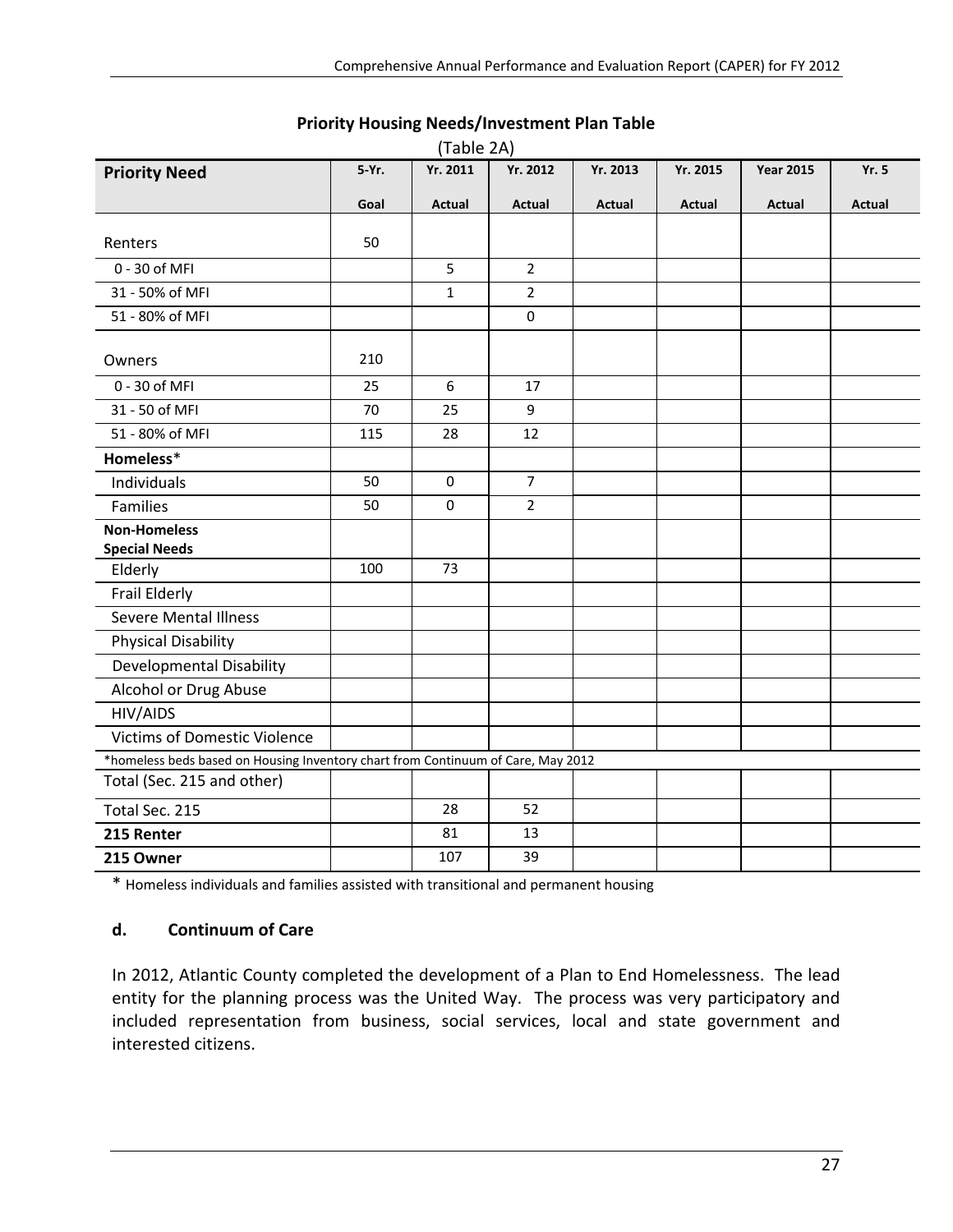|                                                                                  | (Table 2A) |               |                |          |          |                  |               |
|----------------------------------------------------------------------------------|------------|---------------|----------------|----------|----------|------------------|---------------|
| <b>Priority Need</b>                                                             | 5-Yr.      | Yr. 2011      | Yr. 2012       | Yr. 2013 | Yr. 2015 | <b>Year 2015</b> | <b>Yr. 5</b>  |
|                                                                                  | Goal       | <b>Actual</b> | Actual         | Actual   | Actual   | Actual           | <b>Actual</b> |
|                                                                                  |            |               |                |          |          |                  |               |
| Renters                                                                          | 50         |               |                |          |          |                  |               |
| 0 - 30 of MFI                                                                    |            | 5             | $\overline{2}$ |          |          |                  |               |
| 31 - 50% of MFI                                                                  |            | $\mathbf{1}$  | $\overline{2}$ |          |          |                  |               |
| 51 - 80% of MFI                                                                  |            |               | $\pmb{0}$      |          |          |                  |               |
| Owners                                                                           | 210        |               |                |          |          |                  |               |
| 0 - 30 of MFI                                                                    | 25         | 6             | 17             |          |          |                  |               |
| 31 - 50 of MFI                                                                   | 70         | 25            | 9              |          |          |                  |               |
| 51 - 80% of MFI                                                                  | 115        | 28            | 12             |          |          |                  |               |
| Homeless*                                                                        |            |               |                |          |          |                  |               |
| Individuals                                                                      | 50         | $\pmb{0}$     | $\overline{7}$ |          |          |                  |               |
| <b>Families</b>                                                                  | 50         | $\mathbf 0$   | $\overline{2}$ |          |          |                  |               |
| <b>Non-Homeless</b>                                                              |            |               |                |          |          |                  |               |
| <b>Special Needs</b>                                                             |            |               |                |          |          |                  |               |
| Elderly                                                                          | 100        | 73            |                |          |          |                  |               |
| Frail Elderly                                                                    |            |               |                |          |          |                  |               |
| <b>Severe Mental Illness</b>                                                     |            |               |                |          |          |                  |               |
| <b>Physical Disability</b>                                                       |            |               |                |          |          |                  |               |
| <b>Developmental Disability</b>                                                  |            |               |                |          |          |                  |               |
| Alcohol or Drug Abuse                                                            |            |               |                |          |          |                  |               |
| HIV/AIDS                                                                         |            |               |                |          |          |                  |               |
| <b>Victims of Domestic Violence</b>                                              |            |               |                |          |          |                  |               |
| *homeless beds based on Housing Inventory chart from Continuum of Care, May 2012 |            |               |                |          |          |                  |               |
| Total (Sec. 215 and other)                                                       |            |               |                |          |          |                  |               |
| Total Sec. 215                                                                   |            | 28            | 52             |          |          |                  |               |
| 215 Renter                                                                       |            | 81            | 13             |          |          |                  |               |
| 215 Owner                                                                        |            | 107           | 39             |          |          |                  |               |

#### **Priority Housing Needs/Investment Plan Table**

\* Homeless individuals and families assisted with transitional and permanent housing

#### **d. Continuum of Care**

In 2012, Atlantic County completed the development of a Plan to End Homelessness. The lead entity for the planning process was the United Way. The process was very participatory and included representation from business, social services, local and state government and interested citizens.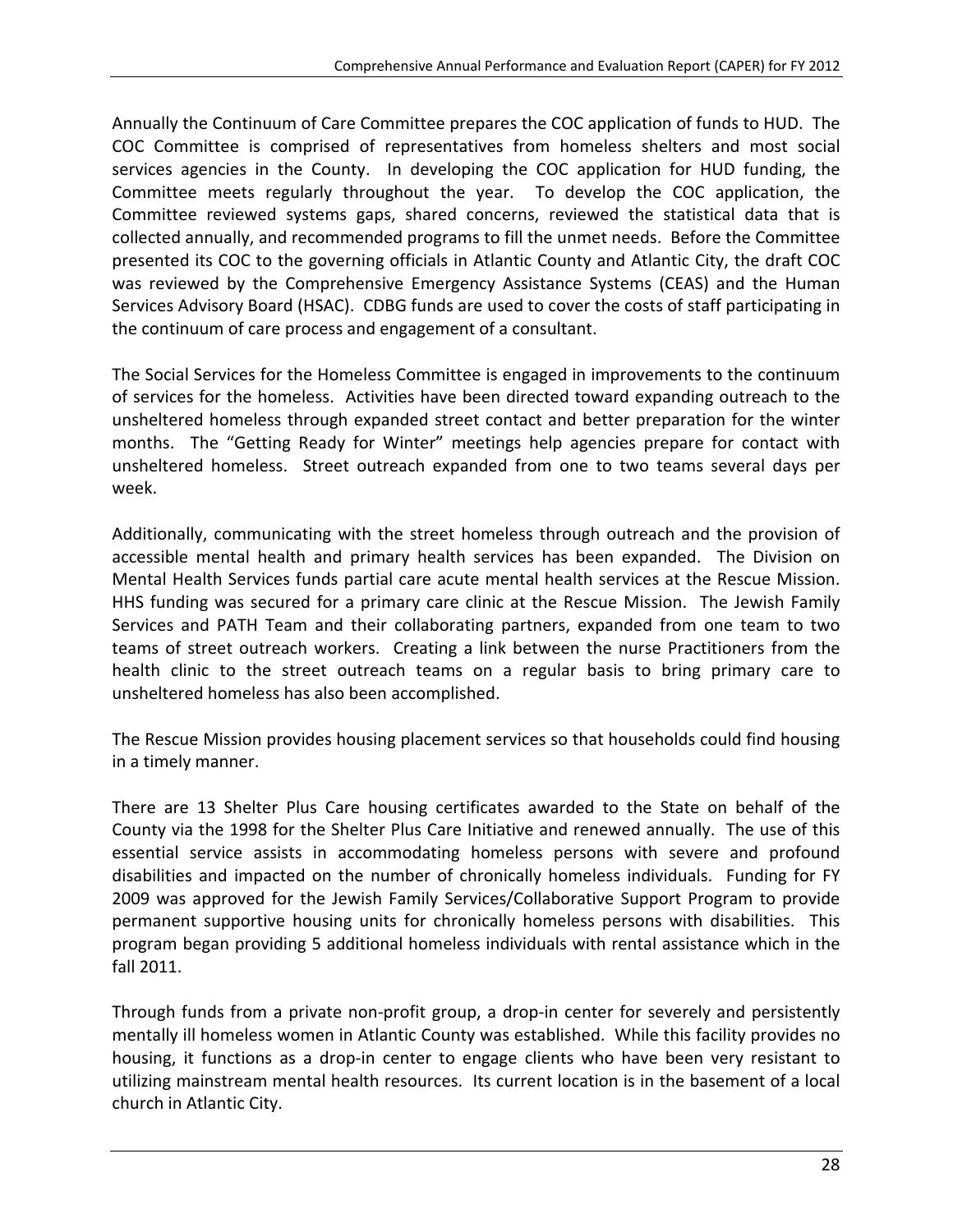Annually the Continuum of Care Committee prepares the COC application of funds to HUD. The COC Committee is comprised of representatives from homeless shelters and most social services agencies in the County. In developing the COC application for HUD funding, the Committee meets regularly throughout the year. To develop the COC application, the Committee reviewed systems gaps, shared concerns, reviewed the statistical data that is collected annually, and recommended programs to fill the unmet needs. Before the Committee presented its COC to the governing officials in Atlantic County and Atlantic City, the draft COC was reviewed by the Comprehensive Emergency Assistance Systems (CEAS) and the Human Services Advisory Board (HSAC). CDBG funds are used to cover the costs of staff participating in the continuum of care process and engagement of a consultant.

The Social Services for the Homeless Committee is engaged in improvements to the continuum of services for the homeless. Activities have been directed toward expanding outreach to the unsheltered homeless through expanded street contact and better preparation for the winter months. The "Getting Ready for Winter" meetings help agencies prepare for contact with unsheltered homeless. Street outreach expanded from one to two teams several days per week.

Additionally, communicating with the street homeless through outreach and the provision of accessible mental health and primary health services has been expanded. The Division on Mental Health Services funds partial care acute mental health services at the Rescue Mission. HHS funding was secured for a primary care clinic at the Rescue Mission. The Jewish Family Services and PATH Team and their collaborating partners, expanded from one team to two teams of street outreach workers. Creating a link between the nurse Practitioners from the health clinic to the street outreach teams on a regular basis to bring primary care to unsheltered homeless has also been accomplished.

The Rescue Mission provides housing placement services so that households could find housing in a timely manner.

There are 13 Shelter Plus Care housing certificates awarded to the State on behalf of the County via the 1998 for the Shelter Plus Care Initiative and renewed annually. The use of this essential service assists in accommodating homeless persons with severe and profound disabilities and impacted on the number of chronically homeless individuals. Funding for FY 2009 was approved for the Jewish Family Services/Collaborative Support Program to provide permanent supportive housing units for chronically homeless persons with disabilities. This program began providing 5 additional homeless individuals with rental assistance which in the fall 2011.

Through funds from a private non‐profit group, a drop‐in center for severely and persistently mentally ill homeless women in Atlantic County was established. While this facility provides no housing, it functions as a drop-in center to engage clients who have been very resistant to utilizing mainstream mental health resources. Its current location is in the basement of a local church in Atlantic City.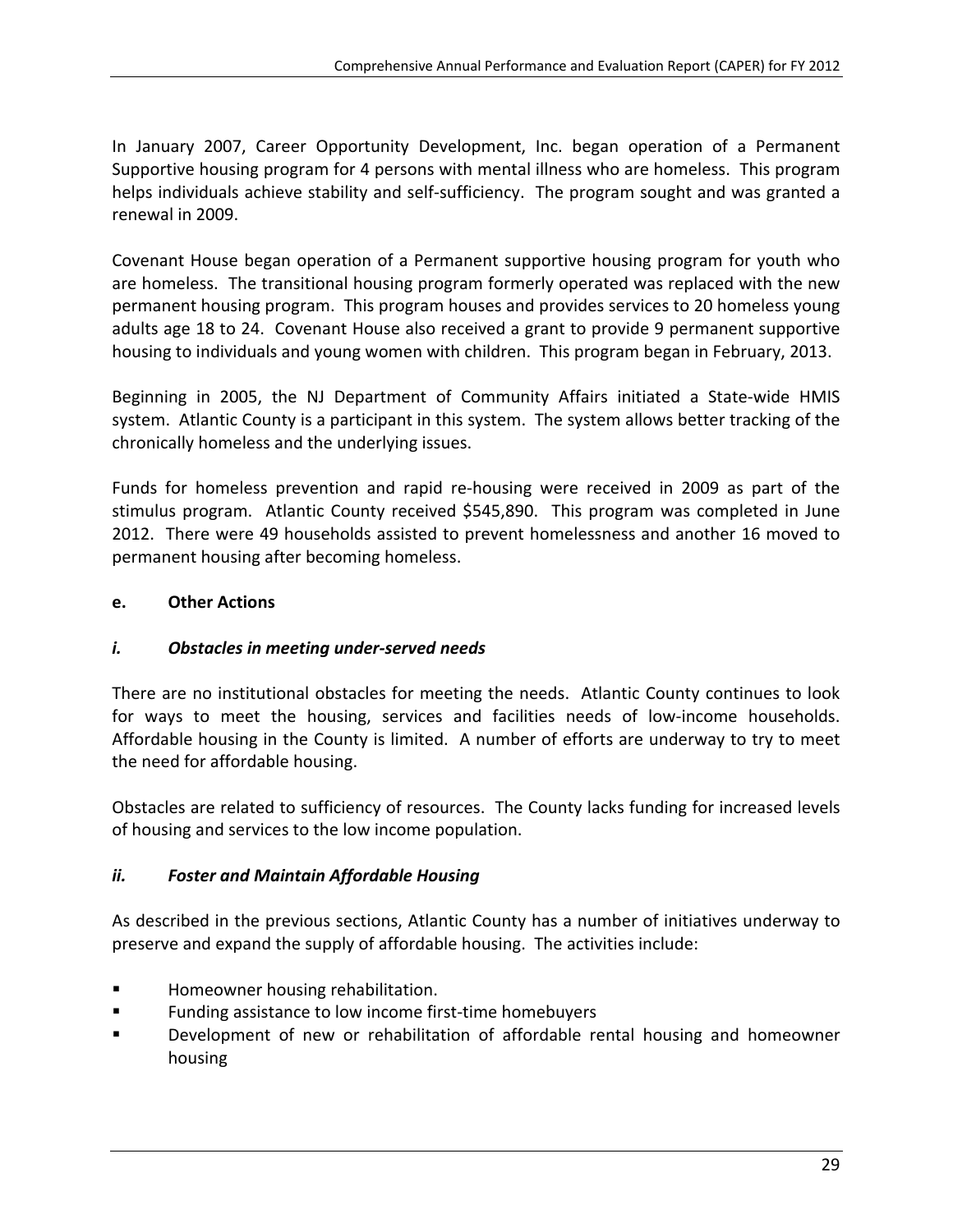In January 2007, Career Opportunity Development, Inc. began operation of a Permanent Supportive housing program for 4 persons with mental illness who are homeless. This program helps individuals achieve stability and self-sufficiency. The program sought and was granted a renewal in 2009.

Covenant House began operation of a Permanent supportive housing program for youth who are homeless. The transitional housing program formerly operated was replaced with the new permanent housing program. This program houses and provides services to 20 homeless young adults age 18 to 24. Covenant House also received a grant to provide 9 permanent supportive housing to individuals and young women with children. This program began in February, 2013.

Beginning in 2005, the NJ Department of Community Affairs initiated a State-wide HMIS system. Atlantic County is a participant in this system. The system allows better tracking of the chronically homeless and the underlying issues.

Funds for homeless prevention and rapid re‐housing were received in 2009 as part of the stimulus program. Atlantic County received \$545,890. This program was completed in June 2012. There were 49 households assisted to prevent homelessness and another 16 moved to permanent housing after becoming homeless.

### **e. Other Actions**

### *i. Obstacles in meeting under‐served needs*

There are no institutional obstacles for meeting the needs. Atlantic County continues to look for ways to meet the housing, services and facilities needs of low-income households. Affordable housing in the County is limited. A number of efforts are underway to try to meet the need for affordable housing.

Obstacles are related to sufficiency of resources. The County lacks funding for increased levels of housing and services to the low income population.

### *ii. Foster and Maintain Affordable Housing*

As described in the previous sections, Atlantic County has a number of initiatives underway to preserve and expand the supply of affordable housing. The activities include:

- **EXECUTE:** Homeowner housing rehabilitation.
- Funding assistance to low income first-time homebuyers
- **Development of new or rehabilitation of affordable rental housing and homeowner** housing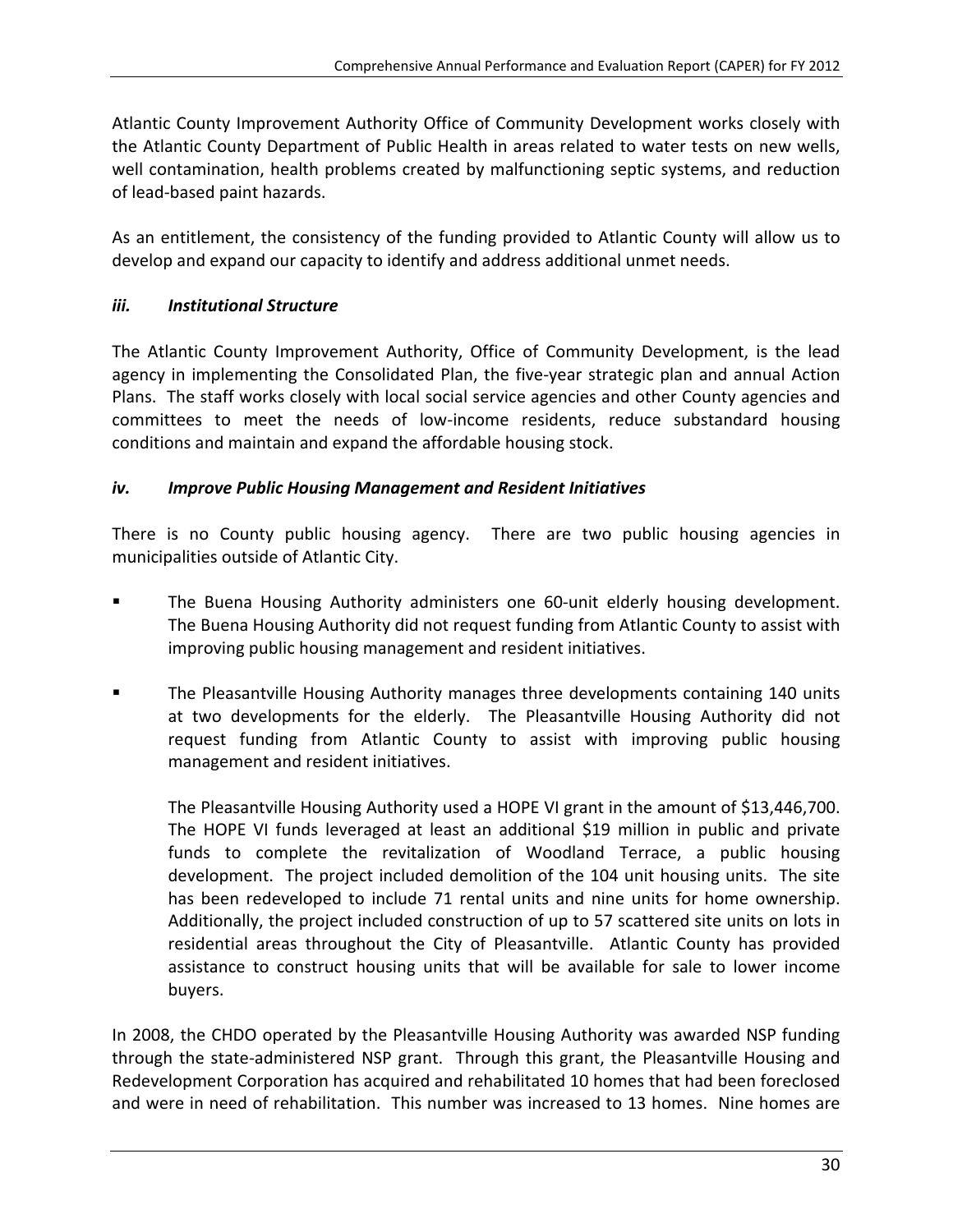Atlantic County Improvement Authority Office of Community Development works closely with the Atlantic County Department of Public Health in areas related to water tests on new wells, well contamination, health problems created by malfunctioning septic systems, and reduction of lead‐based paint hazards.

As an entitlement, the consistency of the funding provided to Atlantic County will allow us to develop and expand our capacity to identify and address additional unmet needs.

### *iii. Institutional Structure*

The Atlantic County Improvement Authority, Office of Community Development, is the lead agency in implementing the Consolidated Plan, the five‐year strategic plan and annual Action Plans. The staff works closely with local social service agencies and other County agencies and committees to meet the needs of low‐income residents, reduce substandard housing conditions and maintain and expand the affordable housing stock.

### *iv. Improve Public Housing Management and Resident Initiatives*

There is no County public housing agency. There are two public housing agencies in municipalities outside of Atlantic City.

- The Buena Housing Authority administers one 60-unit elderly housing development. The Buena Housing Authority did not request funding from Atlantic County to assist with improving public housing management and resident initiatives.
- The Pleasantville Housing Authority manages three developments containing 140 units at two developments for the elderly. The Pleasantville Housing Authority did not request funding from Atlantic County to assist with improving public housing management and resident initiatives.

The Pleasantville Housing Authority used a HOPE VI grant in the amount of \$13,446,700. The HOPE VI funds leveraged at least an additional \$19 million in public and private funds to complete the revitalization of Woodland Terrace, a public housing development. The project included demolition of the 104 unit housing units. The site has been redeveloped to include 71 rental units and nine units for home ownership. Additionally, the project included construction of up to 57 scattered site units on lots in residential areas throughout the City of Pleasantville. Atlantic County has provided assistance to construct housing units that will be available for sale to lower income buyers.

In 2008, the CHDO operated by the Pleasantville Housing Authority was awarded NSP funding through the state-administered NSP grant. Through this grant, the Pleasantville Housing and Redevelopment Corporation has acquired and rehabilitated 10 homes that had been foreclosed and were in need of rehabilitation. This number was increased to 13 homes. Nine homes are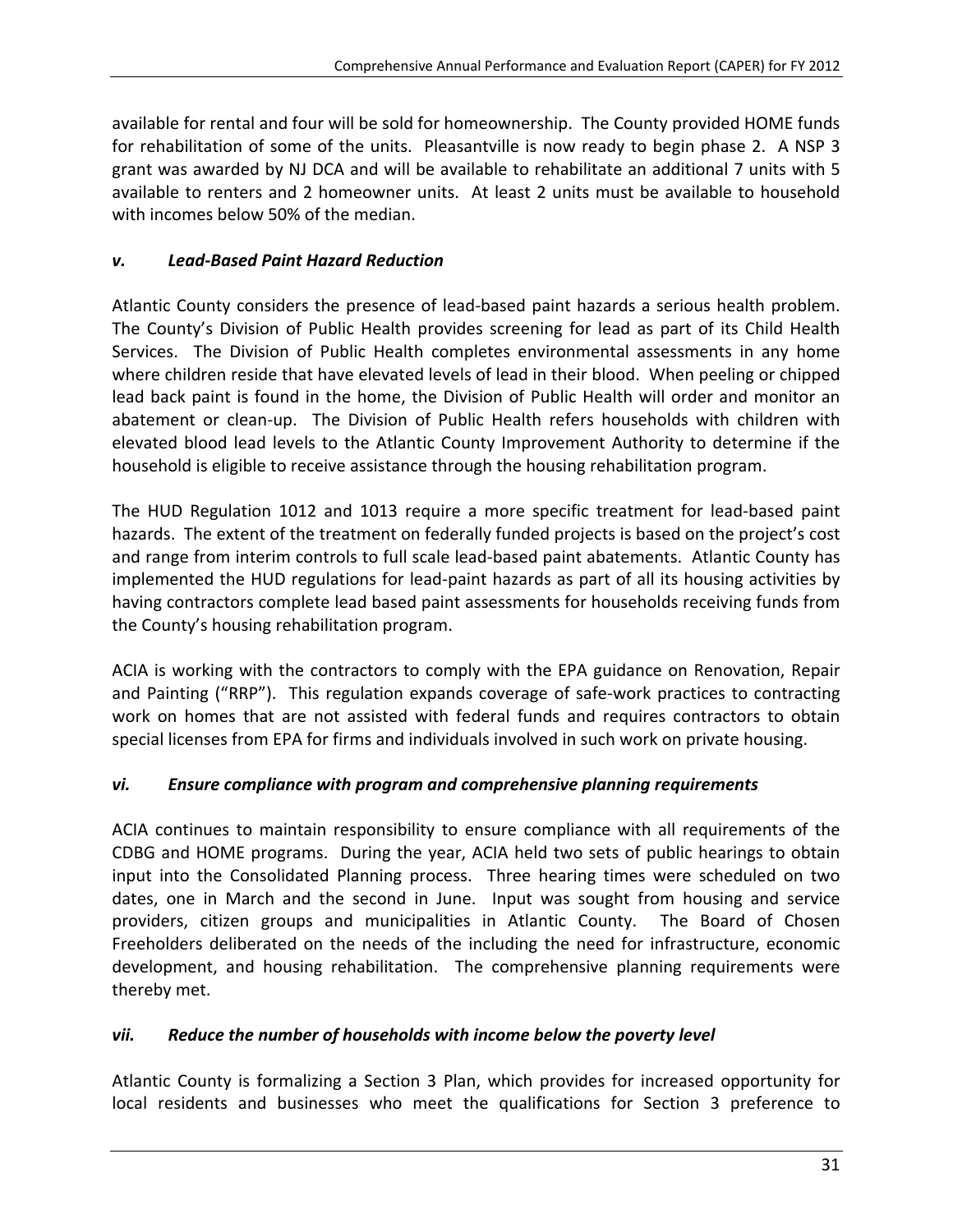available for rental and four will be sold for homeownership. The County provided HOME funds for rehabilitation of some of the units. Pleasantville is now ready to begin phase 2. A NSP 3 grant was awarded by NJ DCA and will be available to rehabilitate an additional 7 units with 5 available to renters and 2 homeowner units. At least 2 units must be available to household with incomes below 50% of the median.

### *v. Lead‐Based Paint Hazard Reduction*

Atlantic County considers the presence of lead‐based paint hazards a serious health problem. The County's Division of Public Health provides screening for lead as part of its Child Health Services. The Division of Public Health completes environmental assessments in any home where children reside that have elevated levels of lead in their blood. When peeling or chipped lead back paint is found in the home, the Division of Public Health will order and monitor an abatement or clean-up. The Division of Public Health refers households with children with elevated blood lead levels to the Atlantic County Improvement Authority to determine if the household is eligible to receive assistance through the housing rehabilitation program.

The HUD Regulation 1012 and 1013 require a more specific treatment for lead‐based paint hazards. The extent of the treatment on federally funded projects is based on the project's cost and range from interim controls to full scale lead-based paint abatements. Atlantic County has implemented the HUD regulations for lead-paint hazards as part of all its housing activities by having contractors complete lead based paint assessments for households receiving funds from the County's housing rehabilitation program.

ACIA is working with the contractors to comply with the EPA guidance on Renovation, Repair and Painting ("RRP"). This regulation expands coverage of safe‐work practices to contracting work on homes that are not assisted with federal funds and requires contractors to obtain special licenses from EPA for firms and individuals involved in such work on private housing.

### *vi. Ensure compliance with program and comprehensive planning requirements*

ACIA continues to maintain responsibility to ensure compliance with all requirements of the CDBG and HOME programs. During the year, ACIA held two sets of public hearings to obtain input into the Consolidated Planning process. Three hearing times were scheduled on two dates, one in March and the second in June. Input was sought from housing and service providers, citizen groups and municipalities in Atlantic County. The Board of Chosen Freeholders deliberated on the needs of the including the need for infrastructure, economic development, and housing rehabilitation. The comprehensive planning requirements were thereby met.

### *vii. Reduce the number of households with income below the poverty level*

Atlantic County is formalizing a Section 3 Plan, which provides for increased opportunity for local residents and businesses who meet the qualifications for Section 3 preference to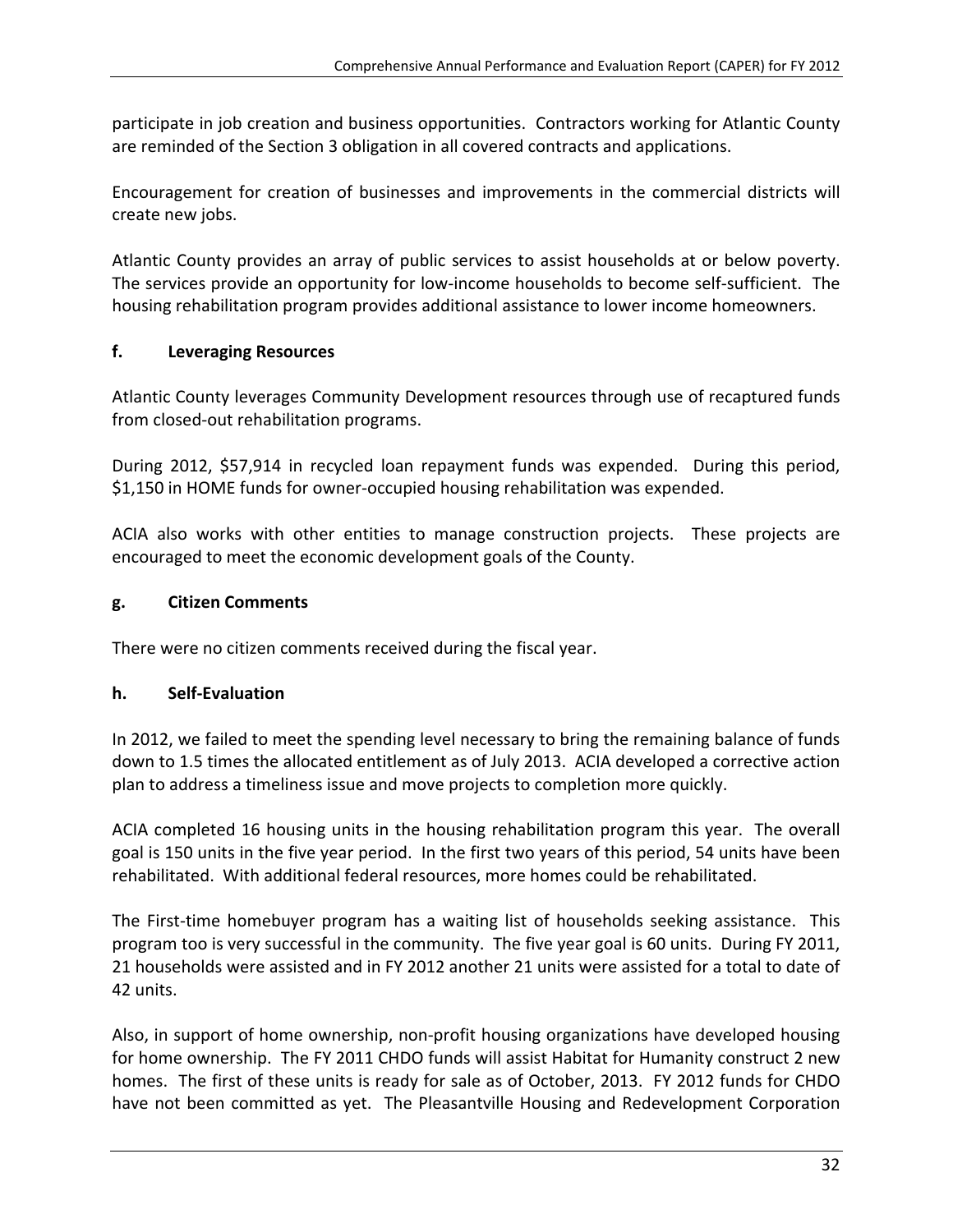participate in job creation and business opportunities. Contractors working for Atlantic County are reminded of the Section 3 obligation in all covered contracts and applications.

Encouragement for creation of businesses and improvements in the commercial districts will create new jobs.

Atlantic County provides an array of public services to assist households at or below poverty. The services provide an opportunity for low‐income households to become self‐sufficient. The housing rehabilitation program provides additional assistance to lower income homeowners.

### **f. Leveraging Resources**

Atlantic County leverages Community Development resources through use of recaptured funds from closed‐out rehabilitation programs.

During 2012, \$57,914 in recycled loan repayment funds was expended. During this period, \$1,150 in HOME funds for owner‐occupied housing rehabilitation was expended.

ACIA also works with other entities to manage construction projects. These projects are encouraged to meet the economic development goals of the County.

### **g. Citizen Comments**

There were no citizen comments received during the fiscal year.

### **h. Self‐Evaluation**

In 2012, we failed to meet the spending level necessary to bring the remaining balance of funds down to 1.5 times the allocated entitlement as of July 2013. ACIA developed a corrective action plan to address a timeliness issue and move projects to completion more quickly.

ACIA completed 16 housing units in the housing rehabilitation program this year. The overall goal is 150 units in the five year period. In the first two years of this period, 54 units have been rehabilitated. With additional federal resources, more homes could be rehabilitated.

The First-time homebuyer program has a waiting list of households seeking assistance. This program too is very successful in the community. The five year goal is 60 units. During FY 2011, 21 households were assisted and in FY 2012 another 21 units were assisted for a total to date of 42 units.

Also, in support of home ownership, non‐profit housing organizations have developed housing for home ownership. The FY 2011 CHDO funds will assist Habitat for Humanity construct 2 new homes. The first of these units is ready for sale as of October, 2013. FY 2012 funds for CHDO have not been committed as yet. The Pleasantville Housing and Redevelopment Corporation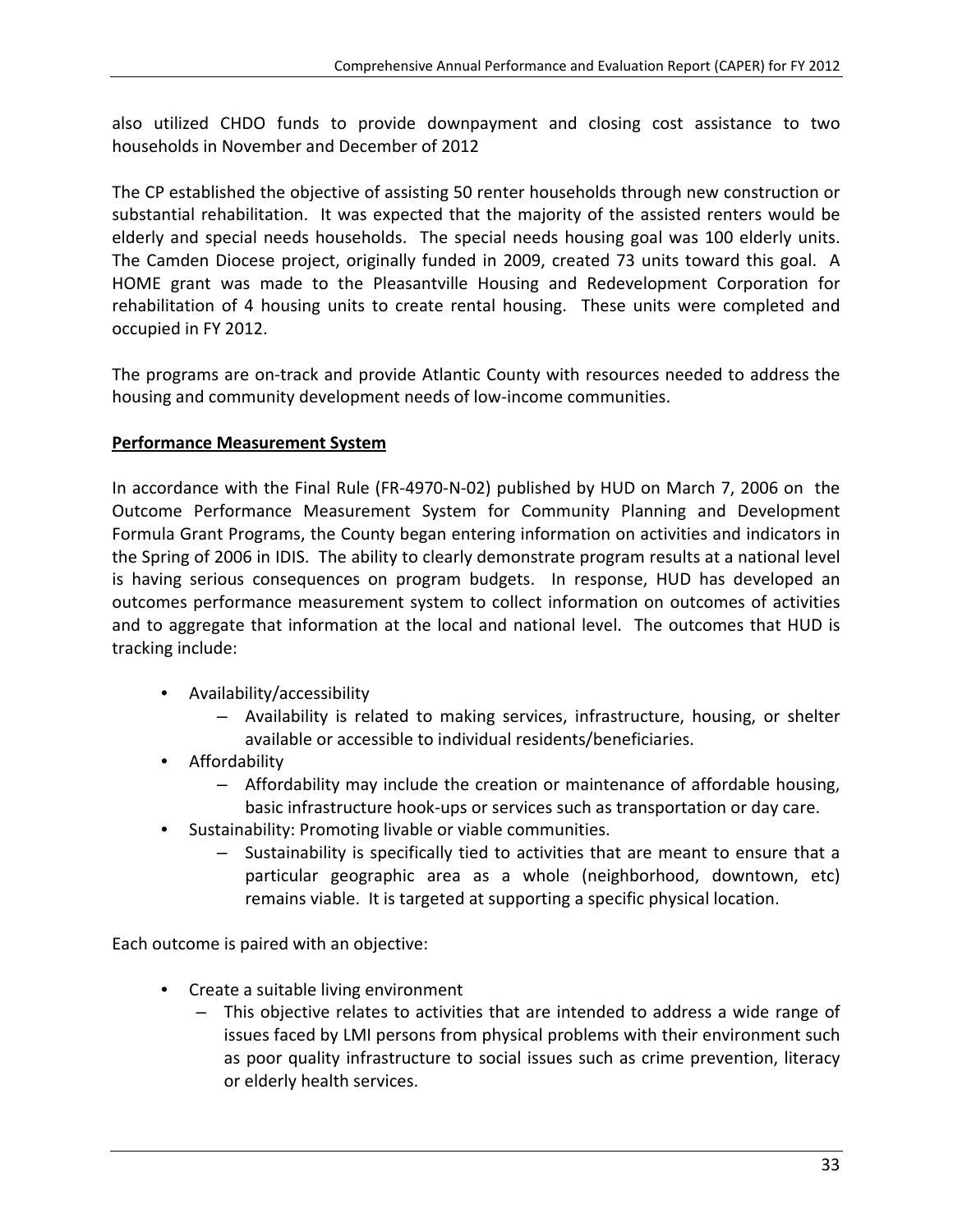also utilized CHDO funds to provide downpayment and closing cost assistance to two households in November and December of 2012

The CP established the objective of assisting 50 renter households through new construction or substantial rehabilitation. It was expected that the majority of the assisted renters would be elderly and special needs households. The special needs housing goal was 100 elderly units. The Camden Diocese project, originally funded in 2009, created 73 units toward this goal. A HOME grant was made to the Pleasantville Housing and Redevelopment Corporation for rehabilitation of 4 housing units to create rental housing. These units were completed and occupied in FY 2012.

The programs are on-track and provide Atlantic County with resources needed to address the housing and community development needs of low‐income communities.

### **Performance Measurement System**

In accordance with the Final Rule (FR‐4970‐N‐02) published by HUD on March 7, 2006 on the Outcome Performance Measurement System for Community Planning and Development Formula Grant Programs, the County began entering information on activities and indicators in the Spring of 2006 in IDIS. The ability to clearly demonstrate program results at a national level is having serious consequences on program budgets. In response, HUD has developed an outcomes performance measurement system to collect information on outcomes of activities and to aggregate that information at the local and national level. The outcomes that HUD is tracking include:

- Availability/accessibility
	- Availability is related to making services, infrastructure, housing, or shelter available or accessible to individual residents/beneficiaries.
- Affordability
	- Affordability may include the creation or maintenance of affordable housing, basic infrastructure hook‐ups or services such as transportation or day care.
- Sustainability: Promoting livable or viable communities.
	- Sustainability is specifically tied to activities that are meant to ensure that a particular geographic area as a whole (neighborhood, downtown, etc) remains viable. It is targeted at supporting a specific physical location.

Each outcome is paired with an objective:

- Create a suitable living environment
	- This objective relates to activities that are intended to address a wide range of issues faced by LMI persons from physical problems with their environment such as poor quality infrastructure to social issues such as crime prevention, literacy or elderly health services.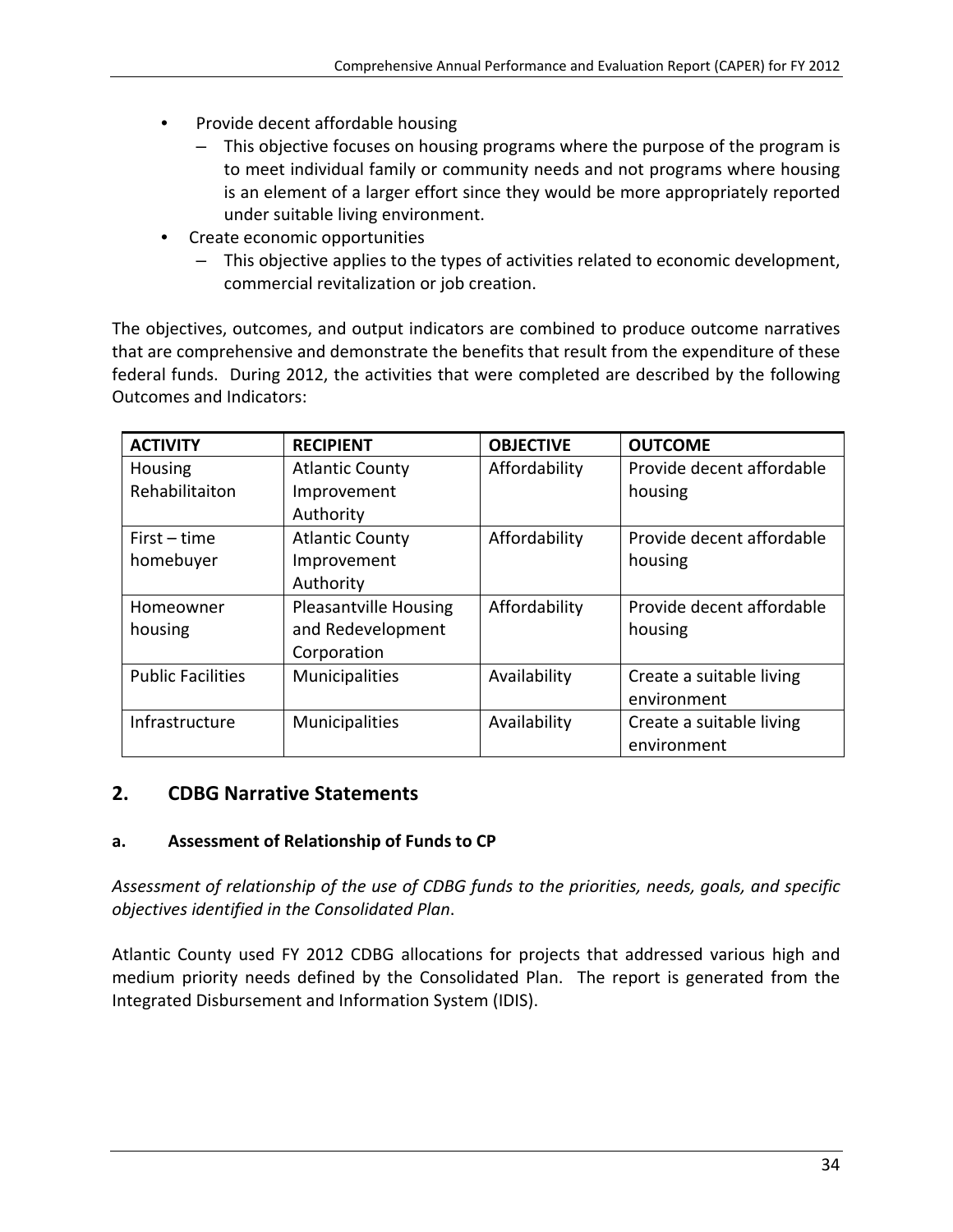- Provide decent affordable housing
	- This objective focuses on housing programs where the purpose of the program is to meet individual family or community needs and not programs where housing is an element of a larger effort since they would be more appropriately reported under suitable living environment.
- Create economic opportunities
	- This objective applies to the types of activities related to economic development, commercial revitalization or job creation.

The objectives, outcomes, and output indicators are combined to produce outcome narratives that are comprehensive and demonstrate the benefits that result from the expenditure of these federal funds. During 2012, the activities that were completed are described by the following Outcomes and Indicators:

| <b>ACTIVITY</b>          | <b>RECIPIENT</b>             | <b>OBJECTIVE</b> | <b>OUTCOME</b>            |
|--------------------------|------------------------------|------------------|---------------------------|
| Housing                  | <b>Atlantic County</b>       | Affordability    | Provide decent affordable |
| Rehabilitaiton           | Improvement                  |                  | housing                   |
|                          | Authority                    |                  |                           |
| $First-time$             | <b>Atlantic County</b>       | Affordability    | Provide decent affordable |
| homebuyer                | Improvement                  |                  | housing                   |
|                          | Authority                    |                  |                           |
| Homeowner                | <b>Pleasantville Housing</b> | Affordability    | Provide decent affordable |
| housing                  | and Redevelopment            |                  | housing                   |
|                          | Corporation                  |                  |                           |
| <b>Public Facilities</b> | Municipalities               | Availability     | Create a suitable living  |
|                          |                              |                  | environment               |
| Infrastructure           | Municipalities               | Availability     | Create a suitable living  |
|                          |                              |                  | environment               |

### **2. CDBG Narrative Statements**

### **a. Assessment of Relationship of Funds to CP**

*Assessment of relationship of the use of CDBG funds to the priorities, needs, goals, and specific objectives identified in the Consolidated Plan*.

Atlantic County used FY 2012 CDBG allocations for projects that addressed various high and medium priority needs defined by the Consolidated Plan. The report is generated from the Integrated Disbursement and Information System (IDIS).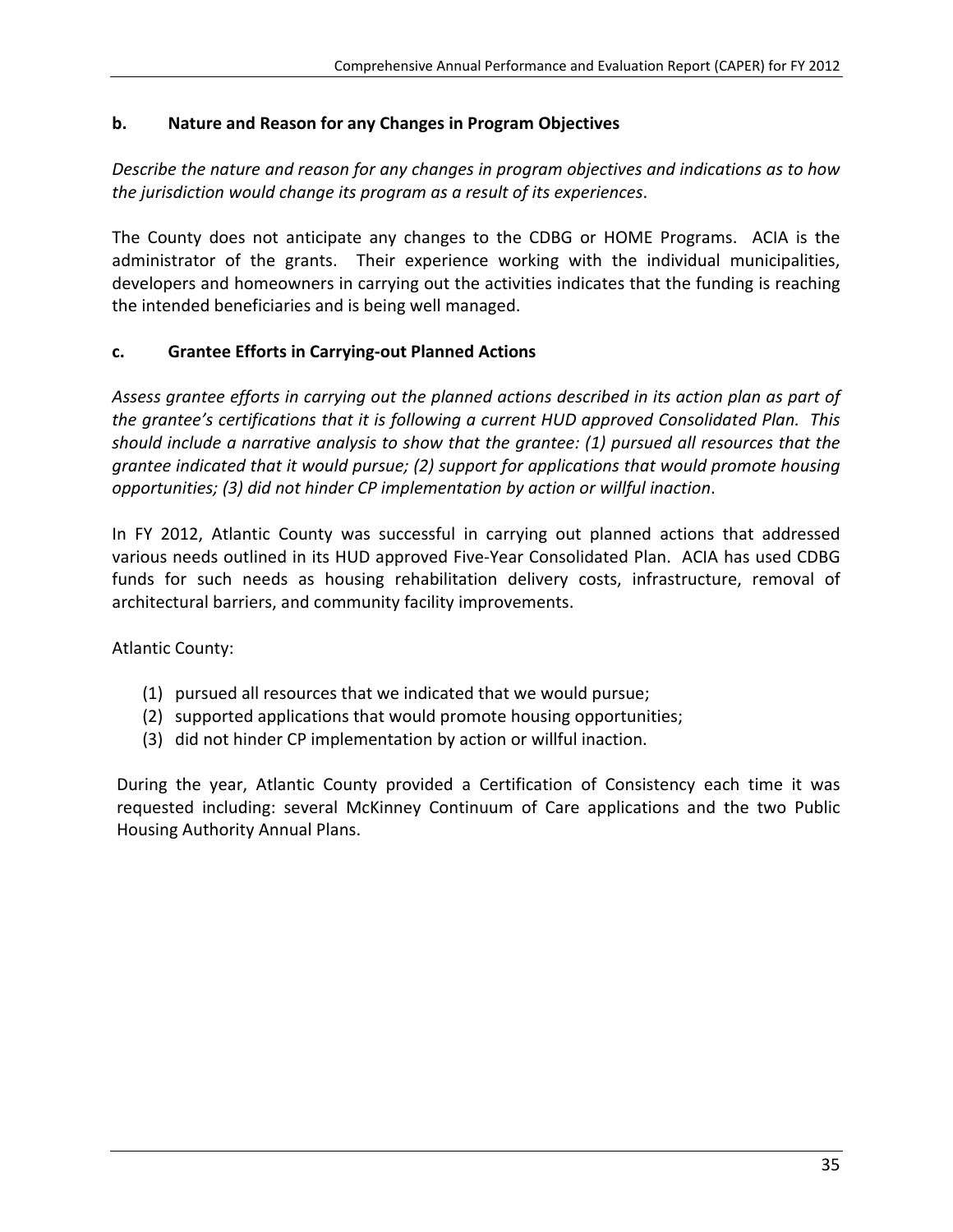# **b. Nature and Reason for any Changes in Program Objectives**

*Describe the nature and reason for any changes in program objectives and indications as to how the jurisdiction would change its program as a result of its experiences*.

The County does not anticipate any changes to the CDBG or HOME Programs. ACIA is the administrator of the grants. Their experience working with the individual municipalities, developers and homeowners in carrying out the activities indicates that the funding is reaching the intended beneficiaries and is being well managed.

# **c. Grantee Efforts in Carrying‐out Planned Actions**

*Assess grantee efforts in carrying out the planned actions described in its action plan as part of the grantee's certifications that it is following a current HUD approved Consolidated Plan. This should include a narrative analysis to show that the grantee: (1) pursued all resources that the grantee indicated that it would pursue; (2) support for applications that would promote housing opportunities; (3) did not hinder CP implementation by action or willful inaction*.

In FY 2012, Atlantic County was successful in carrying out planned actions that addressed various needs outlined in its HUD approved Five‐Year Consolidated Plan. ACIA has used CDBG funds for such needs as housing rehabilitation delivery costs, infrastructure, removal of architectural barriers, and community facility improvements.

Atlantic County:

- (1) pursued all resources that we indicated that we would pursue;
- (2) supported applications that would promote housing opportunities;
- (3) did not hinder CP implementation by action or willful inaction.

During the year, Atlantic County provided a Certification of Consistency each time it was requested including: several McKinney Continuum of Care applications and the two Public Housing Authority Annual Plans.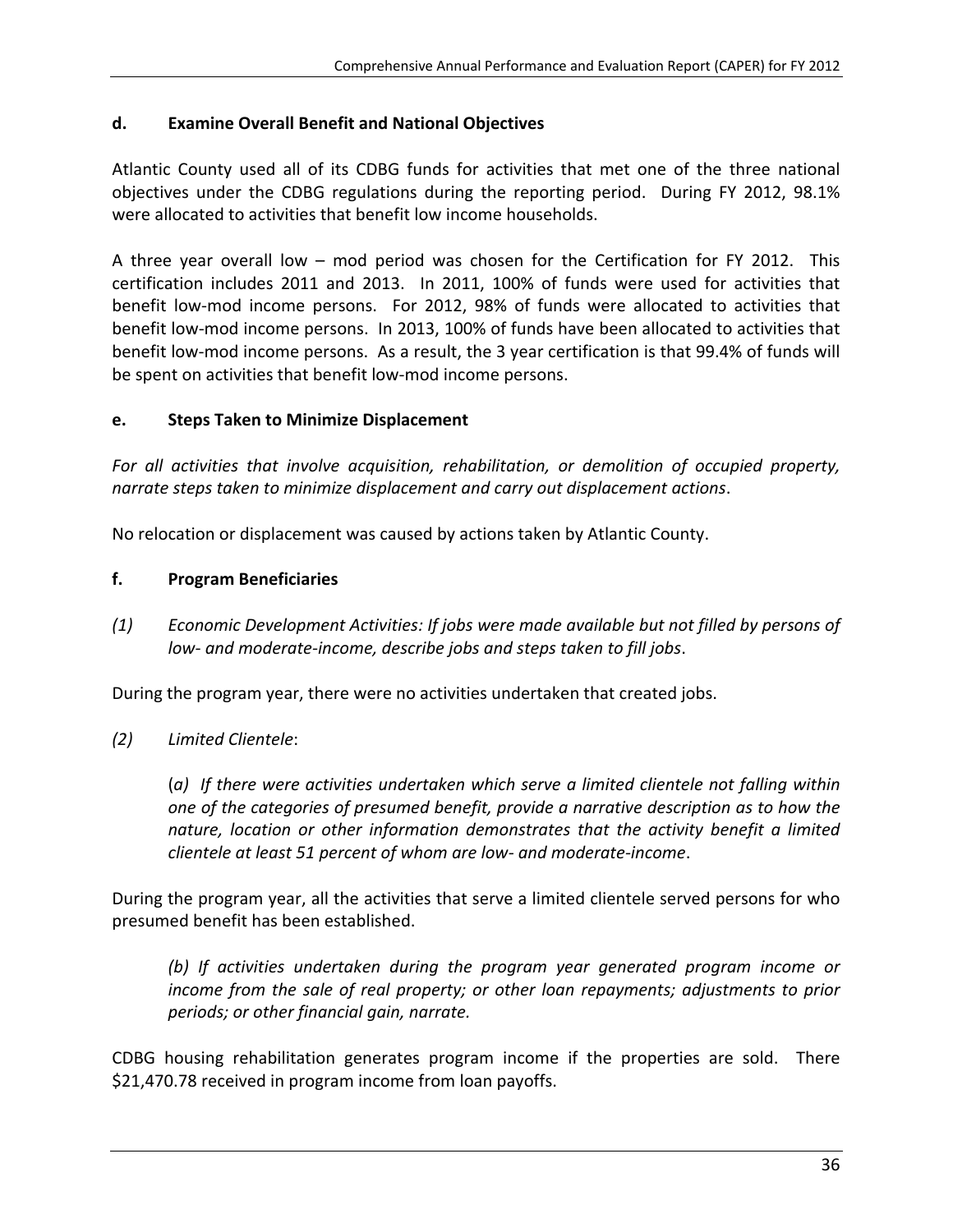# **d. Examine Overall Benefit and National Objectives**

Atlantic County used all of its CDBG funds for activities that met one of the three national objectives under the CDBG regulations during the reporting period. During FY 2012, 98.1% were allocated to activities that benefit low income households.

A three year overall low – mod period was chosen for the Certification for FY 2012. This certification includes 2011 and 2013. In 2011, 100% of funds were used for activities that benefit low-mod income persons. For 2012, 98% of funds were allocated to activities that benefit low‐mod income persons. In 2013, 100% of funds have been allocated to activities that benefit low-mod income persons. As a result, the 3 year certification is that 99.4% of funds will be spent on activities that benefit low-mod income persons.

# **e. Steps Taken to Minimize Displacement**

*For all activities that involve acquisition, rehabilitation, or demolition of occupied property, narrate steps taken to minimize displacement and carry out displacement actions*.

No relocation or displacement was caused by actions taken by Atlantic County.

# **f. Program Beneficiaries**

*(1) Economic Development Activities: If jobs were made available but not filled by persons of low‐ and moderate‐income, describe jobs and steps taken to fill jobs*.

During the program year, there were no activities undertaken that created jobs.

*(2) Limited Clientele*:

(*a) If there were activities undertaken which serve a limited clientele not falling within one of the categories of presumed benefit, provide a narrative description as to how the nature, location or other information demonstrates that the activity benefit a limited clientele at least 51 percent of whom are low‐ and moderate‐income*.

During the program year, all the activities that serve a limited clientele served persons for who presumed benefit has been established.

*(b) If activities undertaken during the program year generated program income or income from the sale of real property; or other loan repayments; adjustments to prior periods; or other financial gain, narrate.*

CDBG housing rehabilitation generates program income if the properties are sold. There \$21,470.78 received in program income from loan payoffs.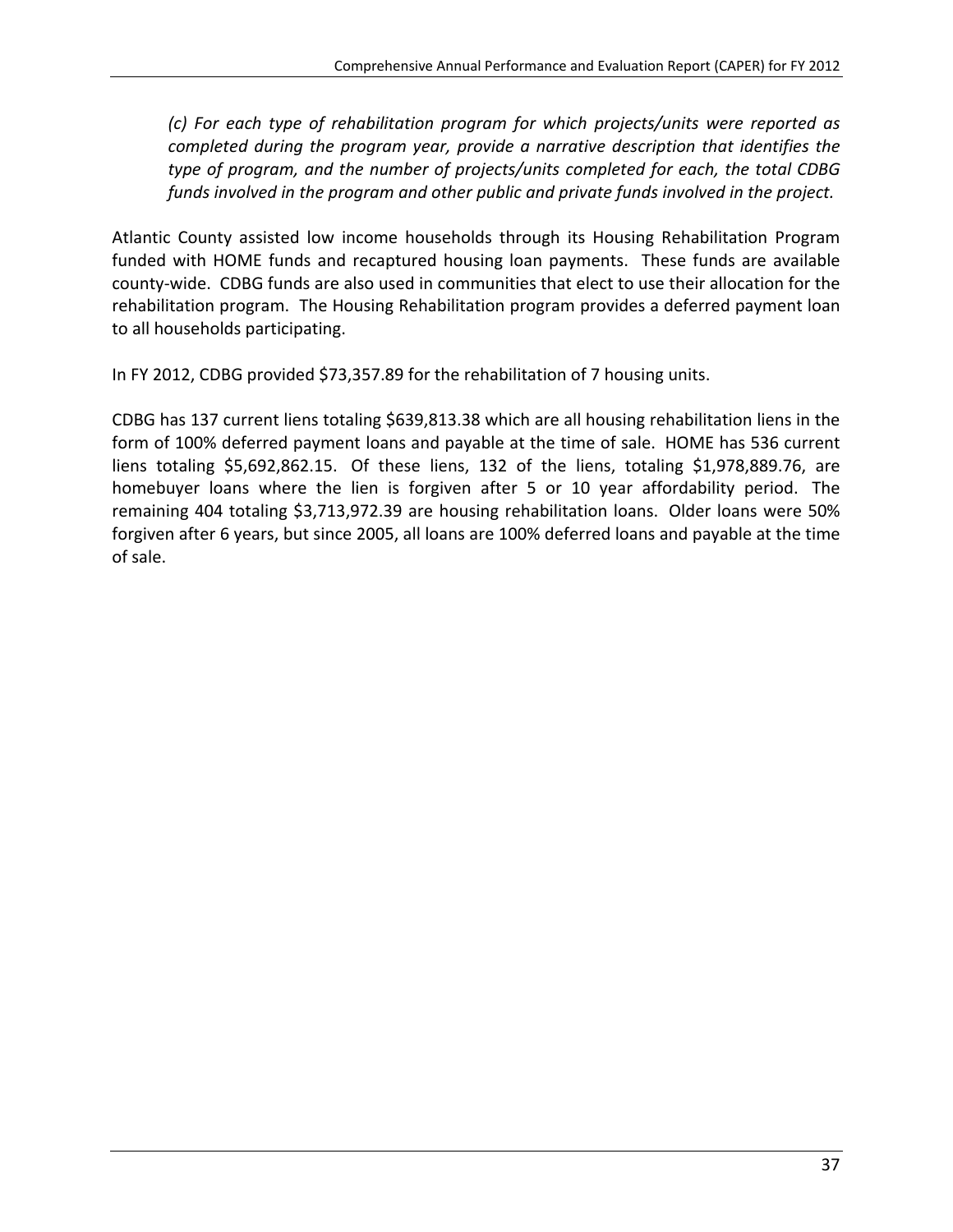*(c) For each type of rehabilitation program for which projects/units were reported as completed during the program year, provide a narrative description that identifies the type of program, and the number of projects/units completed for each, the total CDBG funds involved in the program and other public and private funds involved in the project.*

Atlantic County assisted low income households through its Housing Rehabilitation Program funded with HOME funds and recaptured housing loan payments. These funds are available county‐wide. CDBG funds are also used in communities that elect to use their allocation for the rehabilitation program. The Housing Rehabilitation program provides a deferred payment loan to all households participating.

In FY 2012, CDBG provided \$73,357.89 for the rehabilitation of 7 housing units.

CDBG has 137 current liens totaling \$639,813.38 which are all housing rehabilitation liens in the form of 100% deferred payment loans and payable at the time of sale. HOME has 536 current liens totaling \$5,692,862.15. Of these liens, 132 of the liens, totaling \$1,978,889.76, are homebuyer loans where the lien is forgiven after 5 or 10 year affordability period. The remaining 404 totaling \$3,713,972.39 are housing rehabilitation loans. Older loans were 50% forgiven after 6 years, but since 2005, all loans are 100% deferred loans and payable at the time of sale.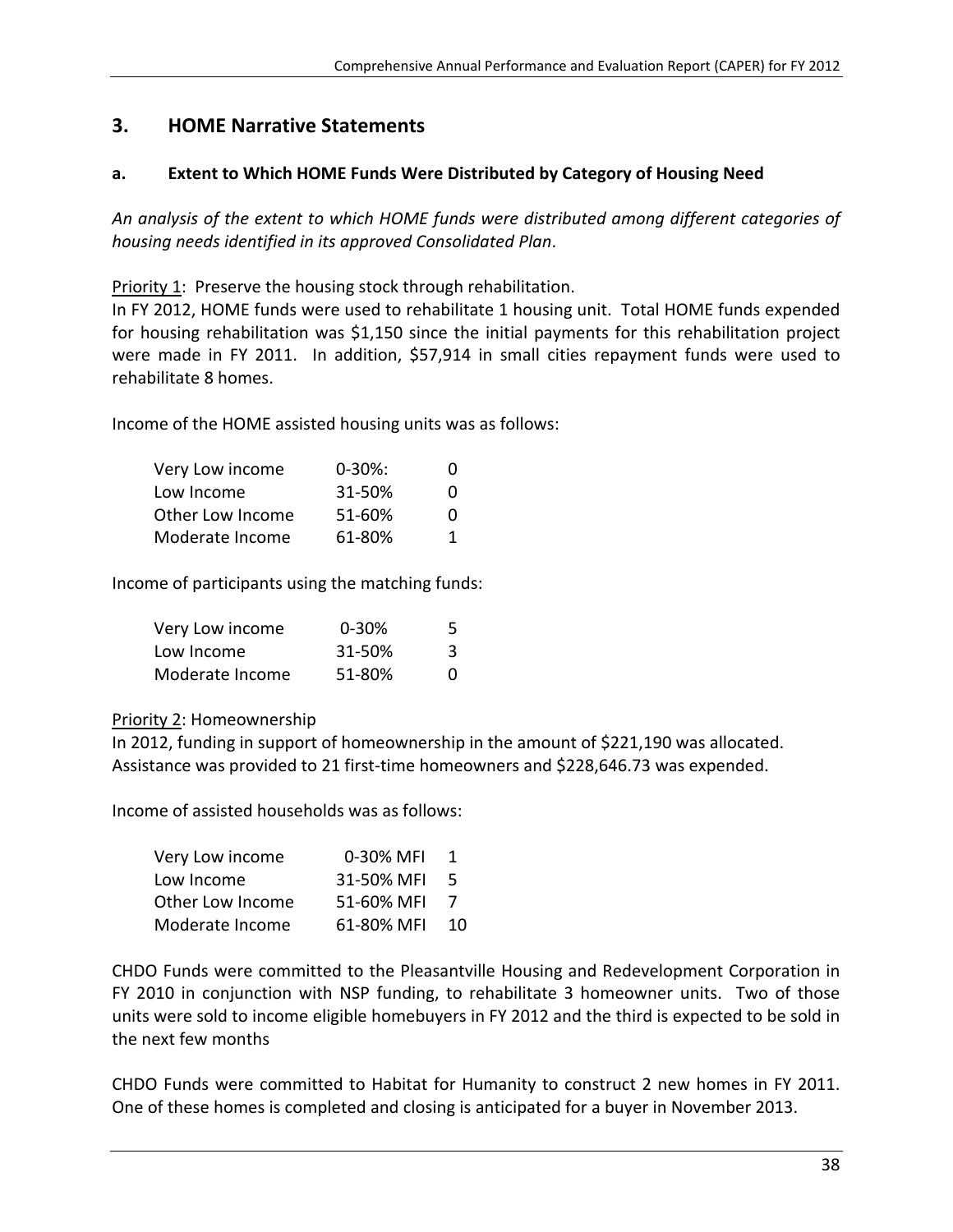# **3. HOME Narrative Statements**

# **a. Extent to Which HOME Funds Were Distributed by Category of Housing Need**

*An analysis of the extent to which HOME funds were distributed among different categories of housing needs identified in its approved Consolidated Plan*.

Priority 1: Preserve the housing stock through rehabilitation.

In FY 2012, HOME funds were used to rehabilitate 1 housing unit. Total HOME funds expended for housing rehabilitation was \$1,150 since the initial payments for this rehabilitation project were made in FY 2011. In addition, \$57,914 in small cities repayment funds were used to rehabilitate 8 homes.

Income of the HOME assisted housing units was as follows:

| Very Low income  | $0 - 30\%$ : | 0 |
|------------------|--------------|---|
| Low Income       | 31-50%       | 0 |
| Other Low Income | $51 - 60%$   | 0 |
| Moderate Income  | 61-80%       | 1 |

Income of participants using the matching funds:

| Very Low income | $0 - 30%$ | 5 |
|-----------------|-----------|---|
| Low Income      | 31-50%    | 3 |
| Moderate Income | 51-80%    | O |

# Priority 2: Homeownership

In 2012, funding in support of homeownership in the amount of \$221,190 was allocated. Assistance was provided to 21 first‐time homeowners and \$228,646.73 was expended.

Income of assisted households was as follows:

| Very Low income  | 0-30% MFI  | 1   |
|------------------|------------|-----|
| Low Income       | 31-50% MFI | - 5 |
| Other Low Income | 51-60% MFI | 7   |
| Moderate Income  | 61-80% MFI | 10  |

CHDO Funds were committed to the Pleasantville Housing and Redevelopment Corporation in FY 2010 in conjunction with NSP funding, to rehabilitate 3 homeowner units. Two of those units were sold to income eligible homebuyers in FY 2012 and the third is expected to be sold in the next few months

CHDO Funds were committed to Habitat for Humanity to construct 2 new homes in FY 2011. One of these homes is completed and closing is anticipated for a buyer in November 2013.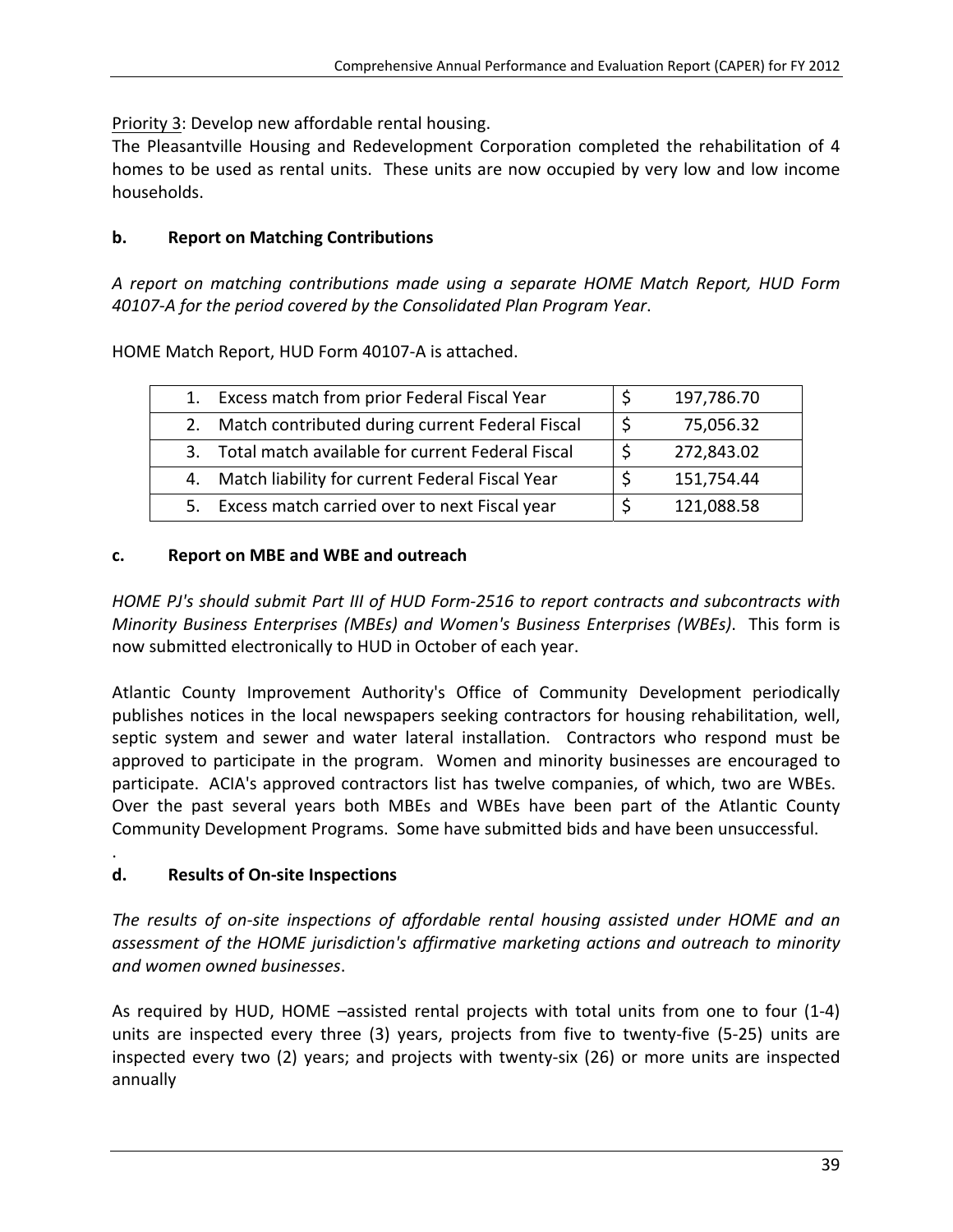Priority 3: Develop new affordable rental housing.

The Pleasantville Housing and Redevelopment Corporation completed the rehabilitation of 4 homes to be used as rental units. These units are now occupied by very low and low income households.

# **b. Report on Matching Contributions**

*A report on matching contributions made using a separate HOME Match Report, HUD Form 40107‐A for the period covered by the Consolidated Plan Program Year*.

HOME Match Report, HUD Form 40107‐A is attached.

| $1_{\cdot}$ | Excess match from prior Federal Fiscal Year         |    | 197,786.70 |
|-------------|-----------------------------------------------------|----|------------|
|             | 2. Match contributed during current Federal Fiscal  | -S | 75,056.32  |
|             | 3. Total match available for current Federal Fiscal |    | 272,843.02 |
|             | 4. Match liability for current Federal Fiscal Year  |    | 151,754.44 |
|             | 5. Excess match carried over to next Fiscal year    |    | 121,088.58 |

# **c. Report on MBE and WBE and outreach**

*HOME PJ's should submit Part III of HUD Form‐2516 to report contracts and subcontracts with Minority Business Enterprises (MBEs) and Women's Business Enterprises (WBEs)*. This form is now submitted electronically to HUD in October of each year.

Atlantic County Improvement Authority's Office of Community Development periodically publishes notices in the local newspapers seeking contractors for housing rehabilitation, well, septic system and sewer and water lateral installation. Contractors who respond must be approved to participate in the program. Women and minority businesses are encouraged to participate. ACIA's approved contractors list has twelve companies, of which, two are WBEs. Over the past several years both MBEs and WBEs have been part of the Atlantic County Community Development Programs. Some have submitted bids and have been unsuccessful.

# . **d. Results of On‐site Inspections**

*The results of on‐site inspections of affordable rental housing assisted under HOME and an assessment of the HOME jurisdiction's affirmative marketing actions and outreach to minority and women owned businesses*.

As required by HUD, HOME –assisted rental projects with total units from one to four (1‐4) units are inspected every three (3) years, projects from five to twenty-five (5-25) units are inspected every two (2) years; and projects with twenty-six (26) or more units are inspected annually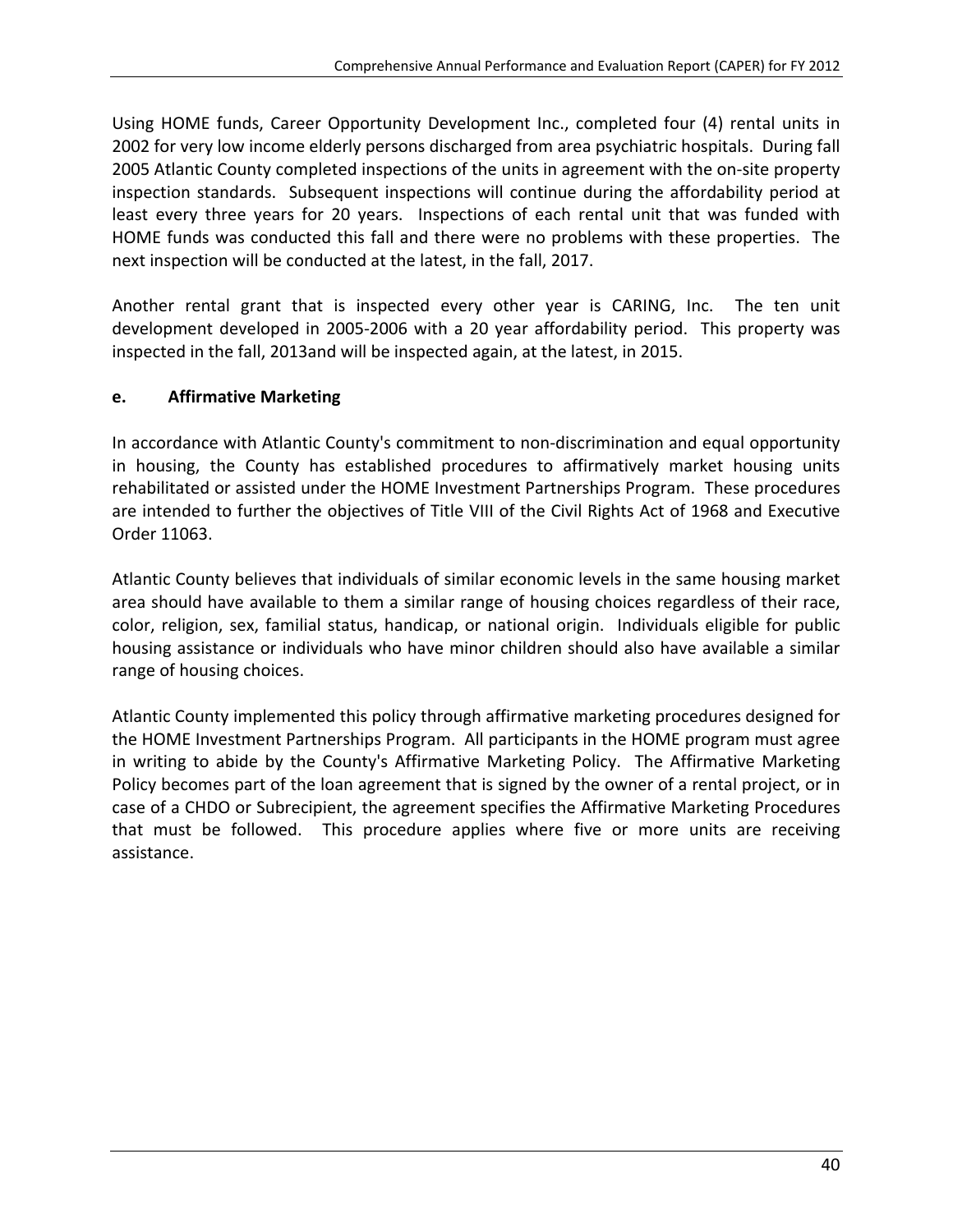Using HOME funds, Career Opportunity Development Inc., completed four (4) rental units in 2002 for very low income elderly persons discharged from area psychiatric hospitals. During fall 2005 Atlantic County completed inspections of the units in agreement with the on‐site property inspection standards. Subsequent inspections will continue during the affordability period at least every three years for 20 years. Inspections of each rental unit that was funded with HOME funds was conducted this fall and there were no problems with these properties. The next inspection will be conducted at the latest, in the fall, 2017.

Another rental grant that is inspected every other year is CARING, Inc. The ten unit development developed in 2005‐2006 with a 20 year affordability period. This property was inspected in the fall, 2013and will be inspected again, at the latest, in 2015.

# **e. Affirmative Marketing**

In accordance with Atlantic County's commitment to non-discrimination and equal opportunity in housing, the County has established procedures to affirmatively market housing units rehabilitated or assisted under the HOME Investment Partnerships Program. These procedures are intended to further the objectives of Title VIII of the Civil Rights Act of 1968 and Executive Order 11063.

Atlantic County believes that individuals of similar economic levels in the same housing market area should have available to them a similar range of housing choices regardless of their race, color, religion, sex, familial status, handicap, or national origin. Individuals eligible for public housing assistance or individuals who have minor children should also have available a similar range of housing choices.

Atlantic County implemented this policy through affirmative marketing procedures designed for the HOME Investment Partnerships Program. All participants in the HOME program must agree in writing to abide by the County's Affirmative Marketing Policy. The Affirmative Marketing Policy becomes part of the loan agreement that is signed by the owner of a rental project, or in case of a CHDO or Subrecipient, the agreement specifies the Affirmative Marketing Procedures that must be followed. This procedure applies where five or more units are receiving assistance.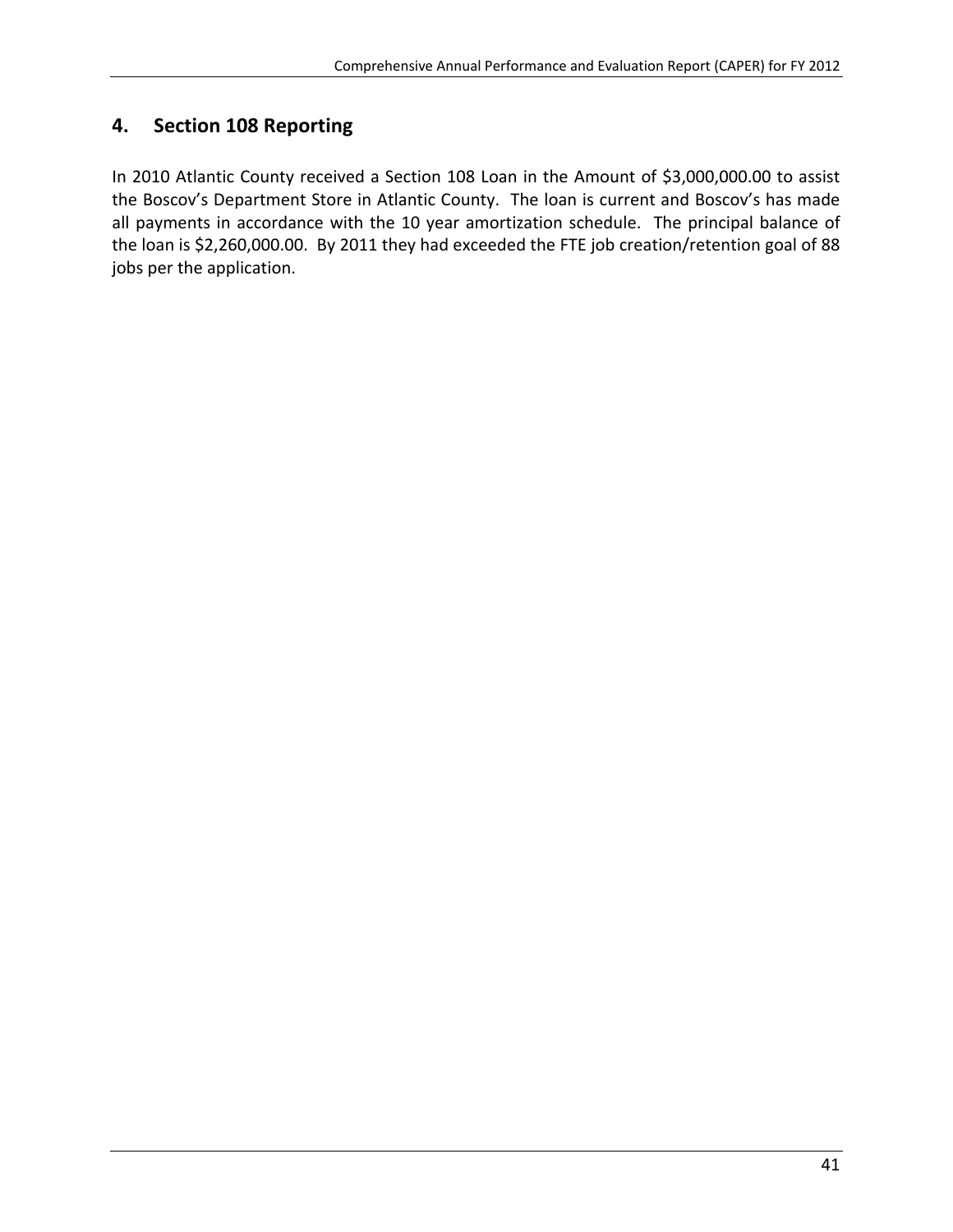# **4. Section 108 Reporting**

In 2010 Atlantic County received a Section 108 Loan in the Amount of \$3,000,000.00 to assist the Boscov's Department Store in Atlantic County. The loan is current and Boscov's has made all payments in accordance with the 10 year amortization schedule. The principal balance of the loan is \$2,260,000.00. By 2011 they had exceeded the FTE job creation/retention goal of 88 jobs per the application.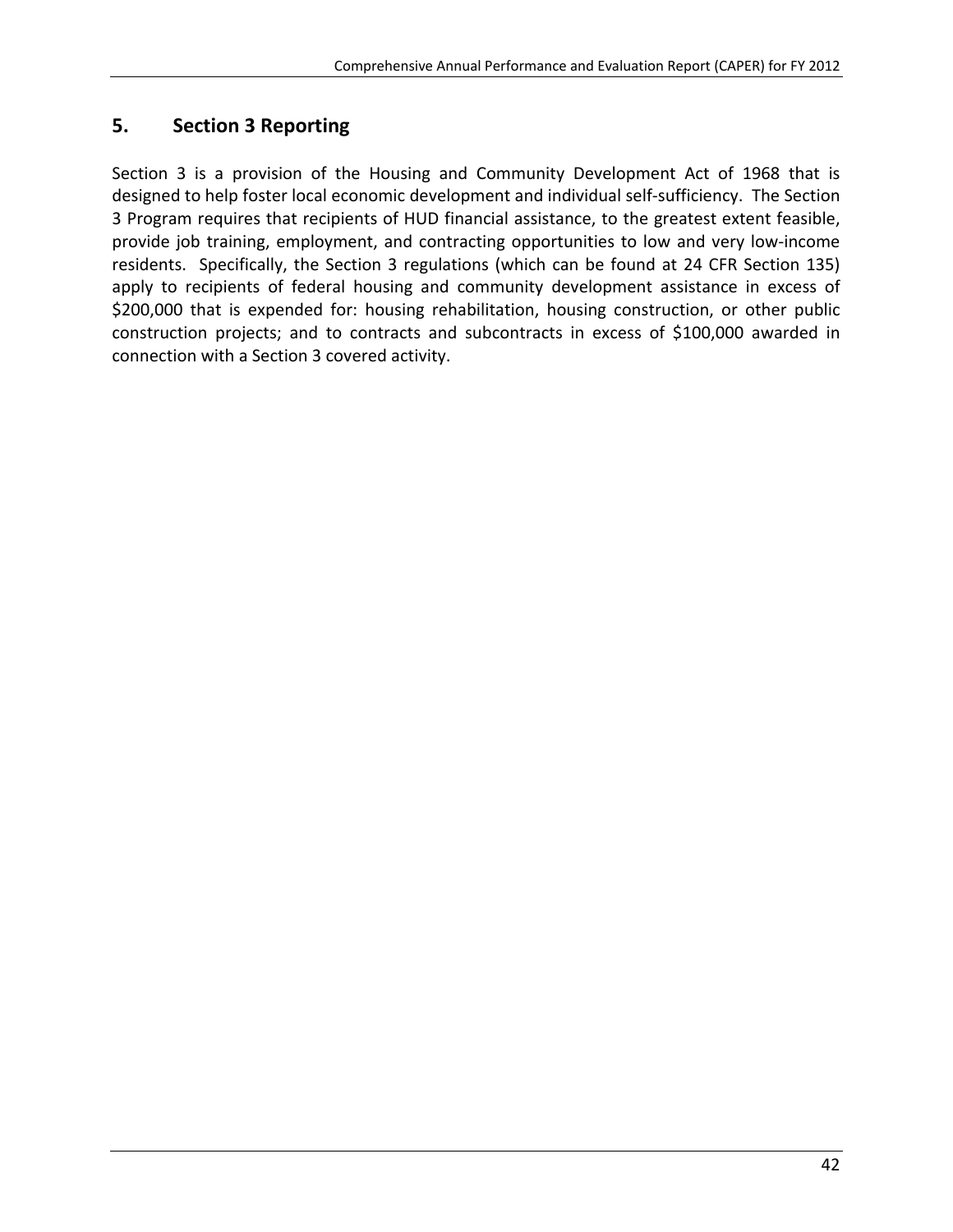# **5. Section 3 Reporting**

Section 3 is a provision of the Housing and Community Development Act of 1968 that is designed to help foster local economic development and individual self‐sufficiency. The Section 3 Program requires that recipients of HUD financial assistance, to the greatest extent feasible, provide job training, employment, and contracting opportunities to low and very low‐income residents. Specifically, the Section 3 regulations (which can be found at 24 CFR Section 135) apply to recipients of federal housing and community development assistance in excess of \$200,000 that is expended for: housing rehabilitation, housing construction, or other public construction projects; and to contracts and subcontracts in excess of \$100,000 awarded in connection with a Section 3 covered activity.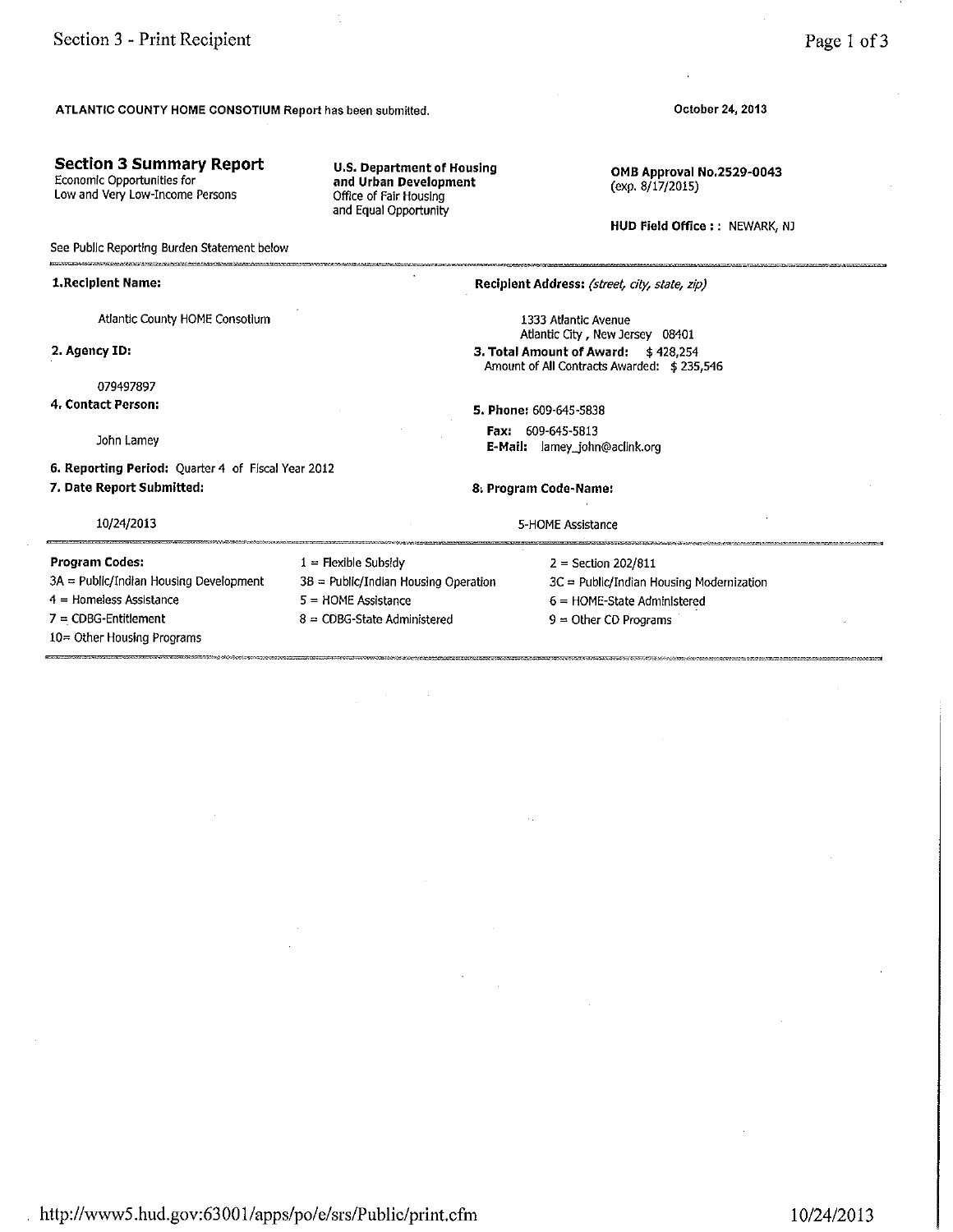#### ATLANTIC COUNTY HOME CONSOTIUM Report has been submitted.

#### **Section 3 Summary Report**

Economic Opportunities for Low and Very Low-Income Persons

**U.S. Department of Housing** and Urban Development Office of Fair Housing and Equal Opportunity

 $1 =$  Flexible Subsidy

 $5 =$  HOME Assistance

 $8 = CDBG-State$  Administered

3B = Public/Indian Housing Operation

October 24, 2013

OMB Approval No.2529-0043 (exp. 8/17/2015)

HUD Field Office : : NEWARK, NJ

See Public Reporting Burden Statement below

#### 1. Recipient Name:

Atlantic County HOME Consotium

2. Agency ID:

079497897

4. Contact Person:

John Lamey

6. Reporting Period: Quarter 4 of Fiscal Year 2012 7. Date Report Submitted:

#### 10/24/2013

Program Codes: 3A = Public/Indian Housing Development  $4 =$  Homeless Assistance  $7 = CDBG-Entillement$ 10= Other Housing Programs

Recipient Address: (street, city, state, zip)

1333 Atlantic Avenue Atlantic City, New Jersey 08401 3. Total Amount of Award: \$428,254 Amount of All Contracts Awarded: \$235,546

5. Phone: 609-645-5838 Fax: 609-645-5813 E-Mail: lamey\_john@aclink.org

8. Program Code-Name:

5-HOME Assistance

 $2 = Section 202/811$ 

3C = Public/Indian Housing Modernization

- 6 = HOME-State Administered
- $9 =$  Other CD Programs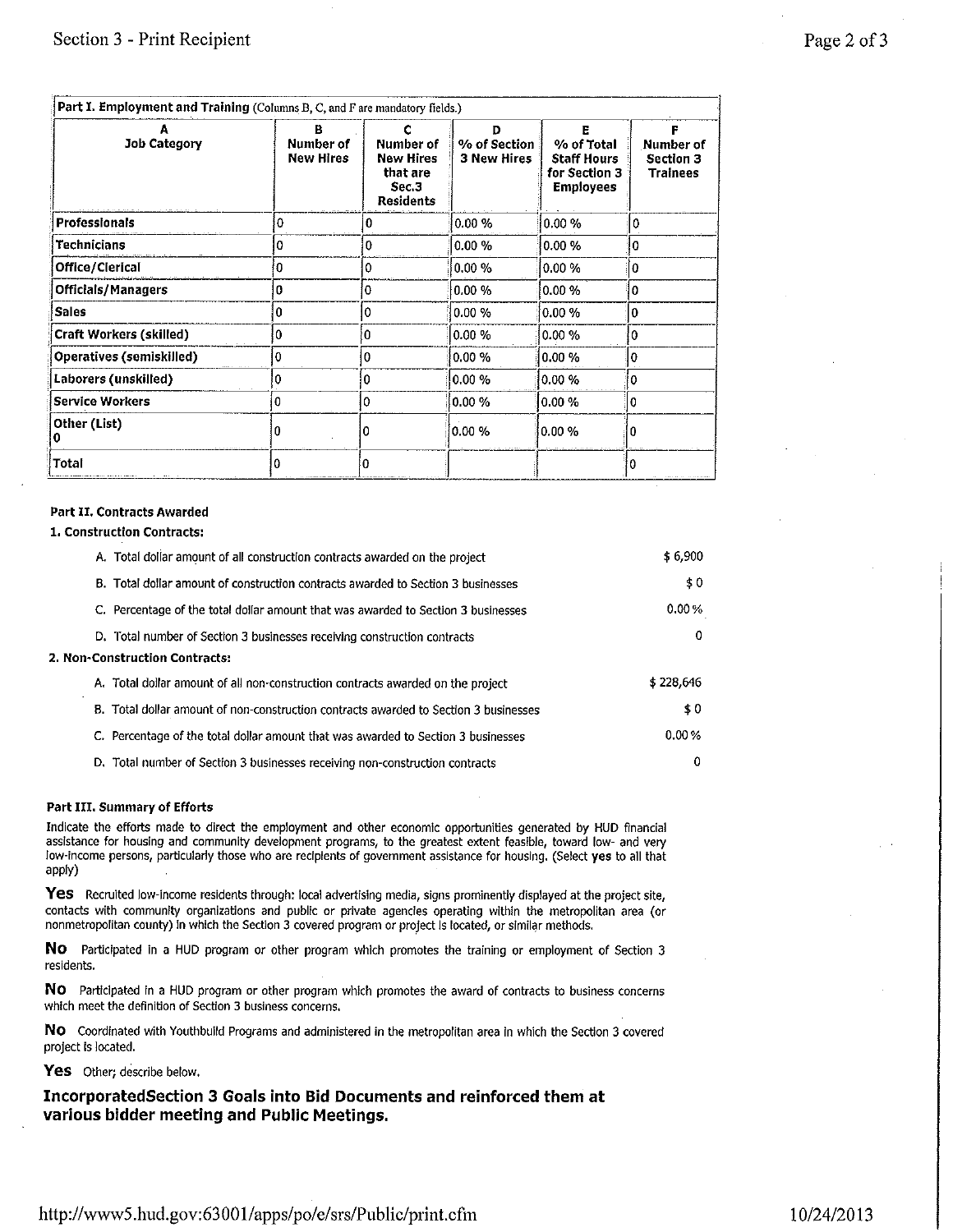| Job Category                    | в<br><b>Number of</b><br><b>New Hires</b> | <b>Number of</b><br><b>New Hires</b><br>that are<br>Sec.3<br><b>Residents</b> | D<br>% of Section<br><b>3 New Hires</b> | % of Total<br><b>Staff Hours</b><br>for Section 3<br><b>Employees</b> | <b>Number of</b><br><b>Section 3</b><br><b>Trainees</b> |
|---------------------------------|-------------------------------------------|-------------------------------------------------------------------------------|-----------------------------------------|-----------------------------------------------------------------------|---------------------------------------------------------|
| <b>Professionals</b>            | o                                         | 0                                                                             | 0.00%                                   | 0.00%                                                                 | 0                                                       |
| <b>Technicians</b>              |                                           | o                                                                             | 0.00%                                   | 0.00%                                                                 | 0                                                       |
| Office/Clerical                 | 0                                         | 0                                                                             | $0.00\,\%$                              | 0.00%                                                                 | 0                                                       |
| <b>Officials/Managers</b>       | 0                                         | 0                                                                             | 0.00%                                   | 0.00%                                                                 | 0                                                       |
| <b>Sales</b>                    | 0                                         | 0                                                                             | 0.00%                                   | $ 0.00\%$                                                             | 0                                                       |
| <b>Craft Workers (skilled)</b>  | 0                                         | 0                                                                             | 0.00%                                   | 0.00%                                                                 | 0                                                       |
| <b>Operatives (semiskilled)</b> |                                           | 0                                                                             | 0.00%                                   | 0.00%                                                                 | 0                                                       |
| Laborers (unskilled)            |                                           | 0                                                                             | 0.00%                                   | 0.00%                                                                 | 0                                                       |
| <b>Service Workers</b>          | Ð                                         | 0                                                                             | 0.00%                                   | 0.00%                                                                 | 0                                                       |
| Other (List)                    |                                           |                                                                               | $0.00 \%$                               | $0.00 \%$                                                             | 0                                                       |
| Total                           | o                                         |                                                                               |                                         |                                                                       | $\Omega$                                                |

#### **Part II. Contracts Awarded**

#### 1. Construction Contracts:

| A. Total dollar amount of all construction contracts awarded on the project          | \$6,900   |
|--------------------------------------------------------------------------------------|-----------|
| B. Total dollar amount of construction contracts awarded to Section 3 businesses     | \$0       |
| C. Percentage of the total dollar amount that was awarded to Section 3 businesses    | 0.00%     |
| D. Total number of Section 3 businesses receiving construction contracts             | 0         |
| 2. Non-Construction Contracts:                                                       |           |
| A. Total dollar amount of all non-construction contracts awarded on the project      | \$228,646 |
| B. Total dollar amount of non-construction contracts awarded to Section 3 businesses | \$0       |
| C. Percentage of the total dollar amount that was awarded to Section 3 businesses    | 0.00%     |
| D. Total number of Section 3 businesses receiving non-construction contracts         | 0         |

#### Part III. Summary of Efforts

Indicate the efforts made to direct the employment and other economic opportunities generated by HUD financial assistance for housing and community development programs, to the greatest extent feasible, toward low- and very low-income persons, particularly those who are recipients of government assistance for housing. (Select yes to all that apply)

Yes Recruited low-income residents through: local advertising media, signs prominently displayed at the project site, contacts with community organizations and public or private agencies operating within the metropolitan area (or nonmetropolitan county) in which the Section 3 covered program or project is located, or similar methods.

No Participated in a HUD program or other program which promotes the training or employment of Section 3 residents.

NO Participated in a HUD program or other program which promotes the award of contracts to business concerns which meet the definition of Section 3 business concerns.

NO Coordinated with Youthbuild Programs and administered in the metropolitan area in which the Section 3 covered project is located.

Yes Other: describe below.

IncorporatedSection 3 Goals into Bid Documents and reinforced them at various bidder meeting and Public Meetings.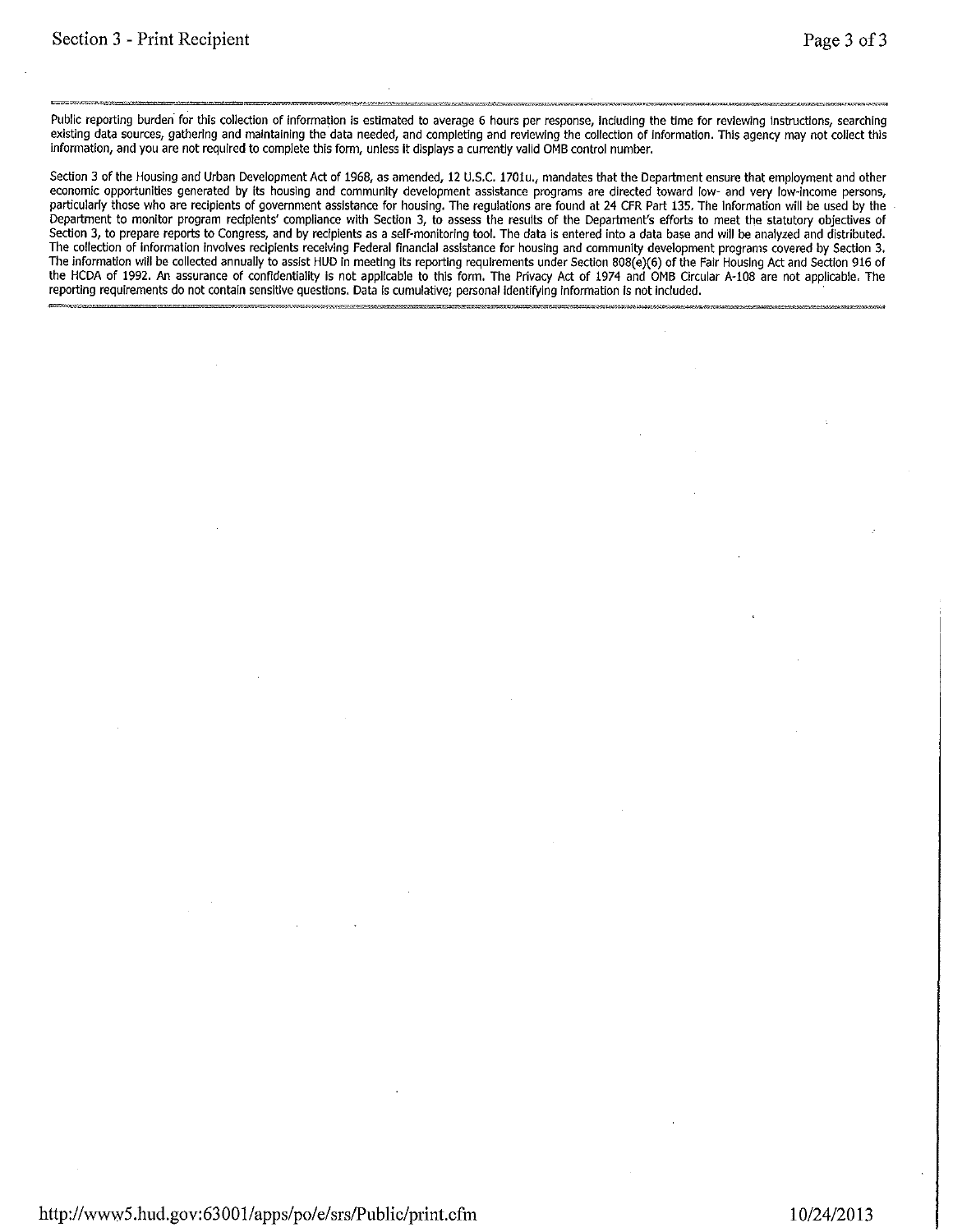Public reporting burden for this collection of information is estimated to average 6 hours per response, including the time for reviewing instructions, searching existing data sources, gathering and maintaining the data needed, and completing and reviewing the collection of information. This agency may not collect this information, and you are not required to complete this form, unless it displays a currently valid OMB control number.

Section 3 of the Housing and Urban Development Act of 1968, as amended, 12 U.S.C. 1701u., mandates that the Department ensure that employment and other economic opportunities generated by its housing and community development assistance programs are directed toward low- and very low-income persons, particularly those who are recipients of government assistance for housing. The regulations are found at 24 CFR Part 135. The Information will be used by the Department to monitor program recipients' compliance with Section 3, to assess the results of the Department's efforts to meet the statutory objectives of Section 3, to prepare reports to Congress, and by recipients as a self-monitoring tool. The data is entered into a data base and will be analyzed and distributed. The collection of information involves recipients receiving Federal financial assistance for housing and community development programs covered by Section 3.<br>The information will be collected annually to assist HUD in meet the HCDA of 1992. An assurance of confidentiality is not applicable to this form. The Privacy Act of 1974 and OMB Circular A-108 are not applicable. The reporting requirements do not contain sensitive questions. Data is cumulative; personal identifying information is not included.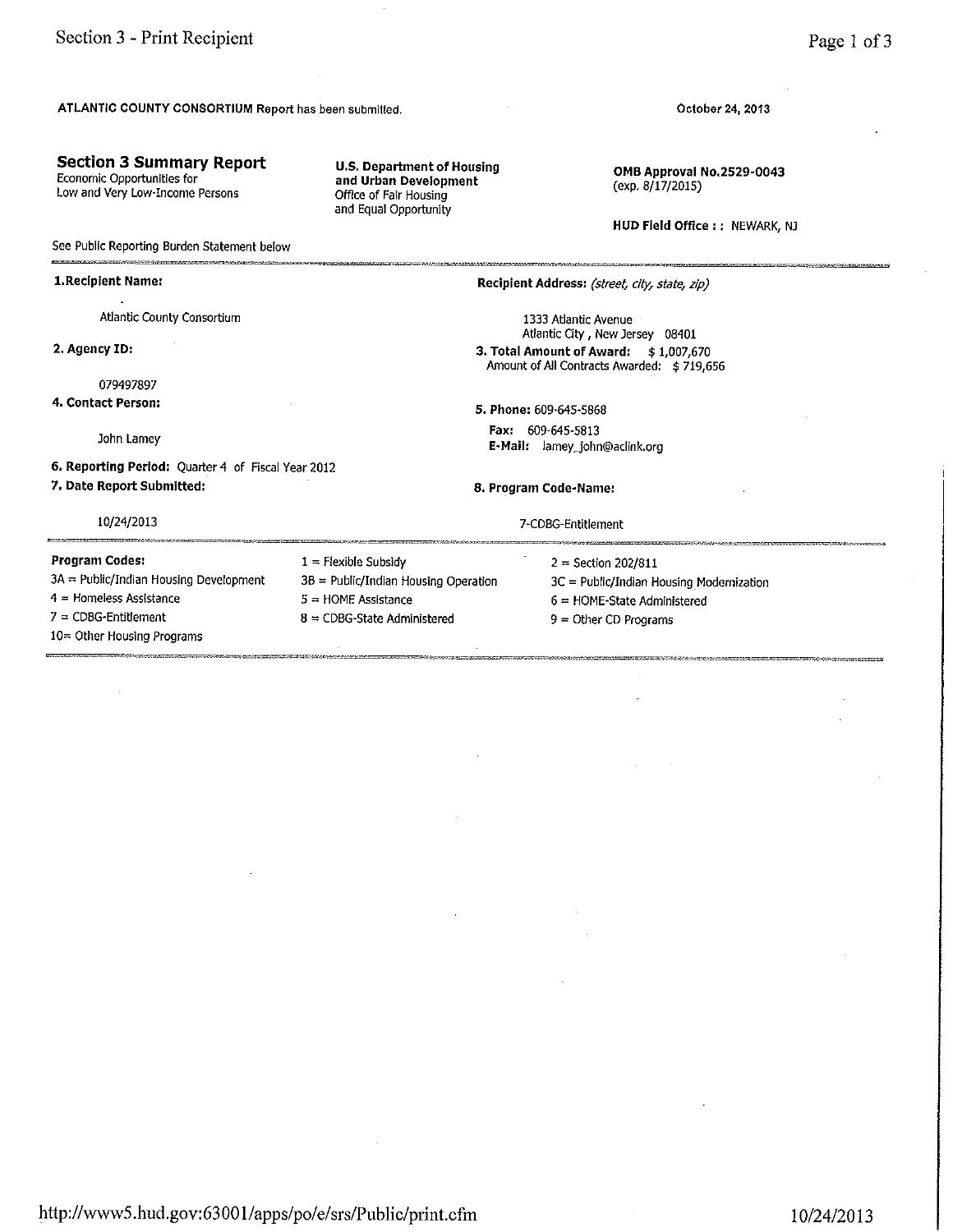#### **Section 3 Summary Report**

Economic Opportunities for Low and Very Low-Income Persons

**U.S. Department of Housing** and Urban Development Office of Fair Housing and Equal Opportunity

October 24, 2013

OMB Approval No.2529-0043 (exp. 8/17/2015)

HUD Field Office :: NEWARK, NJ

**Program Codes:**  $3A = Public/Indian Housing Development$ 4 = Homeless Assistance  $7 = CDBG-Entillement$ 10= Other Housing Programs

#### See Public Reporting Burden Statement below 1. Recipient Name: Recipient Address: (street, city, state, zip) Atlantic County Consortium 1333 Atlantic Avenue Atlantic City New Jersey 08401 2. Agency ID: 3. Total Amount of Award: \$1,007,670 Amount of All Contracts Awarded: \$719,656 079497897 4. Contact Person: 5. Phone: 609-645-5868 Fax: 609-645-5813 John Lamey E-Mail: lamey\_john@aclink.org 6. Reporting Period: Quarter 4 of Fiscal Year 2012 7. Date Report Submitted: 8. Program Code-Name: 10/24/2013 7-CDBG-Entitlement  $1 =$  Flexible Subsidy  $2 = Section 202/811$ 3B = Public/Indian Housing Operation 3C = Public/Indian Housing Modernization  $5 =$  HOME Assistance  $6 =$  HOME-State Administered  $8 = CDBG-State$  Administered  $9 =$  Other CD Programs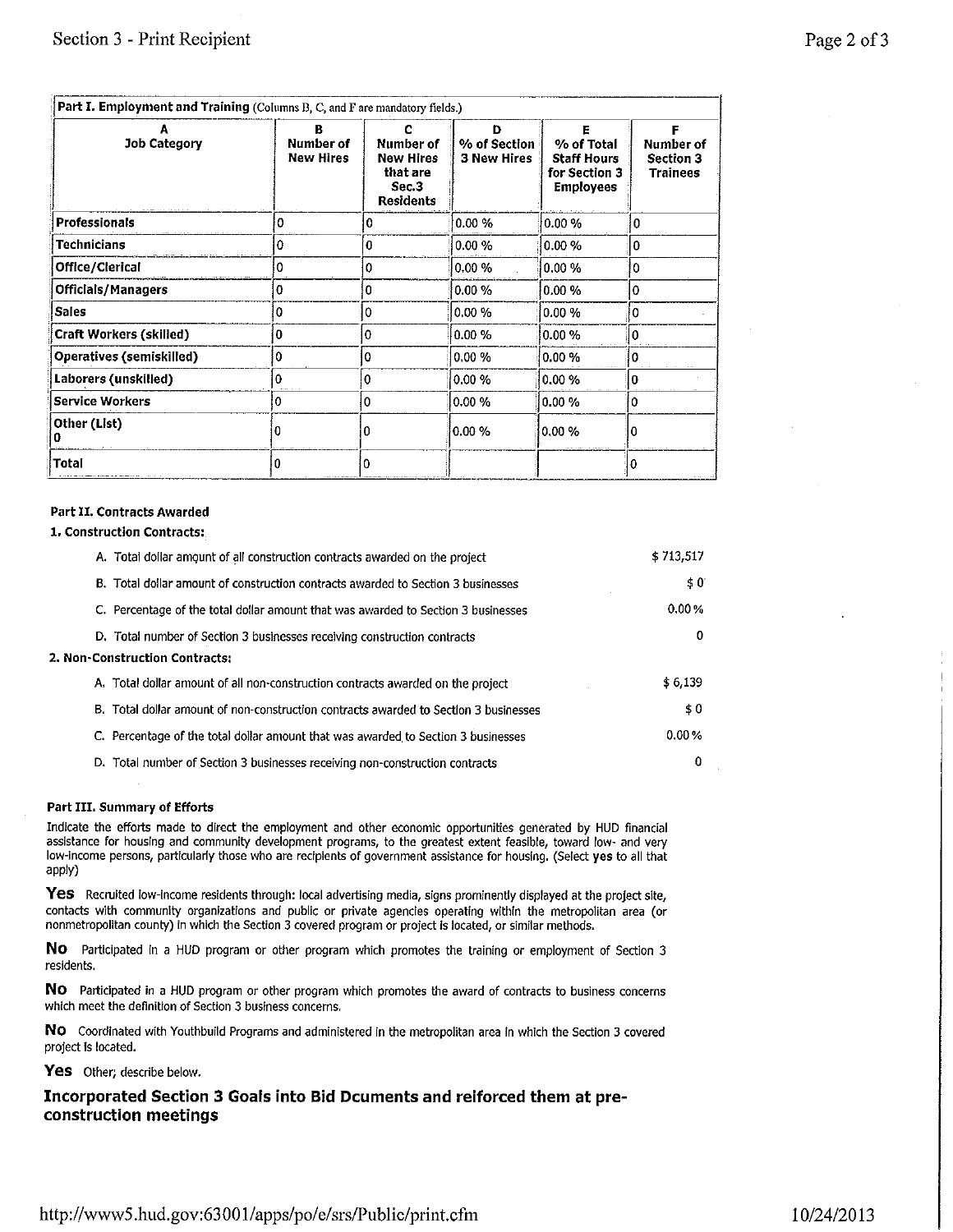| Page 2 of 3 |  |  |  |
|-------------|--|--|--|
|-------------|--|--|--|

| Part I. Employment and Training (Columns B, C, and F are mandatory fields.) |                                      |                                                                               |                                         |                                                                       |                                                         |
|-----------------------------------------------------------------------------|--------------------------------------|-------------------------------------------------------------------------------|-----------------------------------------|-----------------------------------------------------------------------|---------------------------------------------------------|
| <b>Job Category</b>                                                         | <b>Number of</b><br><b>New Hires</b> | <b>Number of</b><br><b>New Hires</b><br>that are<br>Sec.3<br><b>Residents</b> | D<br>% of Section<br><b>3 New Hires</b> | % of Total<br><b>Staff Hours</b><br>for Section 3<br><b>Employees</b> | <b>Number of</b><br><b>Section 3</b><br><b>Trainees</b> |
| <b>Professionals</b>                                                        | ٥                                    | 0                                                                             | 0.00%                                   | 0.00%                                                                 | 0                                                       |
| Technicians                                                                 | 0                                    | 0                                                                             | 0.00%                                   | 0.00%                                                                 | $\mathbf{0}$                                            |
| Office/Clerical                                                             | o                                    | 0                                                                             | 0.00 %                                  | 0.00%                                                                 | 0                                                       |
| <b>Officials/Managers</b>                                                   | 0                                    | 0                                                                             | $0.00\%$                                | 0.00%                                                                 | 0                                                       |
| <b>Sales</b>                                                                | ٥                                    | 0                                                                             | 0.00%                                   | 0.00%                                                                 | 0                                                       |
| Craft Workers (skilled)                                                     | 0                                    | 0                                                                             | 0.00%                                   | $0.00\%$                                                              | ١o                                                      |
| Operatives (semiskilled)                                                    |                                      | 0                                                                             | 0.00%                                   | $0.00\%$                                                              |                                                         |
| Laborers (unskilled)                                                        | Ð                                    | 0                                                                             | 0.00%                                   | 0.00%                                                                 | 0                                                       |
| <b>Service Workers</b>                                                      | o                                    | 0                                                                             | 0.00%                                   | $0.00\%$                                                              | 0                                                       |
| Other (List)                                                                |                                      | O                                                                             | 0.00%                                   | 0.00%                                                                 |                                                         |
| <b>Total</b>                                                                |                                      | 0                                                                             |                                         |                                                                       |                                                         |

#### **Part II. Contracts Awarded**

#### 1. Construction Contracts:

| A. Total dollar amount of all construction contracts awarded on the project          | \$713,517 |
|--------------------------------------------------------------------------------------|-----------|
| B. Total dollar amount of construction contracts awarded to Section 3 businesses     | \$0       |
| C. Percentage of the total dollar amount that was awarded to Section 3 businesses    | 0.00%     |
| D. Total number of Section 3 businesses receiving construction contracts             | 0         |
| 2. Non-Construction Contracts:                                                       |           |
| A. Total dollar amount of all non-construction contracts awarded on the project      | \$6,139   |
| B. Total dollar amount of non-construction contracts awarded to Section 3 businesses | \$0       |
| C. Percentage of the total dollar amount that was awarded to Section 3 businesses    | 0.00%     |
| D. Total number of Section 3 businesses receiving non-construction contracts         | 0         |

#### Part III. Summary of Efforts

Indicate the efforts made to direct the employment and other economic opportunities generated by HUD financial assistance for housing and community development programs, to the greatest extent feasible, toward low- and very low-income persons, particularly those who are recipients of government assistance for housing. (Select yes to all that apply)

Yes Recruited low-income residents through: local advertising media, signs prominently displayed at the project site, contacts with community organizations and public or private agencies operating within the metropolitan area (or nonmetropolitan county) in which the Section 3 covered program or project is located, or similar methods.

No Participated in a HUD program or other program which promotes the training or employment of Section 3 residents.

NO Participated in a HUD program or other program which promotes the award of contracts to business concerns which meet the definition of Section 3 business concerns.

No Coordinated with Youthbuild Programs and administered in the metropolitan area in which the Section 3 covered project is located.

Yes Other; describe below.

#### Incorporated Section 3 Goals into Bid Dcuments and reiforced them at preconstruction meetings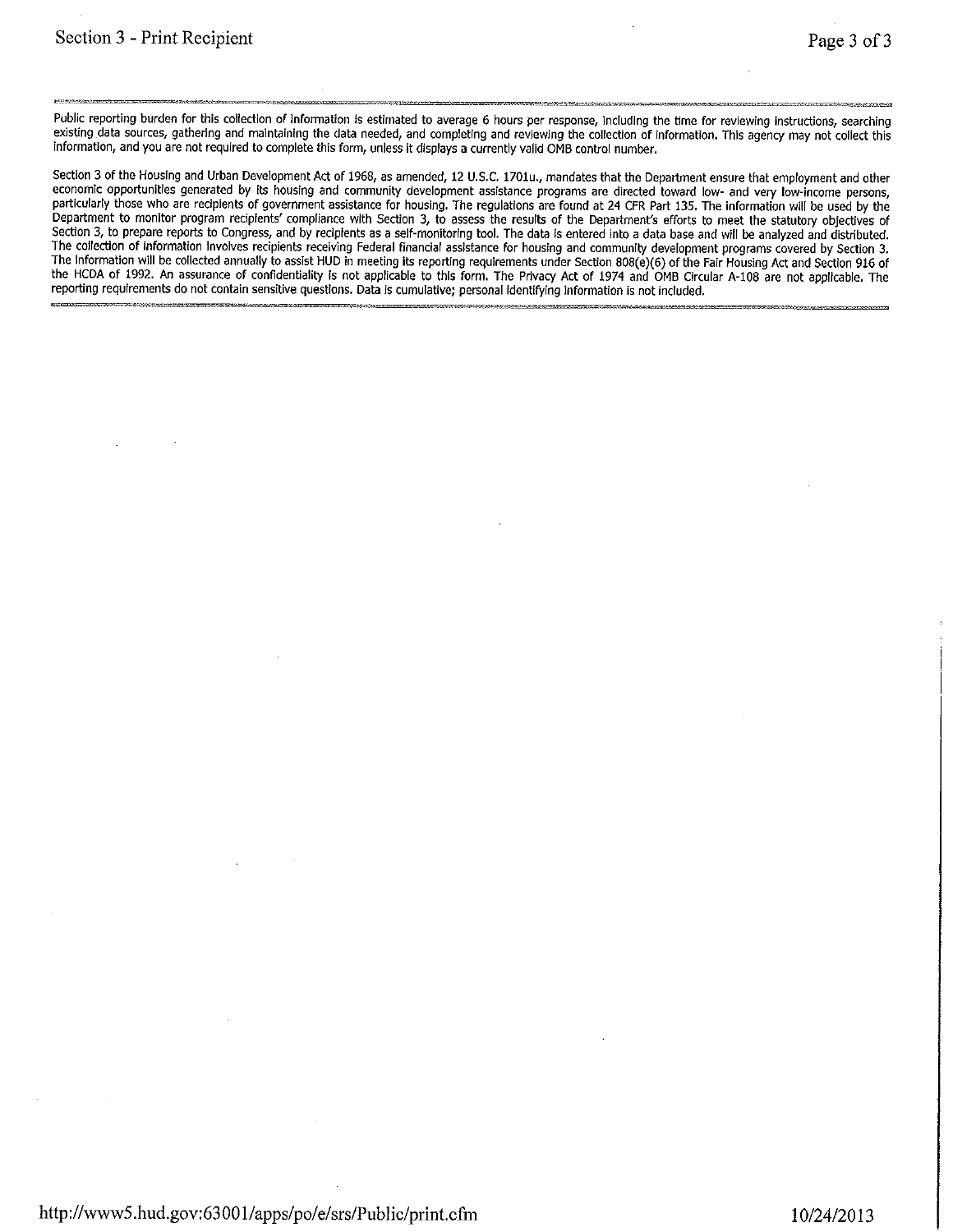Public reporting burden for this collection of information is estimated to average 6 hours per response, including the time for reviewing instructions, searching existing data sources, gathering and maintaining the data needed, and completing and reviewing the collection of information. This agency may not collect this information, and you are not required to complete this form, unless it displays a currently valid OMB control number.

Section 3 of the Housing and Urban Development Act of 1968, as amended, 12 U.S.C. 1701u., mandates that the Department ensure that employment and other economic opportunities generated by its housing and community development assistance programs are directed toward low- and very low-income persons, particularly those who are recipients of government assistance for housing. The regulations are found at 24 CFR Part 135. The information will be used by the Department to monitor program recipients' compliance with Section 3, to assess the results of the Department's efforts to meet the statutory objectives of Section 3, to prepare reports to Congress, and by recipients as a self-monitoring tool. The data is entered into a data base and will be analyzed and distributed. The collection of information involves recipients receiving Federal financial assistance for housing and community development programs covered by Section 3.<br>The information will be collected annually to assist HUD in meet the HCDA of 1992. An assurance of confidentiality is not applicable to this form. The Privacy Act of 1974 and OMB Circular A-108 are not applicable. The reporting requirements do not contain sensitive questions. Data is cumulative; personal identifying information is not included.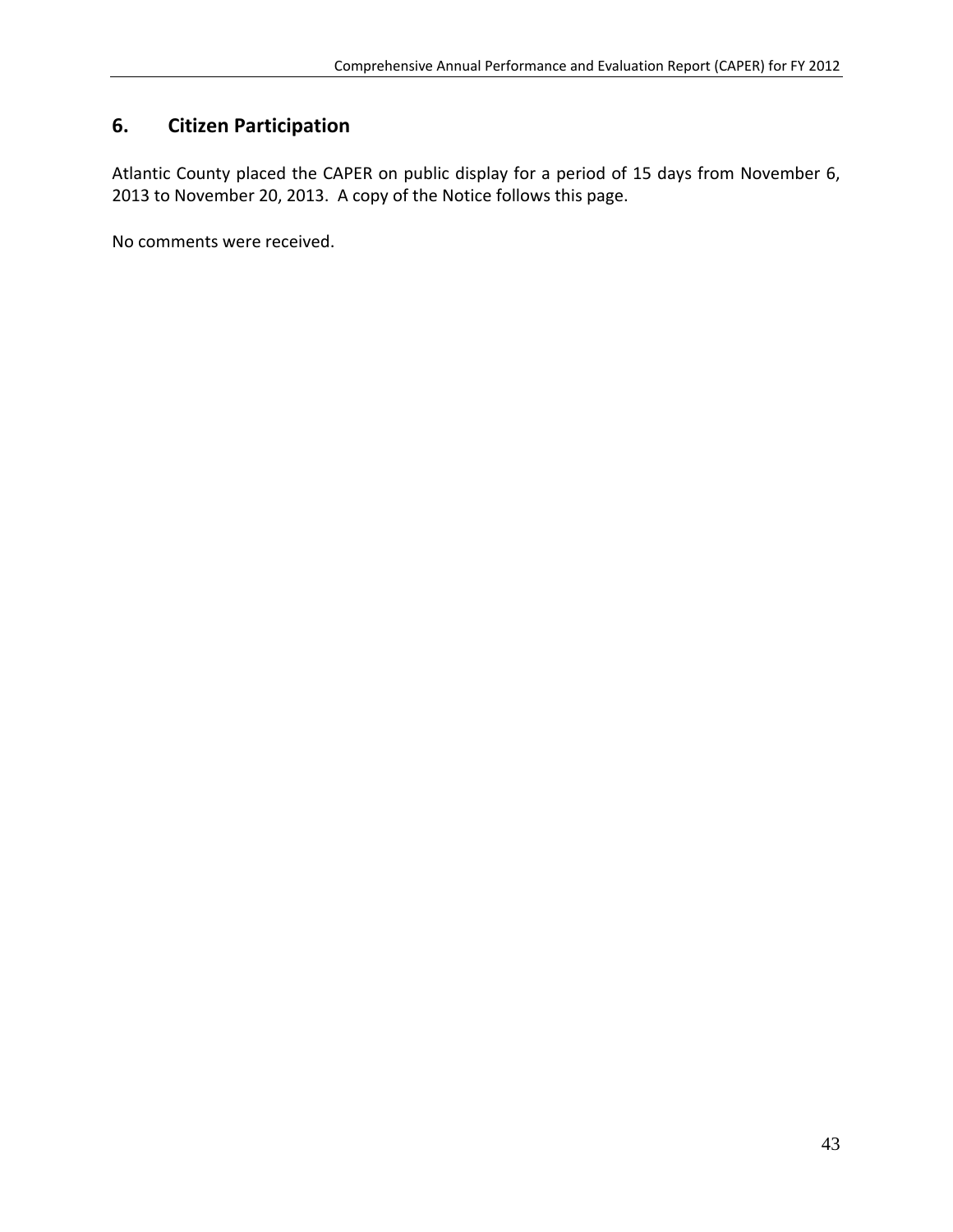# **6. Citizen Participation**

Atlantic County placed the CAPER on public display for a period of 15 days from November 6, 2013 to November 20, 2013. A copy of the Notice follows this page.

No comments were received.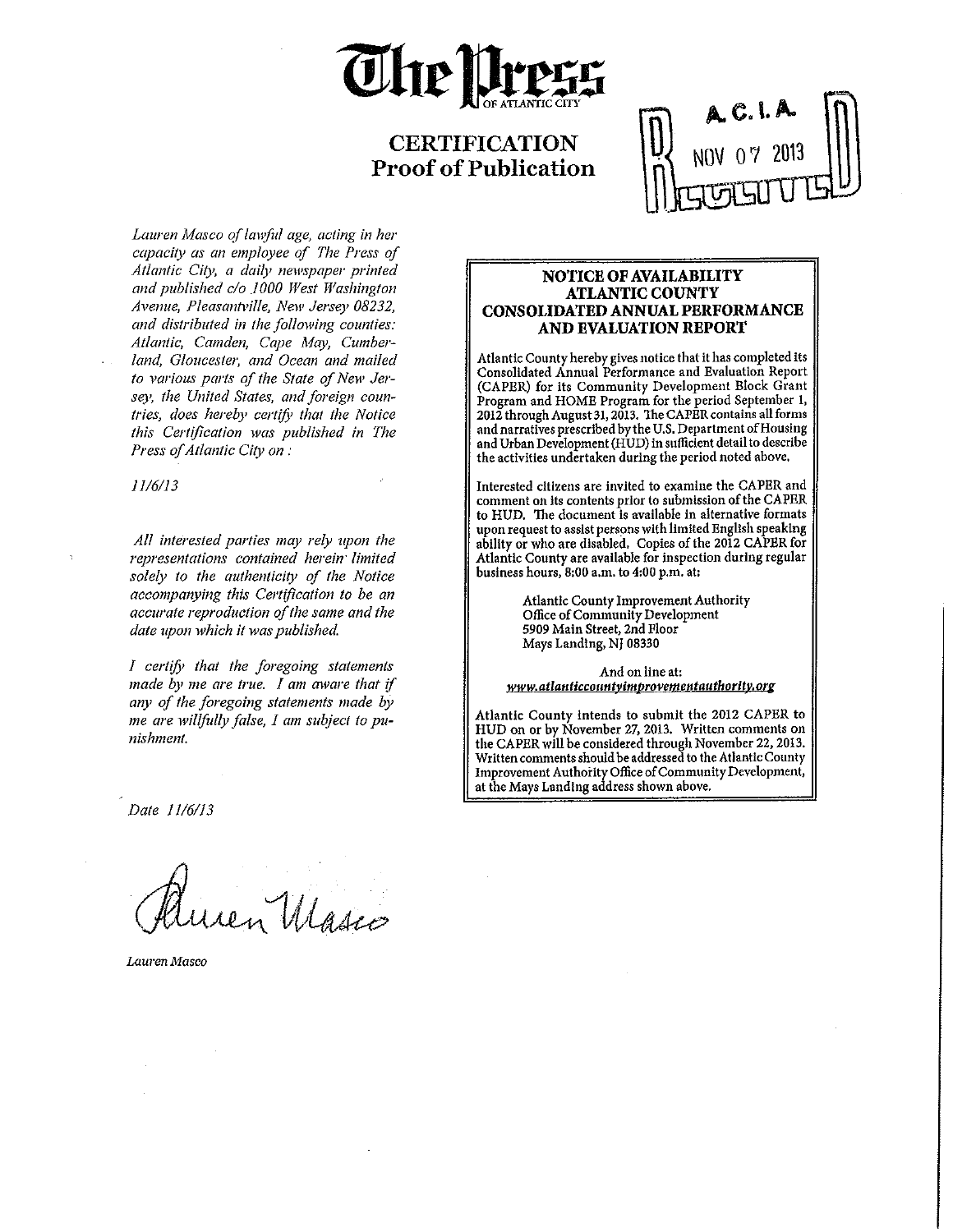

# **CERTIFICATION Proof of Publication**

Lauren Masco of lawful age, acting in her capacity as an employee of The Press of Atlantic City, a daily newspaper printed and published c/o 1000 West Washington Avenue, Pleasantville, New Jersey 08232, and distributed in the following counties: Atlantic, Camden, Cape May, Cumberland, Gloucester, and Ocean and mailed to various parts of the State of New Jersey, the United States, and foreign countries, does hereby certify that the Notice this Certification was published in The Press of Atlantic City on:

 $11/6/13$ 

All interested parties may rely upon the representations contained herein limited solely to the authenticity of the Notice accompanying this Certification to be an accurate reproduction of the same and the date upon which it was published.

I certify that the foregoing statements made by me are true. I am aware that if any of the foregoing statements made by me are willfully false, I am subject to punishment.

#### NOTICE OF AVAILABILITY **ATLANTIC COUNTY CONSOLIDATED ANNUAL PERFORMANCE** AND EVALUATION REPORT

Atlantic County hereby gives notice that it has completed its Consolidated Annual Performance and Evaluation Report (CAPER) for its Community Development Block Grant Program and HOME Program for the period September 1, 2012 through August 31, 2013. The CAPER contains all forms and narratives prescribed by the U.S. Department of Housing and Urban Development (HUD) in sufficient detail to describe the activities undertaken during the period noted above.

Interested citizens are invited to examine the CAPER and comment on its contents prior to submission of the CAPER to HUD. The document is available in alternative formats upon request to assist persons with limited English speaking ability or who are disabled. Copies of the 2012 CAPER for<br>Atlantic County are available for inspection during regular business hours, 8:00 a.m. to 4:00 p.m. at:

> Atlantic County Improvement Authority Office of Community Development 5909 Main Street, 2nd Floor Mays Landing, NJ 08330

And on line at: www.atlanticcountyimprovementauthority.org

Atlantic County intends to submit the 2012 CAPER to HUD on or by November 27, 2013. Written comments on the CAPER will be considered through November 22, 2013. Written comments should be addressed to the Atlantic County Improvement Authority Office of Community Development, at the Mays Landing address shown above.

Date 11/6/13

len Marco

Lauren Masco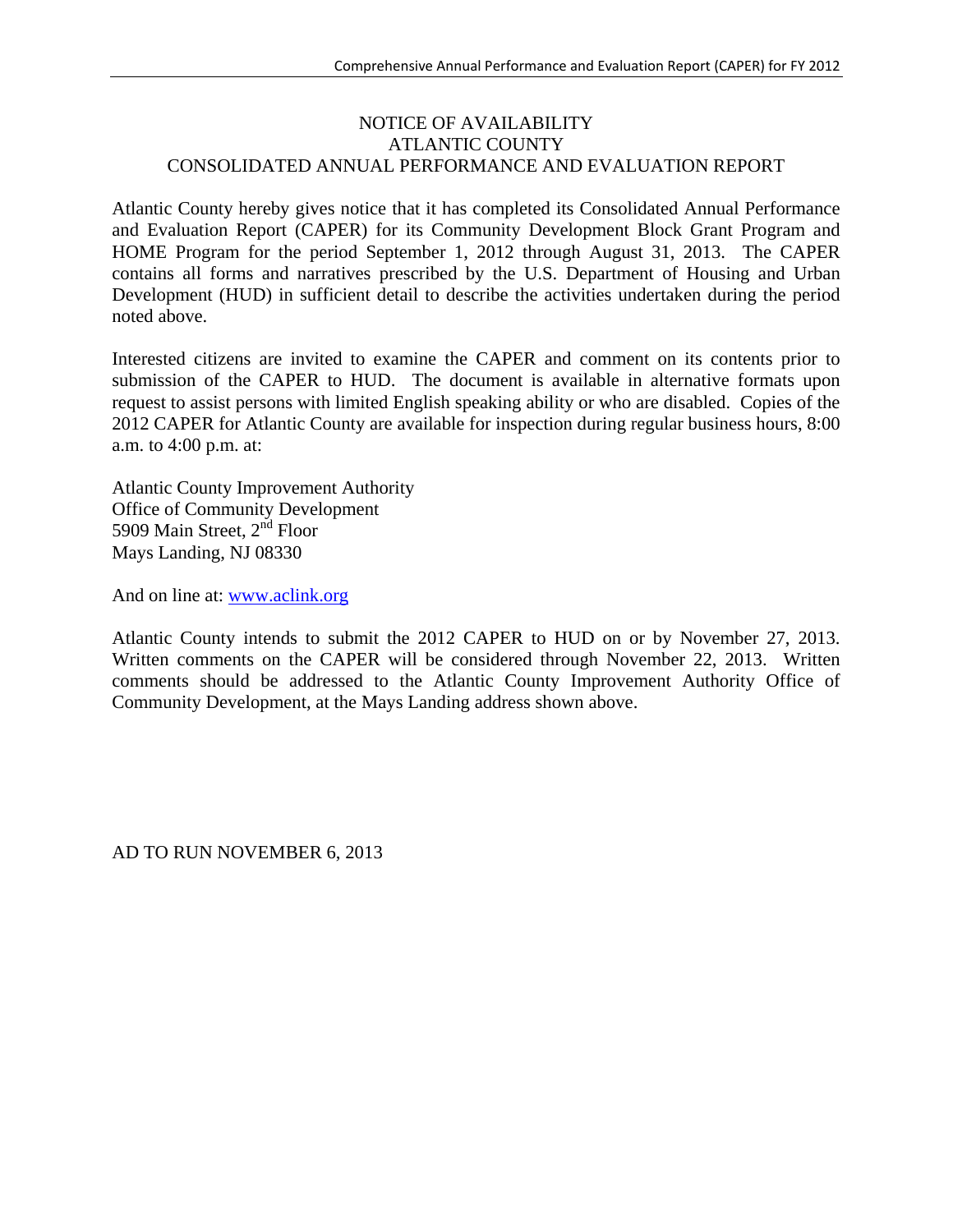## NOTICE OF AVAILABILITY ATLANTIC COUNTY CONSOLIDATED ANNUAL PERFORMANCE AND EVALUATION REPORT

Atlantic County hereby gives notice that it has completed its Consolidated Annual Performance and Evaluation Report (CAPER) for its Community Development Block Grant Program and HOME Program for the period September 1, 2012 through August 31, 2013. The CAPER contains all forms and narratives prescribed by the U.S. Department of Housing and Urban Development (HUD) in sufficient detail to describe the activities undertaken during the period noted above.

Interested citizens are invited to examine the CAPER and comment on its contents prior to submission of the CAPER to HUD. The document is available in alternative formats upon request to assist persons with limited English speaking ability or who are disabled. Copies of the 2012 CAPER for Atlantic County are available for inspection during regular business hours, 8:00 a.m. to 4:00 p.m. at:

Atlantic County Improvement Authority Office of Community Development 5909 Main Street, 2<sup>nd</sup> Floor Mays Landing, NJ 08330

And on line at: www.aclink.org

Atlantic County intends to submit the 2012 CAPER to HUD on or by November 27, 2013. Written comments on the CAPER will be considered through November 22, 2013. Written comments should be addressed to the Atlantic County Improvement Authority Office of Community Development, at the Mays Landing address shown above.

AD TO RUN NOVEMBER 6, 2013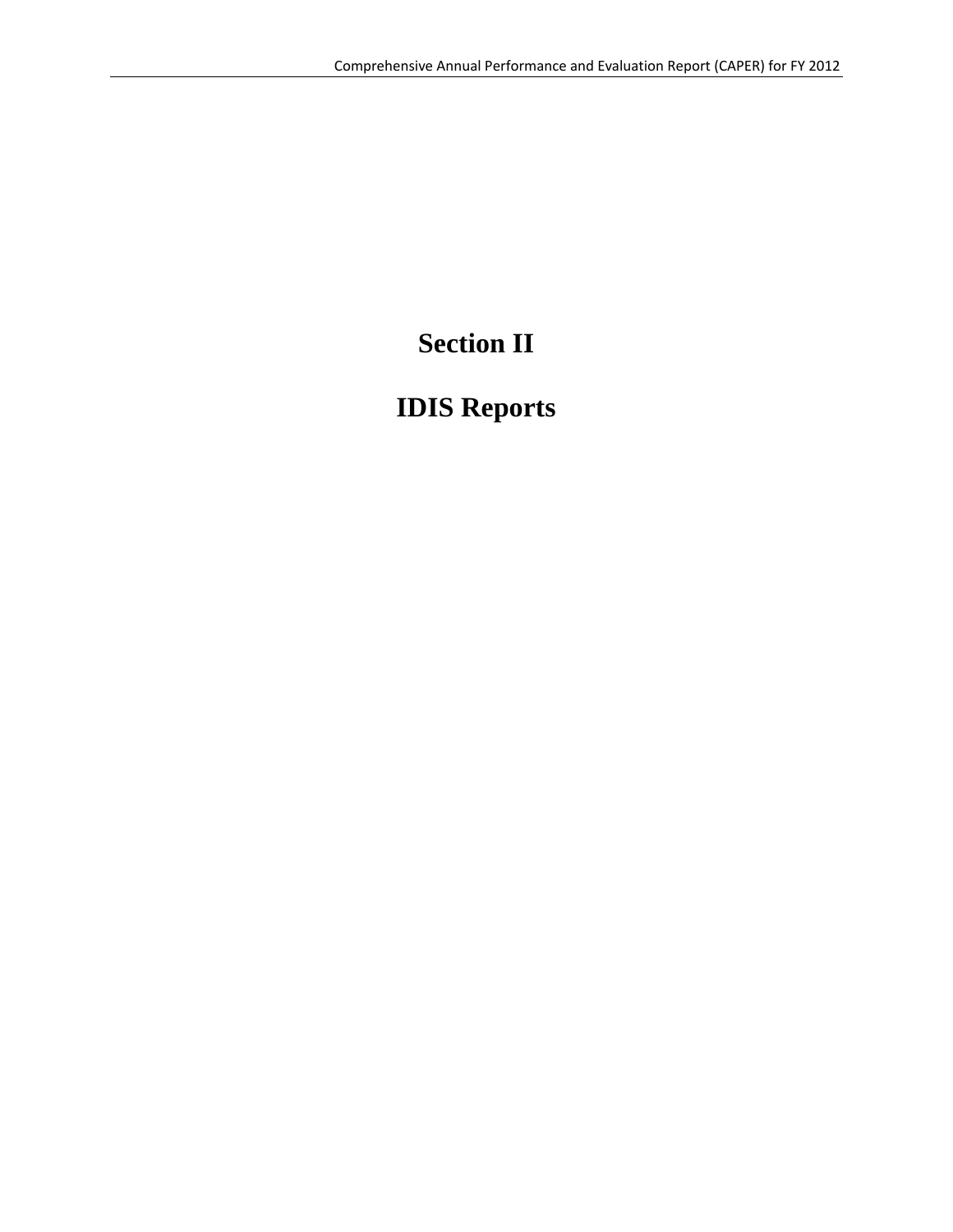# **Section II**

# **IDIS Reports**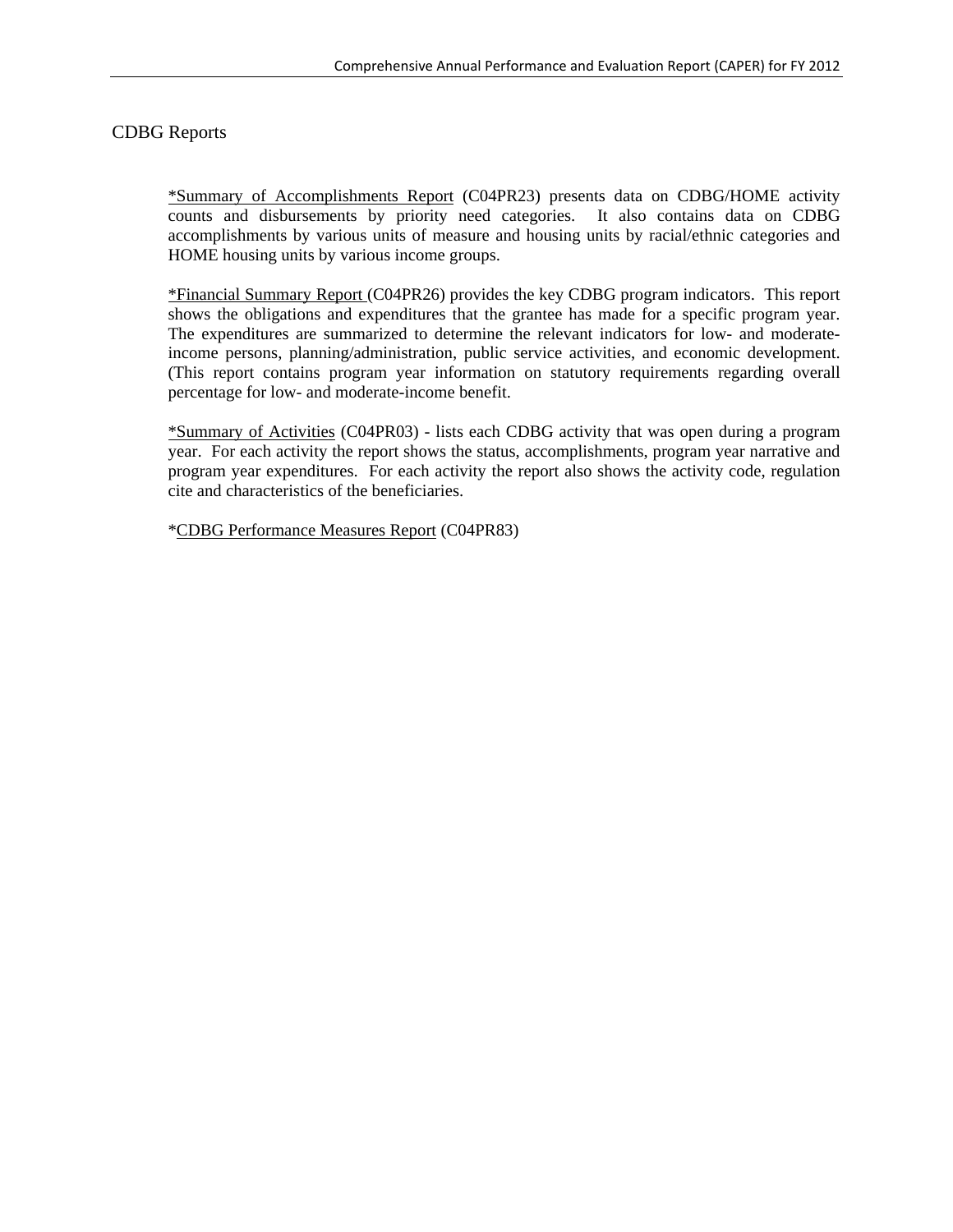# CDBG Reports

\*Summary of Accomplishments Report (C04PR23) presents data on CDBG/HOME activity counts and disbursements by priority need categories. It also contains data on CDBG accomplishments by various units of measure and housing units by racial/ethnic categories and HOME housing units by various income groups.

\*Financial Summary Report (C04PR26) provides the key CDBG program indicators. This report shows the obligations and expenditures that the grantee has made for a specific program year. The expenditures are summarized to determine the relevant indicators for low- and moderateincome persons, planning/administration, public service activities, and economic development. (This report contains program year information on statutory requirements regarding overall percentage for low- and moderate-income benefit.

\*Summary of Activities (C04PR03) - lists each CDBG activity that was open during a program year. For each activity the report shows the status, accomplishments, program year narrative and program year expenditures. For each activity the report also shows the activity code, regulation cite and characteristics of the beneficiaries.

\*CDBG Performance Measures Report (C04PR83)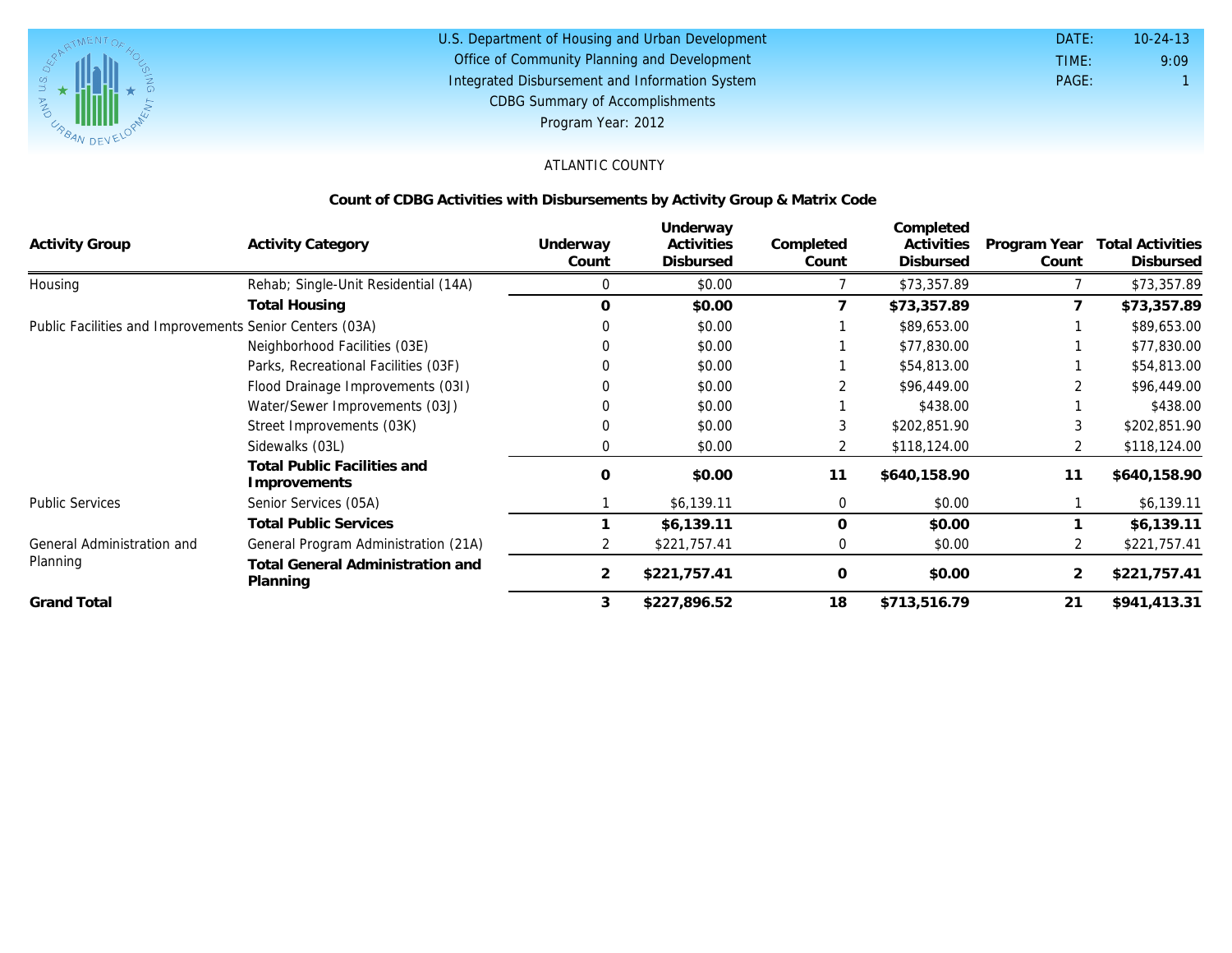

#### U.S. Department of Housing and Urban Development Office of Community Planning and Development Integrated Disbursement and Information System DATE: TIME: PAGE: 1 10-24-13 CDBG Summary of Accomplishments Program Year: 2012

9:09

# ATLANTIC COUNTY

#### **Count of CDBG Activities with Disbursements by Activity Group & Matrix Code**

| <b>Activity Group</b>                                   | <b>Activity Category</b>                            | Underway<br>Count | Underway<br>Activities<br><b>Disbursed</b> | Completed<br>Count | Completed<br>Activities<br>Disbursed | Program Year<br>Count | <b>Total Activities</b><br><b>Disbursed</b> |
|---------------------------------------------------------|-----------------------------------------------------|-------------------|--------------------------------------------|--------------------|--------------------------------------|-----------------------|---------------------------------------------|
| Housing                                                 | Rehab; Single-Unit Residential (14A)                | 0                 | \$0.00                                     |                    | \$73,357.89                          |                       | \$73,357.89                                 |
|                                                         | <b>Total Housing</b>                                | $\Omega$          | \$0.00                                     |                    | \$73,357.89                          |                       | \$73,357.89                                 |
| Public Facilities and Improvements Senior Centers (03A) |                                                     |                   | \$0.00                                     |                    | \$89,653.00                          |                       | \$89,653.00                                 |
|                                                         | Neighborhood Facilities (03E)                       |                   | \$0.00                                     |                    | \$77,830.00                          |                       | \$77,830.00                                 |
|                                                         | Parks, Recreational Facilities (03F)                |                   | \$0.00                                     |                    | \$54,813.00                          |                       | \$54,813.00                                 |
|                                                         | Flood Drainage Improvements (031)                   |                   | \$0.00                                     |                    | \$96,449.00                          |                       | \$96,449.00                                 |
|                                                         | Water/Sewer Improvements (03J)                      |                   | \$0.00                                     |                    | \$438.00                             |                       | \$438.00                                    |
|                                                         | Street Improvements (03K)                           |                   | \$0.00                                     |                    | \$202,851.90                         |                       | \$202,851.90                                |
|                                                         | Sidewalks (03L)                                     |                   | \$0.00                                     | 2                  | \$118,124.00                         |                       | \$118,124.00                                |
|                                                         | Total Public Facilities and<br>Improvements         | $\Omega$          | \$0.00                                     | 11                 | \$640,158.90                         | 11                    | \$640,158.90                                |
| <b>Public Services</b>                                  | Senior Services (05A)                               |                   | \$6,139.11                                 | 0                  | \$0.00                               |                       | \$6,139.11                                  |
|                                                         | <b>Total Public Services</b>                        |                   | \$6,139.11                                 | $\mathbf 0$        | \$0.00                               |                       | \$6,139.11                                  |
| General Administration and<br>Planning                  | General Program Administration (21A)                |                   | \$221,757.41                               |                    | \$0.00                               |                       | \$221,757.41                                |
|                                                         | <b>Total General Administration and</b><br>Planning | 2                 | \$221,757.41                               | $\mathbf 0$        | \$0.00                               |                       | \$221,757.41                                |
| <b>Grand Total</b>                                      |                                                     | 3                 | \$227,896.52                               | 18                 | \$713,516.79                         | 21                    | \$941,413.31                                |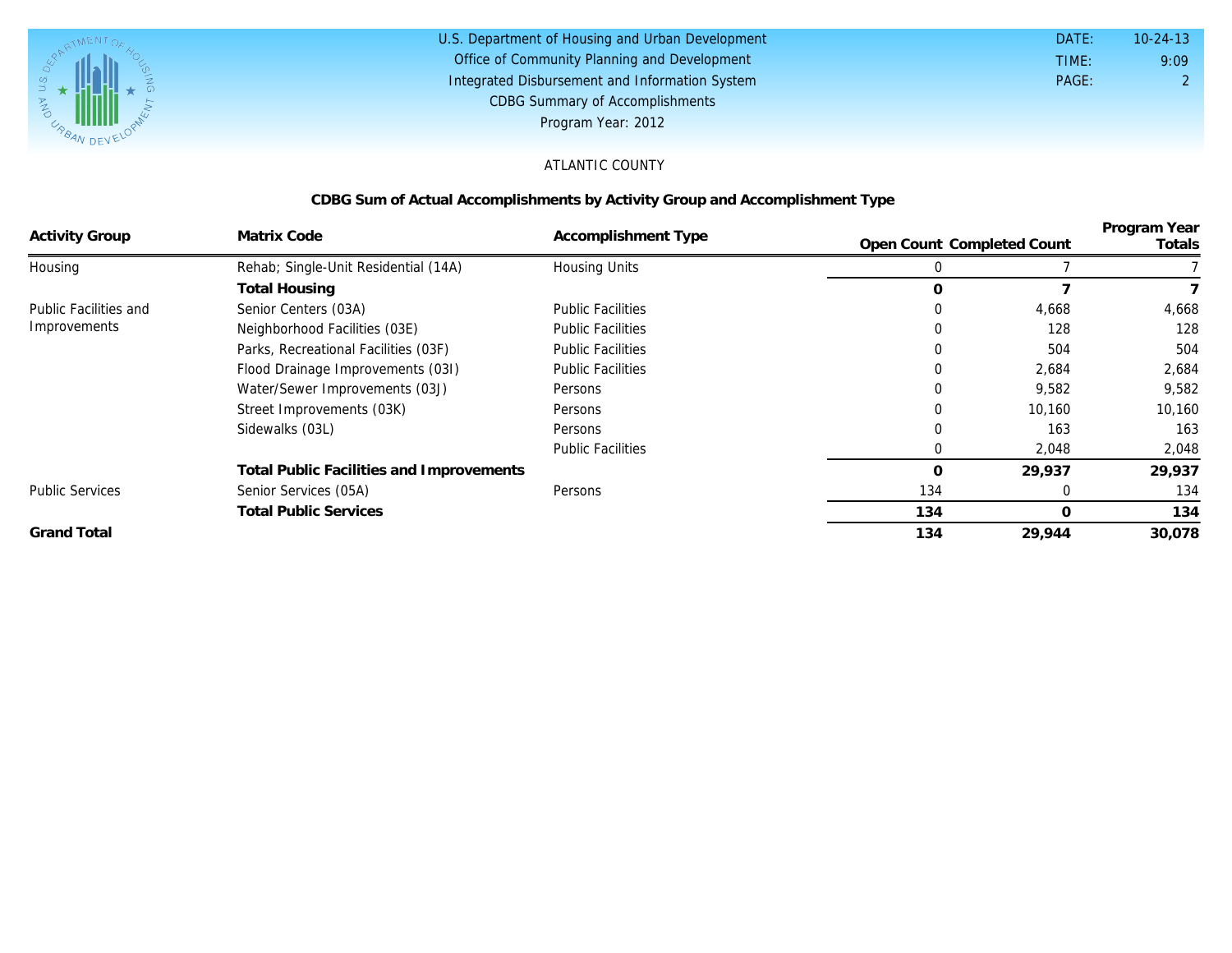

| U.S. Department of Housing and Urban Development | DATE: | $10 - 24 - 13$ |
|--------------------------------------------------|-------|----------------|
| Office of Community Planning and Development     | TIME: | 9:09           |
| Integrated Disbursement and Information System   | PAGE: |                |
| <b>CDBG Summary of Accomplishments</b>           |       |                |
| Program Year: 2012                               |       |                |

## ATLANTIC COUNTY

# **CDBG Sum of Actual Accomplishments by Activity Group and Accomplishment Type**

|                        |                                          |                          |                            |        | Program Year |
|------------------------|------------------------------------------|--------------------------|----------------------------|--------|--------------|
| <b>Activity Group</b>  | Matrix Code                              | Accomplishment Type      | Open Count Completed Count |        | Totals       |
| Housing                | Rehab; Single-Unit Residential (14A)     | Housing Units            |                            |        |              |
|                        | <b>Total Housing</b>                     |                          |                            |        |              |
| Public Facilities and  | Senior Centers (03A)                     | <b>Public Facilities</b> | $\Omega$                   | 4,668  | 4,668        |
| Improvements           | Neighborhood Facilities (03E)            | <b>Public Facilities</b> |                            | 128    | 128          |
|                        | Parks, Recreational Facilities (03F)     | <b>Public Facilities</b> |                            | 504    | 504          |
|                        | Flood Drainage Improvements (031)        | <b>Public Facilities</b> |                            | 2,684  | 2,684        |
|                        | Water/Sewer Improvements (03J)           | Persons                  | 0                          | 9,582  | 9,582        |
|                        | Street Improvements (03K)                | Persons                  |                            | 10,160 | 10,160       |
|                        | Sidewalks (03L)                          | Persons                  |                            | 163    | 163          |
|                        |                                          | <b>Public Facilities</b> |                            | 2,048  | 2,048        |
|                        | Total Public Facilities and Improvements |                          |                            | 29,937 | 29,937       |
| <b>Public Services</b> | Senior Services (05A)                    | Persons                  | 134                        | 0      | 134          |
|                        | <b>Total Public Services</b>             |                          | 134                        | O      | 134          |
| <b>Grand Total</b>     |                                          |                          | 134                        | 29,944 | 30,078       |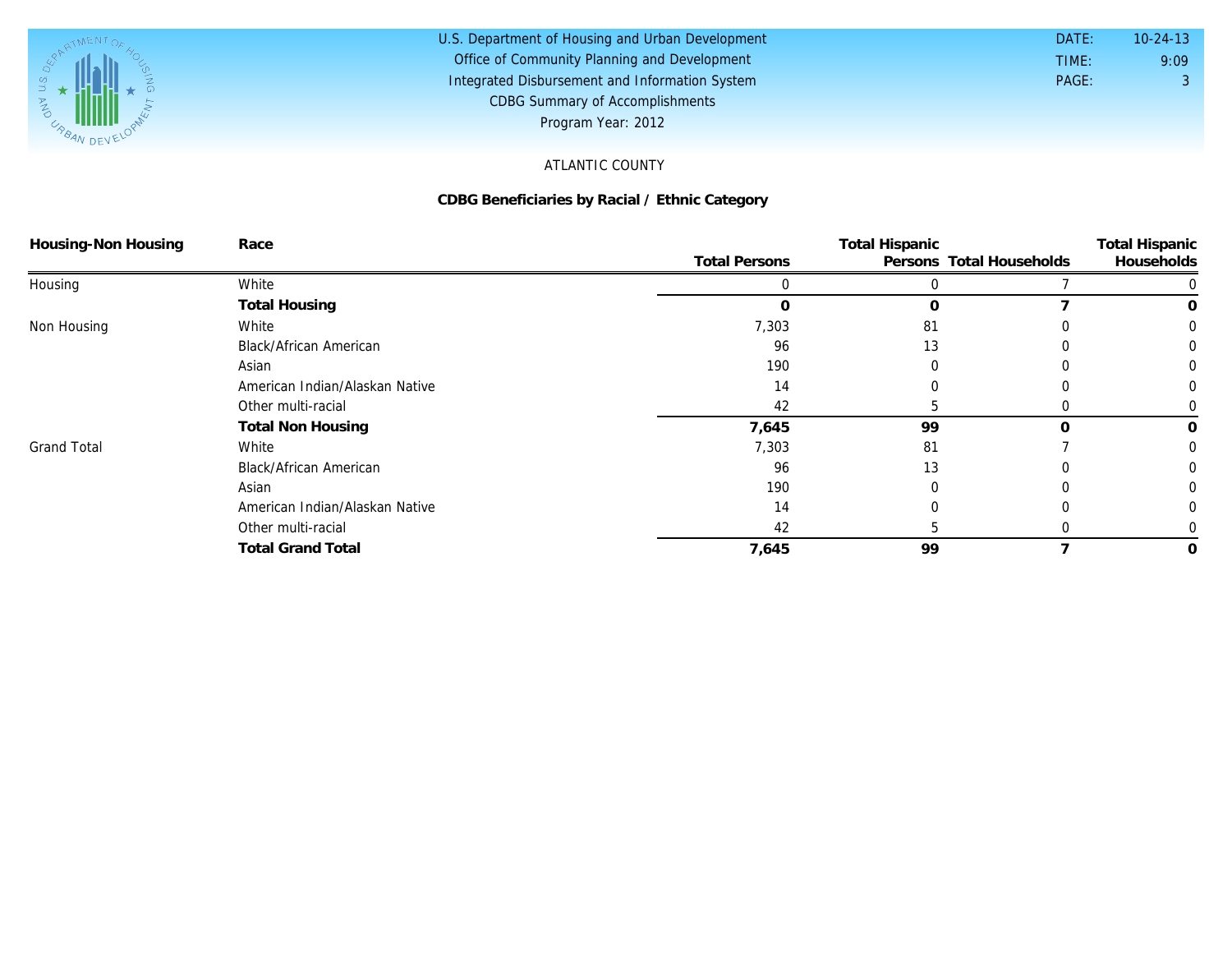

#### U.S. Department of Housing and Urban Development Office of Community Planning and Development Integrated Disbursement and Information System DATE: TIME: PAGE: 3 9:09 10-24-13 CDBG Summary of Accomplishments Program Year: 2012

## ATLANTIC COUNTY

### **CDBG Beneficiaries by Racial / Ethnic Category**

| Housing-Non Housing | Race                           |                      | <b>Total Hispanic</b> |                          |            |
|---------------------|--------------------------------|----------------------|-----------------------|--------------------------|------------|
|                     |                                | <b>Total Persons</b> |                       | Persons Total Households | Households |
| Housing             | White                          |                      |                       |                          |            |
|                     | <b>Total Housing</b>           | C                    | $\Omega$              |                          | O          |
| Non Housing         | White                          | 7,303                | 81                    |                          | $\Omega$   |
|                     | <b>Black/African American</b>  | 96                   | 13                    |                          |            |
|                     | Asian                          | 190                  |                       |                          |            |
|                     | American Indian/Alaskan Native | 14                   |                       |                          |            |
|                     | Other multi-racial             | 42                   |                       |                          |            |
|                     | <b>Total Non Housing</b>       | 7,645                | 99                    |                          | 0          |
| <b>Grand Total</b>  | White                          | 7,303                | 81                    |                          | 0          |
|                     | Black/African American         | 96                   | 13                    |                          |            |
|                     | Asian                          | 190                  |                       |                          |            |
|                     | American Indian/Alaskan Native | 14                   |                       |                          |            |
|                     | Other multi-racial             | 42                   |                       |                          |            |
|                     | <b>Total Grand Total</b>       | 7,645                | 99                    |                          | 0          |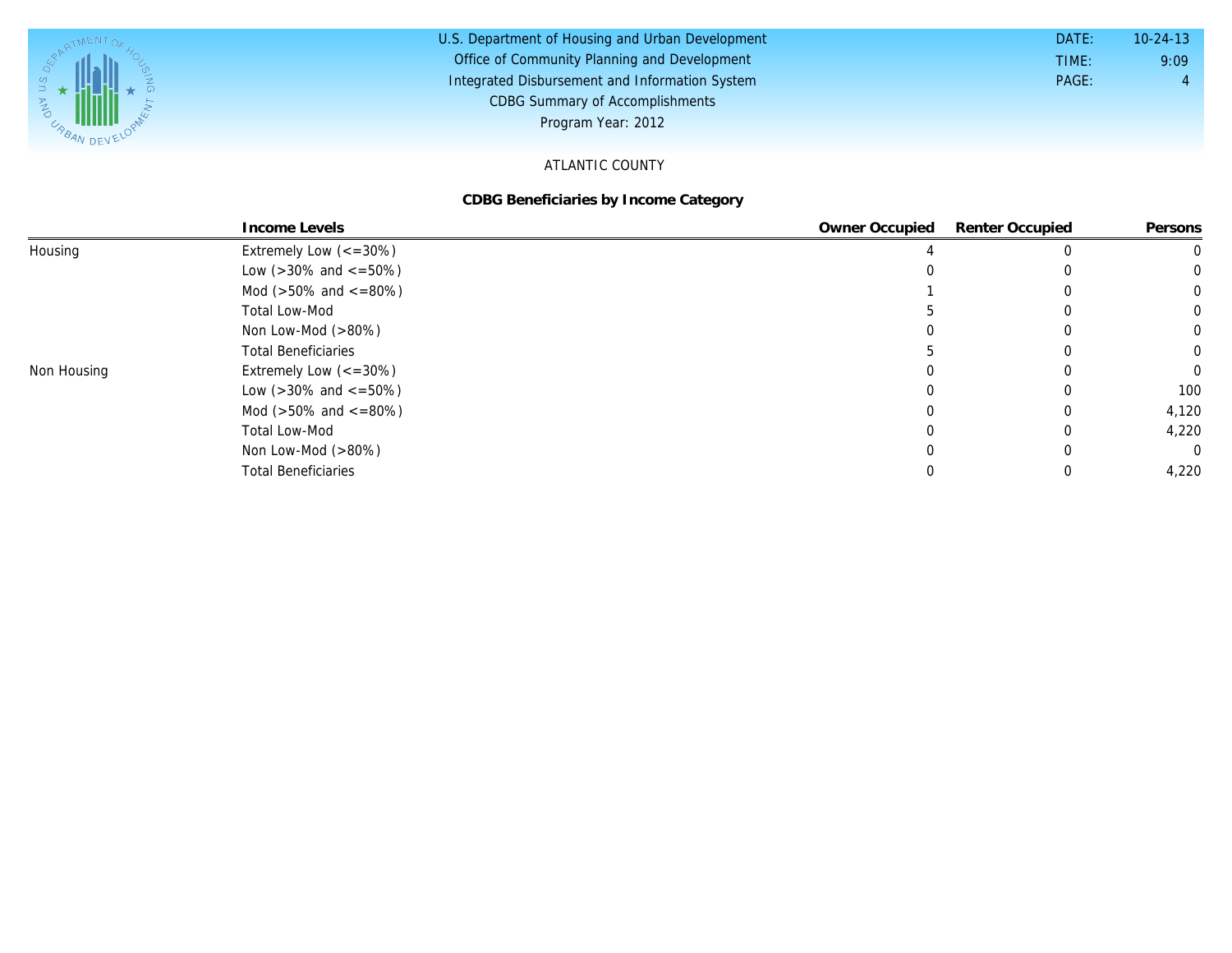

#### U.S. Department of Housing and Urban Development Office of Community Planning and Development Integrated Disbursement and Information System DATE: TIME: PAGE: 4 9:09 10-24-13 CDBG Summary of Accomplishments Program Year: 2012

## ATLANTIC COUNTY

#### **CDBG Beneficiaries by Income Category**

|             | Income Levels                        | Owner Occupied | Renter Occupied | Persons  |
|-------------|--------------------------------------|----------------|-----------------|----------|
| Housing     | Extremely Low $\left(<=30\%\right)$  |                |                 |          |
|             | Low ( $>30\%$ and $\lt$ =50%)        |                |                 |          |
|             | Mod ( $>50\%$ and $<=80\%)$          |                |                 | 0        |
|             | <b>Total Low-Mod</b>                 |                |                 | $\Omega$ |
|             | Non Low-Mod $(>80\%)$                |                |                 | $\Omega$ |
|             | <b>Total Beneficiaries</b>           |                |                 | $\Omega$ |
| Non Housing | Extremely Low $\left(<=30\% \right)$ |                |                 | $\Omega$ |
|             | Low ( $>30\%$ and $\lt$ =50%)        |                |                 | 100      |
|             | Mod ( $>50\%$ and $\lt$ =80%)        |                |                 | 4,120    |
|             | <b>Total Low-Mod</b>                 |                |                 | 4,220    |
|             | Non Low-Mod $(>80\%)$                |                |                 | $\Omega$ |
|             | <b>Total Beneficiaries</b>           |                |                 | 4,220    |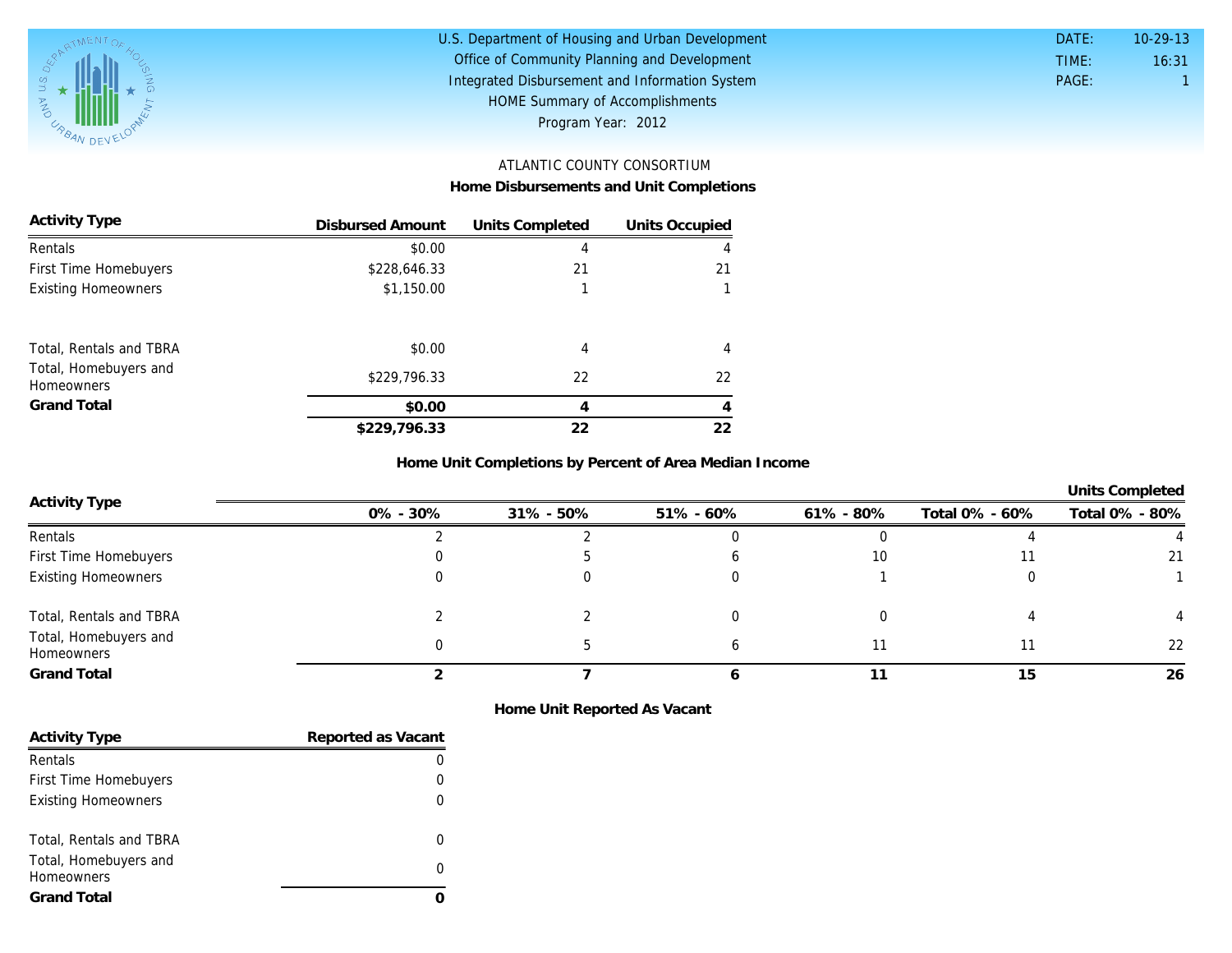

| U.S. Department of Housing and Urban Development | DATE: | $10 - 29 - 13$ |
|--------------------------------------------------|-------|----------------|
| Office of Community Planning and Development     | TIME: | 16:31          |
| Integrated Disbursement and Information System   | PAGE: |                |
| HOME Summary of Accomplishments                  |       |                |
| Program Year: 2012                               |       |                |

# ATLANTIC COUNTY CONSORTIUM

**Home Disbursements and Unit Completions**

| Activity Type                              | Disbursed Amount | Units Completed | Units Occupied |
|--------------------------------------------|------------------|-----------------|----------------|
| Rentals                                    | \$0.00           | 4               | 4              |
| First Time Homebuyers                      | \$228,646.33     | 21              | 21             |
| <b>Existing Homeowners</b>                 | \$1,150.00       |                 |                |
| Total, Rentals and TBRA                    | \$0.00           | 4               | 4              |
| Total, Homebuyers and<br><b>Homeowners</b> | \$229,796.33     | 22              | 22             |
| Grand Total                                | \$0.00           | 4               | 4              |
|                                            | \$229,796.33     | 22              | 22             |

**Home Unit Completions by Percent of Area Median Income**

**Units Completed** 

| Activity Type                       | 0% - 30% | 31% - 50% | $51\% - 60\%$ | 61% - 80% | Total 0% - 60% | Total 0% - 80% |
|-------------------------------------|----------|-----------|---------------|-----------|----------------|----------------|
| Rentals                             |          |           |               |           |                |                |
| First Time Homebuyers               |          |           |               | 10        |                | 21             |
| <b>Existing Homeowners</b>          |          |           |               |           |                |                |
| Total, Rentals and TBRA             |          |           |               |           |                |                |
| Total, Homebuyers and<br>Homeowners |          |           |               | 11        |                | 22             |
| <b>Grand Total</b>                  |          |           |               |           | 15             | 26             |

**Home Unit Reported As Vacant**

| <b>Activity Type</b>                       | Reported as Vacant |
|--------------------------------------------|--------------------|
| Rentals                                    |                    |
| First Time Homebuyers                      |                    |
| <b>Existing Homeowners</b>                 |                    |
|                                            |                    |
| Total, Rentals and TBRA                    |                    |
| Total, Homebuyers and<br><b>Homeowners</b> |                    |
| Grand Total                                |                    |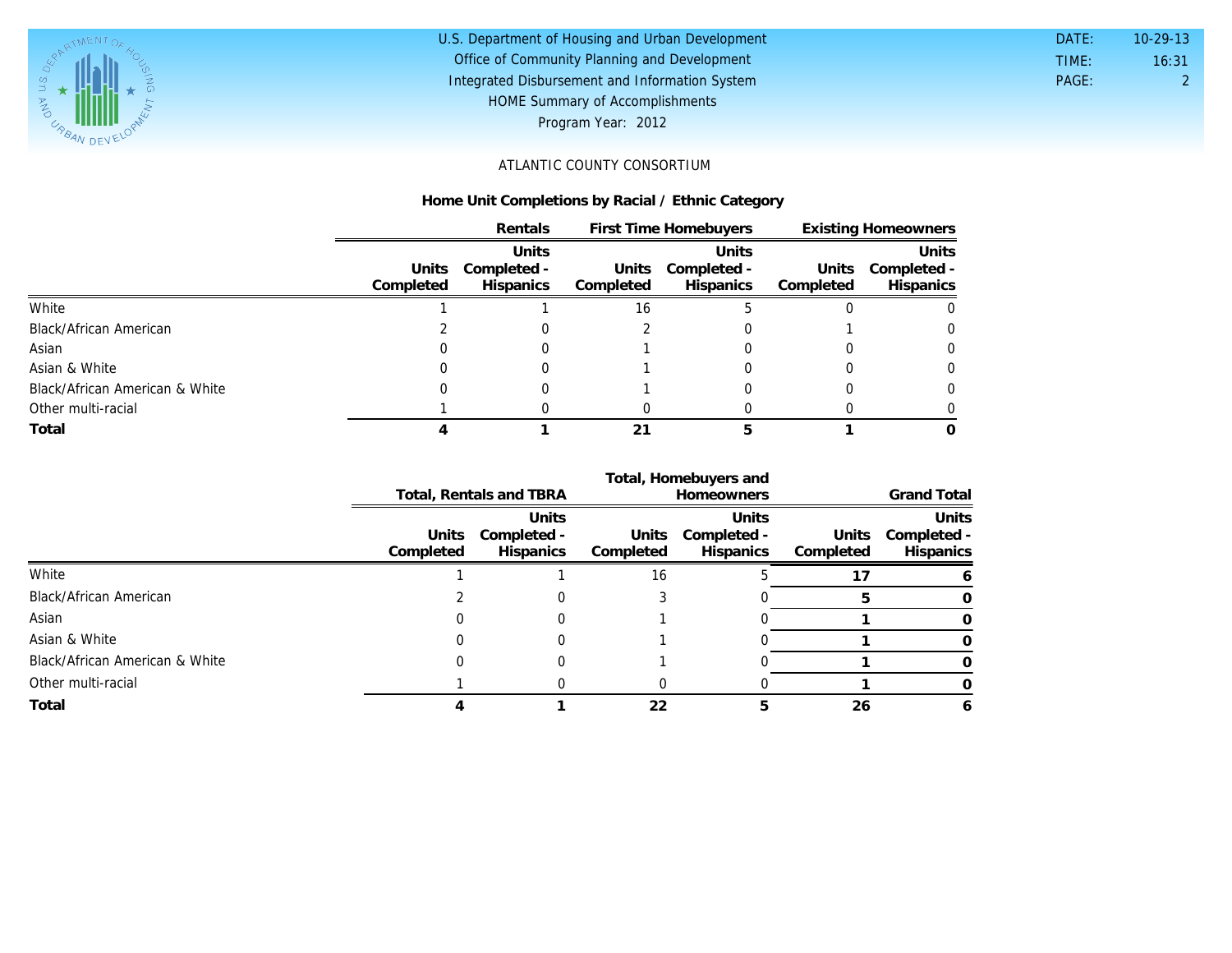

# U.S. Department of Housing and Urban Development Office of Community Planning and Development Integrated Disbursement and Information System HOME Summary of Accomplishments Program Year: 2012

| DATE: | $10-29-13$ |
|-------|------------|
| TIME: | 16:31      |
| PAGE: | 2          |
|       |            |

# ATLANTIC COUNTY CONSORTIUM

### **Home Unit Completions by Racial / Ethnic Category**

|                                |           | Rentals     | First Time Homebuyers |                  | <b>Existing Homeowners</b> |             |
|--------------------------------|-----------|-------------|-----------------------|------------------|----------------------------|-------------|
|                                |           | Units       |                       | Units            |                            | Units       |
|                                | Units     | Completed - | Units                 | Completed -      | Units                      | Completed - |
|                                | Completed | Hispanics   | Completed             | <b>Hispanics</b> | Completed                  | Hispanics   |
| White                          |           |             | 16                    |                  |                            | 0           |
| Black/African American         |           |             |                       |                  |                            | $\Omega$    |
| Asian                          |           |             |                       |                  |                            | $\Omega$    |
| Asian & White                  |           |             |                       |                  |                            | 0           |
| Black/African American & White |           |             |                       |                  |                            | 0           |
| Other multi-racial             |           |             |                       |                  |                            |             |
| Total                          |           |             |                       |                  |                            |             |

|                                |                    | Total, Homebuyers and           |           |                                |                    |                                       |
|--------------------------------|--------------------|---------------------------------|-----------|--------------------------------|--------------------|---------------------------------------|
|                                |                    | Total, Rentals and TBRA         |           | <b>Homeowners</b>              | <b>Grand Total</b> |                                       |
|                                |                    | Units                           |           | Units                          |                    | Units                                 |
|                                | Units<br>Completed | Completed -<br><b>Hispanics</b> | Completed | Units Completed -<br>Hispanics | Completed          | Units Completed -<br><b>Hispanics</b> |
| White                          |                    |                                 | 16        |                                |                    |                                       |
| Black/African American         |                    |                                 |           |                                |                    |                                       |
| Asian                          |                    |                                 |           |                                |                    |                                       |
| Asian & White                  |                    |                                 |           |                                |                    | 0                                     |
| Black/African American & White |                    |                                 |           |                                |                    |                                       |
| Other multi-racial             |                    |                                 |           |                                |                    |                                       |
| Total                          |                    |                                 | 22        | h.                             | 26                 | h                                     |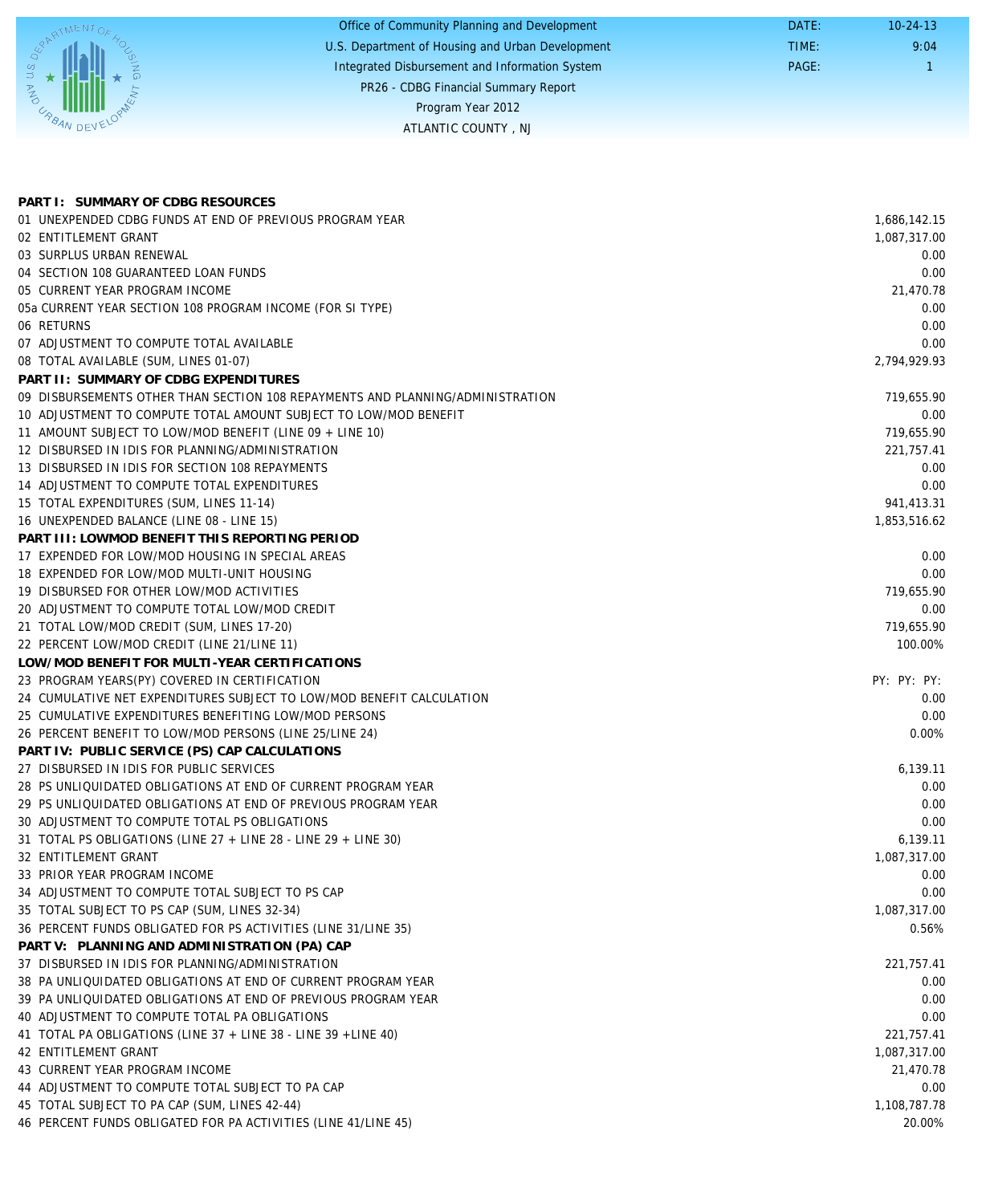|                          | Office of Community Planning and Development     | DATE: | $10-24-13$ |
|--------------------------|--------------------------------------------------|-------|------------|
|                          | U.S. Department of Housing and Urban Development | TIME: | 9:04       |
| $1S$ , $D_{\mathcal{E}}$ | Integrated Disbursement and Information System   | PAGE: |            |
| <b>AND</b>               | PR26 - CDBG Financial Summary Report             |       |            |
|                          | Program Year 2012                                |       |            |
| $V_{R}$ where            | ATLANTIC COUNTY, NJ                              |       |            |
|                          |                                                  |       |            |

| PART I: SUMMARY OF CDBG RESOURCES                                              |              |
|--------------------------------------------------------------------------------|--------------|
| 01 UNEXPENDED CDBG FUNDS AT END OF PREVIOUS PROGRAM YEAR                       | 1,686,142.15 |
| 02 ENTITLEMENT GRANT                                                           | 1,087,317.00 |
| 03 SURPLUS URBAN RENEWAL                                                       | 0.00         |
| 04 SECTION 108 GUARANTEED LOAN FUNDS                                           | 0.00         |
| 05 CURRENT YEAR PROGRAM INCOME                                                 | 21,470.78    |
| 05a CURRENT YEAR SECTION 108 PROGRAM INCOME (FOR SI TYPE)                      | 0.00         |
| 06 RETURNS                                                                     | 0.00         |
| 07 ADJUSTMENT TO COMPUTE TOTAL AVAILABLE                                       | 0.00         |
| 08 TOTAL AVAILABLE (SUM, LINES 01-07)                                          | 2,794,929.93 |
| PART II: SUMMARY OF CDBG EXPENDITURES                                          |              |
| 09 DISBURSEMENTS OTHER THAN SECTION 108 REPAYMENTS AND PLANNING/ADMINISTRATION | 719,655.90   |
| 10 ADJUSTMENT TO COMPUTE TOTAL AMOUNT SUBJECT TO LOW/MOD BENEFIT               | 0.00         |
| 11 AMOUNT SUBJECT TO LOW/MOD BENEFIT (LINE 09 + LINE 10)                       | 719,655.90   |
| 12 DISBURSED IN IDIS FOR PLANNING/ADMINISTRATION                               | 221,757.41   |
| 13 DISBURSED IN IDIS FOR SECTION 108 REPAYMENTS                                | 0.00         |
| 14 ADJUSTMENT TO COMPUTE TOTAL EXPENDITURES                                    | 0.00         |
| 15 TOTAL EXPENDITURES (SUM, LINES 11-14)                                       | 941,413.31   |
| 16 UNEXPENDED BALANCE (LINE 08 - LINE 15)                                      | 1,853,516.62 |
| PART III: LOWMOD BENEFIT THIS REPORTING PERIOD                                 |              |
| 17 EXPENDED FOR LOW/MOD HOUSING IN SPECIAL AREAS                               | 0.00         |
| 18 EXPENDED FOR LOW/MOD MULTI-UNIT HOUSING                                     | 0.00         |
| 19 DISBURSED FOR OTHER LOW/MOD ACTIVITIES                                      | 719,655.90   |
| 20 ADJUSTMENT TO COMPUTE TOTAL LOW/MOD CREDIT                                  | 0.00         |
| 21 TOTAL LOW/MOD CREDIT (SUM, LINES 17-20)                                     | 719,655.90   |
| 22 PERCENT LOW/MOD CREDIT (LINE 21/LINE 11)                                    | 100.00%      |
| LOW/MOD BENEFIT FOR MULTI-YEAR CERTIFICATIONS                                  |              |
| 23 PROGRAM YEARS(PY) COVERED IN CERTIFICATION                                  | PY: PY: PY:  |
| 24 CUMULATIVE NET EXPENDITURES SUBJECT TO LOW/MOD BENEFIT CALCULATION          | 0.00         |
| 25 CUMULATIVE EXPENDITURES BENEFITING LOW/MOD PERSONS                          | 0.00         |
| 26 PERCENT BENEFIT TO LOW/MOD PERSONS (LINE 25/LINE 24)                        | 0.00%        |
| PART IV: PUBLIC SERVICE (PS) CAP CALCULATIONS                                  |              |
| 27 DISBURSED IN IDIS FOR PUBLIC SERVICES                                       | 6,139.11     |
| 28 PS UNLIQUIDATED OBLIGATIONS AT END OF CURRENT PROGRAM YEAR                  | 0.00         |
| 29 PS UNLIQUIDATED OBLIGATIONS AT END OF PREVIOUS PROGRAM YEAR                 | 0.00         |
| 30 ADJUSTMENT TO COMPUTE TOTAL PS OBLIGATIONS                                  | 0.00         |
| 31 TOTAL PS OBLIGATIONS (LINE 27 + LINE 28 - LINE 29 + LINE 30)                | 6,139.11     |
| 32 ENTITLEMENT GRANT                                                           | 1,087,317.00 |
| 33 PRIOR YEAR PROGRAM INCOME                                                   | 0.00         |
| 34 ADJUSTMENT TO COMPUTE TOTAL SUBJECT TO PS CAP                               | 0.00         |
| 35 TOTAL SUBJECT TO PS CAP (SUM, LINES 32-34)                                  | 1,087,317.00 |
| 36 PERCENT FUNDS OBLIGATED FOR PS ACTIVITIES (LINE 31/LINE 35)                 | 0.56%        |
| PART V: PLANNING AND ADMINISTRATION (PA) CAP                                   |              |
| 37 DISBURSED IN IDIS FOR PLANNING/ADMINISTRATION                               | 221,757.41   |
| 38 PA UNLIQUIDATED OBLIGATIONS AT END OF CURRENT PROGRAM YEAR                  | 0.00         |
| 39 PA UNLIQUIDATED OBLIGATIONS AT END OF PREVIOUS PROGRAM YEAR                 | 0.00         |
| 40 ADJUSTMENT TO COMPUTE TOTAL PA OBLIGATIONS                                  | 0.00         |
| 41 TOTAL PA OBLIGATIONS (LINE 37 + LINE 38 - LINE 39 + LINE 40)                | 221,757.41   |
| 42 ENTITLEMENT GRANT                                                           | 1,087,317.00 |
| 43 CURRENT YEAR PROGRAM INCOME                                                 | 21,470.78    |
| 44 ADJUSTMENT TO COMPUTE TOTAL SUBJECT TO PA CAP                               | 0.00         |
| 45 TOTAL SUBJECT TO PA CAP (SUM, LINES 42-44)                                  | 1,108,787.78 |
| 46 PERCENT FUNDS OBLIGATED FOR PA ACTIVITIES (LINE 41/LINE 45)                 | 20.00%       |
|                                                                                |              |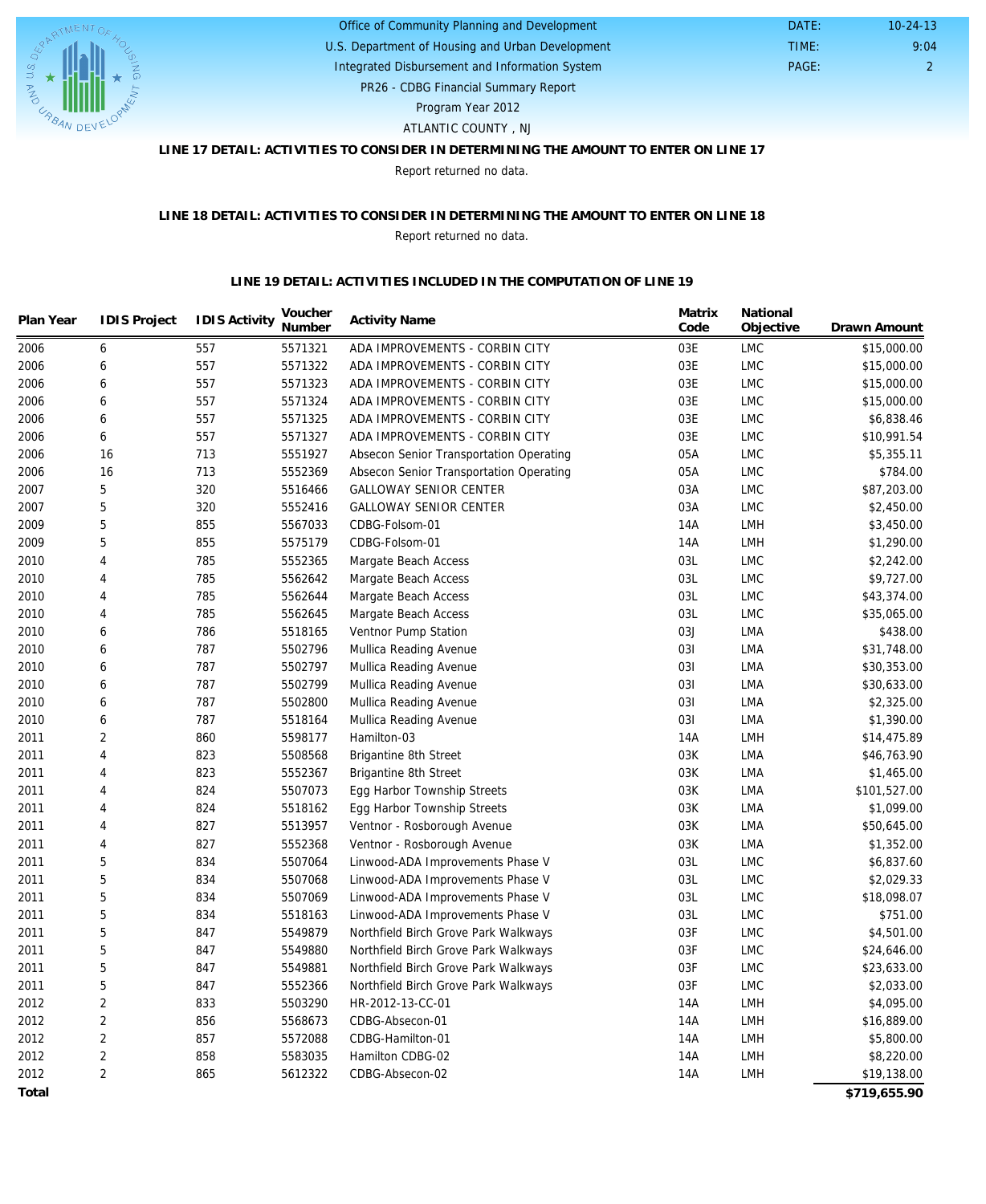

### U.S. Department of Housing and Urban Development Office of Community Planning and Development Integrated Disbursement and Information System

 DATE: TIME:

PR26 - CDBG Financial Summary Report

Program Year 2012

ATLANTIC COUNTY , NJ

# **LINE 17 DETAIL: ACTIVITIES TO CONSIDER IN DETERMINING THE AMOUNT TO ENTER ON LINE 17**

Report returned no data.

#### **LINE 18 DETAIL: ACTIVITIES TO CONSIDER IN DETERMINING THE AMOUNT TO ENTER ON LINE 18** Report returned no data.

#### **LINE 19 DETAIL: ACTIVITIES INCLUDED IN THE COMPUTATION OF LINE 19**

| 5571321<br>2006<br>557<br>ADA IMPROVEMENTS - CORBIN CITY<br>03E<br>6<br><b>LMC</b><br>\$15,000.00<br>557<br>03E<br>2006<br>6<br>5571322<br><b>LMC</b><br>\$15,000.00<br>ADA IMPROVEMENTS - CORBIN CITY<br>557<br>03E<br>2006<br>6<br>5571323<br>ADA IMPROVEMENTS - CORBIN CITY<br><b>LMC</b><br>\$15,000.00<br>557<br>03E<br>2006<br>6<br>5571324<br>ADA IMPROVEMENTS - CORBIN CITY<br><b>LMC</b><br>\$15,000.00<br>03E<br>2006<br>6<br>557<br>5571325<br>ADA IMPROVEMENTS - CORBIN CITY<br><b>LMC</b><br>\$6,838.46<br>557<br>03E<br>2006<br>6<br>5571327<br>ADA IMPROVEMENTS - CORBIN CITY<br><b>LMC</b><br>\$10,991.54<br>16<br>2006<br>713<br>5551927<br>05A<br><b>LMC</b><br>\$5,355.11<br>Absecon Senior Transportation Operating<br>2006<br>16<br>713<br>5552369<br>05A<br>LMC<br>\$784.00<br>Absecon Senior Transportation Operating<br>5<br>320<br>03A<br>2007<br>5516466<br><b>GALLOWAY SENIOR CENTER</b><br><b>LMC</b><br>\$87,203.00<br>5<br>2007<br>03A<br>320<br>5552416<br><b>GALLOWAY SENIOR CENTER</b><br><b>LMC</b><br>\$2,450.00<br>5<br>2009<br>855<br>5567033<br>CDBG-Folsom-01<br>14A<br>LMH<br>\$3,450.00<br>5<br>855<br>2009<br>5575179<br>CDBG-Folsom-01<br>14A<br>LMH<br>\$1,290.00<br>4<br>03L<br>2010<br>785<br>5552365<br>Margate Beach Access<br><b>LMC</b><br>\$2,242.00<br>$\overline{4}$<br>785<br>5562642<br>03L<br>\$9,727.00<br>2010<br>Margate Beach Access<br><b>LMC</b><br>03L<br>2010<br>$\overline{4}$<br>785<br>5562644<br><b>LMC</b><br>\$43,374.00<br>Margate Beach Access<br>03L<br>2010<br>4<br>785<br>5562645<br><b>LMC</b><br>\$35,065.00<br>Margate Beach Access<br>786<br>03J<br>2010<br>6<br>5518165<br>LMA<br>\$438.00<br>Ventnor Pump Station<br>787<br>031<br>2010<br>6<br>5502796<br><b>LMA</b><br>\$31,748.00<br>Mullica Reading Avenue<br>787<br>031<br>2010<br>6<br>5502797<br>Mullica Reading Avenue<br>LMA<br>\$30,353.00<br>787<br>6<br>5502799<br>031<br>2010<br>Mullica Reading Avenue<br>LMA<br>\$30,633.00<br>787<br>031<br>2010<br>6<br>5502800<br><b>LMA</b><br>\$2,325.00<br>Mullica Reading Avenue<br>787<br>031<br>2010<br>6<br>5518164<br>Mullica Reading Avenue<br>LMA<br>\$1,390.00<br>$\overline{2}$<br>860<br>5598177<br>14A<br>2011<br>Hamilton-03<br>LMH<br>\$14,475.89<br>823<br>03K<br>2011<br>4<br>5508568<br><b>LMA</b><br>\$46,763.90<br>Brigantine 8th Street<br>2011<br>4<br>823<br>5552367<br>03K<br>LMA<br>\$1,465.00<br>Brigantine 8th Street<br>824<br>5507073<br>03K<br>2011<br>4<br>Egg Harbor Township Streets<br>LMA<br>\$101,527.00<br>03K<br>2011<br>4<br>824<br>5518162<br>\$1,099.00<br>Egg Harbor Township Streets<br>LMA<br>2011<br>4<br>827<br>5513957<br>03K<br>\$50,645.00<br>Ventnor - Rosborough Avenue<br>LMA<br>827<br>5552368<br>03K<br>2011<br>4<br>Ventnor - Rosborough Avenue<br>LMA<br>\$1,352.00<br>834<br>03L<br>2011<br>5<br>5507064<br><b>LMC</b><br>\$6,837.60<br>Linwood-ADA Improvements Phase V<br>5<br>2011<br>834<br>5507068<br>03L<br><b>LMC</b><br>\$2,029.33<br>Linwood-ADA Improvements Phase V<br>5<br>834<br>5507069<br>03L<br>\$18,098.07<br>2011<br>Linwood-ADA Improvements Phase V<br><b>LMC</b><br>5<br>834<br>\$751.00<br>5518163<br>03L<br><b>LMC</b><br>2011<br>Linwood-ADA Improvements Phase V<br>5<br>03F<br>2011<br>847<br>5549879<br>Northfield Birch Grove Park Walkways<br><b>LMC</b><br>\$4,501.00<br>5<br>847<br>5549880<br>03F<br>2011<br>Northfield Birch Grove Park Walkways<br><b>LMC</b><br>\$24,646.00<br>5<br>847<br>03F<br>2011<br>5549881<br><b>LMC</b><br>\$23,633.00<br>Northfield Birch Grove Park Walkways<br>5<br>03F<br>2011<br>847<br>5552366<br><b>LMC</b><br>\$2,033.00<br>Northfield Birch Grove Park Walkways<br>$\overline{2}$<br>833<br>2012<br>5503290<br>HR-2012-13-CC-01<br>14A<br>LMH<br>\$4,095.00<br>$\overline{2}$<br>2012<br>856<br>14A<br>\$16,889.00<br>5568673<br>CDBG-Absecon-01<br>LMH<br>$\overline{2}$<br>2012<br>857<br>5572088<br>CDBG-Hamilton-01<br>14A<br>LMH<br>\$5,800.00<br>$\overline{2}$<br>2012<br>858<br>5583035<br>Hamilton CDBG-02<br>14A<br>LMH<br>\$8,220.00<br>$\overline{2}$<br>2012<br>865<br>5612322<br>14A<br>\$19,138.00<br>CDBG-Absecon-02<br>LMH<br>\$719.655.90<br>Total | Plan Year | <b>IDIS Project</b> | <b>IDIS Activity</b> | Voucher<br>Number | <b>Activity Name</b> | Matrix<br>Code | National<br>Objective | Drawn Amount |
|---------------------------------------------------------------------------------------------------------------------------------------------------------------------------------------------------------------------------------------------------------------------------------------------------------------------------------------------------------------------------------------------------------------------------------------------------------------------------------------------------------------------------------------------------------------------------------------------------------------------------------------------------------------------------------------------------------------------------------------------------------------------------------------------------------------------------------------------------------------------------------------------------------------------------------------------------------------------------------------------------------------------------------------------------------------------------------------------------------------------------------------------------------------------------------------------------------------------------------------------------------------------------------------------------------------------------------------------------------------------------------------------------------------------------------------------------------------------------------------------------------------------------------------------------------------------------------------------------------------------------------------------------------------------------------------------------------------------------------------------------------------------------------------------------------------------------------------------------------------------------------------------------------------------------------------------------------------------------------------------------------------------------------------------------------------------------------------------------------------------------------------------------------------------------------------------------------------------------------------------------------------------------------------------------------------------------------------------------------------------------------------------------------------------------------------------------------------------------------------------------------------------------------------------------------------------------------------------------------------------------------------------------------------------------------------------------------------------------------------------------------------------------------------------------------------------------------------------------------------------------------------------------------------------------------------------------------------------------------------------------------------------------------------------------------------------------------------------------------------------------------------------------------------------------------------------------------------------------------------------------------------------------------------------------------------------------------------------------------------------------------------------------------------------------------------------------------------------------------------------------------------------------------------------------------------------------------------------------------------------------------------------------------------------------------------------------------------------------------------------------------------------------------------------------------------------------------------------------------------------------------------------------------------------------------------------------------------------------------------------------------------------------------------------------------------------------------------------------------------------------------------------------------------------------------------|-----------|---------------------|----------------------|-------------------|----------------------|----------------|-----------------------|--------------|
|                                                                                                                                                                                                                                                                                                                                                                                                                                                                                                                                                                                                                                                                                                                                                                                                                                                                                                                                                                                                                                                                                                                                                                                                                                                                                                                                                                                                                                                                                                                                                                                                                                                                                                                                                                                                                                                                                                                                                                                                                                                                                                                                                                                                                                                                                                                                                                                                                                                                                                                                                                                                                                                                                                                                                                                                                                                                                                                                                                                                                                                                                                                                                                                                                                                                                                                                                                                                                                                                                                                                                                                                                                                                                                                                                                                                                                                                                                                                                                                                                                                                                                                                                                                       |           |                     |                      |                   |                      |                |                       |              |
|                                                                                                                                                                                                                                                                                                                                                                                                                                                                                                                                                                                                                                                                                                                                                                                                                                                                                                                                                                                                                                                                                                                                                                                                                                                                                                                                                                                                                                                                                                                                                                                                                                                                                                                                                                                                                                                                                                                                                                                                                                                                                                                                                                                                                                                                                                                                                                                                                                                                                                                                                                                                                                                                                                                                                                                                                                                                                                                                                                                                                                                                                                                                                                                                                                                                                                                                                                                                                                                                                                                                                                                                                                                                                                                                                                                                                                                                                                                                                                                                                                                                                                                                                                                       |           |                     |                      |                   |                      |                |                       |              |
|                                                                                                                                                                                                                                                                                                                                                                                                                                                                                                                                                                                                                                                                                                                                                                                                                                                                                                                                                                                                                                                                                                                                                                                                                                                                                                                                                                                                                                                                                                                                                                                                                                                                                                                                                                                                                                                                                                                                                                                                                                                                                                                                                                                                                                                                                                                                                                                                                                                                                                                                                                                                                                                                                                                                                                                                                                                                                                                                                                                                                                                                                                                                                                                                                                                                                                                                                                                                                                                                                                                                                                                                                                                                                                                                                                                                                                                                                                                                                                                                                                                                                                                                                                                       |           |                     |                      |                   |                      |                |                       |              |
|                                                                                                                                                                                                                                                                                                                                                                                                                                                                                                                                                                                                                                                                                                                                                                                                                                                                                                                                                                                                                                                                                                                                                                                                                                                                                                                                                                                                                                                                                                                                                                                                                                                                                                                                                                                                                                                                                                                                                                                                                                                                                                                                                                                                                                                                                                                                                                                                                                                                                                                                                                                                                                                                                                                                                                                                                                                                                                                                                                                                                                                                                                                                                                                                                                                                                                                                                                                                                                                                                                                                                                                                                                                                                                                                                                                                                                                                                                                                                                                                                                                                                                                                                                                       |           |                     |                      |                   |                      |                |                       |              |
|                                                                                                                                                                                                                                                                                                                                                                                                                                                                                                                                                                                                                                                                                                                                                                                                                                                                                                                                                                                                                                                                                                                                                                                                                                                                                                                                                                                                                                                                                                                                                                                                                                                                                                                                                                                                                                                                                                                                                                                                                                                                                                                                                                                                                                                                                                                                                                                                                                                                                                                                                                                                                                                                                                                                                                                                                                                                                                                                                                                                                                                                                                                                                                                                                                                                                                                                                                                                                                                                                                                                                                                                                                                                                                                                                                                                                                                                                                                                                                                                                                                                                                                                                                                       |           |                     |                      |                   |                      |                |                       |              |
|                                                                                                                                                                                                                                                                                                                                                                                                                                                                                                                                                                                                                                                                                                                                                                                                                                                                                                                                                                                                                                                                                                                                                                                                                                                                                                                                                                                                                                                                                                                                                                                                                                                                                                                                                                                                                                                                                                                                                                                                                                                                                                                                                                                                                                                                                                                                                                                                                                                                                                                                                                                                                                                                                                                                                                                                                                                                                                                                                                                                                                                                                                                                                                                                                                                                                                                                                                                                                                                                                                                                                                                                                                                                                                                                                                                                                                                                                                                                                                                                                                                                                                                                                                                       |           |                     |                      |                   |                      |                |                       |              |
|                                                                                                                                                                                                                                                                                                                                                                                                                                                                                                                                                                                                                                                                                                                                                                                                                                                                                                                                                                                                                                                                                                                                                                                                                                                                                                                                                                                                                                                                                                                                                                                                                                                                                                                                                                                                                                                                                                                                                                                                                                                                                                                                                                                                                                                                                                                                                                                                                                                                                                                                                                                                                                                                                                                                                                                                                                                                                                                                                                                                                                                                                                                                                                                                                                                                                                                                                                                                                                                                                                                                                                                                                                                                                                                                                                                                                                                                                                                                                                                                                                                                                                                                                                                       |           |                     |                      |                   |                      |                |                       |              |
|                                                                                                                                                                                                                                                                                                                                                                                                                                                                                                                                                                                                                                                                                                                                                                                                                                                                                                                                                                                                                                                                                                                                                                                                                                                                                                                                                                                                                                                                                                                                                                                                                                                                                                                                                                                                                                                                                                                                                                                                                                                                                                                                                                                                                                                                                                                                                                                                                                                                                                                                                                                                                                                                                                                                                                                                                                                                                                                                                                                                                                                                                                                                                                                                                                                                                                                                                                                                                                                                                                                                                                                                                                                                                                                                                                                                                                                                                                                                                                                                                                                                                                                                                                                       |           |                     |                      |                   |                      |                |                       |              |
|                                                                                                                                                                                                                                                                                                                                                                                                                                                                                                                                                                                                                                                                                                                                                                                                                                                                                                                                                                                                                                                                                                                                                                                                                                                                                                                                                                                                                                                                                                                                                                                                                                                                                                                                                                                                                                                                                                                                                                                                                                                                                                                                                                                                                                                                                                                                                                                                                                                                                                                                                                                                                                                                                                                                                                                                                                                                                                                                                                                                                                                                                                                                                                                                                                                                                                                                                                                                                                                                                                                                                                                                                                                                                                                                                                                                                                                                                                                                                                                                                                                                                                                                                                                       |           |                     |                      |                   |                      |                |                       |              |
|                                                                                                                                                                                                                                                                                                                                                                                                                                                                                                                                                                                                                                                                                                                                                                                                                                                                                                                                                                                                                                                                                                                                                                                                                                                                                                                                                                                                                                                                                                                                                                                                                                                                                                                                                                                                                                                                                                                                                                                                                                                                                                                                                                                                                                                                                                                                                                                                                                                                                                                                                                                                                                                                                                                                                                                                                                                                                                                                                                                                                                                                                                                                                                                                                                                                                                                                                                                                                                                                                                                                                                                                                                                                                                                                                                                                                                                                                                                                                                                                                                                                                                                                                                                       |           |                     |                      |                   |                      |                |                       |              |
|                                                                                                                                                                                                                                                                                                                                                                                                                                                                                                                                                                                                                                                                                                                                                                                                                                                                                                                                                                                                                                                                                                                                                                                                                                                                                                                                                                                                                                                                                                                                                                                                                                                                                                                                                                                                                                                                                                                                                                                                                                                                                                                                                                                                                                                                                                                                                                                                                                                                                                                                                                                                                                                                                                                                                                                                                                                                                                                                                                                                                                                                                                                                                                                                                                                                                                                                                                                                                                                                                                                                                                                                                                                                                                                                                                                                                                                                                                                                                                                                                                                                                                                                                                                       |           |                     |                      |                   |                      |                |                       |              |
|                                                                                                                                                                                                                                                                                                                                                                                                                                                                                                                                                                                                                                                                                                                                                                                                                                                                                                                                                                                                                                                                                                                                                                                                                                                                                                                                                                                                                                                                                                                                                                                                                                                                                                                                                                                                                                                                                                                                                                                                                                                                                                                                                                                                                                                                                                                                                                                                                                                                                                                                                                                                                                                                                                                                                                                                                                                                                                                                                                                                                                                                                                                                                                                                                                                                                                                                                                                                                                                                                                                                                                                                                                                                                                                                                                                                                                                                                                                                                                                                                                                                                                                                                                                       |           |                     |                      |                   |                      |                |                       |              |
|                                                                                                                                                                                                                                                                                                                                                                                                                                                                                                                                                                                                                                                                                                                                                                                                                                                                                                                                                                                                                                                                                                                                                                                                                                                                                                                                                                                                                                                                                                                                                                                                                                                                                                                                                                                                                                                                                                                                                                                                                                                                                                                                                                                                                                                                                                                                                                                                                                                                                                                                                                                                                                                                                                                                                                                                                                                                                                                                                                                                                                                                                                                                                                                                                                                                                                                                                                                                                                                                                                                                                                                                                                                                                                                                                                                                                                                                                                                                                                                                                                                                                                                                                                                       |           |                     |                      |                   |                      |                |                       |              |
|                                                                                                                                                                                                                                                                                                                                                                                                                                                                                                                                                                                                                                                                                                                                                                                                                                                                                                                                                                                                                                                                                                                                                                                                                                                                                                                                                                                                                                                                                                                                                                                                                                                                                                                                                                                                                                                                                                                                                                                                                                                                                                                                                                                                                                                                                                                                                                                                                                                                                                                                                                                                                                                                                                                                                                                                                                                                                                                                                                                                                                                                                                                                                                                                                                                                                                                                                                                                                                                                                                                                                                                                                                                                                                                                                                                                                                                                                                                                                                                                                                                                                                                                                                                       |           |                     |                      |                   |                      |                |                       |              |
|                                                                                                                                                                                                                                                                                                                                                                                                                                                                                                                                                                                                                                                                                                                                                                                                                                                                                                                                                                                                                                                                                                                                                                                                                                                                                                                                                                                                                                                                                                                                                                                                                                                                                                                                                                                                                                                                                                                                                                                                                                                                                                                                                                                                                                                                                                                                                                                                                                                                                                                                                                                                                                                                                                                                                                                                                                                                                                                                                                                                                                                                                                                                                                                                                                                                                                                                                                                                                                                                                                                                                                                                                                                                                                                                                                                                                                                                                                                                                                                                                                                                                                                                                                                       |           |                     |                      |                   |                      |                |                       |              |
|                                                                                                                                                                                                                                                                                                                                                                                                                                                                                                                                                                                                                                                                                                                                                                                                                                                                                                                                                                                                                                                                                                                                                                                                                                                                                                                                                                                                                                                                                                                                                                                                                                                                                                                                                                                                                                                                                                                                                                                                                                                                                                                                                                                                                                                                                                                                                                                                                                                                                                                                                                                                                                                                                                                                                                                                                                                                                                                                                                                                                                                                                                                                                                                                                                                                                                                                                                                                                                                                                                                                                                                                                                                                                                                                                                                                                                                                                                                                                                                                                                                                                                                                                                                       |           |                     |                      |                   |                      |                |                       |              |
|                                                                                                                                                                                                                                                                                                                                                                                                                                                                                                                                                                                                                                                                                                                                                                                                                                                                                                                                                                                                                                                                                                                                                                                                                                                                                                                                                                                                                                                                                                                                                                                                                                                                                                                                                                                                                                                                                                                                                                                                                                                                                                                                                                                                                                                                                                                                                                                                                                                                                                                                                                                                                                                                                                                                                                                                                                                                                                                                                                                                                                                                                                                                                                                                                                                                                                                                                                                                                                                                                                                                                                                                                                                                                                                                                                                                                                                                                                                                                                                                                                                                                                                                                                                       |           |                     |                      |                   |                      |                |                       |              |
|                                                                                                                                                                                                                                                                                                                                                                                                                                                                                                                                                                                                                                                                                                                                                                                                                                                                                                                                                                                                                                                                                                                                                                                                                                                                                                                                                                                                                                                                                                                                                                                                                                                                                                                                                                                                                                                                                                                                                                                                                                                                                                                                                                                                                                                                                                                                                                                                                                                                                                                                                                                                                                                                                                                                                                                                                                                                                                                                                                                                                                                                                                                                                                                                                                                                                                                                                                                                                                                                                                                                                                                                                                                                                                                                                                                                                                                                                                                                                                                                                                                                                                                                                                                       |           |                     |                      |                   |                      |                |                       |              |
|                                                                                                                                                                                                                                                                                                                                                                                                                                                                                                                                                                                                                                                                                                                                                                                                                                                                                                                                                                                                                                                                                                                                                                                                                                                                                                                                                                                                                                                                                                                                                                                                                                                                                                                                                                                                                                                                                                                                                                                                                                                                                                                                                                                                                                                                                                                                                                                                                                                                                                                                                                                                                                                                                                                                                                                                                                                                                                                                                                                                                                                                                                                                                                                                                                                                                                                                                                                                                                                                                                                                                                                                                                                                                                                                                                                                                                                                                                                                                                                                                                                                                                                                                                                       |           |                     |                      |                   |                      |                |                       |              |
|                                                                                                                                                                                                                                                                                                                                                                                                                                                                                                                                                                                                                                                                                                                                                                                                                                                                                                                                                                                                                                                                                                                                                                                                                                                                                                                                                                                                                                                                                                                                                                                                                                                                                                                                                                                                                                                                                                                                                                                                                                                                                                                                                                                                                                                                                                                                                                                                                                                                                                                                                                                                                                                                                                                                                                                                                                                                                                                                                                                                                                                                                                                                                                                                                                                                                                                                                                                                                                                                                                                                                                                                                                                                                                                                                                                                                                                                                                                                                                                                                                                                                                                                                                                       |           |                     |                      |                   |                      |                |                       |              |
|                                                                                                                                                                                                                                                                                                                                                                                                                                                                                                                                                                                                                                                                                                                                                                                                                                                                                                                                                                                                                                                                                                                                                                                                                                                                                                                                                                                                                                                                                                                                                                                                                                                                                                                                                                                                                                                                                                                                                                                                                                                                                                                                                                                                                                                                                                                                                                                                                                                                                                                                                                                                                                                                                                                                                                                                                                                                                                                                                                                                                                                                                                                                                                                                                                                                                                                                                                                                                                                                                                                                                                                                                                                                                                                                                                                                                                                                                                                                                                                                                                                                                                                                                                                       |           |                     |                      |                   |                      |                |                       |              |
|                                                                                                                                                                                                                                                                                                                                                                                                                                                                                                                                                                                                                                                                                                                                                                                                                                                                                                                                                                                                                                                                                                                                                                                                                                                                                                                                                                                                                                                                                                                                                                                                                                                                                                                                                                                                                                                                                                                                                                                                                                                                                                                                                                                                                                                                                                                                                                                                                                                                                                                                                                                                                                                                                                                                                                                                                                                                                                                                                                                                                                                                                                                                                                                                                                                                                                                                                                                                                                                                                                                                                                                                                                                                                                                                                                                                                                                                                                                                                                                                                                                                                                                                                                                       |           |                     |                      |                   |                      |                |                       |              |
|                                                                                                                                                                                                                                                                                                                                                                                                                                                                                                                                                                                                                                                                                                                                                                                                                                                                                                                                                                                                                                                                                                                                                                                                                                                                                                                                                                                                                                                                                                                                                                                                                                                                                                                                                                                                                                                                                                                                                                                                                                                                                                                                                                                                                                                                                                                                                                                                                                                                                                                                                                                                                                                                                                                                                                                                                                                                                                                                                                                                                                                                                                                                                                                                                                                                                                                                                                                                                                                                                                                                                                                                                                                                                                                                                                                                                                                                                                                                                                                                                                                                                                                                                                                       |           |                     |                      |                   |                      |                |                       |              |
|                                                                                                                                                                                                                                                                                                                                                                                                                                                                                                                                                                                                                                                                                                                                                                                                                                                                                                                                                                                                                                                                                                                                                                                                                                                                                                                                                                                                                                                                                                                                                                                                                                                                                                                                                                                                                                                                                                                                                                                                                                                                                                                                                                                                                                                                                                                                                                                                                                                                                                                                                                                                                                                                                                                                                                                                                                                                                                                                                                                                                                                                                                                                                                                                                                                                                                                                                                                                                                                                                                                                                                                                                                                                                                                                                                                                                                                                                                                                                                                                                                                                                                                                                                                       |           |                     |                      |                   |                      |                |                       |              |
|                                                                                                                                                                                                                                                                                                                                                                                                                                                                                                                                                                                                                                                                                                                                                                                                                                                                                                                                                                                                                                                                                                                                                                                                                                                                                                                                                                                                                                                                                                                                                                                                                                                                                                                                                                                                                                                                                                                                                                                                                                                                                                                                                                                                                                                                                                                                                                                                                                                                                                                                                                                                                                                                                                                                                                                                                                                                                                                                                                                                                                                                                                                                                                                                                                                                                                                                                                                                                                                                                                                                                                                                                                                                                                                                                                                                                                                                                                                                                                                                                                                                                                                                                                                       |           |                     |                      |                   |                      |                |                       |              |
|                                                                                                                                                                                                                                                                                                                                                                                                                                                                                                                                                                                                                                                                                                                                                                                                                                                                                                                                                                                                                                                                                                                                                                                                                                                                                                                                                                                                                                                                                                                                                                                                                                                                                                                                                                                                                                                                                                                                                                                                                                                                                                                                                                                                                                                                                                                                                                                                                                                                                                                                                                                                                                                                                                                                                                                                                                                                                                                                                                                                                                                                                                                                                                                                                                                                                                                                                                                                                                                                                                                                                                                                                                                                                                                                                                                                                                                                                                                                                                                                                                                                                                                                                                                       |           |                     |                      |                   |                      |                |                       |              |
|                                                                                                                                                                                                                                                                                                                                                                                                                                                                                                                                                                                                                                                                                                                                                                                                                                                                                                                                                                                                                                                                                                                                                                                                                                                                                                                                                                                                                                                                                                                                                                                                                                                                                                                                                                                                                                                                                                                                                                                                                                                                                                                                                                                                                                                                                                                                                                                                                                                                                                                                                                                                                                                                                                                                                                                                                                                                                                                                                                                                                                                                                                                                                                                                                                                                                                                                                                                                                                                                                                                                                                                                                                                                                                                                                                                                                                                                                                                                                                                                                                                                                                                                                                                       |           |                     |                      |                   |                      |                |                       |              |
|                                                                                                                                                                                                                                                                                                                                                                                                                                                                                                                                                                                                                                                                                                                                                                                                                                                                                                                                                                                                                                                                                                                                                                                                                                                                                                                                                                                                                                                                                                                                                                                                                                                                                                                                                                                                                                                                                                                                                                                                                                                                                                                                                                                                                                                                                                                                                                                                                                                                                                                                                                                                                                                                                                                                                                                                                                                                                                                                                                                                                                                                                                                                                                                                                                                                                                                                                                                                                                                                                                                                                                                                                                                                                                                                                                                                                                                                                                                                                                                                                                                                                                                                                                                       |           |                     |                      |                   |                      |                |                       |              |
|                                                                                                                                                                                                                                                                                                                                                                                                                                                                                                                                                                                                                                                                                                                                                                                                                                                                                                                                                                                                                                                                                                                                                                                                                                                                                                                                                                                                                                                                                                                                                                                                                                                                                                                                                                                                                                                                                                                                                                                                                                                                                                                                                                                                                                                                                                                                                                                                                                                                                                                                                                                                                                                                                                                                                                                                                                                                                                                                                                                                                                                                                                                                                                                                                                                                                                                                                                                                                                                                                                                                                                                                                                                                                                                                                                                                                                                                                                                                                                                                                                                                                                                                                                                       |           |                     |                      |                   |                      |                |                       |              |
|                                                                                                                                                                                                                                                                                                                                                                                                                                                                                                                                                                                                                                                                                                                                                                                                                                                                                                                                                                                                                                                                                                                                                                                                                                                                                                                                                                                                                                                                                                                                                                                                                                                                                                                                                                                                                                                                                                                                                                                                                                                                                                                                                                                                                                                                                                                                                                                                                                                                                                                                                                                                                                                                                                                                                                                                                                                                                                                                                                                                                                                                                                                                                                                                                                                                                                                                                                                                                                                                                                                                                                                                                                                                                                                                                                                                                                                                                                                                                                                                                                                                                                                                                                                       |           |                     |                      |                   |                      |                |                       |              |
|                                                                                                                                                                                                                                                                                                                                                                                                                                                                                                                                                                                                                                                                                                                                                                                                                                                                                                                                                                                                                                                                                                                                                                                                                                                                                                                                                                                                                                                                                                                                                                                                                                                                                                                                                                                                                                                                                                                                                                                                                                                                                                                                                                                                                                                                                                                                                                                                                                                                                                                                                                                                                                                                                                                                                                                                                                                                                                                                                                                                                                                                                                                                                                                                                                                                                                                                                                                                                                                                                                                                                                                                                                                                                                                                                                                                                                                                                                                                                                                                                                                                                                                                                                                       |           |                     |                      |                   |                      |                |                       |              |
|                                                                                                                                                                                                                                                                                                                                                                                                                                                                                                                                                                                                                                                                                                                                                                                                                                                                                                                                                                                                                                                                                                                                                                                                                                                                                                                                                                                                                                                                                                                                                                                                                                                                                                                                                                                                                                                                                                                                                                                                                                                                                                                                                                                                                                                                                                                                                                                                                                                                                                                                                                                                                                                                                                                                                                                                                                                                                                                                                                                                                                                                                                                                                                                                                                                                                                                                                                                                                                                                                                                                                                                                                                                                                                                                                                                                                                                                                                                                                                                                                                                                                                                                                                                       |           |                     |                      |                   |                      |                |                       |              |
|                                                                                                                                                                                                                                                                                                                                                                                                                                                                                                                                                                                                                                                                                                                                                                                                                                                                                                                                                                                                                                                                                                                                                                                                                                                                                                                                                                                                                                                                                                                                                                                                                                                                                                                                                                                                                                                                                                                                                                                                                                                                                                                                                                                                                                                                                                                                                                                                                                                                                                                                                                                                                                                                                                                                                                                                                                                                                                                                                                                                                                                                                                                                                                                                                                                                                                                                                                                                                                                                                                                                                                                                                                                                                                                                                                                                                                                                                                                                                                                                                                                                                                                                                                                       |           |                     |                      |                   |                      |                |                       |              |
|                                                                                                                                                                                                                                                                                                                                                                                                                                                                                                                                                                                                                                                                                                                                                                                                                                                                                                                                                                                                                                                                                                                                                                                                                                                                                                                                                                                                                                                                                                                                                                                                                                                                                                                                                                                                                                                                                                                                                                                                                                                                                                                                                                                                                                                                                                                                                                                                                                                                                                                                                                                                                                                                                                                                                                                                                                                                                                                                                                                                                                                                                                                                                                                                                                                                                                                                                                                                                                                                                                                                                                                                                                                                                                                                                                                                                                                                                                                                                                                                                                                                                                                                                                                       |           |                     |                      |                   |                      |                |                       |              |
|                                                                                                                                                                                                                                                                                                                                                                                                                                                                                                                                                                                                                                                                                                                                                                                                                                                                                                                                                                                                                                                                                                                                                                                                                                                                                                                                                                                                                                                                                                                                                                                                                                                                                                                                                                                                                                                                                                                                                                                                                                                                                                                                                                                                                                                                                                                                                                                                                                                                                                                                                                                                                                                                                                                                                                                                                                                                                                                                                                                                                                                                                                                                                                                                                                                                                                                                                                                                                                                                                                                                                                                                                                                                                                                                                                                                                                                                                                                                                                                                                                                                                                                                                                                       |           |                     |                      |                   |                      |                |                       |              |
|                                                                                                                                                                                                                                                                                                                                                                                                                                                                                                                                                                                                                                                                                                                                                                                                                                                                                                                                                                                                                                                                                                                                                                                                                                                                                                                                                                                                                                                                                                                                                                                                                                                                                                                                                                                                                                                                                                                                                                                                                                                                                                                                                                                                                                                                                                                                                                                                                                                                                                                                                                                                                                                                                                                                                                                                                                                                                                                                                                                                                                                                                                                                                                                                                                                                                                                                                                                                                                                                                                                                                                                                                                                                                                                                                                                                                                                                                                                                                                                                                                                                                                                                                                                       |           |                     |                      |                   |                      |                |                       |              |
|                                                                                                                                                                                                                                                                                                                                                                                                                                                                                                                                                                                                                                                                                                                                                                                                                                                                                                                                                                                                                                                                                                                                                                                                                                                                                                                                                                                                                                                                                                                                                                                                                                                                                                                                                                                                                                                                                                                                                                                                                                                                                                                                                                                                                                                                                                                                                                                                                                                                                                                                                                                                                                                                                                                                                                                                                                                                                                                                                                                                                                                                                                                                                                                                                                                                                                                                                                                                                                                                                                                                                                                                                                                                                                                                                                                                                                                                                                                                                                                                                                                                                                                                                                                       |           |                     |                      |                   |                      |                |                       |              |
|                                                                                                                                                                                                                                                                                                                                                                                                                                                                                                                                                                                                                                                                                                                                                                                                                                                                                                                                                                                                                                                                                                                                                                                                                                                                                                                                                                                                                                                                                                                                                                                                                                                                                                                                                                                                                                                                                                                                                                                                                                                                                                                                                                                                                                                                                                                                                                                                                                                                                                                                                                                                                                                                                                                                                                                                                                                                                                                                                                                                                                                                                                                                                                                                                                                                                                                                                                                                                                                                                                                                                                                                                                                                                                                                                                                                                                                                                                                                                                                                                                                                                                                                                                                       |           |                     |                      |                   |                      |                |                       |              |
|                                                                                                                                                                                                                                                                                                                                                                                                                                                                                                                                                                                                                                                                                                                                                                                                                                                                                                                                                                                                                                                                                                                                                                                                                                                                                                                                                                                                                                                                                                                                                                                                                                                                                                                                                                                                                                                                                                                                                                                                                                                                                                                                                                                                                                                                                                                                                                                                                                                                                                                                                                                                                                                                                                                                                                                                                                                                                                                                                                                                                                                                                                                                                                                                                                                                                                                                                                                                                                                                                                                                                                                                                                                                                                                                                                                                                                                                                                                                                                                                                                                                                                                                                                                       |           |                     |                      |                   |                      |                |                       |              |
|                                                                                                                                                                                                                                                                                                                                                                                                                                                                                                                                                                                                                                                                                                                                                                                                                                                                                                                                                                                                                                                                                                                                                                                                                                                                                                                                                                                                                                                                                                                                                                                                                                                                                                                                                                                                                                                                                                                                                                                                                                                                                                                                                                                                                                                                                                                                                                                                                                                                                                                                                                                                                                                                                                                                                                                                                                                                                                                                                                                                                                                                                                                                                                                                                                                                                                                                                                                                                                                                                                                                                                                                                                                                                                                                                                                                                                                                                                                                                                                                                                                                                                                                                                                       |           |                     |                      |                   |                      |                |                       |              |
|                                                                                                                                                                                                                                                                                                                                                                                                                                                                                                                                                                                                                                                                                                                                                                                                                                                                                                                                                                                                                                                                                                                                                                                                                                                                                                                                                                                                                                                                                                                                                                                                                                                                                                                                                                                                                                                                                                                                                                                                                                                                                                                                                                                                                                                                                                                                                                                                                                                                                                                                                                                                                                                                                                                                                                                                                                                                                                                                                                                                                                                                                                                                                                                                                                                                                                                                                                                                                                                                                                                                                                                                                                                                                                                                                                                                                                                                                                                                                                                                                                                                                                                                                                                       |           |                     |                      |                   |                      |                |                       |              |
|                                                                                                                                                                                                                                                                                                                                                                                                                                                                                                                                                                                                                                                                                                                                                                                                                                                                                                                                                                                                                                                                                                                                                                                                                                                                                                                                                                                                                                                                                                                                                                                                                                                                                                                                                                                                                                                                                                                                                                                                                                                                                                                                                                                                                                                                                                                                                                                                                                                                                                                                                                                                                                                                                                                                                                                                                                                                                                                                                                                                                                                                                                                                                                                                                                                                                                                                                                                                                                                                                                                                                                                                                                                                                                                                                                                                                                                                                                                                                                                                                                                                                                                                                                                       |           |                     |                      |                   |                      |                |                       |              |
|                                                                                                                                                                                                                                                                                                                                                                                                                                                                                                                                                                                                                                                                                                                                                                                                                                                                                                                                                                                                                                                                                                                                                                                                                                                                                                                                                                                                                                                                                                                                                                                                                                                                                                                                                                                                                                                                                                                                                                                                                                                                                                                                                                                                                                                                                                                                                                                                                                                                                                                                                                                                                                                                                                                                                                                                                                                                                                                                                                                                                                                                                                                                                                                                                                                                                                                                                                                                                                                                                                                                                                                                                                                                                                                                                                                                                                                                                                                                                                                                                                                                                                                                                                                       |           |                     |                      |                   |                      |                |                       |              |

**\$719,655.90**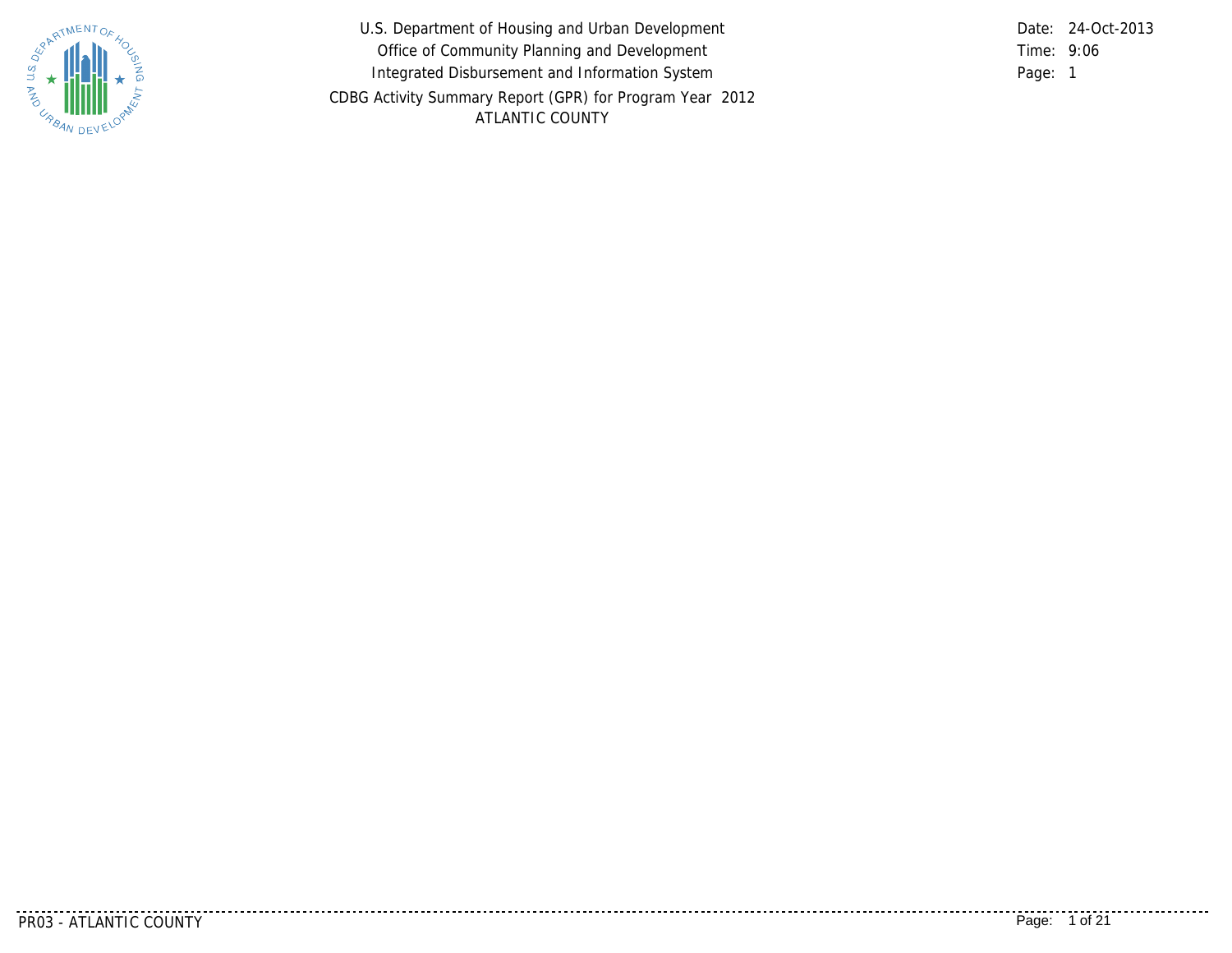

U.S. Department of Housing and Urban Development Office of Community Planning and Development Integrated Disbursement and Information System CDBG Activity Summary Report (GPR) for Program Year 2012 ATLANTIC COUNTY

9:06 Time: Page: 1 Date: 24-Oct-2013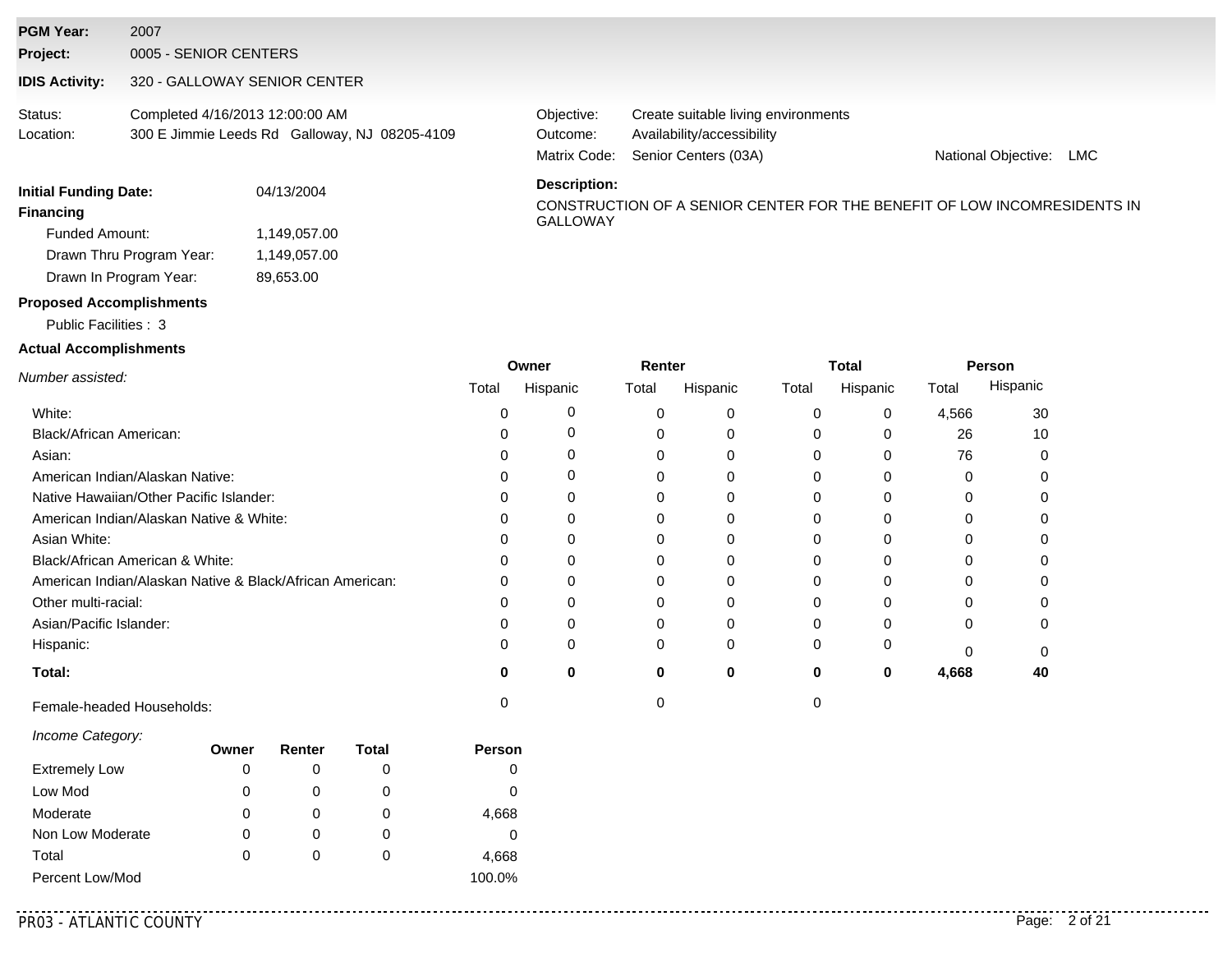| <b>Initial Funding Date:</b> |                                 | 04/13/2004                                    | <b>Description:</b>                    |                                                                                           |                     |     |
|------------------------------|---------------------------------|-----------------------------------------------|----------------------------------------|-------------------------------------------------------------------------------------------|---------------------|-----|
| Status:<br>Location:         | Completed 4/16/2013 12:00:00 AM | 300 E Jimmie Leeds Rd Galloway, NJ 08205-4109 | Objective:<br>Outcome:<br>Matrix Code: | Create suitable living environments<br>Availability/accessibility<br>Senior Centers (03A) | National Objective: | LMC |
| <b>IDIS Activity:</b>        | 320 - GALLOWAY SENIOR CENTER    |                                               |                                        |                                                                                           |                     |     |
| Project:                     | 0005 - SENIOR CENTERS           |                                               |                                        |                                                                                           |                     |     |
| <b>PGM Year:</b>             | 2007                            |                                               |                                        |                                                                                           |                     |     |

| Funded Amount:           | 1,149,057.00 |
|--------------------------|--------------|
| Drawn Thru Program Year: | 1,149,057.00 |
| Drawn In Program Year:   | 89,653.00    |

# CONSTRUCTION OF A SENIOR CENTER FOR THE BENEFIT OF LOW INCOMRESIDENTS IN **Financing**<br>GALLOWAY

#### **Proposed Accomplishments**

#### Public Facilities : 3

#### **Actual Accomplishments**

|                                                          |       | Owner    | Renter   |          |       | Total    | Person |          |
|----------------------------------------------------------|-------|----------|----------|----------|-------|----------|--------|----------|
| Number assisted:                                         | Total | Hispanic | Total    | Hispanic | Total | Hispanic | Total  | Hispanic |
| White:                                                   |       |          | 0        | 0        |       | 0        | 4,566  | 30       |
| Black/African American:                                  |       |          | 0        |          |       |          | 26     | 10       |
| Asian:                                                   |       |          | 0        |          |       |          | 76     |          |
| American Indian/Alaskan Native:                          |       |          |          |          |       |          | 0      |          |
| Native Hawaiian/Other Pacific Islander:                  |       |          |          |          |       |          |        |          |
| American Indian/Alaskan Native & White:                  |       |          | 0        |          |       |          | 0      |          |
| Asian White:                                             |       |          | ი        |          |       |          | n      |          |
| Black/African American & White:                          |       |          | 0        |          |       |          |        |          |
| American Indian/Alaskan Native & Black/African American: |       |          |          |          |       |          | n      |          |
| Other multi-racial:                                      |       |          | 0        |          |       |          |        |          |
| Asian/Pacific Islander:                                  |       |          | 0        |          |       |          | 0      |          |
| Hispanic:                                                |       |          | $\Omega$ | $\Omega$ |       |          |        |          |
| Total:                                                   | O     | 0        | 0        | 0        | 0     | 0        | 4,668  | 40       |
| Female-headed Households:                                |       |          |          |          |       |          |        |          |

#### *Income Category:*

|                      | Owner | Renter | Total | <b>Person</b> |
|----------------------|-------|--------|-------|---------------|
| <b>Extremely Low</b> | 0     |        | O     | 0             |
| Low Mod              | 0     |        | O     | 0             |
| Moderate             | 0     |        | 0     | 4,668         |
| Non Low Moderate     | 0     |        | O     | 0             |
| Total                | 0     |        | O     | 4,668         |
| Percent Low/Mod      |       |        |       | 100.0%        |

. . . . . . . . . . . . .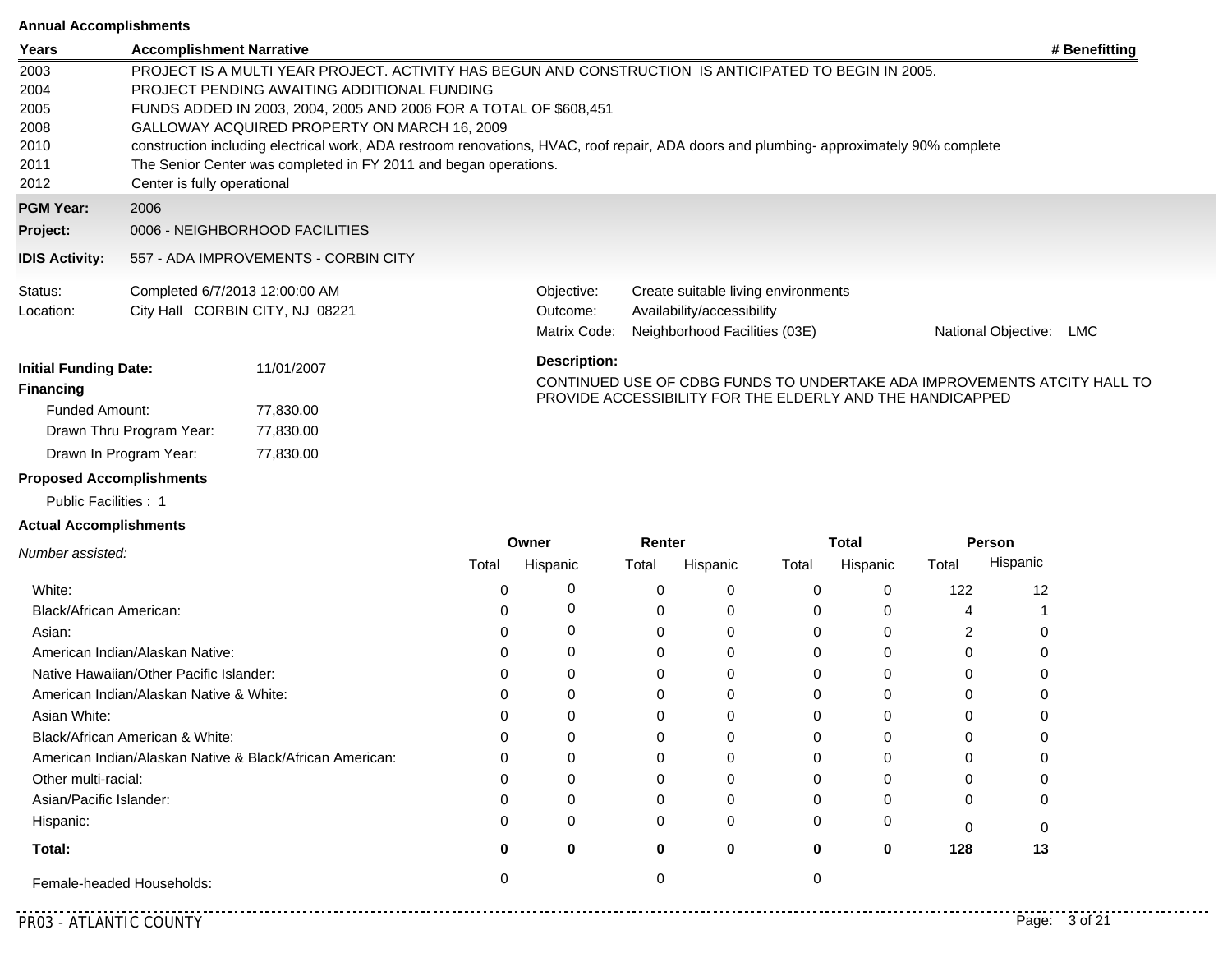#### **Annual Accomplishments**

| Allilual Accomplishments     |                                 |                                                                   |                     |                                                                                                                                        |                                                                          |
|------------------------------|---------------------------------|-------------------------------------------------------------------|---------------------|----------------------------------------------------------------------------------------------------------------------------------------|--------------------------------------------------------------------------|
| Years                        | <b>Accomplishment Narrative</b> |                                                                   |                     |                                                                                                                                        | # Benefitting                                                            |
| 2003                         |                                 |                                                                   |                     | PROJECT IS A MULTI YEAR PROJECT. ACTIVITY HAS BEGUN AND CONSTRUCTION IS ANTICIPATED TO BEGIN IN 2005.                                  |                                                                          |
| 2004                         |                                 | PROJECT PENDING AWAITING ADDITIONAL FUNDING                       |                     |                                                                                                                                        |                                                                          |
| 2005                         |                                 | FUNDS ADDED IN 2003, 2004, 2005 AND 2006 FOR A TOTAL OF \$608,451 |                     |                                                                                                                                        |                                                                          |
| 2008                         |                                 | GALLOWAY ACQUIRED PROPERTY ON MARCH 16, 2009                      |                     |                                                                                                                                        |                                                                          |
| 2010                         |                                 |                                                                   |                     | construction including electrical work, ADA restroom renovations, HVAC, roof repair, ADA doors and plumbing-approximately 90% complete |                                                                          |
| 2011                         |                                 | The Senior Center was completed in FY 2011 and began operations.  |                     |                                                                                                                                        |                                                                          |
| 2012                         | Center is fully operational     |                                                                   |                     |                                                                                                                                        |                                                                          |
| <b>PGM Year:</b>             | 2006                            |                                                                   |                     |                                                                                                                                        |                                                                          |
| Project:                     |                                 | 0006 - NEIGHBORHOOD FACILITIES                                    |                     |                                                                                                                                        |                                                                          |
| <b>IDIS Activity:</b>        |                                 | 557 - ADA IMPROVEMENTS - CORBIN CITY                              |                     |                                                                                                                                        |                                                                          |
| Status:                      |                                 | Completed 6/7/2013 12:00:00 AM                                    | Objective:          | Create suitable living environments                                                                                                    |                                                                          |
| Location:                    |                                 | City Hall CORBIN CITY, NJ 08221                                   | Outcome:            | Availability/accessibility                                                                                                             |                                                                          |
|                              |                                 |                                                                   | Matrix Code:        | Neighborhood Facilities (03E)                                                                                                          | National Objective:<br>LMC                                               |
| <b>Initial Funding Date:</b> |                                 | 11/01/2007                                                        | <b>Description:</b> |                                                                                                                                        |                                                                          |
| <b>Financing</b>             |                                 |                                                                   |                     | PROVIDE ACCESSIBILITY FOR THE ELDERLY AND THE HANDICAPPED                                                                              | CONTINUED USE OF CDBG FUNDS TO UNDERTAKE ADA IMPROVEMENTS ATCITY HALL TO |
| <b>Funded Amount:</b>        |                                 | 77,830.00                                                         |                     |                                                                                                                                        |                                                                          |
|                              | Drawn Thru Program Year:        | 77,830.00                                                         |                     |                                                                                                                                        |                                                                          |
|                              | Drawn In Program Year:          | 77,830.00                                                         |                     |                                                                                                                                        |                                                                          |

### **Proposed Accomplishments**

Public Facilities : 1

#### **Actual Accomplishments**

|                                                          |       | Owner    |       | Renter   |       | Total    | Person |          |  |
|----------------------------------------------------------|-------|----------|-------|----------|-------|----------|--------|----------|--|
| Number assisted:                                         | Total | Hispanic | Total | Hispanic | Total | Hispanic | Total  | Hispanic |  |
| White:                                                   |       | 0        |       | 0        |       | 0        | 122    | 12       |  |
| Black/African American:                                  |       | 0        |       |          |       |          |        |          |  |
| Asian:                                                   |       | 0        |       | 0        |       |          |        |          |  |
| American Indian/Alaskan Native:                          |       | 0        |       |          |       |          | U      |          |  |
| Native Hawaiian/Other Pacific Islander:                  |       | $\Omega$ |       |          |       |          | ი      |          |  |
| American Indian/Alaskan Native & White:                  |       | 0        |       |          |       |          | 0      |          |  |
| Asian White:                                             |       | 0        |       |          |       |          |        |          |  |
| Black/African American & White:                          |       | 0        |       |          |       |          |        |          |  |
| American Indian/Alaskan Native & Black/African American: | n     | $\Omega$ |       |          |       |          | U      |          |  |
| Other multi-racial:                                      |       | 0        |       |          |       |          | ŋ      |          |  |
| Asian/Pacific Islander:                                  |       | U        |       |          |       |          | 0      |          |  |
| Hispanic:                                                |       | 0        |       | 0        | 0     | 0        | 0      |          |  |
| Total:                                                   |       | 0        | o     | 0        | 0     | 0        | 128    | 13       |  |
| Female-headed Households:                                |       |          |       |          |       |          |        |          |  |

............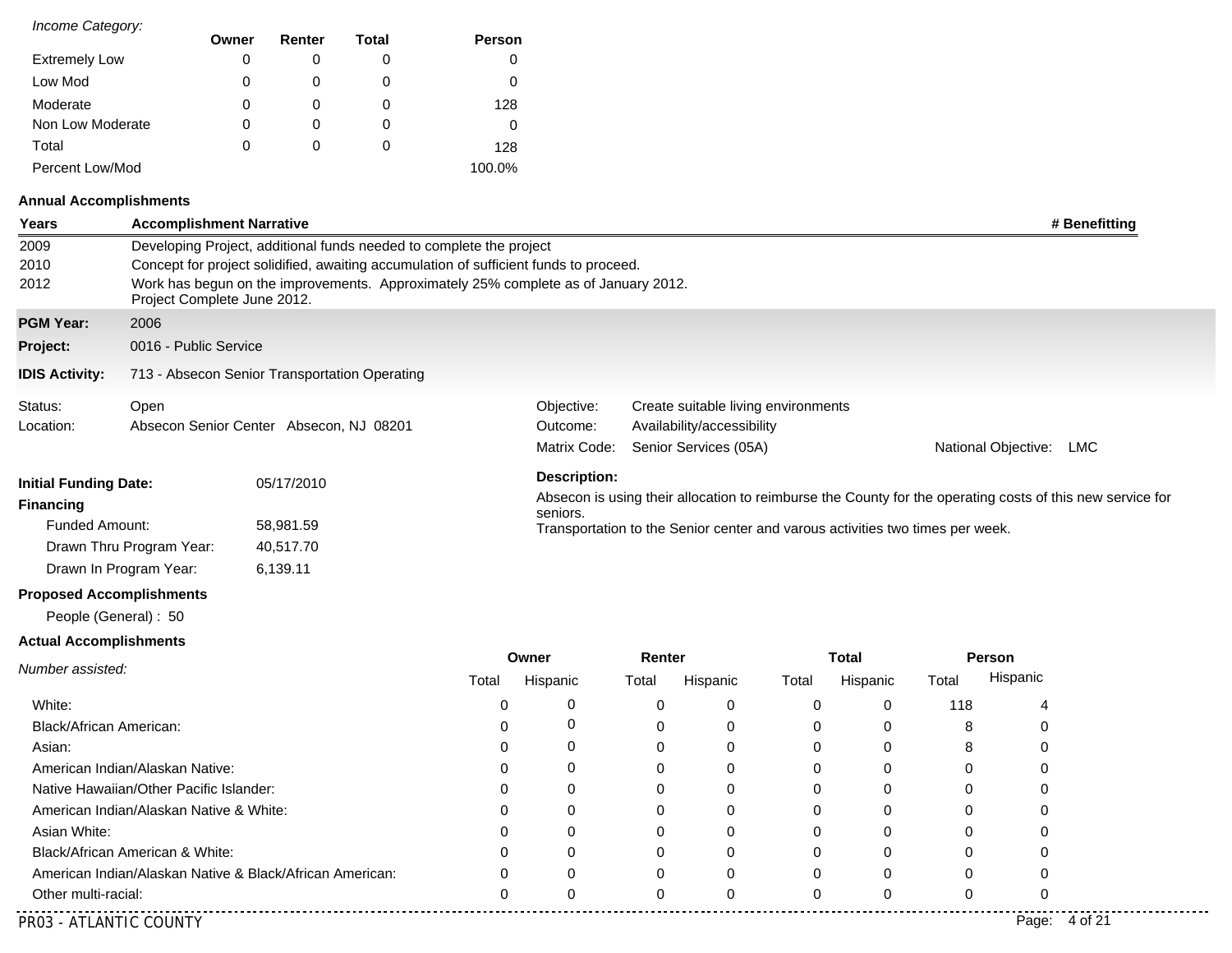| Income Category:     |       |          |       |        |
|----------------------|-------|----------|-------|--------|
|                      | Owner | Renter   | Total | Person |
| <b>Extremely Low</b> | 0     | O        | 0     |        |
| Low Mod              | 0     | 0        | 0     | 0      |
| Moderate             | 0     | $\Omega$ | 0     | 128    |
| Non Low Moderate     | 0     | 0        | 0     |        |
| Total                | 0     | 0        | 0     | 128    |
| Percent Low/Mod      |       |          |       | 100.0% |

### **Annual Accomplishments**

| <b>Years</b>                  | <b>Accomplishment Narrative</b> |                                                                                       |       |                     |        |                                                                               |             |              |       |                     | # Benefitting                                                                                             |
|-------------------------------|---------------------------------|---------------------------------------------------------------------------------------|-------|---------------------|--------|-------------------------------------------------------------------------------|-------------|--------------|-------|---------------------|-----------------------------------------------------------------------------------------------------------|
| 2009                          |                                 | Developing Project, additional funds needed to complete the project                   |       |                     |        |                                                                               |             |              |       |                     |                                                                                                           |
| 2010                          |                                 | Concept for project solidified, awaiting accumulation of sufficient funds to proceed. |       |                     |        |                                                                               |             |              |       |                     |                                                                                                           |
| 2012                          | Project Complete June 2012.     | Work has begun on the improvements. Approximately 25% complete as of January 2012.    |       |                     |        |                                                                               |             |              |       |                     |                                                                                                           |
| <b>PGM Year:</b>              | 2006                            |                                                                                       |       |                     |        |                                                                               |             |              |       |                     |                                                                                                           |
| Project:                      | 0016 - Public Service           |                                                                                       |       |                     |        |                                                                               |             |              |       |                     |                                                                                                           |
| <b>IDIS Activity:</b>         |                                 | 713 - Absecon Senior Transportation Operating                                         |       |                     |        |                                                                               |             |              |       |                     |                                                                                                           |
| Status:                       | Open                            |                                                                                       |       | Objective:          |        | Create suitable living environments                                           |             |              |       |                     |                                                                                                           |
| Location:                     |                                 | Absecon Senior Center Absecon, NJ 08201                                               |       | Outcome:            |        | Availability/accessibility                                                    |             |              |       |                     |                                                                                                           |
|                               |                                 |                                                                                       |       | Matrix Code:        |        | Senior Services (05A)                                                         |             |              |       | National Objective: | LMC                                                                                                       |
| <b>Initial Funding Date:</b>  |                                 | 05/17/2010                                                                            |       | <b>Description:</b> |        |                                                                               |             |              |       |                     |                                                                                                           |
| <b>Financing</b>              |                                 |                                                                                       |       |                     |        |                                                                               |             |              |       |                     | Absecon is using their allocation to reimburse the County for the operating costs of this new service for |
| Funded Amount:                |                                 | 58,981.59                                                                             |       | seniors.            |        | Transportation to the Senior center and varous activities two times per week. |             |              |       |                     |                                                                                                           |
|                               | Drawn Thru Program Year:        | 40,517.70                                                                             |       |                     |        |                                                                               |             |              |       |                     |                                                                                                           |
|                               | Drawn In Program Year:          | 6,139.11                                                                              |       |                     |        |                                                                               |             |              |       |                     |                                                                                                           |
|                               | <b>Proposed Accomplishments</b> |                                                                                       |       |                     |        |                                                                               |             |              |       |                     |                                                                                                           |
|                               | People (General): 50            |                                                                                       |       |                     |        |                                                                               |             |              |       |                     |                                                                                                           |
| <b>Actual Accomplishments</b> |                                 |                                                                                       |       |                     |        |                                                                               |             |              |       |                     |                                                                                                           |
| Number assisted:              |                                 |                                                                                       |       | Owner               | Renter |                                                                               |             | <b>Total</b> |       | <b>Person</b>       |                                                                                                           |
|                               |                                 |                                                                                       | Total | Hispanic            | Total  | Hispanic                                                                      | Total       | Hispanic     | Total | Hispanic            |                                                                                                           |
| White:                        |                                 |                                                                                       | 0     | 0                   | 0      | 0                                                                             | $\mathbf 0$ | $\mathbf 0$  | 118   | 4                   |                                                                                                           |

| White:                                                   |  |          | O | 118 |                  |  |
|----------------------------------------------------------|--|----------|---|-----|------------------|--|
| Black/African American:                                  |  |          | υ |     |                  |  |
| Asian:                                                   |  | 0        | 0 |     |                  |  |
| American Indian/Alaskan Native:                          |  |          | 0 |     |                  |  |
| Native Hawaiian/Other Pacific Islander:                  |  | $\Omega$ | 0 |     |                  |  |
| American Indian/Alaskan Native & White:                  |  | O        |   |     |                  |  |
| Asian White:                                             |  |          | U |     |                  |  |
| Black/African American & White:                          |  |          |   |     |                  |  |
| American Indian/Alaskan Native & Black/African American: |  | O        |   |     |                  |  |
| Other multi-racial:                                      |  |          | 0 |     |                  |  |
| PR03 - ATLANTIC COUNTY                                   |  |          |   |     | 4 of 21<br>Page: |  |

. . . . . . . . . . . . .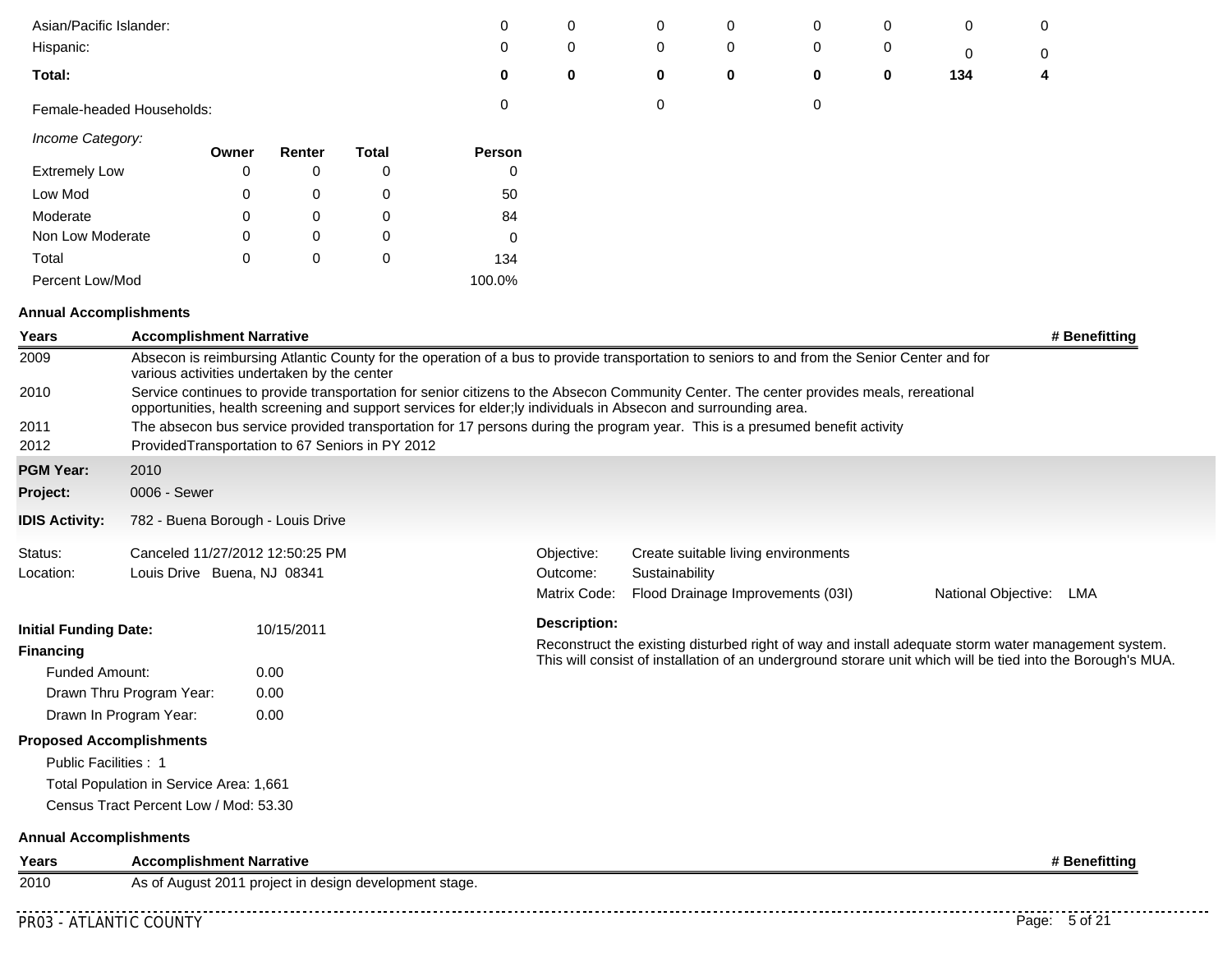| Asian/Pacific Islander:                          |                                             |             |            |                                                        | 0                                                                                                                                                                                                                                                          | 0                        | 0              | 0 | 0                                   | 0           | 0   | 0                                                                                                           |  |
|--------------------------------------------------|---------------------------------------------|-------------|------------|--------------------------------------------------------|------------------------------------------------------------------------------------------------------------------------------------------------------------------------------------------------------------------------------------------------------------|--------------------------|----------------|---|-------------------------------------|-------------|-----|-------------------------------------------------------------------------------------------------------------|--|
| Hispanic:                                        |                                             |             |            |                                                        | 0                                                                                                                                                                                                                                                          | 0                        | 0              | 0 | 0                                   | 0           | 0   | 0                                                                                                           |  |
| Total:                                           |                                             |             |            |                                                        | 0                                                                                                                                                                                                                                                          | 0                        | 0              | 0 | 0                                   | $\mathbf 0$ | 134 | 4                                                                                                           |  |
| Female-headed Households:                        |                                             |             |            |                                                        | 0                                                                                                                                                                                                                                                          |                          | 0              |   | 0                                   |             |     |                                                                                                             |  |
| Income Category:                                 |                                             | Owner       | Renter     | <b>Total</b>                                           | Person                                                                                                                                                                                                                                                     |                          |                |   |                                     |             |     |                                                                                                             |  |
| <b>Extremely Low</b>                             |                                             | 0           | 0          | 0                                                      | 0                                                                                                                                                                                                                                                          |                          |                |   |                                     |             |     |                                                                                                             |  |
| Low Mod                                          |                                             | 0           | 0          | 0                                                      | 50                                                                                                                                                                                                                                                         |                          |                |   |                                     |             |     |                                                                                                             |  |
| Moderate                                         |                                             | 0           | 0          | 0                                                      | 84                                                                                                                                                                                                                                                         |                          |                |   |                                     |             |     |                                                                                                             |  |
| Non Low Moderate                                 |                                             | $\mathbf 0$ | 0          | 0                                                      | 0                                                                                                                                                                                                                                                          |                          |                |   |                                     |             |     |                                                                                                             |  |
| Total                                            |                                             | 0           | 0          | 0                                                      | 134                                                                                                                                                                                                                                                        |                          |                |   |                                     |             |     |                                                                                                             |  |
| Percent Low/Mod                                  |                                             |             |            |                                                        | 100.0%                                                                                                                                                                                                                                                     |                          |                |   |                                     |             |     |                                                                                                             |  |
| <b>Annual Accomplishments</b>                    |                                             |             |            |                                                        |                                                                                                                                                                                                                                                            |                          |                |   |                                     |             |     |                                                                                                             |  |
| Years                                            | <b>Accomplishment Narrative</b>             |             |            |                                                        |                                                                                                                                                                                                                                                            |                          |                |   |                                     |             |     | # Benefitting                                                                                               |  |
| 2009                                             | various activities undertaken by the center |             |            |                                                        | Absecon is reimbursing Atlantic County for the operation of a bus to provide transportation to seniors to and from the Senior Center and for                                                                                                               |                          |                |   |                                     |             |     |                                                                                                             |  |
| 2010                                             |                                             |             |            |                                                        | Service continues to provide transportation for senior citizens to the Absecon Community Center. The center provides meals, rereational<br>opportunities, health screening and support services for elder; ly individuals in Absecon and surrounding area. |                          |                |   |                                     |             |     |                                                                                                             |  |
| 2011<br>2012                                     |                                             |             |            | ProvidedTransportation to 67 Seniors in PY 2012        | The absecon bus service provided transportation for 17 persons during the program year. This is a presumed benefit activity                                                                                                                                |                          |                |   |                                     |             |     |                                                                                                             |  |
| <b>PGM Year:</b>                                 | 2010                                        |             |            |                                                        |                                                                                                                                                                                                                                                            |                          |                |   |                                     |             |     |                                                                                                             |  |
| Project:                                         | 0006 - Sewer                                |             |            |                                                        |                                                                                                                                                                                                                                                            |                          |                |   |                                     |             |     |                                                                                                             |  |
| <b>IDIS Activity:</b>                            | 782 - Buena Borough - Louis Drive           |             |            |                                                        |                                                                                                                                                                                                                                                            |                          |                |   |                                     |             |     |                                                                                                             |  |
| Status:                                          | Canceled 11/27/2012 12:50:25 PM             |             |            |                                                        |                                                                                                                                                                                                                                                            | Objective:               |                |   | Create suitable living environments |             |     |                                                                                                             |  |
| Location:                                        | Louis Drive Buena, NJ 08341                 |             |            |                                                        |                                                                                                                                                                                                                                                            | Outcome:<br>Matrix Code: | Sustainability |   | Flood Drainage Improvements (03I)   |             |     | National Objective: LMA                                                                                     |  |
|                                                  |                                             |             |            |                                                        |                                                                                                                                                                                                                                                            |                          |                |   |                                     |             |     |                                                                                                             |  |
| <b>Initial Funding Date:</b><br><b>Financing</b> |                                             |             | 10/15/2011 |                                                        |                                                                                                                                                                                                                                                            | <b>Description:</b>      |                |   |                                     |             |     | Reconstruct the existing disturbed right of way and install adequate storm water management system.         |  |
| Funded Amount:                                   |                                             |             | 0.00       |                                                        |                                                                                                                                                                                                                                                            |                          |                |   |                                     |             |     | This will consist of installation of an underground storare unit which will be tied into the Borough's MUA. |  |
|                                                  | Drawn Thru Program Year:                    |             | 0.00       |                                                        |                                                                                                                                                                                                                                                            |                          |                |   |                                     |             |     |                                                                                                             |  |
|                                                  | Drawn In Program Year:                      |             | 0.00       |                                                        |                                                                                                                                                                                                                                                            |                          |                |   |                                     |             |     |                                                                                                             |  |
| <b>Proposed Accomplishments</b>                  |                                             |             |            |                                                        |                                                                                                                                                                                                                                                            |                          |                |   |                                     |             |     |                                                                                                             |  |
| Public Facilities: 1                             |                                             |             |            |                                                        |                                                                                                                                                                                                                                                            |                          |                |   |                                     |             |     |                                                                                                             |  |
|                                                  | Total Population in Service Area: 1,661     |             |            |                                                        |                                                                                                                                                                                                                                                            |                          |                |   |                                     |             |     |                                                                                                             |  |
|                                                  | Census Tract Percent Low / Mod: 53.30       |             |            |                                                        |                                                                                                                                                                                                                                                            |                          |                |   |                                     |             |     |                                                                                                             |  |
| <b>Annual Accomplishments</b>                    |                                             |             |            |                                                        |                                                                                                                                                                                                                                                            |                          |                |   |                                     |             |     |                                                                                                             |  |
| Years                                            | <b>Accomplishment Narrative</b>             |             |            |                                                        |                                                                                                                                                                                                                                                            |                          |                |   |                                     |             |     | # Benefitting                                                                                               |  |
| 2010                                             |                                             |             |            | As of August 2011 project in design development stage. |                                                                                                                                                                                                                                                            |                          |                |   |                                     |             |     |                                                                                                             |  |
|                                                  |                                             |             |            |                                                        |                                                                                                                                                                                                                                                            |                          |                |   |                                     |             |     |                                                                                                             |  |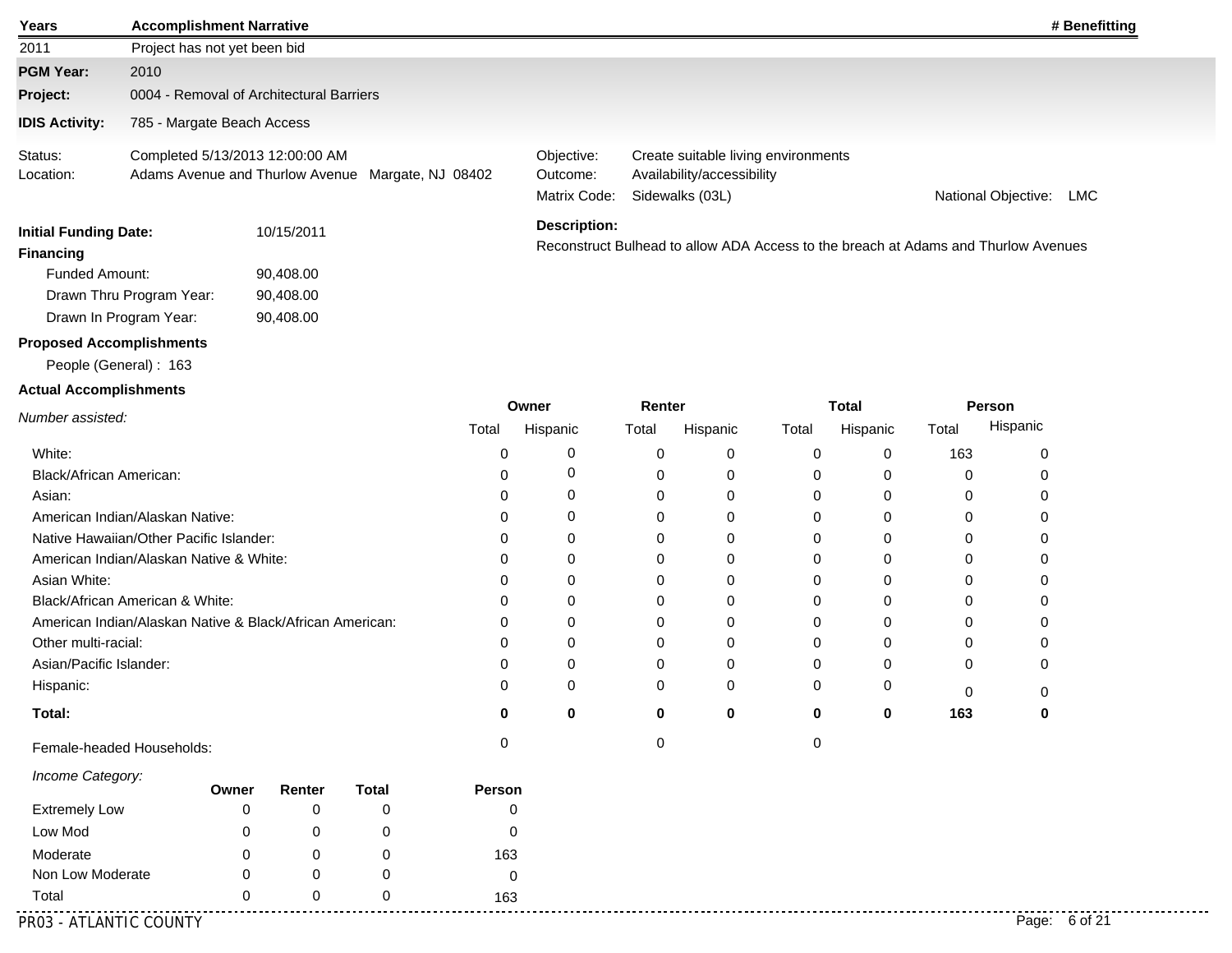| Years                                                    | <b>Accomplishment Narrative</b>                                                      |       |                                     |              |             |                                        |                            |          |       |                          |       | # Benefitting                                                                      |
|----------------------------------------------------------|--------------------------------------------------------------------------------------|-------|-------------------------------------|--------------|-------------|----------------------------------------|----------------------------|----------|-------|--------------------------|-------|------------------------------------------------------------------------------------|
| 2011                                                     | Project has not yet been bid                                                         |       |                                     |              |             |                                        |                            |          |       |                          |       |                                                                                    |
| <b>PGM Year:</b>                                         | 2010                                                                                 |       |                                     |              |             |                                        |                            |          |       |                          |       |                                                                                    |
| Project:                                                 | 0004 - Removal of Architectural Barriers                                             |       |                                     |              |             |                                        |                            |          |       |                          |       |                                                                                    |
| <b>IDIS Activity:</b>                                    | 785 - Margate Beach Access                                                           |       |                                     |              |             |                                        |                            |          |       |                          |       |                                                                                    |
| Status:<br>Location:                                     | Completed 5/13/2013 12:00:00 AM<br>Adams Avenue and Thurlow Avenue Margate, NJ 08402 |       |                                     |              |             | Objective:<br>Outcome:<br>Matrix Code: | National Objective:<br>LMC |          |       |                          |       |                                                                                    |
| <b>Initial Funding Date:</b><br><b>Financing</b>         |                                                                                      |       | 10/15/2011                          |              |             | <b>Description:</b>                    |                            |          |       |                          |       | Reconstruct Bulhead to allow ADA Access to the breach at Adams and Thurlow Avenues |
| <b>Funded Amount:</b><br>Drawn In Program Year:          | Drawn Thru Program Year:                                                             |       | 90,408.00<br>90,408.00<br>90,408.00 |              |             |                                        |                            |          |       |                          |       |                                                                                    |
| <b>Proposed Accomplishments</b>                          |                                                                                      |       |                                     |              |             |                                        |                            |          |       |                          |       |                                                                                    |
| People (General): 163                                    |                                                                                      |       |                                     |              |             |                                        |                            |          |       |                          |       |                                                                                    |
| <b>Actual Accomplishments</b>                            |                                                                                      |       |                                     |              |             |                                        |                            |          |       |                          |       |                                                                                    |
| Number assisted:                                         |                                                                                      |       |                                     |              | Total       | Owner<br>Hispanic                      | Renter<br>Total            | Hispanic | Total | <b>Total</b><br>Hispanic | Total | Person<br>Hispanic                                                                 |
| White:                                                   |                                                                                      |       |                                     |              | 0           | 0                                      | 0                          | 0        | 0     | 0                        | 163   | 0                                                                                  |
| Black/African American:                                  |                                                                                      |       |                                     |              | 0           | 0                                      | 0                          | 0        | 0     | 0                        | 0     | 0                                                                                  |
| Asian:                                                   |                                                                                      |       |                                     |              | 0           | 0                                      | 0                          | 0        | 0     | 0                        | 0     | 0                                                                                  |
| American Indian/Alaskan Native:                          |                                                                                      |       |                                     |              | 0           | 0                                      | 0                          | 0        | 0     | 0                        | 0     | 0                                                                                  |
| Native Hawaiian/Other Pacific Islander:                  |                                                                                      |       |                                     |              | 0           | 0                                      | 0                          | 0        | 0     | 0                        | 0     | 0                                                                                  |
| American Indian/Alaskan Native & White:                  |                                                                                      |       |                                     |              | 0           | 0                                      | 0                          | 0        | 0     | $\Omega$                 | 0     | 0                                                                                  |
| Asian White:                                             |                                                                                      |       |                                     |              | 0           | 0                                      | 0                          | 0        | 0     | 0                        | 0     | 0                                                                                  |
| Black/African American & White:                          |                                                                                      |       |                                     |              | 0           | 0                                      | 0                          | 0        | 0     | 0                        | 0     | 0                                                                                  |
| American Indian/Alaskan Native & Black/African American: |                                                                                      |       |                                     |              | 0           | 0                                      | 0                          | 0        | 0     | 0                        | 0     | 0                                                                                  |
| Other multi-racial:                                      |                                                                                      |       |                                     |              | 0           | 0                                      | 0                          | 0        | 0     | $\Omega$                 | 0     | 0                                                                                  |
| Asian/Pacific Islander:                                  |                                                                                      |       |                                     |              | 0           | 0                                      | 0                          | 0        | 0     | 0                        | 0     | 0                                                                                  |
| Hispanic:                                                |                                                                                      |       |                                     |              | 0           | 0                                      | $\mathbf 0$                | 0        | 0     | 0                        | 0     | 0                                                                                  |
| Total:                                                   |                                                                                      |       |                                     |              | U           | U                                      | ŋ                          | U        | U     | 0                        | 163   | n                                                                                  |
| Female-headed Households:                                |                                                                                      |       |                                     |              | 0           |                                        | 0                          |          | 0     |                          |       |                                                                                    |
| Income Category:                                         |                                                                                      | Owner | Renter                              | <b>Total</b> | Person      |                                        |                            |          |       |                          |       |                                                                                    |
| <b>Extremely Low</b>                                     |                                                                                      | 0     | 0                                   | 0            | 0           |                                        |                            |          |       |                          |       |                                                                                    |
| Low Mod                                                  |                                                                                      | 0     | 0                                   | 0            | 0           |                                        |                            |          |       |                          |       |                                                                                    |
| Moderate                                                 |                                                                                      | 0     | 0                                   | 0            | 163         |                                        |                            |          |       |                          |       |                                                                                    |
| Non Low Moderate                                         |                                                                                      | 0     | 0                                   | 0            | $\mathbf 0$ |                                        |                            |          |       |                          |       |                                                                                    |

Total

<u>............</u>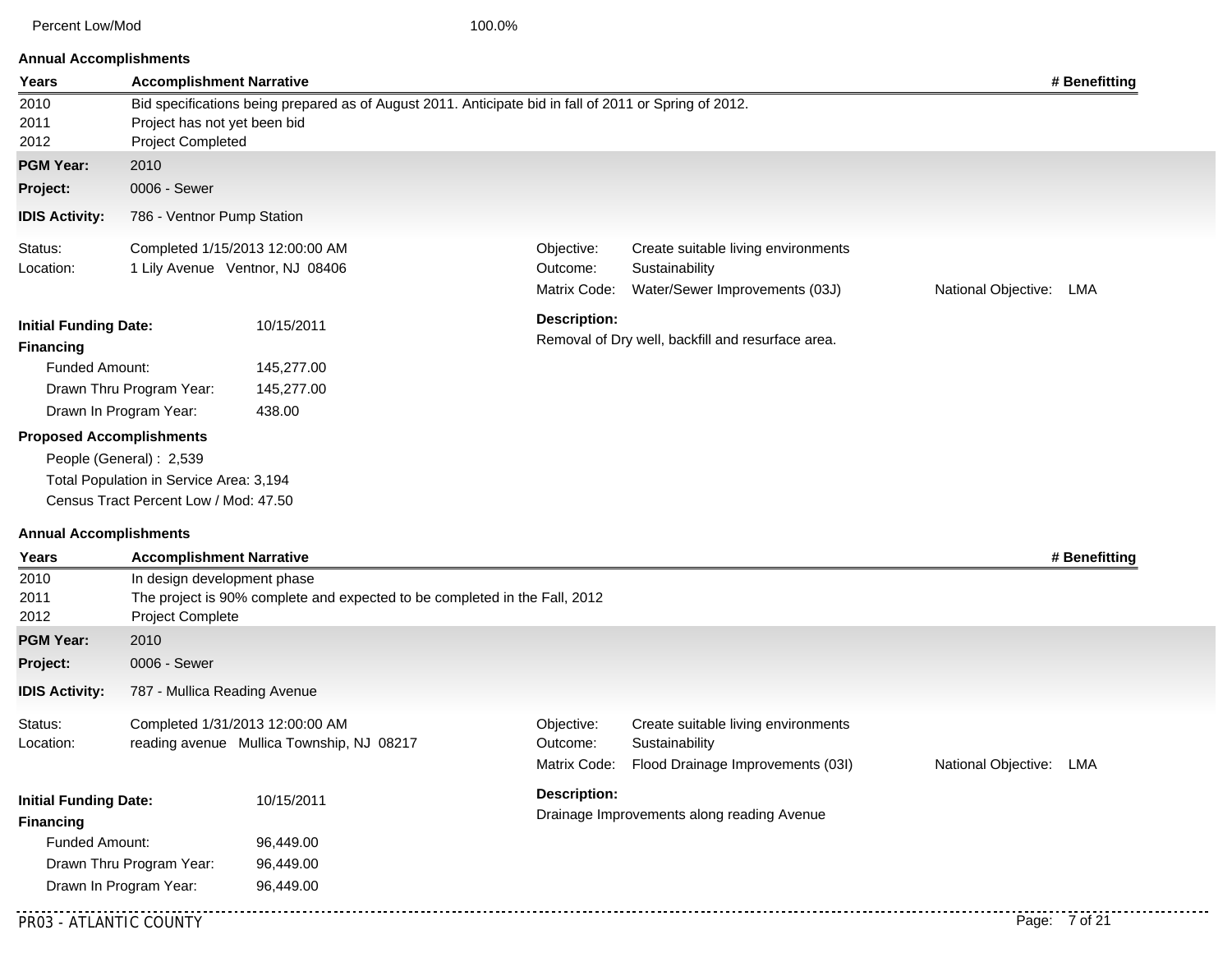Percent Low/Mod 100.0%

| <b>Annual Accomplishments</b> |  |
|-------------------------------|--|
|-------------------------------|--|

| Years                                      | <b>Accomplishment Narrative</b>                   |                                                                                                        |                                            |                                                   |                         | # Benefitting |
|--------------------------------------------|---------------------------------------------------|--------------------------------------------------------------------------------------------------------|--------------------------------------------|---------------------------------------------------|-------------------------|---------------|
| 2010<br>2011<br>2012                       | Project has not yet been bid<br>Project Completed | Bid specifications being prepared as of August 2011. Anticipate bid in fall of 2011 or Spring of 2012. |                                            |                                                   |                         |               |
| <b>PGM Year:</b>                           | 2010                                              |                                                                                                        |                                            |                                                   |                         |               |
| Project:                                   | 0006 - Sewer                                      |                                                                                                        |                                            |                                                   |                         |               |
|                                            |                                                   |                                                                                                        |                                            |                                                   |                         |               |
| <b>IDIS Activity:</b>                      | 786 - Ventnor Pump Station                        |                                                                                                        |                                            |                                                   |                         |               |
| Status:                                    |                                                   | Completed 1/15/2013 12:00:00 AM                                                                        | Objective:                                 | Create suitable living environments               |                         |               |
| Location:                                  |                                                   | 1 Lily Avenue Ventnor, NJ 08406                                                                        |                                            | Sustainability                                    |                         |               |
|                                            |                                                   |                                                                                                        |                                            | Water/Sewer Improvements (03J)                    | National Objective: LMA |               |
| <b>Initial Funding Date:</b>               |                                                   | 10/15/2011                                                                                             | <b>Description:</b>                        |                                                   |                         |               |
| <b>Financing</b>                           |                                                   |                                                                                                        |                                            | Removal of Dry well, backfill and resurface area. |                         |               |
| <b>Funded Amount:</b>                      |                                                   | 145,277.00                                                                                             |                                            |                                                   |                         |               |
|                                            | Drawn Thru Program Year:                          | 145,277.00                                                                                             |                                            |                                                   |                         |               |
|                                            | Drawn In Program Year:                            | 438.00                                                                                                 |                                            |                                                   |                         |               |
|                                            | <b>Proposed Accomplishments</b>                   |                                                                                                        |                                            |                                                   |                         |               |
|                                            | People (General): 2,539                           |                                                                                                        |                                            |                                                   |                         |               |
|                                            | Total Population in Service Area: 3,194           |                                                                                                        |                                            |                                                   |                         |               |
|                                            | Census Tract Percent Low / Mod: 47.50             |                                                                                                        |                                            |                                                   |                         |               |
|                                            |                                                   |                                                                                                        |                                            |                                                   |                         |               |
| <b>Annual Accomplishments</b>              |                                                   |                                                                                                        |                                            |                                                   |                         |               |
| Years                                      | <b>Accomplishment Narrative</b>                   |                                                                                                        |                                            |                                                   |                         | # Benefitting |
| 2010<br>2011                               | In design development phase                       | The project is 90% complete and expected to be completed in the Fall, 2012                             |                                            |                                                   |                         |               |
| 2012                                       | Project Complete                                  |                                                                                                        |                                            |                                                   |                         |               |
| <b>PGM Year:</b>                           | 2010                                              |                                                                                                        |                                            |                                                   |                         |               |
| Project:                                   | 0006 - Sewer                                      |                                                                                                        |                                            |                                                   |                         |               |
|                                            |                                                   |                                                                                                        |                                            |                                                   |                         |               |
| <b>IDIS Activity:</b>                      | 787 - Mullica Reading Avenue                      |                                                                                                        |                                            |                                                   |                         |               |
| Status:                                    |                                                   | Completed 1/31/2013 12:00:00 AM                                                                        | Objective:                                 | Create suitable living environments               |                         |               |
| Location:                                  |                                                   | reading avenue Mullica Township, NJ 08217                                                              | Outcome:                                   | Sustainability                                    |                         |               |
|                                            |                                                   |                                                                                                        | Matrix Code:                               | Flood Drainage Improvements (03I)                 | National Objective: LMA |               |
| <b>Initial Funding Date:</b><br>10/15/2011 |                                                   | <b>Description:</b>                                                                                    |                                            |                                                   |                         |               |
| <b>Financing</b>                           |                                                   |                                                                                                        | Drainage Improvements along reading Avenue |                                                   |                         |               |
|                                            | Funded Amount:<br>96,449.00                       |                                                                                                        |                                            |                                                   |                         |               |
| Drawn Thru Program Year:<br>96,449.00      |                                                   |                                                                                                        |                                            |                                                   |                         |               |
| Drawn In Program Year:<br>96,449.00        |                                                   |                                                                                                        |                                            |                                                   |                         |               |
|                                            |                                                   |                                                                                                        |                                            |                                                   |                         |               |
| PR03 - ATLANTIC COUNTY                     |                                                   |                                                                                                        |                                            |                                                   |                         | Page: 7 of 21 |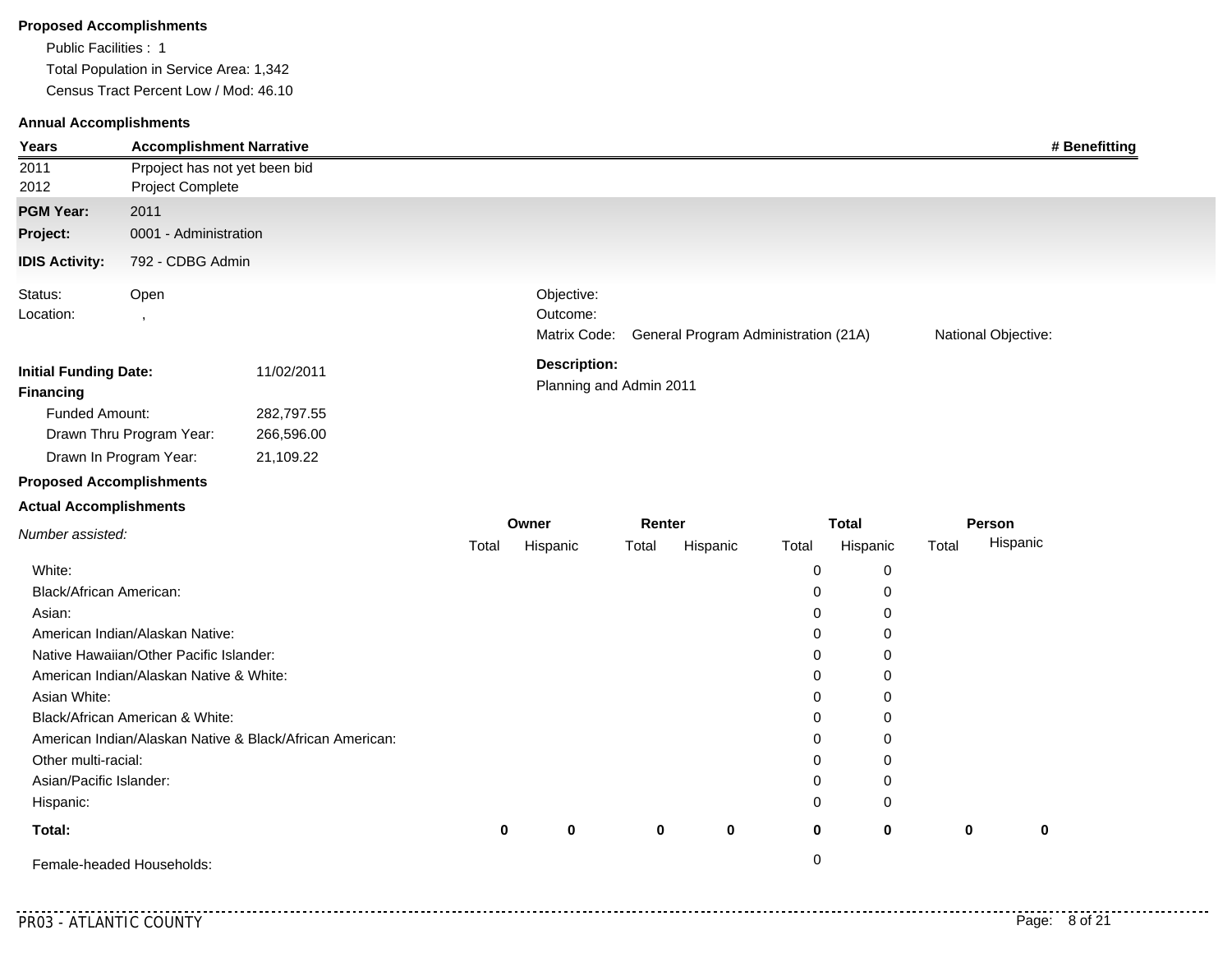#### **Proposed Accomplishments**

Public Facilities : 1 Total Population in Service Area: 1,342 Census Tract Percent Low / Mod: 46.10

#### **Annual Accomplishments**

| Years                                                                     |                                                   | <b>Accomplishment Narrative</b> | # Benefitting                                                                                         |
|---------------------------------------------------------------------------|---------------------------------------------------|---------------------------------|-------------------------------------------------------------------------------------------------------|
| 2011<br>2012                                                              | Project Complete                                  | Prpoject has not yet been bid   |                                                                                                       |
| <b>PGM Year:</b><br>Project:<br><b>IDIS Activity:</b>                     | 2011<br>0001 - Administration<br>792 - CDBG Admin |                                 |                                                                                                       |
| Status:<br>Location:                                                      | Open                                              |                                 | Objective:<br>Outcome:<br>General Program Administration (21A)<br>National Objective:<br>Matrix Code: |
| <b>Initial Funding Date:</b><br><b>Financing</b><br><b>Funded Amount:</b> |                                                   | 11/02/2011<br>282,797.55        | <b>Description:</b><br>Planning and Admin 2011                                                        |

# **Proposed Accomplishments**

Drawn In Program Year: Drawn Thru Program Year: 266,596.00 21,109.22

#### **Actual Accomplishments**

|                                                          |       | Owner       |             | Renter   |                   | Total    |             | Person   |  |
|----------------------------------------------------------|-------|-------------|-------------|----------|-------------------|----------|-------------|----------|--|
| Number assisted:                                         | Total | Hispanic    | Total       | Hispanic | Total<br>Hispanic |          | Total       | Hispanic |  |
| White:                                                   |       |             |             |          | 0                 | 0        |             |          |  |
| Black/African American:                                  |       |             |             |          | 0                 | 0        |             |          |  |
| Asian:                                                   |       |             |             |          | 0                 | 0        |             |          |  |
| American Indian/Alaskan Native:                          |       |             |             |          | 0                 | 0        |             |          |  |
| Native Hawaiian/Other Pacific Islander:                  |       |             |             |          | 0                 | 0        |             |          |  |
| American Indian/Alaskan Native & White:                  |       |             |             |          | 0                 | 0        |             |          |  |
| Asian White:                                             |       |             |             |          | 0                 | 0        |             |          |  |
| Black/African American & White:                          |       |             |             |          | 0                 | 0        |             |          |  |
| American Indian/Alaskan Native & Black/African American: |       |             |             |          | 0                 | 0        |             |          |  |
| Other multi-racial:                                      |       |             |             |          | 0                 | 0        |             |          |  |
| Asian/Pacific Islander:                                  |       |             |             |          | 0                 | 0        |             |          |  |
| Hispanic:                                                |       |             |             |          | 0                 | 0        |             |          |  |
| Total:                                                   | 0     | $\mathbf 0$ | $\mathbf 0$ | $\bf{0}$ | 0                 | $\bf{0}$ | $\mathbf 0$ | 0        |  |
| Female-headed Households:                                |       |             |             |          | 0                 |          |             |          |  |

. . . . . . . . . . . . .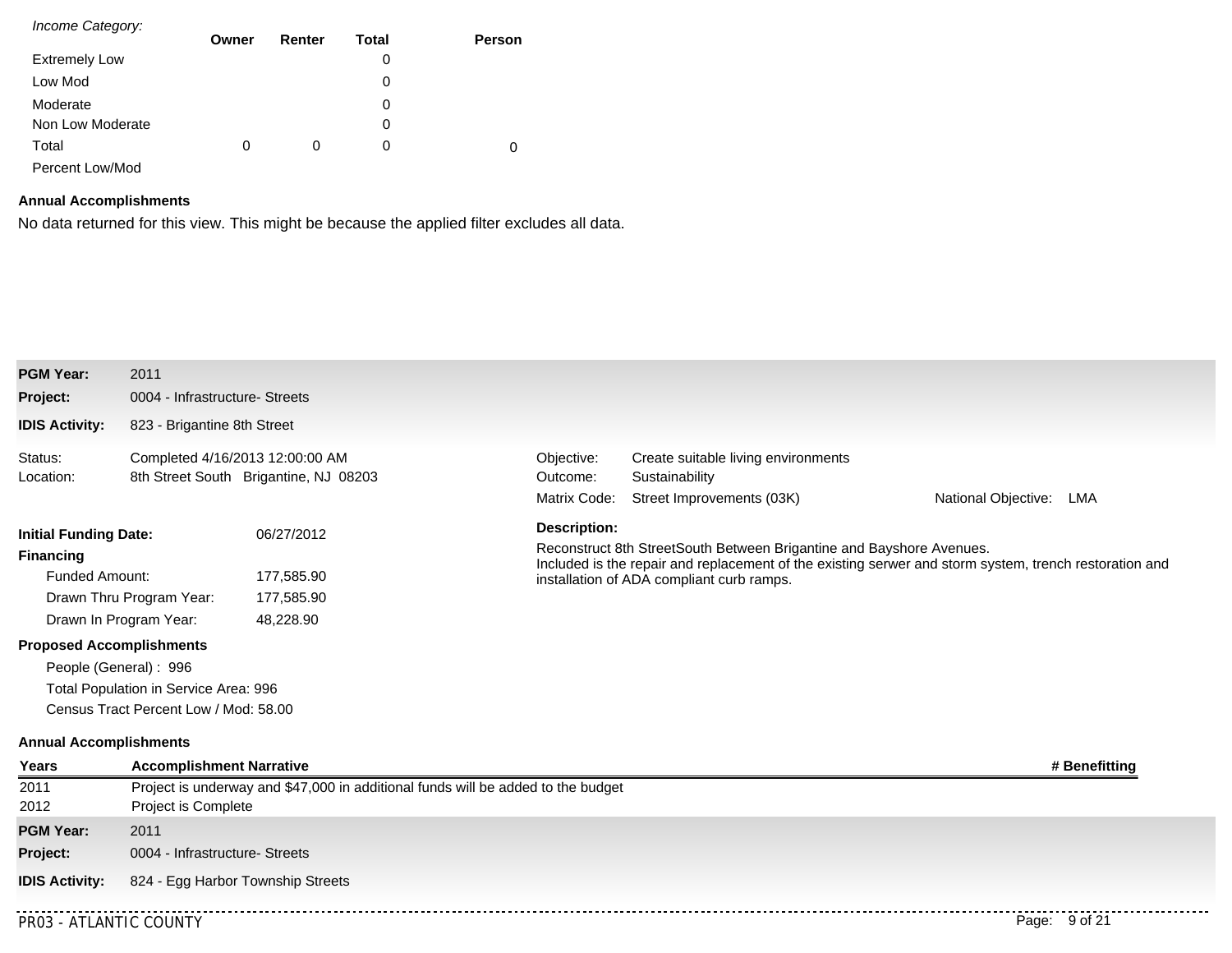| Income Category:     |       |        |       |        |
|----------------------|-------|--------|-------|--------|
|                      | Owner | Renter | Total | Person |
| <b>Extremely Low</b> |       |        | 0     |        |
| Low Mod              |       |        | 0     |        |
| Moderate             |       |        | 0     |        |
| Non Low Moderate     |       |        | 0     |        |
| Total                | 0     | 0      | 0     | 0      |
| Percent Low/Mod      |       |        |       |        |

# **Annual Accomplishments**

No data returned for this view. This might be because the applied filter excludes all data.

| <b>PGM Year:</b>                                                                                             | 2011                                                                                                                                                                                                                 |                                                                                                                                                                                                                                                    |                                                                                    |                            |  |  |  |
|--------------------------------------------------------------------------------------------------------------|----------------------------------------------------------------------------------------------------------------------------------------------------------------------------------------------------------------------|----------------------------------------------------------------------------------------------------------------------------------------------------------------------------------------------------------------------------------------------------|------------------------------------------------------------------------------------|----------------------------|--|--|--|
| Project:                                                                                                     | 0004 - Infrastructure- Streets                                                                                                                                                                                       |                                                                                                                                                                                                                                                    |                                                                                    |                            |  |  |  |
| <b>IDIS Activity:</b>                                                                                        | 823 - Brigantine 8th Street                                                                                                                                                                                          |                                                                                                                                                                                                                                                    |                                                                                    |                            |  |  |  |
| Status:<br>Location:                                                                                         | Completed 4/16/2013 12:00:00 AM<br>8th Street South Brigantine, NJ 08203                                                                                                                                             | Objective:<br>Outcome:<br>Matrix Code:                                                                                                                                                                                                             | Create suitable living environments<br>Sustainability<br>Street Improvements (03K) | National Objective:<br>LMA |  |  |  |
| <b>Initial Funding Date:</b><br><b>Financing</b><br><b>Funded Amount:</b><br><b>Proposed Accomplishments</b> | 06/27/2012<br>177,585.90<br>Drawn Thru Program Year:<br>177,585.90<br>Drawn In Program Year:<br>48,228.90<br>People (General): 996<br>Total Population in Service Area: 996<br>Census Tract Percent Low / Mod: 58.00 | <b>Description:</b><br>Reconstruct 8th StreetSouth Between Brigantine and Bayshore Avenues.<br>Included is the repair and replacement of the existing serwer and storm system, trench restoration and<br>installation of ADA compliant curb ramps. |                                                                                    |                            |  |  |  |
| <b>Annual Accomplishments</b>                                                                                |                                                                                                                                                                                                                      |                                                                                                                                                                                                                                                    |                                                                                    |                            |  |  |  |
| Years                                                                                                        | <b>Accomplishment Narrative</b><br># Benefitting                                                                                                                                                                     |                                                                                                                                                                                                                                                    |                                                                                    |                            |  |  |  |
| 2011<br>2012                                                                                                 | Project is underway and \$47,000 in additional funds will be added to the budget<br>Project is Complete                                                                                                              |                                                                                                                                                                                                                                                    |                                                                                    |                            |  |  |  |
| <b>PGM Year:</b>                                                                                             | 2011                                                                                                                                                                                                                 |                                                                                                                                                                                                                                                    |                                                                                    |                            |  |  |  |
| Project:                                                                                                     | 0004 - Infrastructure- Streets                                                                                                                                                                                       |                                                                                                                                                                                                                                                    |                                                                                    |                            |  |  |  |
| <b>IDIS Activity:</b>                                                                                        | 824 - Egg Harbor Township Streets                                                                                                                                                                                    |                                                                                                                                                                                                                                                    |                                                                                    |                            |  |  |  |
| <b>PR03 - ATLANTIC COUNTY</b>                                                                                |                                                                                                                                                                                                                      |                                                                                                                                                                                                                                                    |                                                                                    | Page: 9 of 21              |  |  |  |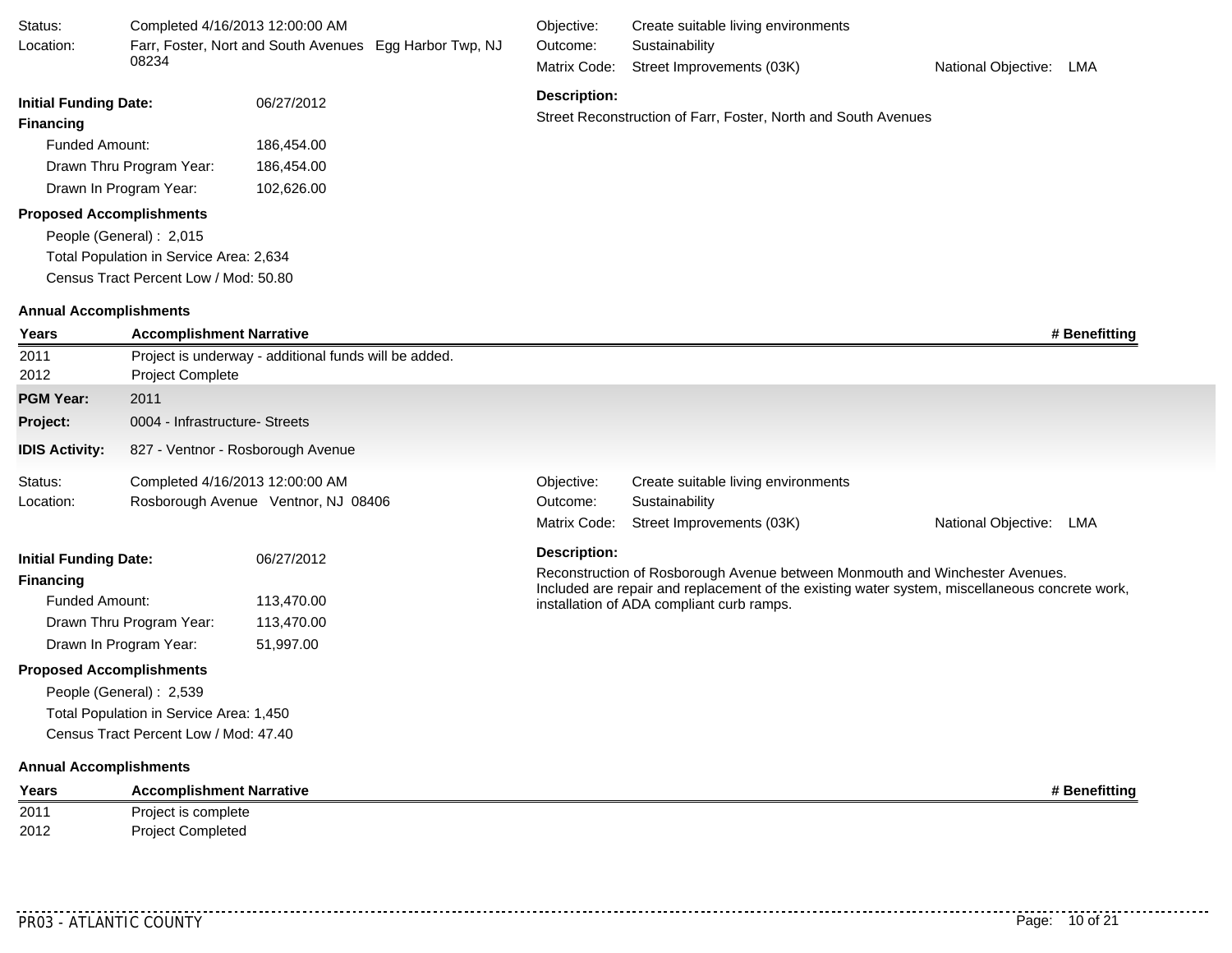| Status:                         | Completed 4/16/2013 12:00:00 AM         |                                                       |                                                         | Objective:          | Create suitable living environments                                                                                                         |                         |
|---------------------------------|-----------------------------------------|-------------------------------------------------------|---------------------------------------------------------|---------------------|---------------------------------------------------------------------------------------------------------------------------------------------|-------------------------|
| Location:                       |                                         |                                                       | Farr, Foster, Nort and South Avenues Egg Harbor Twp, NJ | Outcome:            | Sustainability                                                                                                                              |                         |
|                                 | 08234                                   |                                                       |                                                         | Matrix Code:        | Street Improvements (03K)                                                                                                                   | National Objective: LMA |
| <b>Initial Funding Date:</b>    |                                         | 06/27/2012                                            |                                                         | <b>Description:</b> |                                                                                                                                             |                         |
| <b>Financing</b>                |                                         |                                                       |                                                         |                     | Street Reconstruction of Farr, Foster, North and South Avenues                                                                              |                         |
| <b>Funded Amount:</b>           |                                         | 186,454.00                                            |                                                         |                     |                                                                                                                                             |                         |
|                                 | Drawn Thru Program Year:                | 186,454.00                                            |                                                         |                     |                                                                                                                                             |                         |
|                                 | Drawn In Program Year:                  | 102,626.00                                            |                                                         |                     |                                                                                                                                             |                         |
| <b>Proposed Accomplishments</b> |                                         |                                                       |                                                         |                     |                                                                                                                                             |                         |
|                                 | People (General): 2,015                 |                                                       |                                                         |                     |                                                                                                                                             |                         |
|                                 | Total Population in Service Area: 2,634 |                                                       |                                                         |                     |                                                                                                                                             |                         |
|                                 | Census Tract Percent Low / Mod: 50.80   |                                                       |                                                         |                     |                                                                                                                                             |                         |
| <b>Annual Accomplishments</b>   |                                         |                                                       |                                                         |                     |                                                                                                                                             |                         |
| Years                           | <b>Accomplishment Narrative</b>         |                                                       |                                                         |                     |                                                                                                                                             | # Benefitting           |
| 2011                            |                                         | Project is underway - additional funds will be added. |                                                         |                     |                                                                                                                                             |                         |
| 2012                            | Project Complete                        |                                                       |                                                         |                     |                                                                                                                                             |                         |
| <b>PGM Year:</b>                | 2011                                    |                                                       |                                                         |                     |                                                                                                                                             |                         |
| Project:                        | 0004 - Infrastructure- Streets          |                                                       |                                                         |                     |                                                                                                                                             |                         |
| <b>IDIS Activity:</b>           |                                         | 827 - Ventnor - Rosborough Avenue                     |                                                         |                     |                                                                                                                                             |                         |
| Status:                         | Completed 4/16/2013 12:00:00 AM         |                                                       |                                                         | Objective:          | Create suitable living environments                                                                                                         |                         |
| Location:                       |                                         | Rosborough Avenue Ventnor, NJ 08406                   |                                                         | Outcome:            | Sustainability                                                                                                                              |                         |
|                                 |                                         |                                                       |                                                         | Matrix Code:        | Street Improvements (03K)                                                                                                                   | National Objective: LMA |
| <b>Initial Funding Date:</b>    |                                         | 06/27/2012                                            |                                                         | <b>Description:</b> |                                                                                                                                             |                         |
| <b>Financing</b>                |                                         |                                                       |                                                         |                     | Reconstruction of Rosborough Avenue between Monmouth and Winchester Avenues.                                                                |                         |
| <b>Funded Amount:</b>           |                                         | 113,470.00                                            |                                                         |                     | Included are repair and replacement of the existing water system, miscellaneous concrete work,<br>installation of ADA compliant curb ramps. |                         |
|                                 | Drawn Thru Program Year:                | 113,470.00                                            |                                                         |                     |                                                                                                                                             |                         |
|                                 | Drawn In Program Year:                  | 51,997.00                                             |                                                         |                     |                                                                                                                                             |                         |
| <b>Proposed Accomplishments</b> |                                         |                                                       |                                                         |                     |                                                                                                                                             |                         |
|                                 | People (General): 2,539                 |                                                       |                                                         |                     |                                                                                                                                             |                         |
|                                 | Total Population in Service Area: 1,450 |                                                       |                                                         |                     |                                                                                                                                             |                         |
|                                 | Census Tract Percent Low / Mod: 47.40   |                                                       |                                                         |                     |                                                                                                                                             |                         |
| <b>Annual Accomplishments</b>   |                                         |                                                       |                                                         |                     |                                                                                                                                             |                         |
|                                 | <b>Accomplishment Narrative</b>         |                                                       |                                                         |                     |                                                                                                                                             | # Benefitting           |
| Years                           |                                         |                                                       |                                                         |                     |                                                                                                                                             |                         |
| 2011                            | Project is complete                     |                                                       |                                                         |                     |                                                                                                                                             |                         |

............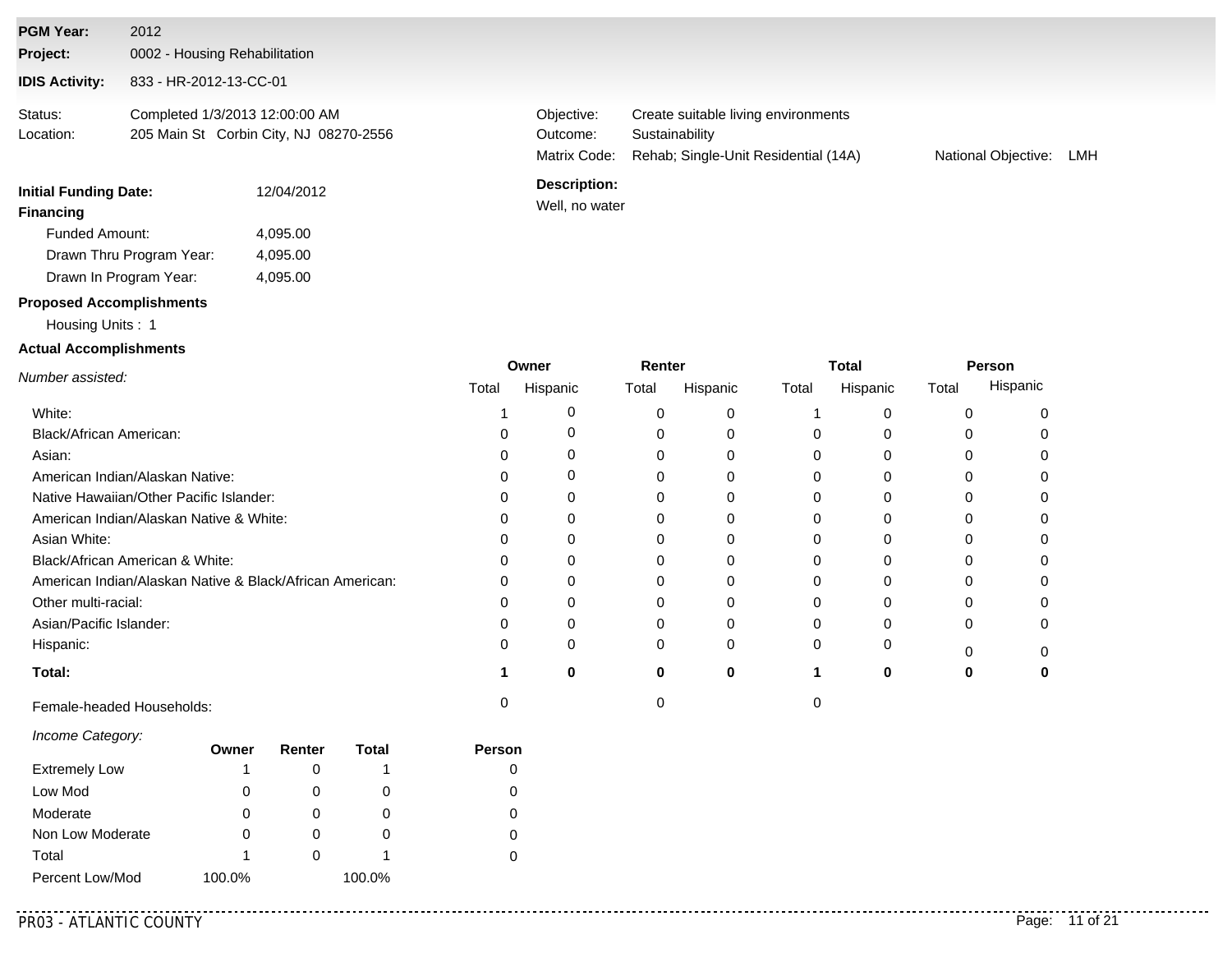| <b>Initial Funding Date:</b><br><b>Financing</b> | 12/04/2012                                                               | <b>Description:</b><br>Well, no water  |                                                                                               |                     |     |
|--------------------------------------------------|--------------------------------------------------------------------------|----------------------------------------|-----------------------------------------------------------------------------------------------|---------------------|-----|
| Status:<br>Location:                             | Completed 1/3/2013 12:00:00 AM<br>205 Main St Corbin City, NJ 08270-2556 | Objective:<br>Outcome:<br>Matrix Code: | Create suitable living environments<br>Sustainability<br>Rehab: Single-Unit Residential (14A) | National Objective: | LMH |
| <b>IDIS Activity:</b>                            | 833 - HR-2012-13-CC-01                                                   |                                        |                                                                                               |                     |     |
| Project:                                         | 0002 - Housing Rehabilitation                                            |                                        |                                                                                               |                     |     |
| <b>PGM Year:</b>                                 | 2012                                                                     |                                        |                                                                                               |                     |     |

| Drawn In Program Year:          | 4.095.00 |
|---------------------------------|----------|
| <b>Proposed Accomplishments</b> |          |

#### Housing Units : 1

Funded Amount:

Drawn Thru Program Year:

#### **Actual Accomplishments**

|                                                          |       | Owner    | Renter |          |       | Total    | Person |          |  |
|----------------------------------------------------------|-------|----------|--------|----------|-------|----------|--------|----------|--|
| Number assisted:                                         | Total | Hispanic | Total  | Hispanic | Total | Hispanic | Total  | Hispanic |  |
| White:                                                   |       |          |        |          |       |          |        |          |  |
| Black/African American:                                  |       |          |        |          |       |          |        |          |  |
| Asian:                                                   |       |          |        | 0        |       |          |        |          |  |
| American Indian/Alaskan Native:                          |       |          |        |          |       |          |        |          |  |
| Native Hawaiian/Other Pacific Islander:                  |       |          |        |          |       |          |        |          |  |
| American Indian/Alaskan Native & White:                  |       |          |        |          |       |          |        |          |  |
| Asian White:                                             |       |          |        | 0        |       |          |        |          |  |
| Black/African American & White:                          |       |          |        |          |       |          |        |          |  |
| American Indian/Alaskan Native & Black/African American: |       |          |        |          |       |          |        |          |  |
| Other multi-racial:                                      |       |          |        |          |       |          |        |          |  |
| Asian/Pacific Islander:                                  |       |          |        |          |       |          |        |          |  |
| Hispanic:                                                |       |          | 0      | 0        |       |          |        |          |  |
| Total:                                                   |       | 0        | 0      | 0        |       | 0        |        |          |  |
| Female-headed Households:                                |       |          |        |          |       |          |        |          |  |

#### *Income Category:*

|                      | Owner  | Renter | Total  | Person |
|----------------------|--------|--------|--------|--------|
| <b>Extremely Low</b> |        |        |        |        |
| Low Mod              | 0      |        | O      | O      |
| Moderate             |        |        | O      |        |
| Non Low Moderate     |        |        | O      | 0      |
| Total                |        |        |        |        |
| Percent Low/Mod      | 100.0% |        | 100.0% |        |

4,095.00 4,095.00

. . . . . . . . . . .

**Total**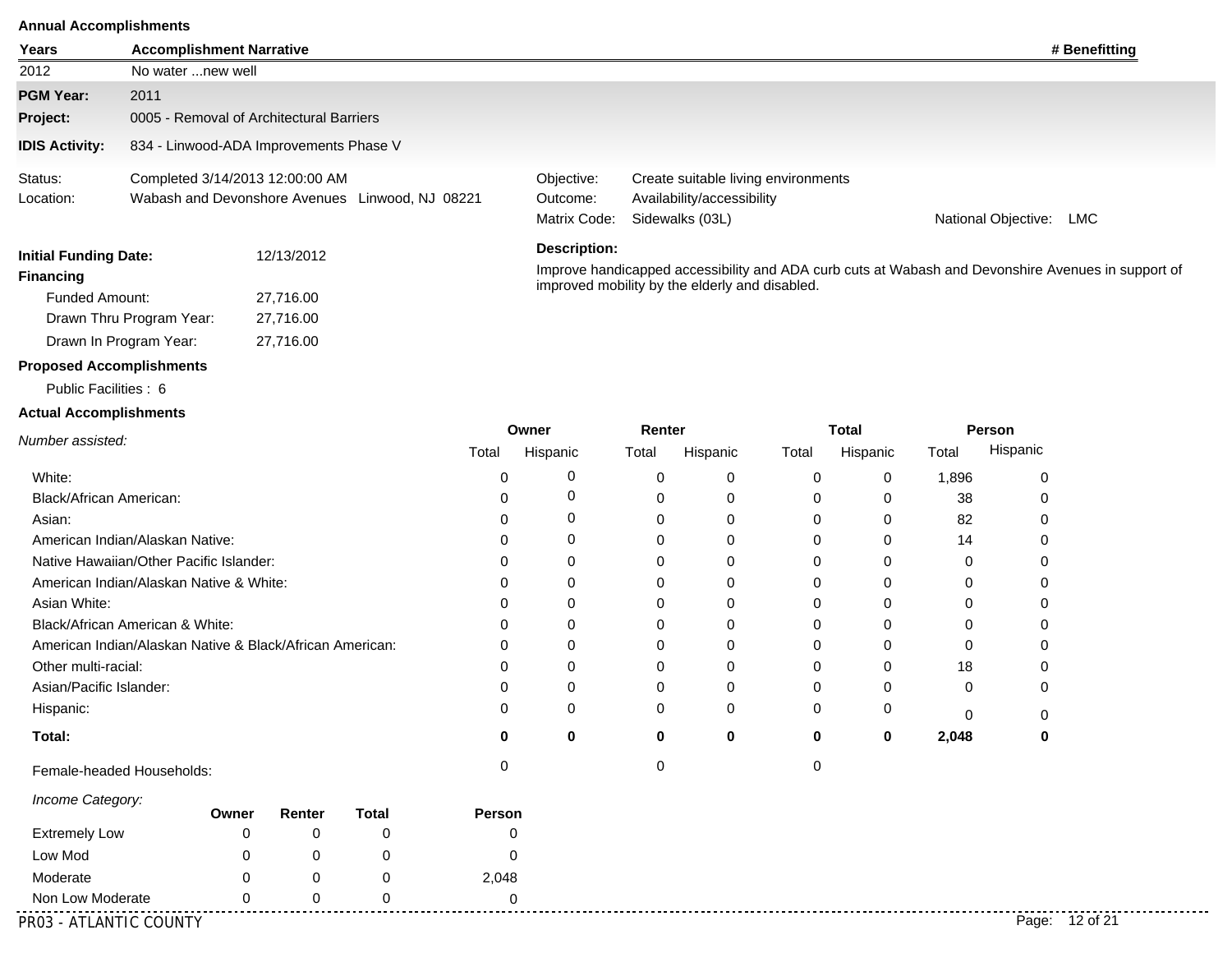| <b>Annual Accomplishments</b>           |                                                          |                                          |                                                 |             |                                                            |          |                                                                   |              |          |              |          |                                                                                                    |
|-----------------------------------------|----------------------------------------------------------|------------------------------------------|-------------------------------------------------|-------------|------------------------------------------------------------|----------|-------------------------------------------------------------------|--------------|----------|--------------|----------|----------------------------------------------------------------------------------------------------|
| Years                                   | <b>Accomplishment Narrative</b>                          |                                          |                                                 |             |                                                            |          |                                                                   |              |          |              |          | # Benefitting                                                                                      |
| 2012                                    | No water  new well                                       |                                          |                                                 |             |                                                            |          |                                                                   |              |          |              |          |                                                                                                    |
| <b>PGM Year:</b>                        | 2011                                                     |                                          |                                                 |             |                                                            |          |                                                                   |              |          |              |          |                                                                                                    |
| Project:                                |                                                          | 0005 - Removal of Architectural Barriers |                                                 |             |                                                            |          |                                                                   |              |          |              |          |                                                                                                    |
| <b>IDIS Activity:</b>                   |                                                          | 834 - Linwood-ADA Improvements Phase V   |                                                 |             |                                                            |          |                                                                   |              |          |              |          |                                                                                                    |
| Status:<br>Location:                    |                                                          | Completed 3/14/2013 12:00:00 AM          | Wabash and Devonshore Avenues Linwood, NJ 08221 |             | Objective:<br>Outcome:                                     |          | Create suitable living environments<br>Availability/accessibility |              |          |              |          |                                                                                                    |
|                                         |                                                          |                                          |                                                 |             | Matrix Code:<br>Sidewalks (03L)<br>National Objective: LMC |          |                                                                   |              |          |              |          |                                                                                                    |
| <b>Initial Funding Date:</b>            |                                                          | 12/13/2012                               |                                                 |             | <b>Description:</b>                                        |          |                                                                   |              |          |              |          |                                                                                                    |
| <b>Financing</b>                        |                                                          |                                          |                                                 |             |                                                            |          |                                                                   |              |          |              |          | Improve handicapped accessibility and ADA curb cuts at Wabash and Devonshire Avenues in support of |
| <b>Funded Amount:</b><br>27,716.00      |                                                          |                                          |                                                 |             |                                                            |          | improved mobility by the elderly and disabled.                    |              |          |              |          |                                                                                                    |
| Drawn Thru Program Year:<br>27,716.00   |                                                          |                                          |                                                 |             |                                                            |          |                                                                   |              |          |              |          |                                                                                                    |
|                                         | Drawn In Program Year:                                   | 27,716.00                                |                                                 |             |                                                            |          |                                                                   |              |          |              |          |                                                                                                    |
| <b>Proposed Accomplishments</b>         |                                                          |                                          |                                                 |             |                                                            |          |                                                                   |              |          |              |          |                                                                                                    |
| Public Facilities: 6                    |                                                          |                                          |                                                 |             |                                                            |          |                                                                   |              |          |              |          |                                                                                                    |
| <b>Actual Accomplishments</b>           |                                                          |                                          |                                                 |             |                                                            |          |                                                                   |              |          |              |          |                                                                                                    |
| Number assisted:                        |                                                          |                                          |                                                 |             | Owner                                                      | Renter   |                                                                   | <b>Total</b> |          | Person       |          |                                                                                                    |
|                                         |                                                          |                                          | Total                                           |             | Hispanic                                                   | Total    | Hispanic                                                          | Total        | Hispanic | Total        | Hispanic |                                                                                                    |
| White:                                  |                                                          |                                          |                                                 | $\mathbf 0$ | 0                                                          | 0        | 0                                                                 | 0            | 0        | 1,896        | 0        |                                                                                                    |
| Black/African American:                 |                                                          |                                          |                                                 | $\Omega$    | 0                                                          | 0        | 0                                                                 | 0            | 0        | 38           | 0        |                                                                                                    |
| Asian:                                  |                                                          |                                          |                                                 | $\Omega$    | 0                                                          | 0        | $\Omega$                                                          | 0            | $\Omega$ | 82           | $\Omega$ |                                                                                                    |
|                                         | American Indian/Alaskan Native:                          |                                          |                                                 | $\Omega$    | $\Omega$                                                   | 0        | 0                                                                 | 0            | 0        | 14           | 0        |                                                                                                    |
|                                         | Native Hawaiian/Other Pacific Islander:                  |                                          |                                                 | $\Omega$    | 0                                                          | 0        | 0                                                                 | O            | 0        | 0            | 0        |                                                                                                    |
| American Indian/Alaskan Native & White: |                                                          |                                          |                                                 | $\Omega$    | $\Omega$                                                   | 0        | 0                                                                 | 0            | $\Omega$ | 0            | 0        |                                                                                                    |
| Asian White:<br>∩                       |                                                          |                                          |                                                 |             | 0                                                          | 0        | 0                                                                 | 0            | 0        | 0            | 0        |                                                                                                    |
| Black/African American & White:         |                                                          |                                          |                                                 |             | $\Omega$                                                   | $\Omega$ | 0                                                                 | ∩            | $\Omega$ | 0            | 0        |                                                                                                    |
|                                         | American Indian/Alaskan Native & Black/African American: |                                          |                                                 | ∩           | $\Omega$                                                   | 0        | $\Omega$                                                          | 0            | $\Omega$ | $\mathbf{0}$ | 0        |                                                                                                    |
| Other multi-racial:                     |                                                          |                                          |                                                 | $\Omega$    | $\Omega$                                                   | 0        | 0                                                                 | $\Omega$     | 0        | 18           | 0        |                                                                                                    |
| Asian/Pacific Islander:                 |                                                          |                                          |                                                 | $\mathbf 0$ | $\Omega$                                                   | 0        | $\Omega$                                                          | $\Omega$     | 0        | $\Omega$     | 0        |                                                                                                    |

**0**

0 0

**0**

0

0 **0 0 2,048**

**0 0**

0 0

**Total:** Hispanic:

Female-headed Households: 0 0 0

| Owner        | Renter | Total | Person |
|--------------|--------|-------|--------|
|              |        |       |        |
| O            |        |       | 0      |
| O            |        | O     | 2,048  |
| $\mathbf{I}$ |        |       |        |
|              |        |       |        |

PR03 - ATLANTIC COUNTY Page: 12 of 21

. . . . . . . . . . .

0

**0**

0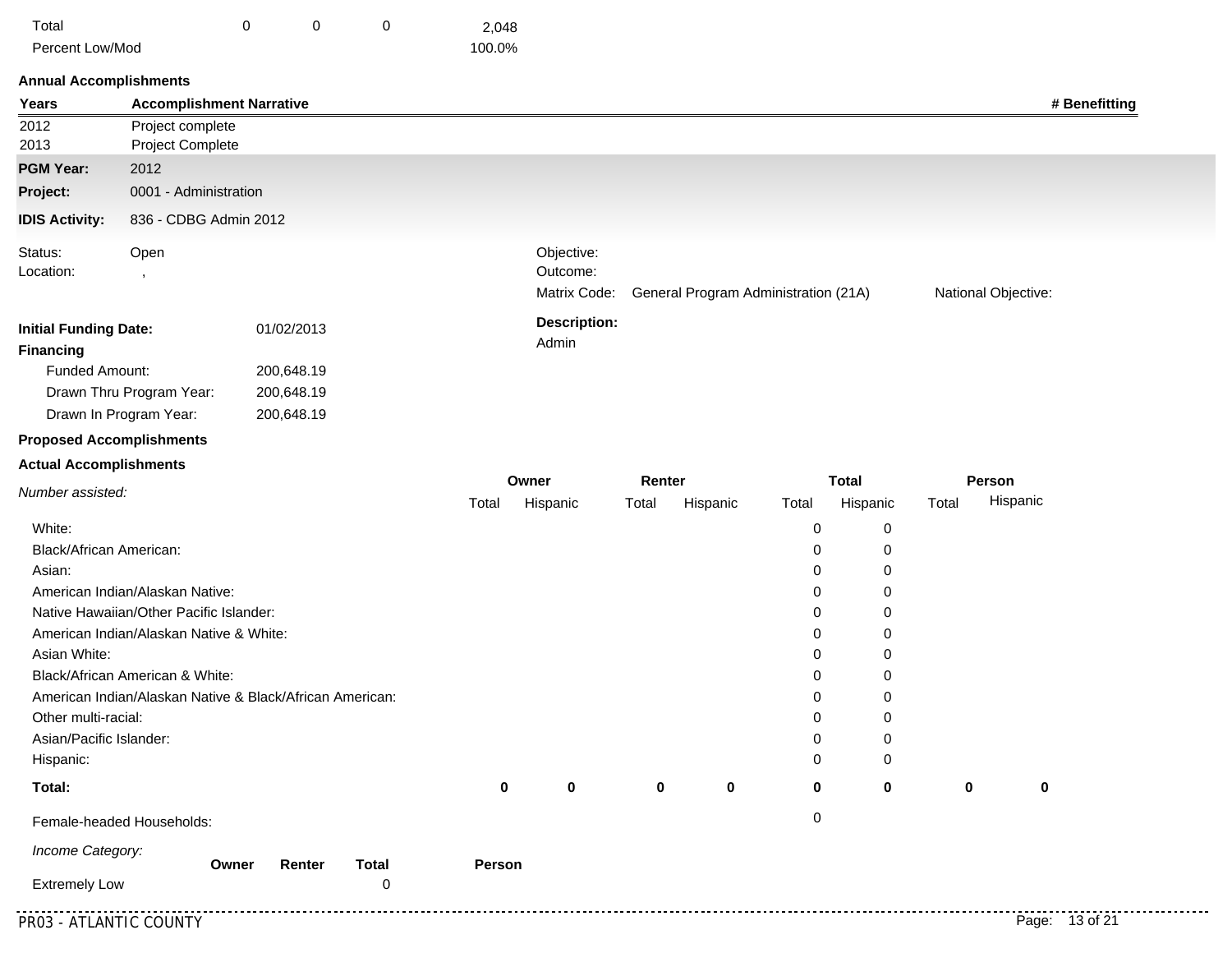| Total           |  | 2.048  |
|-----------------|--|--------|
| Percent Low/Mod |  | 100.0% |

| Years                           | <b>Accomplishment Narrative</b>                                                             |            |              |        |                                        |        |          |                                      |              |       |                     | # Benefitting |
|---------------------------------|---------------------------------------------------------------------------------------------|------------|--------------|--------|----------------------------------------|--------|----------|--------------------------------------|--------------|-------|---------------------|---------------|
| 2012<br>2013                    | Project complete<br>Project Complete                                                        |            |              |        |                                        |        |          |                                      |              |       |                     |               |
| <b>PGM Year:</b>                | 2012                                                                                        |            |              |        |                                        |        |          |                                      |              |       |                     |               |
| Project:                        | 0001 - Administration                                                                       |            |              |        |                                        |        |          |                                      |              |       |                     |               |
| <b>IDIS Activity:</b>           | 836 - CDBG Admin 2012                                                                       |            |              |        |                                        |        |          |                                      |              |       |                     |               |
| Status:<br>Location:            | Open<br>$\,$                                                                                |            |              |        | Objective:<br>Outcome:<br>Matrix Code: |        |          | General Program Administration (21A) |              |       | National Objective: |               |
| <b>Initial Funding Date:</b>    |                                                                                             | 01/02/2013 |              |        | <b>Description:</b>                    |        |          |                                      |              |       |                     |               |
| <b>Financing</b>                |                                                                                             |            |              |        | Admin                                  |        |          |                                      |              |       |                     |               |
| Funded Amount:                  |                                                                                             | 200,648.19 |              |        |                                        |        |          |                                      |              |       |                     |               |
|                                 | Drawn Thru Program Year:                                                                    | 200,648.19 |              |        |                                        |        |          |                                      |              |       |                     |               |
|                                 | Drawn In Program Year:                                                                      | 200,648.19 |              |        |                                        |        |          |                                      |              |       |                     |               |
| <b>Proposed Accomplishments</b> |                                                                                             |            |              |        |                                        |        |          |                                      |              |       |                     |               |
| <b>Actual Accomplishments</b>   |                                                                                             |            |              |        |                                        |        |          |                                      |              |       |                     |               |
| Number assisted:                |                                                                                             |            |              |        | Owner                                  | Renter |          |                                      | <b>Total</b> |       | Person              |               |
|                                 |                                                                                             |            |              | Total  | Hispanic                               | Total  | Hispanic | Total                                | Hispanic     | Total | Hispanic            |               |
| White:                          |                                                                                             |            |              |        |                                        |        |          | 0                                    | 0            |       |                     |               |
| Black/African American:         |                                                                                             |            |              |        |                                        |        |          | 0                                    | 0            |       |                     |               |
| Asian:                          |                                                                                             |            |              |        |                                        |        |          | 0                                    | 0            |       |                     |               |
|                                 | American Indian/Alaskan Native:                                                             |            |              |        |                                        |        |          | 0                                    | 0            |       |                     |               |
|                                 | Native Hawaiian/Other Pacific Islander:                                                     |            |              |        |                                        |        |          | 0                                    | 0            |       |                     |               |
|                                 | American Indian/Alaskan Native & White:                                                     |            |              |        |                                        |        |          | 0                                    | 0            |       |                     |               |
| Asian White:                    |                                                                                             |            |              |        |                                        |        |          | 0                                    | 0            |       |                     |               |
|                                 | Black/African American & White:<br>American Indian/Alaskan Native & Black/African American: |            |              |        |                                        |        |          | 0<br>0                               | 0<br>0       |       |                     |               |
| Other multi-racial:             |                                                                                             |            |              |        |                                        |        |          | 0                                    | 0            |       |                     |               |
| Asian/Pacific Islander:         |                                                                                             |            |              |        |                                        |        |          | 0                                    | 0            |       |                     |               |
| Hispanic:                       |                                                                                             |            |              |        |                                        |        |          | 0                                    | 0            |       |                     |               |
|                                 |                                                                                             |            |              |        |                                        |        |          |                                      |              |       |                     |               |
| Total:                          |                                                                                             |            |              | 0      | 0                                      | 0      | 0        | 0                                    | 0            | 0     | 0                   |               |
|                                 | Female-headed Households:                                                                   |            |              |        |                                        |        |          | 0                                    |              |       |                     |               |
| Income Category:                | Owner                                                                                       | Renter     | <b>Total</b> | Person |                                        |        |          |                                      |              |       |                     |               |
|                                 |                                                                                             |            |              |        |                                        |        |          |                                      |              |       |                     |               |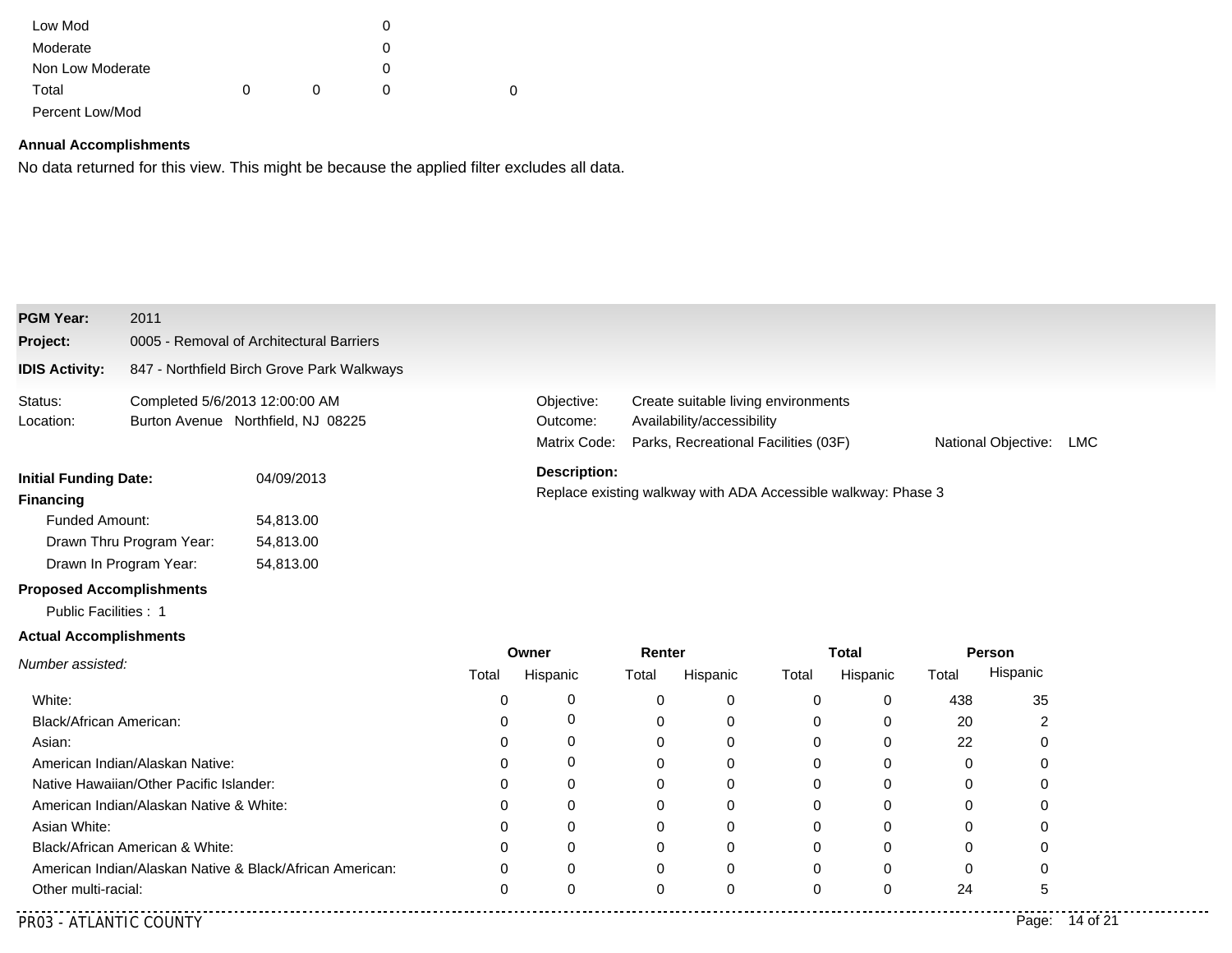| Low Mod          |              |          |   |
|------------------|--------------|----------|---|
| Moderate         |              |          |   |
| Non Low Moderate |              |          |   |
| Total            | <sup>0</sup> | $\Omega$ | 0 |
| Percent Low/Mod  |              |          |   |

No data returned for this view. This might be because the applied filter excludes all data.

| <b>PGM Year:</b><br>Project:                     | 2011                                    | 0005 - Removal of Architectural Barriers                                             |          |                                                                                                                                                                                   |             |             |       |              |          |          |  |  |
|--------------------------------------------------|-----------------------------------------|--------------------------------------------------------------------------------------|----------|-----------------------------------------------------------------------------------------------------------------------------------------------------------------------------------|-------------|-------------|-------|--------------|----------|----------|--|--|
| <b>IDIS Activity:</b>                            |                                         | 847 - Northfield Birch Grove Park Walkways                                           |          |                                                                                                                                                                                   |             |             |       |              |          |          |  |  |
| Status:<br>Location:                             | Completed 5/6/2013 12:00:00 AM          | Burton Avenue Northfield, NJ 08225                                                   |          | Objective:<br>Create suitable living environments<br>Availability/accessibility<br>Outcome:<br>Matrix Code:<br>Parks, Recreational Facilities (03F)<br>National Objective:<br>LMC |             |             |       |              |          |          |  |  |
| <b>Initial Funding Date:</b><br><b>Financing</b> |                                         | <b>Description:</b><br>Replace existing walkway with ADA Accessible walkway: Phase 3 |          |                                                                                                                                                                                   |             |             |       |              |          |          |  |  |
| Funded Amount:                                   |                                         | 54,813.00                                                                            |          |                                                                                                                                                                                   |             |             |       |              |          |          |  |  |
|                                                  | Drawn Thru Program Year:                | 54,813.00                                                                            |          |                                                                                                                                                                                   |             |             |       |              |          |          |  |  |
| Drawn In Program Year:                           |                                         | 54,813.00                                                                            |          |                                                                                                                                                                                   |             |             |       |              |          |          |  |  |
| <b>Proposed Accomplishments</b>                  |                                         |                                                                                      |          |                                                                                                                                                                                   |             |             |       |              |          |          |  |  |
| Public Facilities : 1                            |                                         |                                                                                      |          |                                                                                                                                                                                   |             |             |       |              |          |          |  |  |
| <b>Actual Accomplishments</b>                    |                                         |                                                                                      |          |                                                                                                                                                                                   |             |             |       |              |          |          |  |  |
| Number assisted:                                 |                                         |                                                                                      |          | Owner                                                                                                                                                                             |             | Renter      |       | <b>Total</b> | Person   |          |  |  |
|                                                  |                                         |                                                                                      | Total    | Hispanic                                                                                                                                                                          | Total       | Hispanic    | Total | Hispanic     | Total    | Hispanic |  |  |
| White:                                           |                                         |                                                                                      | 0        | 0                                                                                                                                                                                 | 0           | 0           | 0     | $\mathbf 0$  | 438      | 35       |  |  |
| Black/African American:                          |                                         |                                                                                      | $\Omega$ | 0                                                                                                                                                                                 | $\Omega$    | $\mathbf 0$ | 0     | 0            | 20       | 2        |  |  |
| Asian:                                           |                                         |                                                                                      | $\Omega$ | 0                                                                                                                                                                                 | $\mathbf 0$ | 0           | 0     | $\mathbf 0$  | 22       | 0        |  |  |
|                                                  | American Indian/Alaskan Native:         |                                                                                      | $\Omega$ | $\Omega$                                                                                                                                                                          | $\Omega$    | 0           | 0     | 0            | $\Omega$ | 0        |  |  |
|                                                  | Native Hawaiian/Other Pacific Islander: |                                                                                      | $\Omega$ | 0                                                                                                                                                                                 | 0           | 0           | 0     | 0            | 0        | 0        |  |  |
|                                                  | American Indian/Alaskan Native & White: |                                                                                      | 0        | 0                                                                                                                                                                                 | 0           | 0           | 0     | 0            | $\Omega$ | 0        |  |  |
| Asian White:                                     |                                         |                                                                                      | $\Omega$ | 0                                                                                                                                                                                 | 0           | 0           | 0     | 0            | 0        | 0        |  |  |
| Black/African American & White:                  |                                         | ∩                                                                                    | 0        | $\Omega$                                                                                                                                                                          | 0           | 0           | 0     | 0            | 0        |          |  |  |
|                                                  |                                         | American Indian/Alaskan Native & Black/African American:                             | 0        | $\Omega$                                                                                                                                                                          | $\Omega$    | $\Omega$    | 0     | $\Omega$     | 0        | 0        |  |  |
| Other multi-racial:                              |                                         |                                                                                      | 0        | $\Omega$                                                                                                                                                                          | $\mathbf 0$ | $\Omega$    | 0     | $\Omega$     | 24       | 5        |  |  |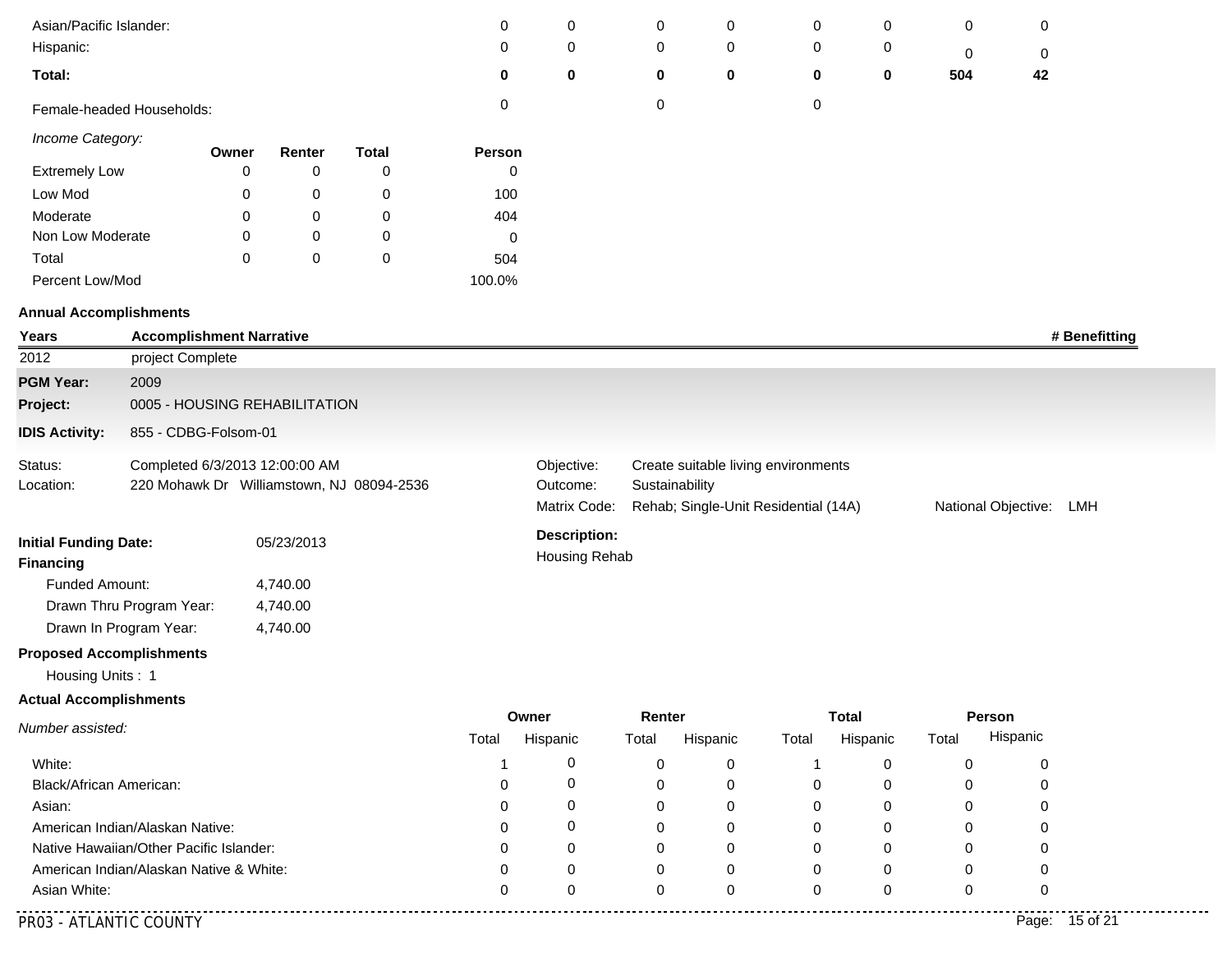| Asian/Pacific Islander:         |                                         |       |            |                                           | 0            | 0                   | 0              | 0           | 0                                    | 0           | 0                   | 0              |  |
|---------------------------------|-----------------------------------------|-------|------------|-------------------------------------------|--------------|---------------------|----------------|-------------|--------------------------------------|-------------|---------------------|----------------|--|
| Hispanic:                       |                                         |       |            |                                           | 0            | 0                   | 0              | 0           | 0                                    | 0           | 0                   | 0              |  |
| Total:                          |                                         |       |            |                                           | 0            | 0                   | $\bf{0}$       | $\mathbf 0$ | 0                                    | 0           | 504                 | 42             |  |
|                                 | Female-headed Households:               |       |            |                                           | 0            |                     | 0              |             | $\pmb{0}$                            |             |                     |                |  |
| Income Category:                |                                         | Owner | Renter     | <b>Total</b>                              | Person       |                     |                |             |                                      |             |                     |                |  |
| <b>Extremely Low</b>            |                                         | 0     | 0          | 0                                         | 0            |                     |                |             |                                      |             |                     |                |  |
| Low Mod                         |                                         | 0     | 0          | 0                                         | 100          |                     |                |             |                                      |             |                     |                |  |
| Moderate                        |                                         | 0     | 0          | 0                                         | 404          |                     |                |             |                                      |             |                     |                |  |
| Non Low Moderate                |                                         | 0     | 0          | 0                                         | 0            |                     |                |             |                                      |             |                     |                |  |
| Total                           |                                         | 0     | 0          | $\pmb{0}$                                 | 504          |                     |                |             |                                      |             |                     |                |  |
| Percent Low/Mod                 |                                         |       |            |                                           | 100.0%       |                     |                |             |                                      |             |                     |                |  |
| <b>Annual Accomplishments</b>   |                                         |       |            |                                           |              |                     |                |             |                                      |             |                     |                |  |
| Years                           | <b>Accomplishment Narrative</b>         |       |            |                                           |              |                     |                |             |                                      |             |                     | # Benefitting  |  |
| 2012                            | project Complete                        |       |            |                                           |              |                     |                |             |                                      |             |                     |                |  |
| <b>PGM Year:</b>                | 2009                                    |       |            |                                           |              |                     |                |             |                                      |             |                     |                |  |
| Project:                        | 0005 - HOUSING REHABILITATION           |       |            |                                           |              |                     |                |             |                                      |             |                     |                |  |
| <b>IDIS Activity:</b>           | 855 - CDBG-Folsom-01                    |       |            |                                           |              |                     |                |             |                                      |             |                     |                |  |
| Status:                         | Completed 6/3/2013 12:00:00 AM          |       |            |                                           |              | Objective:          |                |             | Create suitable living environments  |             |                     |                |  |
| Location:                       |                                         |       |            | 220 Mohawk Dr Williamstown, NJ 08094-2536 |              | Outcome:            | Sustainability |             |                                      |             |                     |                |  |
|                                 |                                         |       |            |                                           |              | Matrix Code:        |                |             | Rehab; Single-Unit Residential (14A) |             | National Objective: | LMH            |  |
| <b>Initial Funding Date:</b>    |                                         |       | 05/23/2013 |                                           |              | <b>Description:</b> |                |             |                                      |             |                     |                |  |
| <b>Financing</b>                |                                         |       |            |                                           |              | Housing Rehab       |                |             |                                      |             |                     |                |  |
| Funded Amount:                  |                                         |       | 4,740.00   |                                           |              |                     |                |             |                                      |             |                     |                |  |
|                                 | Drawn Thru Program Year:                |       | 4,740.00   |                                           |              |                     |                |             |                                      |             |                     |                |  |
|                                 | Drawn In Program Year:                  |       | 4,740.00   |                                           |              |                     |                |             |                                      |             |                     |                |  |
| <b>Proposed Accomplishments</b> |                                         |       |            |                                           |              |                     |                |             |                                      |             |                     |                |  |
| Housing Units: 1                |                                         |       |            |                                           |              |                     |                |             |                                      |             |                     |                |  |
| <b>Actual Accomplishments</b>   |                                         |       |            |                                           |              |                     |                |             |                                      |             |                     |                |  |
| Number assisted:                |                                         |       |            |                                           | Owner        |                     | Renter         |             | <b>Total</b>                         |             | Person              |                |  |
|                                 |                                         |       |            |                                           | Total        | Hispanic            | Total          | Hispanic    | Total                                | Hispanic    | Total               | Hispanic       |  |
| White:                          |                                         |       |            |                                           | 1            | 0                   | 0              | 0           | -1                                   | 0           | 0                   | 0              |  |
| Black/African American:         |                                         |       |            |                                           | 0            | 0                   | 0              | 0           | 0                                    | 0           | 0                   | 0              |  |
| Asian:                          |                                         |       |            |                                           | ∩            | 0                   | $\Omega$       | 0           | 0                                    | 0           | 0                   | $\Omega$       |  |
|                                 | American Indian/Alaskan Native:         |       |            |                                           |              | 0                   |                | 0           | 0                                    | 0           | 0                   |                |  |
|                                 | Native Hawaiian/Other Pacific Islander: |       |            |                                           | $\mathbf{0}$ | 0                   |                | 0           | 0                                    | 0           | 0                   | O              |  |
|                                 | American Indian/Alaskan Native & White: |       |            |                                           | ∩            | 0                   | 0              | 0           | 0                                    | 0           | 0                   | 0              |  |
| Asian White:                    |                                         |       |            |                                           | $\Omega$     | $\Omega$            | $\Omega$       | 0           | 0                                    | $\mathbf 0$ | 0                   | $\Omega$       |  |
| PR03 - ATLANTIC COUNTY          |                                         |       |            |                                           |              |                     |                |             |                                      |             |                     | Page: 15 of 21 |  |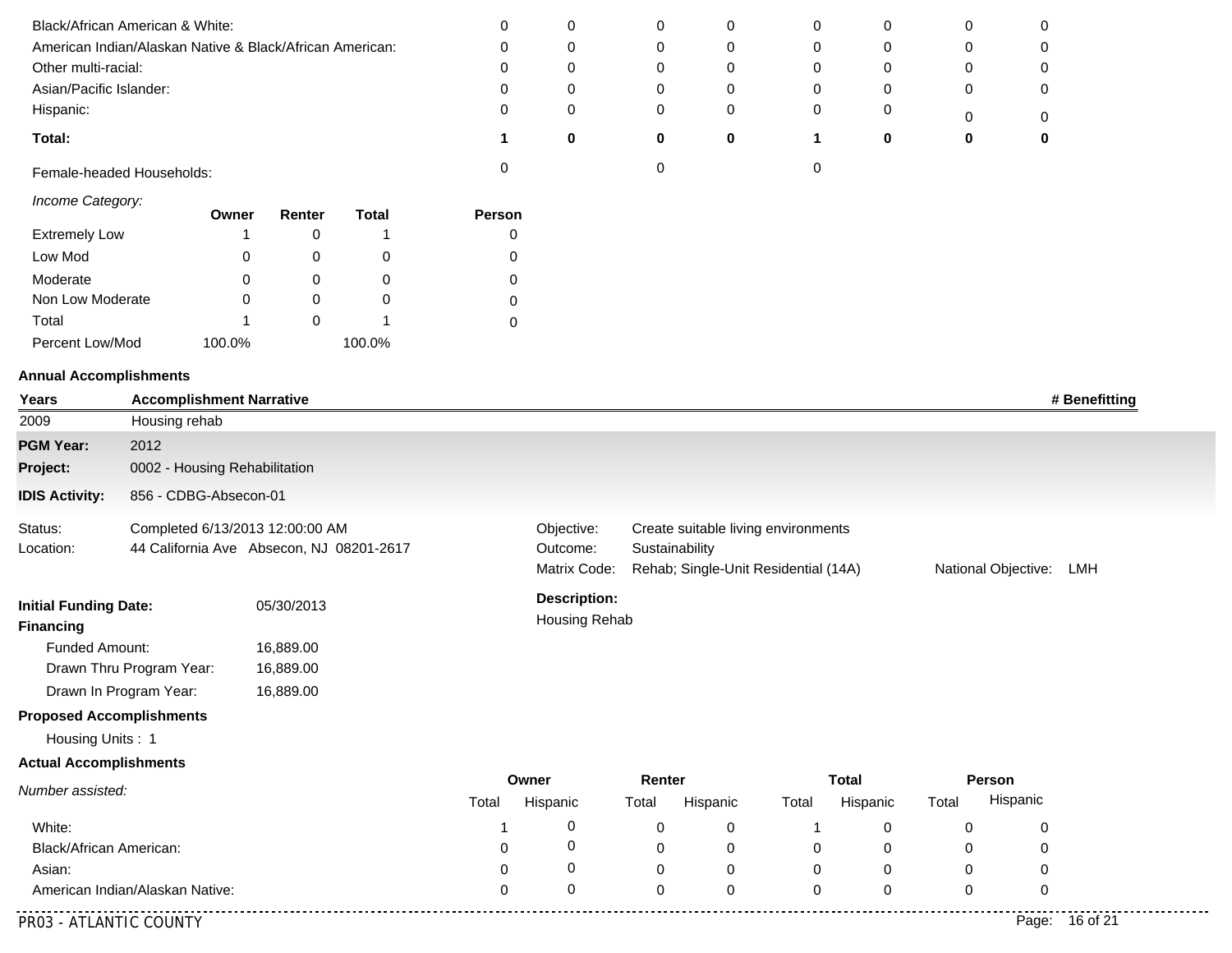| Black/African American & White:                          | 0        |   |   |   |   | 0 | 0        |
|----------------------------------------------------------|----------|---|---|---|---|---|----------|
| American Indian/Alaskan Native & Black/African American: | U        | 0 |   |   |   | 0 | $\Omega$ |
| Other multi-racial:                                      | O        | 0 |   |   |   | 0 | 0        |
| Asian/Pacific Islander:                                  | 0        |   |   | 0 |   | 0 | 0        |
| Hispanic:                                                | 0        |   |   |   |   | 0 | 0        |
| Total:                                                   | $\bf{0}$ | 0 | 0 |   | 0 | 0 | 0        |
| Female-headed Households:                                |          |   |   |   |   |   |          |

|  | Income Category: |
|--|------------------|
|--|------------------|

|                      | Owner  | Renter | Total  | Person |
|----------------------|--------|--------|--------|--------|
| <b>Extremely Low</b> | 1      |        |        |        |
| Low Mod              | 0      |        |        |        |
| Moderate             | 0      |        | O      |        |
| Non Low Moderate     | 0      |        |        |        |
| Total                | 1      |        |        |        |
| Percent Low/Mod      | 100.0% |        | 100.0% |        |

| Years                                                          | <b>Accomplishment Narrative</b>                                             |           |                                      |                        |                                                                                                               |             |             |              |       |                     | # Benefitting  |
|----------------------------------------------------------------|-----------------------------------------------------------------------------|-----------|--------------------------------------|------------------------|---------------------------------------------------------------------------------------------------------------|-------------|-------------|--------------|-------|---------------------|----------------|
| 2009                                                           | Housing rehab                                                               |           |                                      |                        |                                                                                                               |             |             |              |       |                     |                |
| <b>PGM Year:</b>                                               | 2012                                                                        |           |                                      |                        |                                                                                                               |             |             |              |       |                     |                |
| Project:                                                       | 0002 - Housing Rehabilitation                                               |           |                                      |                        |                                                                                                               |             |             |              |       |                     |                |
| <b>IDIS Activity:</b>                                          | 856 - CDBG-Absecon-01                                                       |           |                                      |                        |                                                                                                               |             |             |              |       |                     |                |
| Status:<br>Location:                                           | Completed 6/13/2013 12:00:00 AM<br>44 California Ave Absecon, NJ 08201-2617 |           |                                      | Objective:<br>Outcome: | Create suitable living environments<br>Sustainability<br>Matrix Code:<br>Rehab; Single-Unit Residential (14A) |             |             |              |       | National Objective: | LMH            |
| <b>Initial Funding Date:</b><br>05/30/2013<br><b>Financing</b> |                                                                             |           | <b>Description:</b><br>Housing Rehab |                        |                                                                                                               |             |             |              |       |                     |                |
| Funded Amount:                                                 |                                                                             | 16,889.00 |                                      |                        |                                                                                                               |             |             |              |       |                     |                |
|                                                                | Drawn Thru Program Year:                                                    | 16,889.00 |                                      |                        |                                                                                                               |             |             |              |       |                     |                |
|                                                                | Drawn In Program Year:                                                      | 16,889.00 |                                      |                        |                                                                                                               |             |             |              |       |                     |                |
| <b>Proposed Accomplishments</b>                                |                                                                             |           |                                      |                        |                                                                                                               |             |             |              |       |                     |                |
| Housing Units: 1                                               |                                                                             |           |                                      |                        |                                                                                                               |             |             |              |       |                     |                |
| <b>Actual Accomplishments</b>                                  |                                                                             |           |                                      |                        |                                                                                                               |             |             |              |       |                     |                |
| Number assisted:                                               |                                                                             |           |                                      | Owner                  | Renter                                                                                                        |             |             | <b>Total</b> |       | Person              |                |
|                                                                |                                                                             |           | Total                                | Hispanic               | Total                                                                                                         | Hispanic    | Total       | Hispanic     | Total | Hispanic            |                |
| White:                                                         |                                                                             |           |                                      | 0                      | $\mathbf 0$                                                                                                   | 0           |             | 0            | 0     | 0                   |                |
| Black/African American:                                        |                                                                             |           | $\Omega$                             | 0                      | $\mathbf 0$                                                                                                   | $\mathbf 0$ | 0           | 0            | 0     | 0                   |                |
| Asian:                                                         |                                                                             |           | 0                                    | 0                      | $\mathbf 0$                                                                                                   | 0           | $\mathbf 0$ | 0            | 0     | 0                   |                |
|                                                                | American Indian/Alaskan Native:                                             |           | $\Omega$                             | 0                      | $\Omega$                                                                                                      | $\mathbf 0$ | $\mathbf 0$ | $\mathbf 0$  | 0     | $\mathbf 0$         |                |
| PR03 - ATLANTIC COUNTY                                         |                                                                             |           |                                      |                        |                                                                                                               |             |             |              |       |                     | Page: 16 of 21 |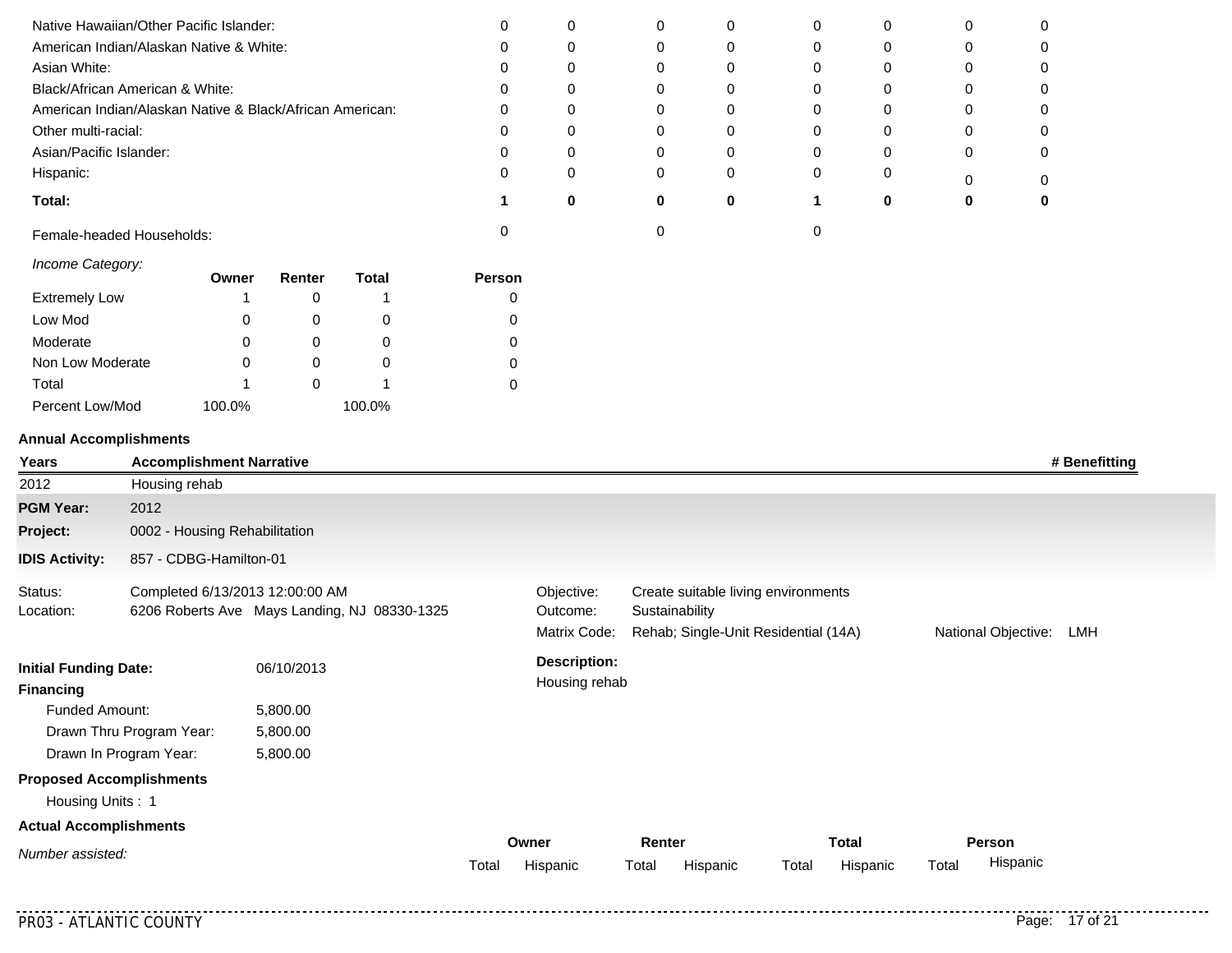| Native Hawaiian/Other Pacific Islander:                  | 0 |  |   | 0 |   |  |
|----------------------------------------------------------|---|--|---|---|---|--|
| American Indian/Alaskan Native & White:                  | 0 |  |   |   | C |  |
| Asian White:                                             |   |  |   | 0 | C |  |
| Black/African American & White:                          | 0 |  |   | 0 | C |  |
| American Indian/Alaskan Native & Black/African American: | 0 |  |   | 0 |   |  |
| Other multi-racial:                                      | 0 |  |   |   | 0 |  |
| Asian/Pacific Islander:                                  | ი |  |   | 0 |   |  |
| Hispanic:                                                |   |  |   |   |   |  |
| Total:                                                   |   |  | 0 |   |   |  |
| Female-headed Households:                                |   |  |   |   |   |  |

|  | Income Category: |
|--|------------------|
|--|------------------|

| <i><b>INTOXING OUTBROIT.</b></i> | Owner  | Renter | Total  | <b>Person</b> |
|----------------------------------|--------|--------|--------|---------------|
| <b>Extremely Low</b>             |        |        |        |               |
| Low Mod                          | 0      |        | 0      |               |
| Moderate                         | 0      |        | O      |               |
| Non Low Moderate                 |        |        | O      | O             |
| Total                            |        |        |        |               |
| Percent Low/Mod                  | 100.0% |        | 100.0% |               |

| Years                                            | <b>Accomplishment Narrative</b> |                                              |       |                                        |                                                       |                                      |                             | # Benefitting |
|--------------------------------------------------|---------------------------------|----------------------------------------------|-------|----------------------------------------|-------------------------------------------------------|--------------------------------------|-----------------------------|---------------|
| 2012                                             | Housing rehab                   |                                              |       |                                        |                                                       |                                      |                             |               |
| <b>PGM Year:</b>                                 | 2012                            |                                              |       |                                        |                                                       |                                      |                             |               |
| Project:                                         | 0002 - Housing Rehabilitation   |                                              |       |                                        |                                                       |                                      |                             |               |
| <b>IDIS Activity:</b>                            | 857 - CDBG-Hamilton-01          |                                              |       |                                        |                                                       |                                      |                             |               |
| Status:<br>Location:                             | Completed 6/13/2013 12:00:00 AM | 6206 Roberts Ave Mays Landing, NJ 08330-1325 |       | Objective:<br>Outcome:<br>Matrix Code: | Create suitable living environments<br>Sustainability | Rehab; Single-Unit Residential (14A) | National Objective:         | LMH           |
| <b>Initial Funding Date:</b><br><b>Financing</b> |                                 | 06/10/2013                                   |       | <b>Description:</b><br>Housing rehab   |                                                       |                                      |                             |               |
| <b>Funded Amount:</b>                            |                                 | 5,800.00                                     |       |                                        |                                                       |                                      |                             |               |
|                                                  | Drawn Thru Program Year:        | 5,800.00                                     |       |                                        |                                                       |                                      |                             |               |
|                                                  | Drawn In Program Year:          | 5,800.00                                     |       |                                        |                                                       |                                      |                             |               |
| <b>Proposed Accomplishments</b>                  |                                 |                                              |       |                                        |                                                       |                                      |                             |               |
| Housing Units: 1                                 |                                 |                                              |       |                                        |                                                       |                                      |                             |               |
| <b>Actual Accomplishments</b>                    |                                 |                                              |       |                                        |                                                       |                                      |                             |               |
| Number assisted:                                 |                                 |                                              | Total | Owner<br>Hispanic                      | Renter<br>Total<br>Hispanic                           | <b>Total</b><br>Total<br>Hispanic    | Person<br>Hispanic<br>Total |               |
|                                                  |                                 |                                              |       |                                        |                                                       |                                      |                             |               |

. . . . . . . . . . . .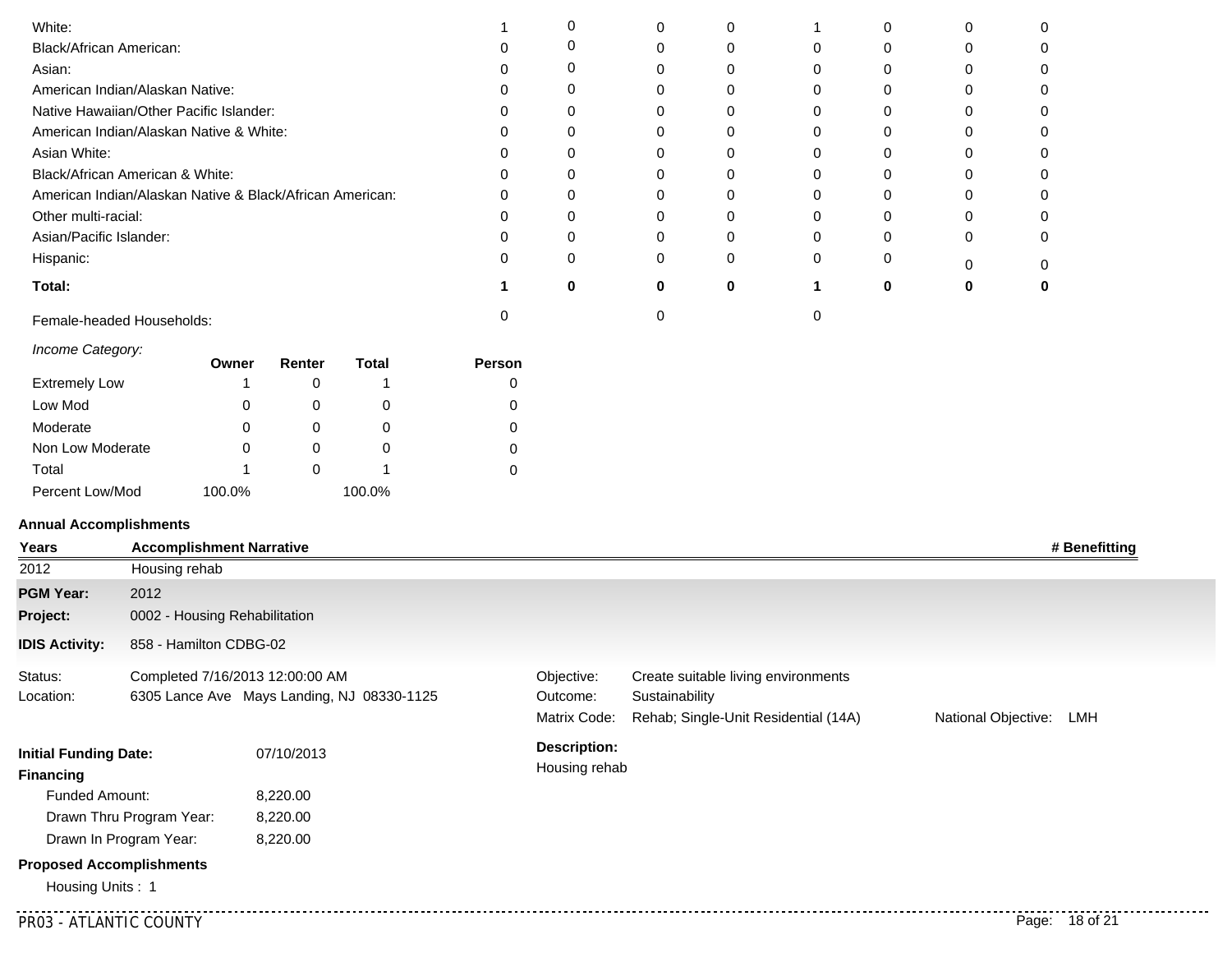| White:                                                   |          |   | $\Omega$ |   |  |  |
|----------------------------------------------------------|----------|---|----------|---|--|--|
| Black/African American:                                  |          |   | 0        | 0 |  |  |
| Asian:                                                   |          |   |          |   |  |  |
| American Indian/Alaskan Native:                          | 0        |   | 0        | 0 |  |  |
| Native Hawaiian/Other Pacific Islander:                  |          |   |          |   |  |  |
| American Indian/Alaskan Native & White:                  | $\Omega$ |   | $\Omega$ | 0 |  |  |
| Asian White:                                             |          |   |          |   |  |  |
| Black/African American & White:                          | $\Omega$ |   | $\Omega$ | 0 |  |  |
| American Indian/Alaskan Native & Black/African American: |          |   |          |   |  |  |
| Other multi-racial:                                      | $\Omega$ |   | $\Omega$ | O |  |  |
| Asian/Pacific Islander:                                  |          |   |          |   |  |  |
| Hispanic:                                                | $\Omega$ |   | $\Omega$ | 0 |  |  |
| Total:                                                   | ŋ        | ŋ | O        |   |  |  |
| Female-headed Households:                                |          |   |          |   |  |  |

#### *Income Category:*

|                      | Owner  | Renter | <b>Total</b> | <b>Person</b> |
|----------------------|--------|--------|--------------|---------------|
| <b>Extremely Low</b> | 1      |        |              | 0             |
| Low Mod              | 0      |        |              | 0             |
| Moderate             | 0      |        |              | 0             |
| Non Low Moderate     | 0      |        |              | 0             |
| Total                |        |        |              |               |
| Percent Low/Mod      | 100.0% |        | 100.0%       |               |

#### **Annual Accomplishments**

| Years                                            | <b>Accomplishment Narrative</b> |                                                                               |                                        |                                                                                               |                     | # Benefitting  |
|--------------------------------------------------|---------------------------------|-------------------------------------------------------------------------------|----------------------------------------|-----------------------------------------------------------------------------------------------|---------------------|----------------|
| 2012                                             | Housing rehab                   |                                                                               |                                        |                                                                                               |                     |                |
| <b>PGM Year:</b>                                 | 2012                            |                                                                               |                                        |                                                                                               |                     |                |
| Project:                                         | 0002 - Housing Rehabilitation   |                                                                               |                                        |                                                                                               |                     |                |
| <b>IDIS Activity:</b>                            | 858 - Hamilton CDBG-02          |                                                                               |                                        |                                                                                               |                     |                |
| Status:<br>Location:                             |                                 | Completed 7/16/2013 12:00:00 AM<br>6305 Lance Ave Mays Landing, NJ 08330-1125 | Objective:<br>Outcome:<br>Matrix Code: | Create suitable living environments<br>Sustainability<br>Rehab; Single-Unit Residential (14A) | National Objective: | LMH            |
| <b>Initial Funding Date:</b><br><b>Financing</b> |                                 | 07/10/2013                                                                    | <b>Description:</b><br>Housing rehab   |                                                                                               |                     |                |
| Funded Amount:                                   |                                 | 8,220.00                                                                      |                                        |                                                                                               |                     |                |
|                                                  | Drawn Thru Program Year:        | 8,220.00                                                                      |                                        |                                                                                               |                     |                |
|                                                  | Drawn In Program Year:          | 8,220.00                                                                      |                                        |                                                                                               |                     |                |
|                                                  | <b>Proposed Accomplishments</b> |                                                                               |                                        |                                                                                               |                     |                |
| Housing Units: 1                                 |                                 |                                                                               |                                        |                                                                                               |                     |                |
|                                                  | PR03 - ATLANTIC COUNTY          |                                                                               |                                        |                                                                                               |                     | Page: 18 of 21 |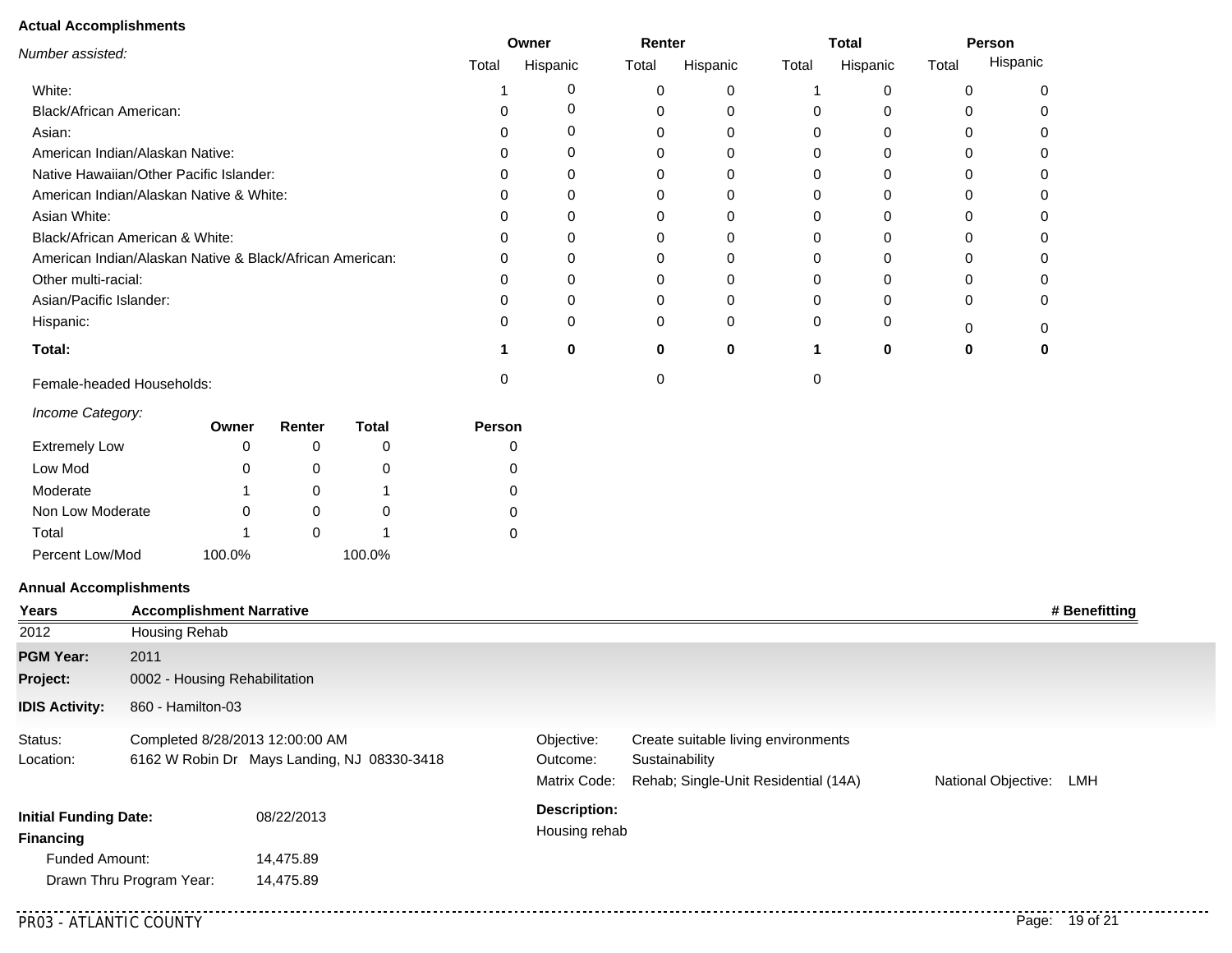| Number assisted:                                         | Renter<br>Owner |          |       |          | <b>Total</b> | Person   |       |          |
|----------------------------------------------------------|-----------------|----------|-------|----------|--------------|----------|-------|----------|
|                                                          | Total           | Hispanic | Total | Hispanic | Total        | Hispanic | Total | Hispanic |
| White:                                                   |                 |          |       |          |              |          | 0     |          |
| <b>Black/African American:</b>                           |                 |          |       |          |              | 0        | 0     |          |
| Asian:                                                   |                 |          |       |          |              | 0        | 0     |          |
| American Indian/Alaskan Native:                          |                 |          |       |          |              |          |       |          |
| Native Hawaiian/Other Pacific Islander:                  |                 |          |       |          |              |          |       |          |
| American Indian/Alaskan Native & White:                  |                 |          |       |          |              |          |       |          |
| Asian White:                                             |                 |          |       |          |              | 0        | 0     |          |
| Black/African American & White:                          |                 |          |       |          |              | $\Omega$ | 0     |          |
| American Indian/Alaskan Native & Black/African American: |                 |          |       |          |              | $\Omega$ | 0     |          |
| Other multi-racial:                                      |                 |          |       |          |              |          | ი     |          |
| Asian/Pacific Islander:                                  |                 |          |       |          |              |          | 0     |          |
| Hispanic:                                                |                 |          |       | 0        | 0            | 0        |       |          |
| Total:                                                   |                 |          |       |          |              | 0        | 0     | 0        |
| Female-headed Households:                                |                 |          |       |          |              |          |       |          |

*Income Category:*

|                      | Owner  | Renter | Total  | <b>Person</b> |
|----------------------|--------|--------|--------|---------------|
| <b>Extremely Low</b> | 0      |        |        |               |
| Low Mod              | 0      |        | O      |               |
| Moderate             |        |        |        |               |
| Non Low Moderate     | 0      |        |        |               |
| Total                |        |        |        |               |
| Percent Low/Mod      | 100.0% |        | 100.0% |               |

#### **Annual Accomplishments**

| Years                                     | <b>Accomplishment Narrative</b> |                                             |                                        |                                                                                               |                     | # Benefitting |
|-------------------------------------------|---------------------------------|---------------------------------------------|----------------------------------------|-----------------------------------------------------------------------------------------------|---------------------|---------------|
| 2012                                      | Housing Rehab                   |                                             |                                        |                                                                                               |                     |               |
| <b>PGM Year:</b>                          | 2011                            |                                             |                                        |                                                                                               |                     |               |
| Project:                                  | 0002 - Housing Rehabilitation   |                                             |                                        |                                                                                               |                     |               |
| <b>IDIS Activity:</b>                     | 860 - Hamilton-03               |                                             |                                        |                                                                                               |                     |               |
| Status:<br>Location:                      | Completed 8/28/2013 12:00:00 AM | 6162 W Robin Dr Mays Landing, NJ 08330-3418 | Objective:<br>Outcome:<br>Matrix Code: | Create suitable living environments<br>Sustainability<br>Rehab; Single-Unit Residential (14A) | National Objective: | LMH           |
| <b>Initial Funding Date:</b><br>Financing |                                 | 08/22/2013                                  | <b>Description:</b><br>Housing rehab   |                                                                                               |                     |               |
| <b>Funded Amount:</b>                     |                                 | 14,475.89                                   |                                        |                                                                                               |                     |               |
|                                           | Drawn Thru Program Year:        | 14,475.89                                   |                                        |                                                                                               |                     |               |

PR03 - ATLANTIC COUNTY Page: 19 of 21

. . . . . . . . . . .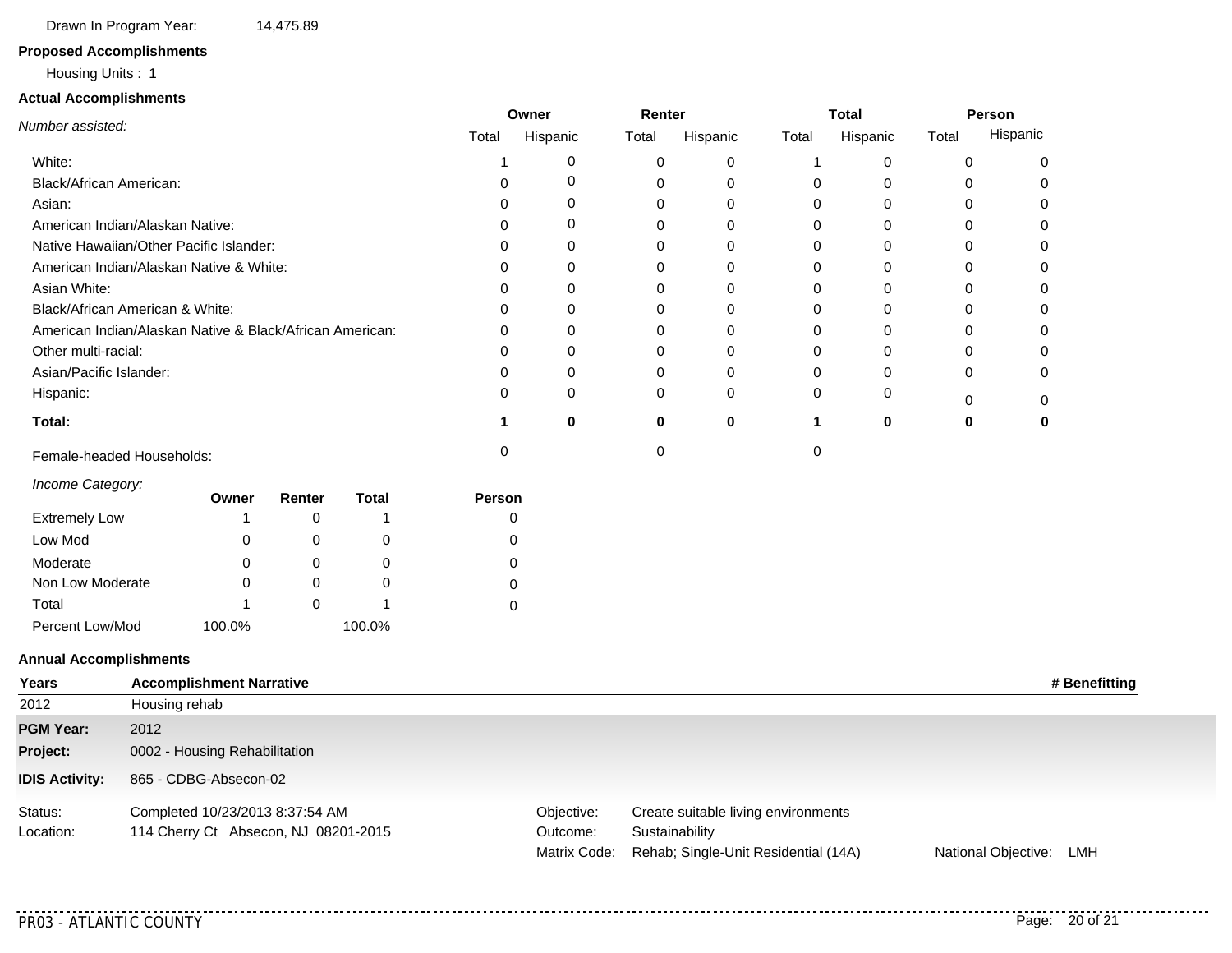Drawn In Program Year: 14,475.89

#### **Proposed Accomplishments**

#### Housing Units : 1

#### **Actual Accomplishments**

|                                                          |               |                                 |          |              |              | Owner    | Renter |          |              | <b>Total</b> |             | Person    |               |
|----------------------------------------------------------|---------------|---------------------------------|----------|--------------|--------------|----------|--------|----------|--------------|--------------|-------------|-----------|---------------|
| Number assisted:                                         |               |                                 |          |              | Total        | Hispanic | Total  | Hispanic | Total        | Hispanic     | Total       | Hispanic  |               |
| White:                                                   |               |                                 |          |              | -1           | 0        | 0      | 0        | -1           | 0            | 0           | 0         |               |
| Black/African American:                                  |               |                                 |          |              |              | 0        | 0      | 0        | 0            | 0            | 0           | 0         |               |
| Asian:                                                   |               |                                 |          |              |              | 0        | 0      | 0        | 0            | 0            | 0           | 0         |               |
| American Indian/Alaskan Native:                          |               |                                 |          |              | O            | 0        | 0      | 0        | 0            | 0            | $\Omega$    | 0         |               |
| Native Hawaiian/Other Pacific Islander:                  |               |                                 |          |              |              | 0        | 0      | 0        | 0            | 0            | 0           | 0         |               |
| American Indian/Alaskan Native & White:                  |               |                                 |          |              |              | 0        | 0      | 0        | 0            | 0            | 0           | 0         |               |
| Asian White:                                             |               |                                 |          |              |              | 0        | 0      | 0        | 0            | 0            | $\Omega$    | 0         |               |
| Black/African American & White:                          |               |                                 |          |              |              | 0        | 0      | 0        | 0            | 0            | 0           | $\Omega$  |               |
| American Indian/Alaskan Native & Black/African American: |               |                                 |          |              | U            | 0        | 0      | 0        | 0            | 0            | 0           | 0         |               |
| Other multi-racial:                                      |               |                                 |          |              | $\mathbf{I}$ | 0        | 0      | 0        | 0            | 0            | 0           | 0         |               |
| Asian/Pacific Islander:                                  |               |                                 |          |              | 0            | 0        | 0      | 0        | 0            | 0            | 0           | 0         |               |
| Hispanic:                                                |               |                                 |          |              | 0            | 0        | 0      | 0        | 0            | 0            | 0           | 0         |               |
| Total:                                                   |               |                                 |          |              | 1            | $\bf{0}$ | 0      | $\bf{0}$ | $\mathbf{1}$ | 0            | $\mathbf 0$ | $\pmb{0}$ |               |
| Female-headed Households:                                |               |                                 |          |              | 0            |          | 0      |          | 0            |              |             |           |               |
| Income Category:                                         |               | Owner                           | Renter   | <b>Total</b> | Person       |          |        |          |              |              |             |           |               |
| <b>Extremely Low</b>                                     |               | -1                              | 0        | 1            |              | 0        |        |          |              |              |             |           |               |
| Low Mod                                                  |               | 0                               | 0        | 0            |              | 0        |        |          |              |              |             |           |               |
| Moderate                                                 |               | 0                               | 0        | 0            |              | 0        |        |          |              |              |             |           |               |
| Non Low Moderate                                         |               | $\Omega$                        | $\Omega$ | 0            |              | 0        |        |          |              |              |             |           |               |
| Total                                                    |               |                                 | 0        | 1            |              | 0        |        |          |              |              |             |           |               |
| Percent Low/Mod                                          |               | 100.0%                          |          | 100.0%       |              |          |        |          |              |              |             |           |               |
| <b>Annual Accomplishments</b>                            |               |                                 |          |              |              |          |        |          |              |              |             |           |               |
| Years                                                    |               | <b>Accomplishment Narrative</b> |          |              |              |          |        |          |              |              |             |           | # Benefitting |
| 2012                                                     | Housing rehab |                                 |          |              |              |          |        |          |              |              |             |           |               |
| <b>PGM Year:</b>                                         | 2012          |                                 |          |              |              |          |        |          |              |              |             |           |               |
| Project:                                                 |               | 0002 - Housing Rehabilitation   |          |              |              |          |        |          |              |              |             |           |               |
| <b>IDIS Activity:</b>                                    |               | 865 - CDBG-Absecon-02           |          |              |              |          |        |          |              |              |             |           |               |

Matrix Code: Rehab; Single-Unit Residential (14A) **Sustainability** Objective: Create suitable living environments Outcome: Completed 10/23/2013 8:37:54 AM 114 Cherry Ct Absecon, NJ 08201-2015 National Objective: LMH Status: Location:

. . . .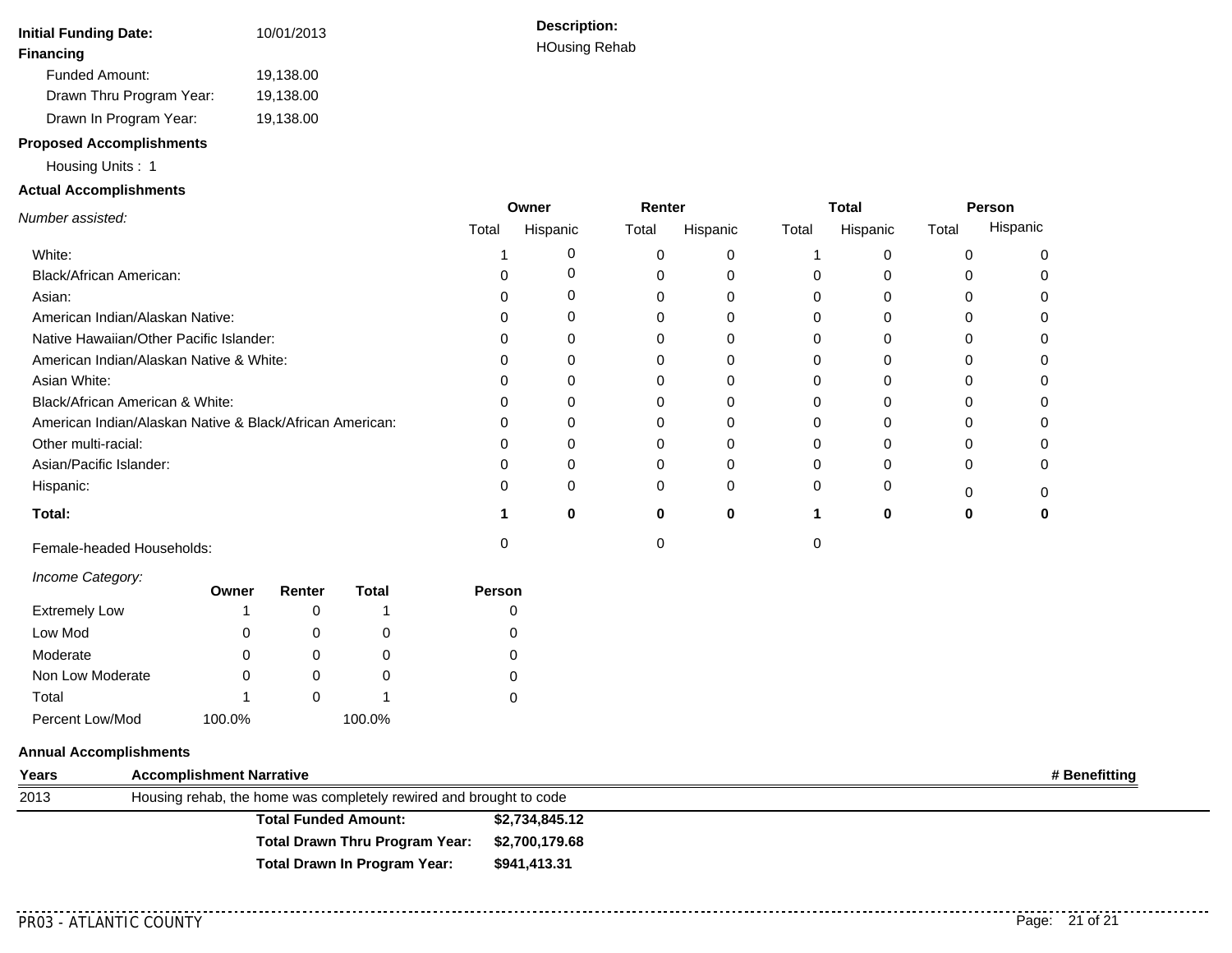| <b>Initial Funding Date:</b> | 10/01/2013 |
|------------------------------|------------|
| <b>Financing</b>             |            |
| Funded Amount:               | 19,138.00  |
| Drawn Thru Program Year:     | 19,138.00  |
| Drawn In Program Year:       | 19,138.00  |

#### **Proposed Accomplishments**

Housing Units : 1

#### **Actual Accomplishments**

|                                                          |       | Owner    | Renter |          |       | <b>Total</b> | Person |          |
|----------------------------------------------------------|-------|----------|--------|----------|-------|--------------|--------|----------|
| Number assisted:                                         | Total | Hispanic | Total  | Hispanic | Total | Hispanic     | Total  | Hispanic |
| White:                                                   |       |          | 0      |          |       |              |        |          |
| Black/African American:                                  |       |          | 0      |          |       |              |        |          |
| Asian:                                                   |       |          | 0      |          |       |              |        |          |
| American Indian/Alaskan Native:                          |       |          | 0      |          |       |              |        |          |
| Native Hawaiian/Other Pacific Islander:                  |       |          | 0      |          |       |              |        |          |
| American Indian/Alaskan Native & White:                  |       |          | 0      |          |       |              |        |          |
| Asian White:                                             |       |          | 0      |          |       | $\Omega$     |        |          |
| Black/African American & White:                          |       |          | 0      |          |       |              |        |          |
| American Indian/Alaskan Native & Black/African American: |       |          | 0      |          |       |              |        |          |
| Other multi-racial:                                      |       |          | 0      |          |       |              |        |          |
| Asian/Pacific Islander:                                  |       |          | 0      |          |       |              |        |          |
| Hispanic:                                                |       |          | 0      | ∩        |       |              |        |          |
| Total:                                                   |       | n        | O      | ŋ        |       | o            |        |          |
| Female-headed Households:                                |       |          |        |          |       |              |        |          |

*Income Category:*

|                      | Owner  | Renter | <b>Total</b> | Person |
|----------------------|--------|--------|--------------|--------|
| <b>Extremely Low</b> |        |        |              |        |
| Low Mod              | 0      |        | 0            | 0      |
| Moderate             | 0      |        | O            | 0      |
| Non Low Moderate     |        |        | O            | 0      |
| Total                |        |        |              |        |
| Percent Low/Mod      | 100.0% |        | 100.0%       |        |

#### **Annual Accomplishments**

| Years | <b>Accomplishment Narrative</b>                                    |                | # Benefitting |
|-------|--------------------------------------------------------------------|----------------|---------------|
| 2013  | Housing rehab, the home was completely rewired and brought to code |                |               |
|       | <b>Total Funded Amount:</b>                                        | \$2,734,845.12 |               |
|       | <b>Total Drawn Thru Program Year:</b>                              | \$2,700,179.68 |               |
|       | Total Drawn In Program Year:                                       | \$941,413.31   |               |

............

<u>. . . . . . . . . .</u>

**Description: HOusing Rehab**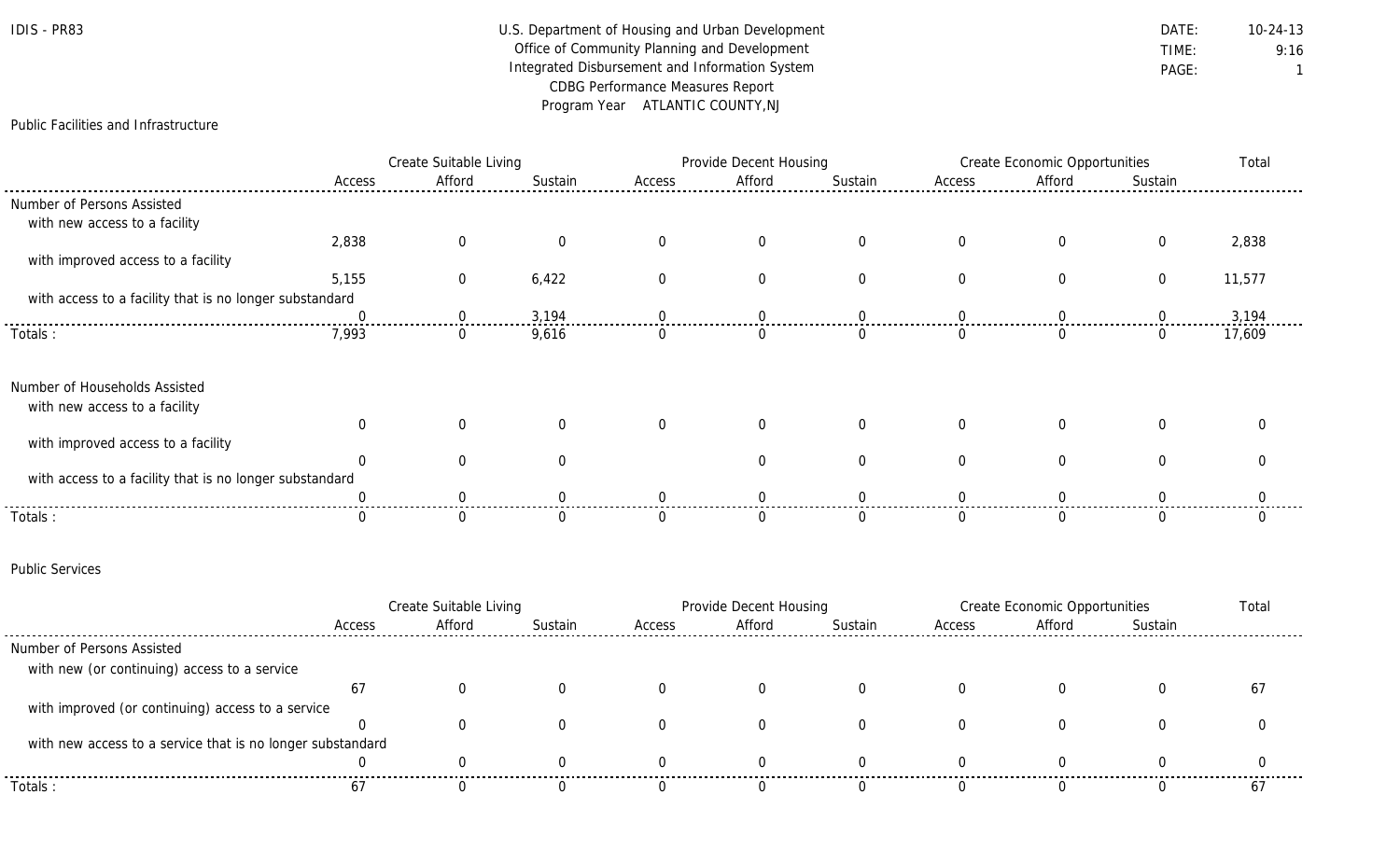## IDIS - PR83 Department of Housing and Urban Development DATE: DATE: 10-24-13 Office of Community Planning and Development **TIME:** 9:16 Integrated Disbursement and Information System **PAGE:** PAGE: 1 CDBG Performance Measures Report Program Year ATLANTIC COUNTY,NJ

Public Facilities and Infrastructure

|                                                         |        | Create Suitable Living |          |          | Provide Decent Housing |          | <b>Create Economic Opportunities</b> |        |                | Total  |
|---------------------------------------------------------|--------|------------------------|----------|----------|------------------------|----------|--------------------------------------|--------|----------------|--------|
|                                                         | Access | Afford                 | Sustain  | Access   | Afford                 | Sustain  | Access                               | Afford | Sustain        |        |
| Number of Persons Assisted                              |        |                        |          |          |                        |          |                                      |        |                |        |
| with new access to a facility                           |        |                        |          |          |                        |          |                                      |        |                |        |
|                                                         | 2,838  | 0                      |          |          | 0                      | $\Omega$ | 0                                    |        | 0              | 2,838  |
| with improved access to a facility                      |        |                        |          |          |                        |          |                                      |        |                |        |
|                                                         | 5,155  | 0                      | 6,422    |          | $\Omega$               | $\Omega$ | $\Omega$                             |        | $\overline{0}$ | 11,577 |
| with access to a facility that is no longer substandard |        |                        |          |          |                        |          |                                      |        |                |        |
|                                                         |        | $\left( \right)$       | 3,194    |          |                        |          |                                      |        |                | 3,194  |
| Totals :                                                | 7,993  | 0                      | 9,616    | <b>U</b> | $\left( \right)$       | 0        |                                      |        | $\Omega$       | 17,609 |
| Number of Households Assisted                           |        |                        |          |          |                        |          |                                      |        |                |        |
| with new access to a facility                           |        |                        |          |          |                        |          |                                      |        |                |        |
|                                                         |        | $\Omega$               | $\Omega$ | $\Omega$ | $\Omega$               | $\Omega$ | $\Omega$                             |        | O              |        |
| with improved access to a facility                      |        |                        |          |          |                        |          |                                      |        |                |        |
|                                                         |        |                        |          |          | O                      | $\Omega$ |                                      |        |                |        |
| with access to a facility that is no longer substandard |        |                        |          |          |                        |          |                                      |        |                |        |
|                                                         |        |                        |          |          |                        |          |                                      |        |                |        |
| Totals:                                                 |        |                        |          |          |                        |          |                                      |        |                |        |

#### Public Services

|                                                            |        | Create Suitable Living |         | <b>Provide Decent Housing</b> |        |         | Create Economic Opportunities |        |         | Total |
|------------------------------------------------------------|--------|------------------------|---------|-------------------------------|--------|---------|-------------------------------|--------|---------|-------|
|                                                            | Access | Afford                 | Sustain | Access                        | Afford | Sustain | Access                        | Afford | Sustain |       |
| Number of Persons Assisted                                 |        |                        |         |                               |        |         |                               |        |         |       |
| with new (or continuing) access to a service               |        |                        |         |                               |        |         |                               |        |         |       |
|                                                            | 67     |                        |         |                               |        |         |                               |        |         | 6,    |
| with improved (or continuing) access to a service          |        |                        |         |                               |        |         |                               |        |         |       |
|                                                            |        |                        |         |                               |        |         |                               |        |         |       |
| with new access to a service that is no longer substandard |        |                        |         |                               |        |         |                               |        |         |       |
|                                                            |        |                        |         |                               |        |         |                               |        |         |       |
| Totals:                                                    | 67     |                        |         |                               |        |         |                               |        |         | 6     |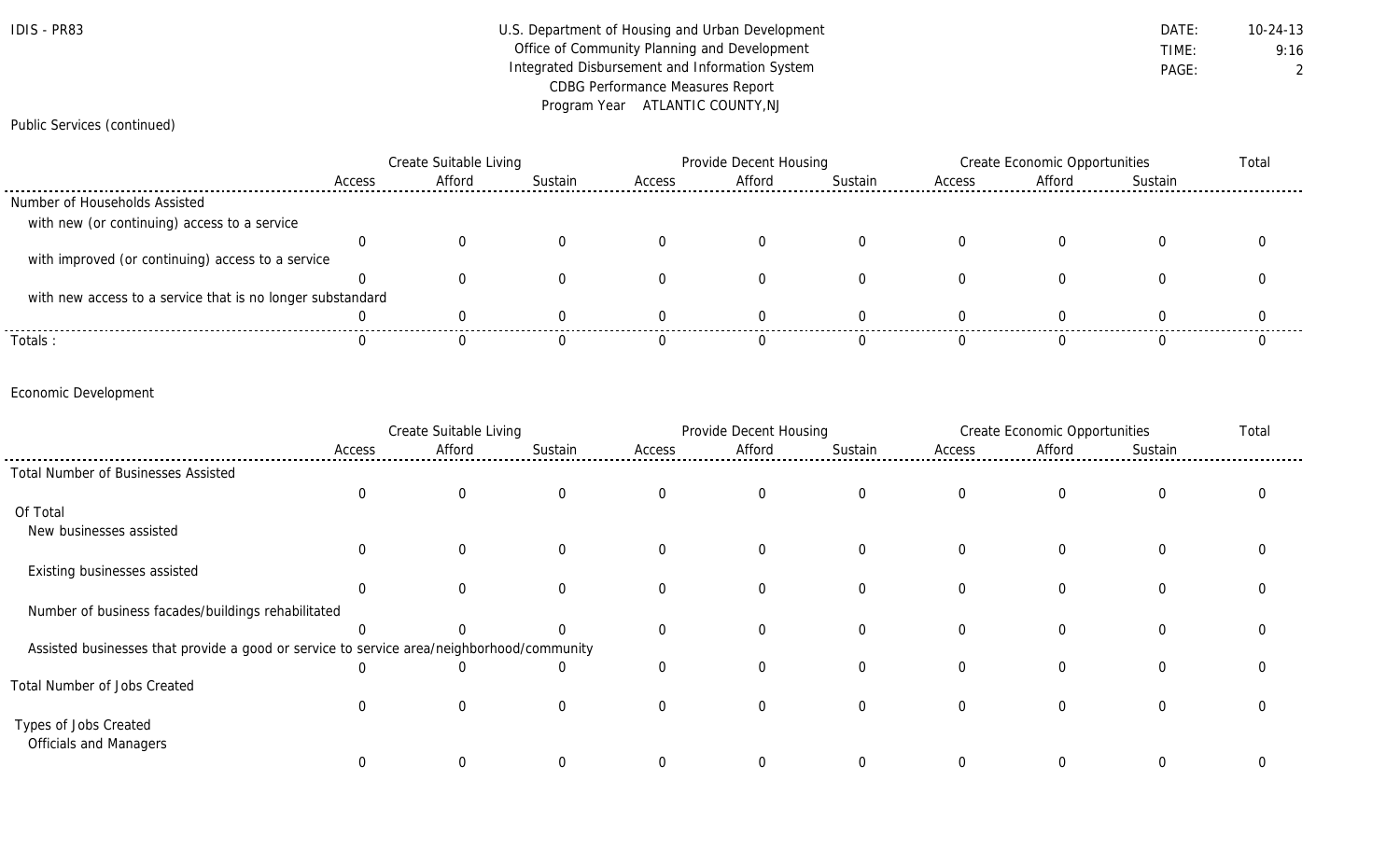| $IDIS -$ | <b>PR83</b> |
|----------|-------------|
|----------|-------------|

### U.S. Department of Housing and Urban Development **DATE:** 10-24-13 Office of Community Planning and Development **TIME:** 9:16 Integrated Disbursement and Information System **PAGE:** PAGE: 2 CDBG Performance Measures Report Program Year ATLANTIC COUNTY,NJ

#### Public Services (continued)

|                                                            |        | Create Suitable Living |         |        | Provide Decent Housing |         |        | Create Economic Opportunities |         |  |
|------------------------------------------------------------|--------|------------------------|---------|--------|------------------------|---------|--------|-------------------------------|---------|--|
|                                                            | Access | Afford                 | Sustain | Access | Afford                 | Sustain | Access | Afford                        | Sustain |  |
| Number of Households Assisted                              |        |                        |         |        |                        |         |        |                               |         |  |
| with new (or continuing) access to a service               |        |                        |         |        |                        |         |        |                               |         |  |
|                                                            |        |                        |         |        |                        |         |        |                               |         |  |
| with improved (or continuing) access to a service          |        |                        |         |        |                        |         |        |                               |         |  |
|                                                            |        |                        |         |        |                        |         |        |                               |         |  |
| with new access to a service that is no longer substandard |        |                        |         |        |                        |         |        |                               |         |  |
|                                                            |        |                        |         |        |                        |         |        |                               |         |  |
| Totals:                                                    |        |                        |         |        |                        |         |        |                               |         |  |

#### Economic Development

|                                                                                           |                | Create Suitable Living |          |                | Provide Decent Housing |             |              | <b>Create Economic Opportunities</b> |             | Total |
|-------------------------------------------------------------------------------------------|----------------|------------------------|----------|----------------|------------------------|-------------|--------------|--------------------------------------|-------------|-------|
|                                                                                           | Access         | Afford                 | Sustain  | Access         | Afford                 | Sustain     | Access       | Afford                               | Sustain     |       |
| Total Number of Businesses Assisted                                                       |                |                        |          |                |                        |             |              |                                      |             |       |
|                                                                                           | $\overline{0}$ | $\mathbf{0}$           | $\Omega$ | $\overline{0}$ | $\mathbf 0$            | $\mathbf 0$ | $\mathbf{0}$ | $\overline{0}$                       | 0           |       |
| Of Total                                                                                  |                |                        |          |                |                        |             |              |                                      |             |       |
| New businesses assisted                                                                   |                |                        |          |                |                        |             |              |                                      |             |       |
|                                                                                           | $\Omega$       | $\Omega$               | $\Omega$ | $\Omega$       | 0                      | $\mathbf 0$ | 0            | $\overline{0}$                       | 0           |       |
| Existing businesses assisted                                                              |                |                        |          |                |                        |             |              |                                      |             |       |
|                                                                                           | $\Omega$       |                        |          | $\Omega$       | $\Omega$               | $\Omega$    | $\Omega$     | $\Omega$                             | $\Omega$    |       |
| Number of business facades/buildings rehabilitated                                        |                |                        |          |                |                        |             |              |                                      |             |       |
|                                                                                           |                |                        |          | $\Omega$       | $\overline{0}$         | $\Omega$    | $\Omega$     | $\Omega$                             | $\mathbf 0$ |       |
| Assisted businesses that provide a good or service to service area/neighborhood/community |                |                        |          |                |                        |             |              |                                      |             |       |
|                                                                                           | $\Omega$       |                        | 0        | $\Omega$       | $\Omega$               | $\Omega$    | $\Omega$     | $\Omega$                             | $\mathbf 0$ |       |
| Total Number of Jobs Created                                                              |                |                        |          |                |                        |             |              |                                      |             |       |
|                                                                                           | $\Omega$       | $\Omega$               |          | $\Omega$       | $\Omega$               | $\Omega$    |              | $\Omega$                             | $\Omega$    |       |
| Types of Jobs Created                                                                     |                |                        |          |                |                        |             |              |                                      |             |       |
| <b>Officials and Managers</b>                                                             |                |                        |          |                |                        |             |              |                                      |             |       |
|                                                                                           |                |                        |          | $\Omega$       | $\Omega$               |             |              | $\Omega$                             | $\Omega$    |       |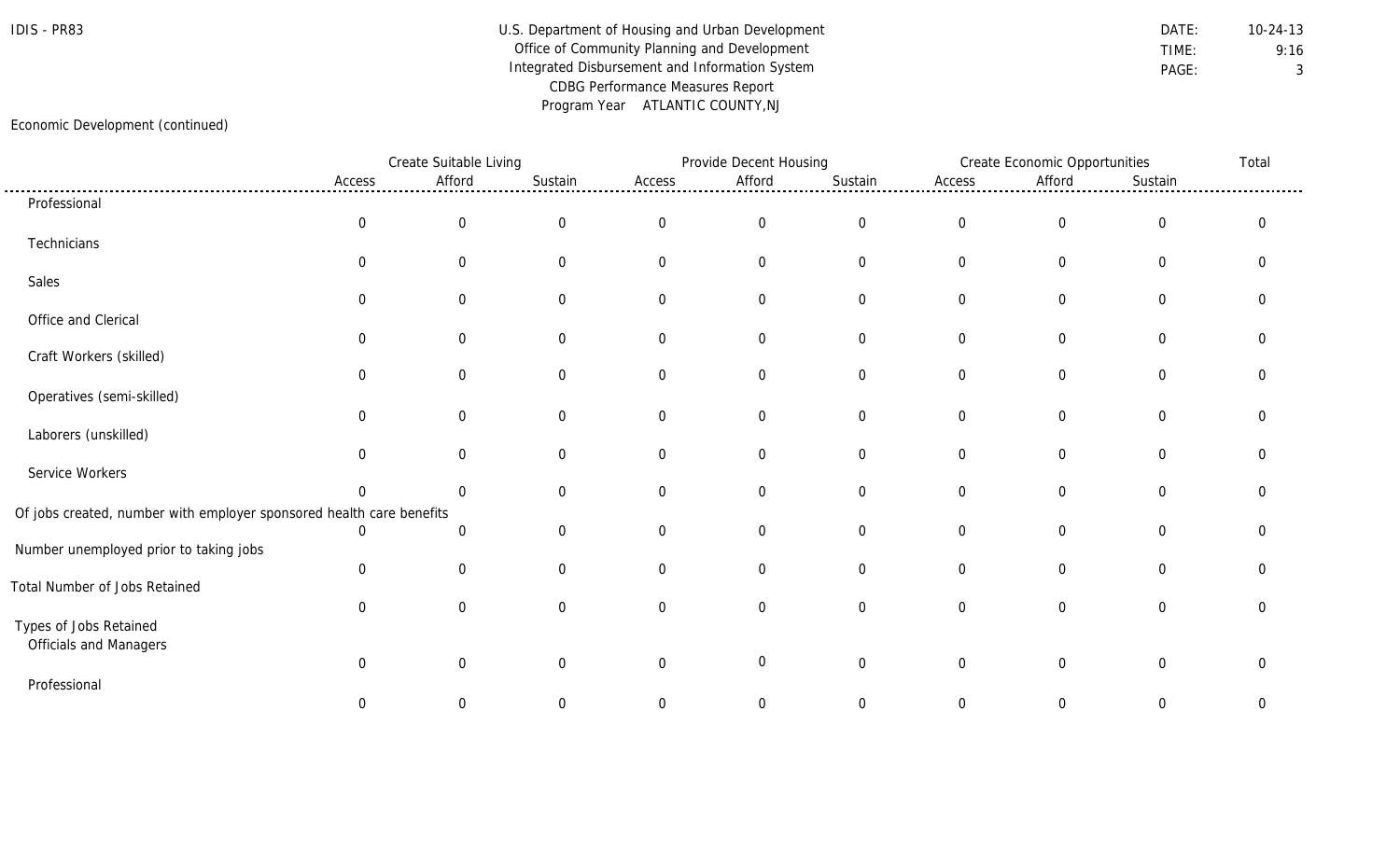### IDIS - PR83 Department of Housing and Urban Development DATE: DATE: 10-24-13 Office of Community Planning and Development **TIME:** 9:16 Integrated Disbursement and Information System **PAGE:** PAGE: 3 CDBG Performance Measures Report Program Year ATLANTIC COUNTY,NJ

#### Economic Development (continued)

|                                                                      |                | Create Suitable Living |                |                | Provide Decent Housing |                |                | Create Economic Opportunities |                  | Total       |
|----------------------------------------------------------------------|----------------|------------------------|----------------|----------------|------------------------|----------------|----------------|-------------------------------|------------------|-------------|
|                                                                      | Access         | Afford                 | Sustain        | Access         | Afford                 | Sustain        | Access         | Afford                        | Sustain          |             |
| Professional                                                         |                |                        |                |                |                        |                |                |                               |                  |             |
|                                                                      | $\overline{0}$ | $\mathbf 0$            | $\overline{0}$ | $\overline{0}$ | $\overline{0}$         | $\mathbf 0$    | $\overline{0}$ | $\overline{0}$                | $\boldsymbol{0}$ | $\mathbf 0$ |
| Technicians                                                          |                |                        |                |                |                        |                |                |                               |                  |             |
|                                                                      | $\Omega$       | $\Omega$               | $\Omega$       | $\Omega$       | $\overline{0}$         | $\overline{0}$ | $\overline{0}$ | $\mathbf 0$                   | $\overline{0}$   | $\Omega$    |
| Sales                                                                |                |                        |                |                |                        |                |                |                               |                  |             |
|                                                                      | 0              | $\overline{0}$         | 0              | $\Omega$       | $\overline{0}$         | $\mathbf 0$    | $\overline{0}$ | $\overline{0}$                | $\overline{0}$   |             |
| Office and Clerical                                                  |                |                        |                |                |                        |                |                |                               |                  |             |
|                                                                      | $\Omega$       | $\overline{0}$         | $\Omega$       | $\Omega$       | $\overline{0}$         | $\mathbf 0$    | $\overline{0}$ | $\mathbf 0$                   | $\overline{0}$   | $\Omega$    |
| Craft Workers (skilled)                                              | 0              | 0                      | 0              | $\Omega$       | 0                      | $\overline{0}$ | 0              | $\mathbf 0$                   | $\mathbf 0$      |             |
|                                                                      |                |                        |                |                |                        |                |                |                               |                  |             |
| Operatives (semi-skilled)                                            | $\mathbf 0$    | $\overline{0}$         | $\overline{0}$ | $\overline{0}$ | $\mathbf 0$            | $\overline{0}$ | $\overline{0}$ | $\mathbf 0$                   | $\mathbf 0$      |             |
| Laborers (unskilled)                                                 |                |                        |                |                |                        |                |                |                               |                  |             |
|                                                                      | $\Omega$       | $\Omega$               | $\Omega$       | $\Omega$       | $\overline{0}$         | $\mathbf 0$    | $\overline{0}$ | $\mathbf 0$                   | $\mathbf 0$      | ∩           |
| Service Workers                                                      |                |                        |                |                |                        |                |                |                               |                  |             |
|                                                                      | $\Omega$       | $\Omega$               | 0              | $\Omega$       | $\overline{0}$         | $\overline{0}$ | $\overline{0}$ | $\overline{0}$                | $\mathbf 0$      | O           |
| Of jobs created, number with employer sponsored health care benefits |                |                        |                |                |                        |                |                |                               |                  |             |
|                                                                      | $\Omega$       | $\Omega$               | $\Omega$       | $\Omega$       | $\overline{0}$         | $\overline{0}$ | $\overline{0}$ | $\mathbf 0$                   | $\overline{0}$   | $\Omega$    |
| Number unemployed prior to taking jobs                               |                |                        |                |                |                        |                |                |                               |                  |             |
|                                                                      | 0              | $\mathbf 0$            | 0              | $\Omega$       | $\mathbf 0$            | $\overline{0}$ | $\overline{0}$ | $\mathbf 0$                   | $\mathbf 0$      | O           |
| Total Number of Jobs Retained                                        |                |                        |                |                |                        |                |                |                               |                  |             |
|                                                                      | 0              | $\overline{0}$         | $\Omega$       | $\Omega$       | $\overline{0}$         | $\mathbf 0$    | $\overline{0}$ | $\mathbf 0$                   | $\overline{0}$   | $\Omega$    |
| Types of Jobs Retained                                               |                |                        |                |                |                        |                |                |                               |                  |             |
| Officials and Managers                                               |                |                        |                |                |                        |                |                |                               |                  |             |
|                                                                      | $\overline{0}$ | $\overline{0}$         | $\Omega$       | $\Omega$       | $\overline{0}$         | $\mathbf 0$    | $\overline{0}$ | $\mathbf 0$                   | $\overline{0}$   | $\Omega$    |
| Professional                                                         |                |                        |                |                |                        |                |                |                               |                  |             |
|                                                                      | 0              | $\mathbf 0$            | $\Omega$       | 0              | 0                      | $\mathbf 0$    | $\overline{0}$ | $\overline{0}$                | $\mathbf 0$      | 0           |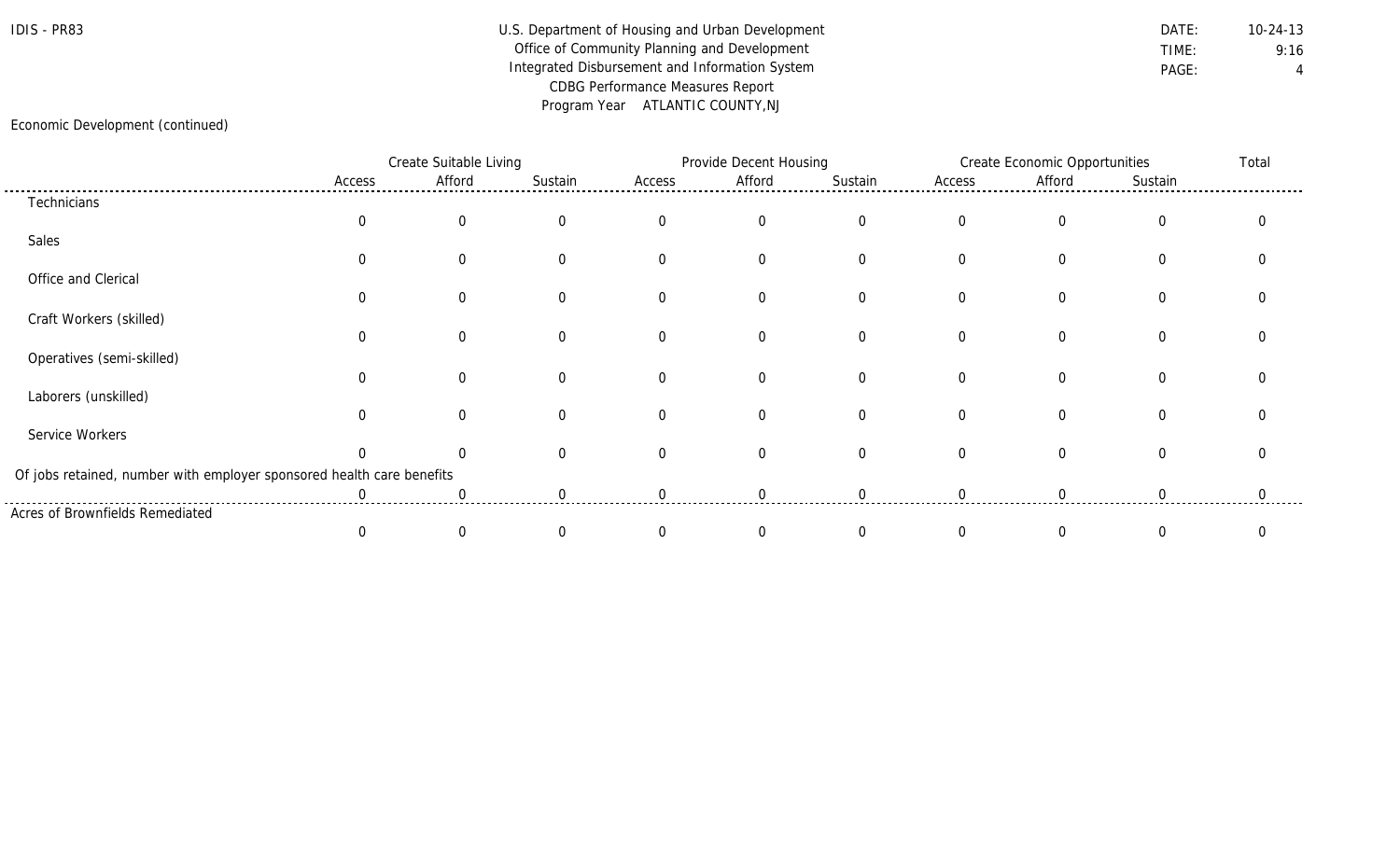### IDIS - PR83 Department of Housing and Urban Development DATE: DATE: 10-24-13 Office of Community Planning and Development **TIME:** 9:16 Integrated Disbursement and Information System **PAGE:** PAGE: 4 CDBG Performance Measures Report Program Year ATLANTIC COUNTY,NJ

#### Economic Development (continued)

|                                                                       |          | Create Suitable Living |          |             | Provide Decent Housing |             |          | <b>Create Economic Opportunities</b> |                |  |
|-----------------------------------------------------------------------|----------|------------------------|----------|-------------|------------------------|-------------|----------|--------------------------------------|----------------|--|
|                                                                       | Access   | Afford                 | Sustain  | Access      | Afford                 | Sustain     | Access   | Afford                               | Sustain        |  |
| Technicians                                                           |          |                        |          |             |                        |             |          |                                      |                |  |
|                                                                       |          | 0                      |          | $\Omega$    | $\overline{0}$         | $\Omega$    | $\Omega$ | 0                                    | $\overline{0}$ |  |
| Sales                                                                 |          |                        |          |             |                        |             |          |                                      |                |  |
|                                                                       |          | ∩                      |          | $\mathbf 0$ | $\Omega$               | $\Omega$    | $\Omega$ | $\Omega$                             | $\Omega$       |  |
| Office and Clerical                                                   |          |                        |          |             |                        |             |          |                                      |                |  |
|                                                                       |          |                        |          | $\mathbf 0$ | $\Omega$               | $\mathbf 0$ | $\Omega$ | $\mathbf{0}$                         | $\Omega$       |  |
| Craft Workers (skilled)                                               |          |                        |          |             |                        |             |          |                                      |                |  |
|                                                                       | $\Omega$ | ∩                      |          | $\Omega$    | $\Omega$               | $\Omega$    | $\Omega$ | $\Omega$                             | $\Omega$       |  |
| Operatives (semi-skilled)                                             |          |                        |          |             |                        |             |          |                                      |                |  |
|                                                                       |          | ∩                      |          | $\Omega$    | $\Omega$               | $\Omega$    | $\Omega$ | $\Omega$                             | $\Omega$       |  |
| Laborers (unskilled)                                                  |          |                        |          |             |                        |             |          |                                      |                |  |
|                                                                       |          | $\Omega$               | $\Omega$ | $\Omega$    | $\Omega$               | $\Omega$    | $\Omega$ | 0                                    | $\Omega$       |  |
| Service Workers                                                       |          |                        |          |             |                        |             |          |                                      |                |  |
|                                                                       |          |                        |          | $\Omega$    | $\Omega$               | $\Omega$    | $\Omega$ | 0                                    | 0              |  |
| Of jobs retained, number with employer sponsored health care benefits |          |                        |          |             |                        |             |          |                                      |                |  |
|                                                                       |          |                        |          |             |                        |             |          |                                      |                |  |
| Acres of Brownfields Remediated                                       |          |                        |          |             |                        |             |          |                                      |                |  |
|                                                                       |          | $\left($               |          | $\Omega$    |                        |             |          |                                      | 0              |  |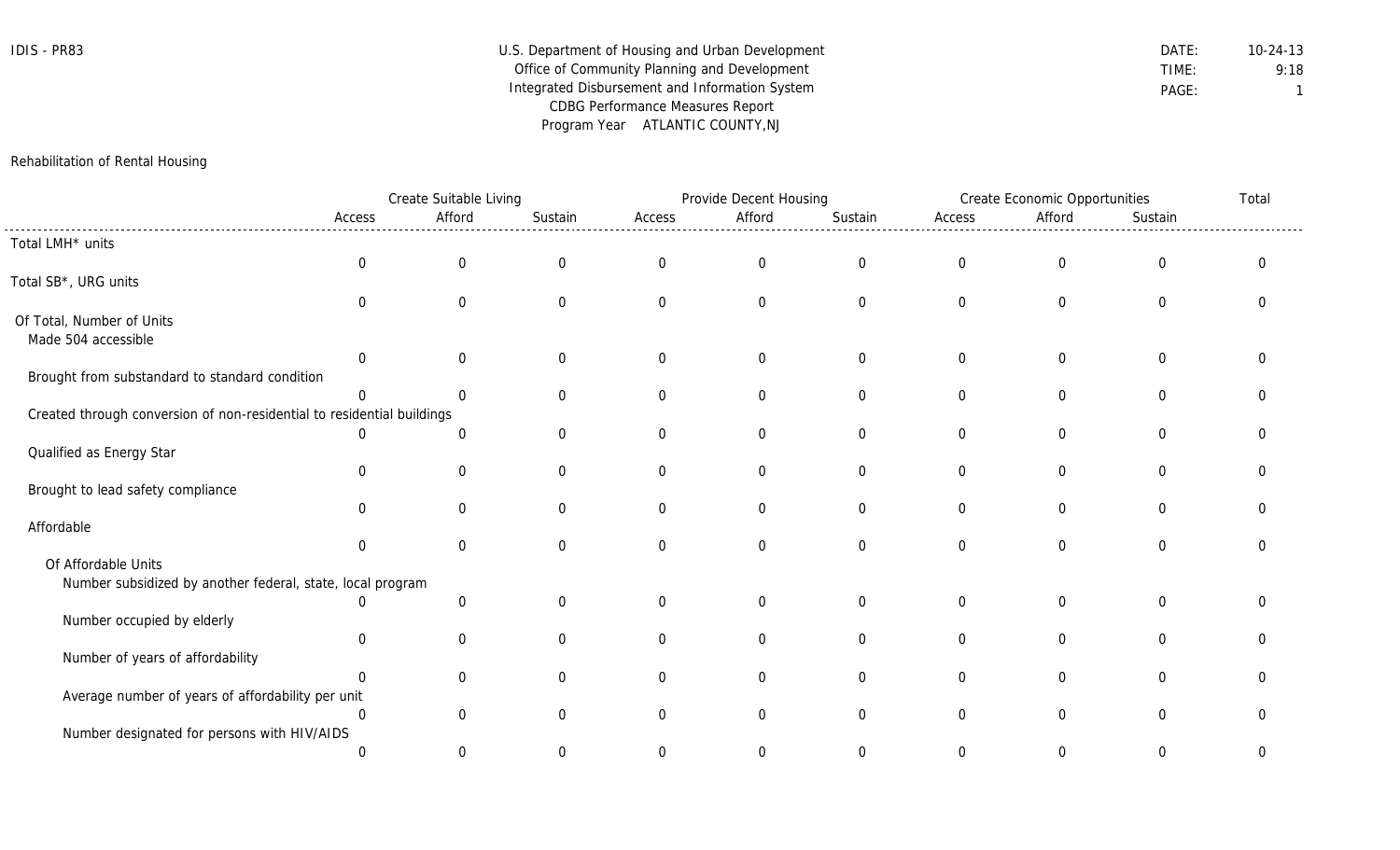| IDIS | PR83 |
|------|------|
|------|------|

| IDIS - PR83 | U.S. Department of Housing and Urban Development | DATE: | $10 - 24 - 13$ |
|-------------|--------------------------------------------------|-------|----------------|
|             | Office of Community Planning and Development     | TIME: | 9:18           |
|             | Integrated Disbursement and Information System   | PAGE: |                |
|             | <b>CDBG Performance Measures Report</b>          |       |                |
|             | Program Year ATLANTIC COUNTY, NJ                 |       |                |

#### Rehabilitation of Rental Housing

|                                                                        |                | Create Suitable Living |                  |                | Provide Decent Housing |                |                  | <b>Create Economic Opportunities</b> |                  | Total        |
|------------------------------------------------------------------------|----------------|------------------------|------------------|----------------|------------------------|----------------|------------------|--------------------------------------|------------------|--------------|
|                                                                        | Access         | Afford                 | Sustain          | Access         | Afford                 | Sustain        | Access           | Afford                               | Sustain          |              |
| Total LMH* units                                                       |                |                        |                  |                |                        |                |                  |                                      |                  |              |
|                                                                        | $\mathbf 0$    | $\mathbf 0$            | $\boldsymbol{0}$ | $\overline{0}$ | $\mathbf 0$            | $\mathbf 0$    | $\boldsymbol{0}$ | $\overline{0}$                       | $\mathbf 0$      | $\mathbf{0}$ |
| Total SB*, URG units                                                   |                |                        |                  |                |                        |                |                  |                                      |                  |              |
|                                                                        | $\Omega$       | $\overline{0}$         | $\mathbf 0$      | $\overline{0}$ | $\overline{0}$         | $\overline{0}$ | $\mathbf 0$      | $\overline{0}$                       | $\overline{0}$   | $\Omega$     |
| Of Total, Number of Units                                              |                |                        |                  |                |                        |                |                  |                                      |                  |              |
| Made 504 accessible                                                    |                |                        |                  |                |                        |                |                  |                                      |                  |              |
|                                                                        | $\overline{0}$ | $\overline{0}$         | $\mathbf 0$      | $\overline{0}$ | $\overline{0}$         | $\mathbf 0$    | $\mathbf 0$      | $\overline{0}$                       | $\overline{0}$   | 0            |
| Brought from substandard to standard condition                         |                |                        |                  |                |                        |                |                  |                                      |                  |              |
|                                                                        | $\Omega$       | 0                      | $\mathbf 0$      | $\overline{0}$ | $\overline{0}$         | $\overline{0}$ | $\mathbf 0$      | $\overline{0}$                       | $\overline{0}$   | $\Omega$     |
| Created through conversion of non-residential to residential buildings |                |                        |                  |                |                        |                |                  |                                      |                  |              |
|                                                                        |                | 0                      | $\mathbf 0$      | $\overline{0}$ | $\mathbf 0$            | $\mathbf 0$    | $\mathbf 0$      | 0                                    | $\boldsymbol{0}$ | $\Omega$     |
| Qualified as Energy Star                                               | $\Omega$       | $\overline{0}$         | $\mathbf 0$      | $\overline{0}$ | $\overline{0}$         | $\overline{0}$ | $\mathbf 0$      | $\overline{0}$                       | $\mathbf 0$      | $\Omega$     |
| Brought to lead safety compliance                                      |                |                        |                  |                |                        |                |                  |                                      |                  |              |
|                                                                        | $\Omega$       | $\Omega$               | $\mathbf 0$      | $\Omega$       | $\overline{0}$         | 0              | $\mathbf 0$      | $\Omega$                             | $\Omega$         | 0            |
| Affordable                                                             |                |                        |                  |                |                        |                |                  |                                      |                  |              |
|                                                                        | $\Omega$       | $\overline{0}$         | $\mathbf 0$      | $\Omega$       | $\overline{0}$         | $\overline{0}$ | $\overline{0}$   | $\Omega$                             | $\Omega$         | $\Omega$     |
| Of Affordable Units                                                    |                |                        |                  |                |                        |                |                  |                                      |                  |              |
| Number subsidized by another federal, state, local program             |                |                        |                  |                |                        |                |                  |                                      |                  |              |
|                                                                        |                | $\mathbf 0$            | $\mathbf 0$      | $\mathbf 0$    | $\overline{0}$         | $\mathbf 0$    | $\mathbf 0$      | $\overline{0}$                       | $\overline{0}$   | $\Omega$     |
| Number occupied by elderly                                             |                |                        |                  |                |                        |                |                  |                                      |                  |              |
|                                                                        | $\Omega$       | $\mathbf 0$            | $\mathbf 0$      | $\overline{0}$ | $\overline{0}$         | $\mathbf 0$    | $\overline{0}$   | $\overline{0}$                       | $\Omega$         | $\Omega$     |
| Number of years of affordability                                       |                |                        |                  |                |                        |                |                  |                                      |                  |              |
|                                                                        |                | $\overline{0}$         | $\mathbf 0$      | $\overline{0}$ | $\overline{0}$         | $\overline{0}$ | $\mathbf 0$      | 0                                    | $\mathbf 0$      | $\Omega$     |
| Average number of years of affordability per unit                      |                |                        |                  |                |                        |                |                  |                                      |                  |              |
|                                                                        | $\Omega$       | $\Omega$               | $\Omega$         | $\Omega$       | $\Omega$               | $\Omega$       | $\overline{0}$   | $\Omega$                             | $\Omega$         | U            |
| Number designated for persons with HIV/AIDS                            |                |                        |                  |                |                        |                |                  |                                      |                  |              |
|                                                                        | $\Omega$       | $\Omega$               | $\Omega$         | 0              | $\Omega$               | 0              | $\Omega$         | 0                                    | $\Omega$         | $\Omega$     |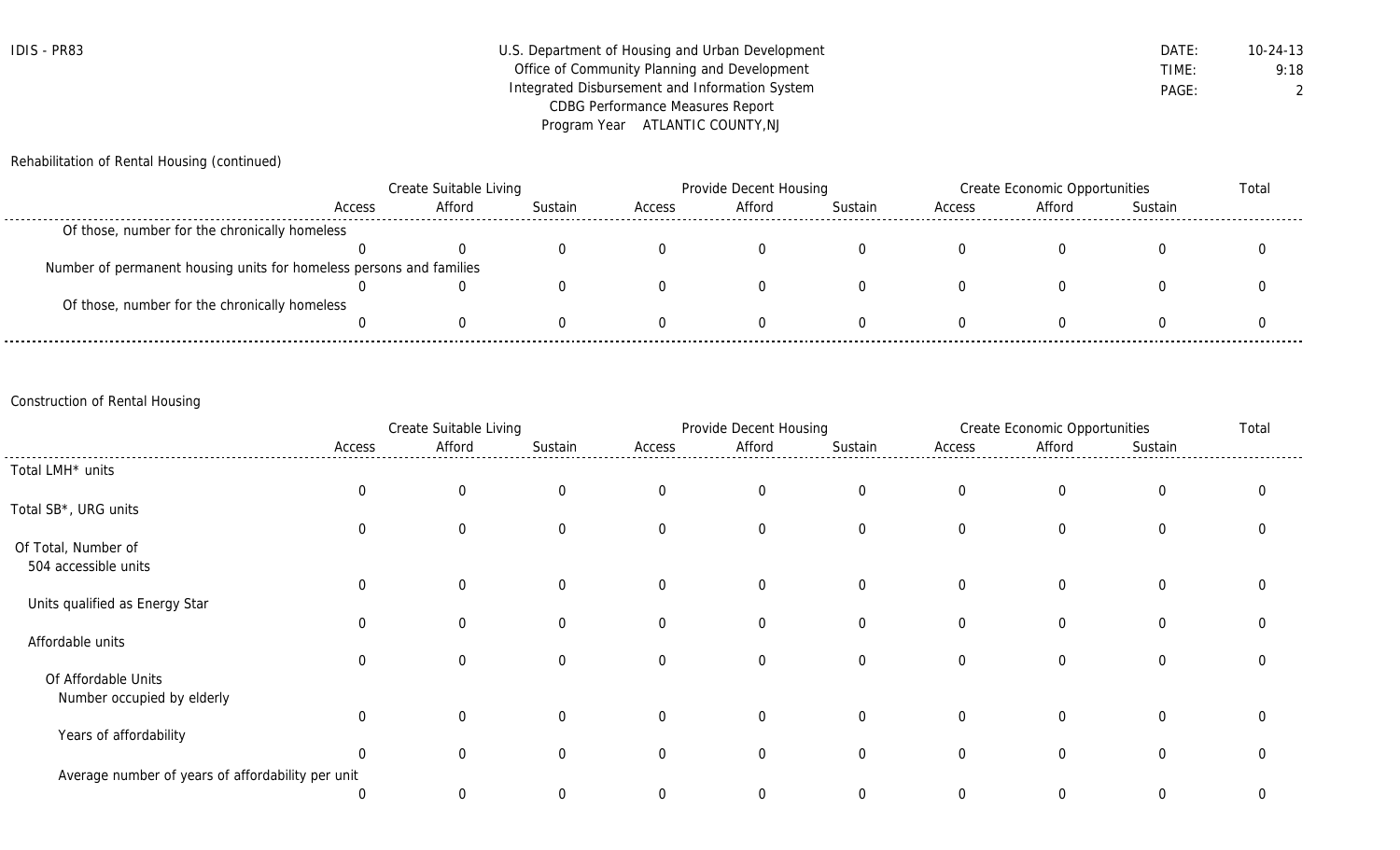| <b>IDIS - PR83</b> | U.S. Department of Housing and Urban Development | DATE: | $10 - 24 - 13$ |
|--------------------|--------------------------------------------------|-------|----------------|
|                    | Office of Community Planning and Development     | TIME: | 9:18           |
|                    | Integrated Disbursement and Information System   | PAGE: |                |
|                    | CDBG Performance Measures Report                 |       |                |
|                    | Program Year ATLANTIC COUNTY, NJ                 |       |                |

Rehabilitation of Rental Housing (continued)

|                                                                     | Create Suitable Living |        |         | Provide Decent Housing |        |         | Create Economic Opportunities |        |         | Total |
|---------------------------------------------------------------------|------------------------|--------|---------|------------------------|--------|---------|-------------------------------|--------|---------|-------|
|                                                                     | Access                 | Afford | Sustain | Access                 | Afford | Sustain | Access                        | Afford | Sustain |       |
| Of those, number for the chronically homeless                       |                        |        |         |                        |        |         |                               |        |         |       |
|                                                                     |                        |        |         |                        |        |         |                               |        |         |       |
| Number of permanent housing units for homeless persons and families |                        |        |         |                        |        |         |                               |        |         |       |
|                                                                     |                        |        |         |                        |        |         |                               |        |         |       |
| Of those, number for the chronically homeless                       |                        |        |         |                        |        |         |                               |        |         |       |
|                                                                     |                        |        |         |                        |        |         |                               |        |         |       |

## Construction of Rental Housing

|                                                   | Create Suitable Living |              |                | Provide Decent Housing |                |                | <b>Create Economic Opportunities</b> |                |                |   |
|---------------------------------------------------|------------------------|--------------|----------------|------------------------|----------------|----------------|--------------------------------------|----------------|----------------|---|
|                                                   | Access                 | Afford       | Sustain        | Access                 | Afford         | Sustain        | Access                               | Afford         | Sustain        |   |
| Total LMH <sup>*</sup> units                      |                        |              |                |                        |                |                |                                      |                |                |   |
|                                                   | $\mathbf 0$            | $\mathbf 0$  | $\overline{0}$ | $\mathbf 0$            | $\overline{0}$ | $\overline{0}$ | $\overline{0}$                       | $\overline{0}$ | $\overline{0}$ |   |
| Total SB*, URG units                              |                        |              |                |                        |                |                |                                      |                |                |   |
|                                                   | 0                      | $\mathbf 0$  | $\mathbf 0$    | $\overline{0}$         | $\overline{0}$ | $\overline{0}$ | $\overline{0}$                       | $\overline{0}$ | 0              |   |
| Of Total, Number of                               |                        |              |                |                        |                |                |                                      |                |                |   |
| 504 accessible units                              |                        |              |                |                        |                |                |                                      |                |                |   |
|                                                   | $\mathbf 0$            | $\mathbf 0$  | $\overline{0}$ | $\overline{0}$         | $\overline{0}$ | $\Omega$       | $\Omega$                             | $\overline{0}$ | $\overline{0}$ | ∩ |
| Units qualified as Energy Star                    |                        |              |                |                        |                |                |                                      |                |                |   |
|                                                   | 0                      | $\mathbf{0}$ | $\Omega$       | 0                      | $\overline{0}$ | 0              | $\overline{0}$                       | 0              | $\overline{0}$ |   |
| Affordable units                                  |                        |              |                |                        |                |                |                                      |                |                |   |
|                                                   | $\mathbf 0$            | $\mathbf{0}$ | $\Omega$       | 0                      | $\overline{0}$ | $\Omega$       | $\Omega$                             | 0              | $\overline{0}$ |   |
| Of Affordable Units                               |                        |              |                |                        |                |                |                                      |                |                |   |
| Number occupied by elderly                        | $\mathbf 0$            | $\Omega$     | $\Omega$       | $\overline{0}$         | $\overline{0}$ | $\overline{0}$ | $\overline{0}$                       | $\overline{0}$ | $\overline{0}$ |   |
| Years of affordability                            |                        |              |                |                        |                |                |                                      |                |                |   |
|                                                   | $\mathbf 0$            | $\mathbf{0}$ | $\Omega$       | $\overline{0}$         | $\overline{0}$ | 0              | $\Omega$                             | 0              | $\overline{0}$ |   |
| Average number of years of affordability per unit |                        |              |                |                        |                |                |                                      |                |                |   |
|                                                   | 0                      | $\mathbf 0$  | $\Omega$       | 0                      | $\Omega$       | 0              | $\Omega$                             | 0              | $\Omega$       | 0 |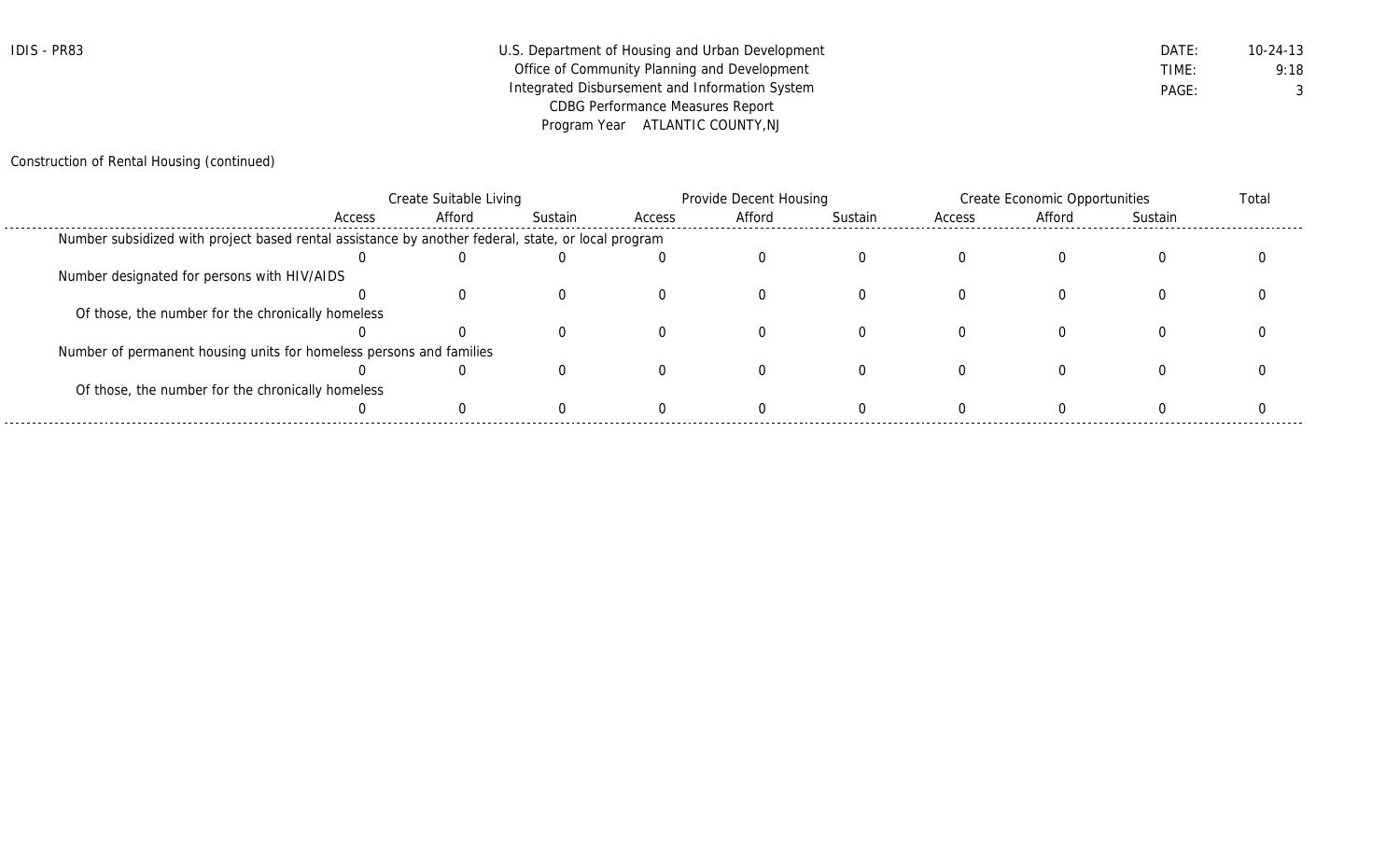| IDIS - PR83 | U.S. Department of Housing and Urban Development | DATE: | 10-24-13 |
|-------------|--------------------------------------------------|-------|----------|
|             | Office of Community Planning and Development     | TIME: | 9:18     |
|             | Integrated Disbursement and Information System   | PAGE: |          |
|             | <b>CDBG Performance Measures Report</b>          |       |          |
|             | Program Year ATLANTIC COUNTY, NJ                 |       |          |

## Construction of Rental Housing (continued)

|                                                                                                    | Create Suitable Living |        |         | Provide Decent Housing |        |         | Create Economic Opportunities |        |         | Total |
|----------------------------------------------------------------------------------------------------|------------------------|--------|---------|------------------------|--------|---------|-------------------------------|--------|---------|-------|
|                                                                                                    | Access                 | Afford | Sustain | Access                 | Afford | Sustain | Access                        | Afford | Sustain |       |
| Number subsidized with project based rental assistance by another federal, state, or local program |                        |        |         |                        |        |         |                               |        |         |       |
|                                                                                                    |                        |        |         |                        |        |         |                               |        |         |       |
| Number designated for persons with HIV/AIDS                                                        |                        |        |         |                        |        |         |                               |        |         |       |
|                                                                                                    |                        |        |         |                        |        |         |                               |        |         |       |
| Of those, the number for the chronically homeless                                                  |                        |        |         |                        |        |         |                               |        |         |       |
|                                                                                                    |                        |        |         |                        |        |         |                               |        |         |       |
| Number of permanent housing units for homeless persons and families                                |                        |        |         |                        |        |         |                               |        |         |       |
|                                                                                                    |                        |        |         |                        |        |         |                               |        |         |       |
| Of those, the number for the chronically homeless                                                  |                        |        |         |                        |        |         |                               |        |         |       |
|                                                                                                    |                        |        |         |                        |        |         |                               |        |         |       |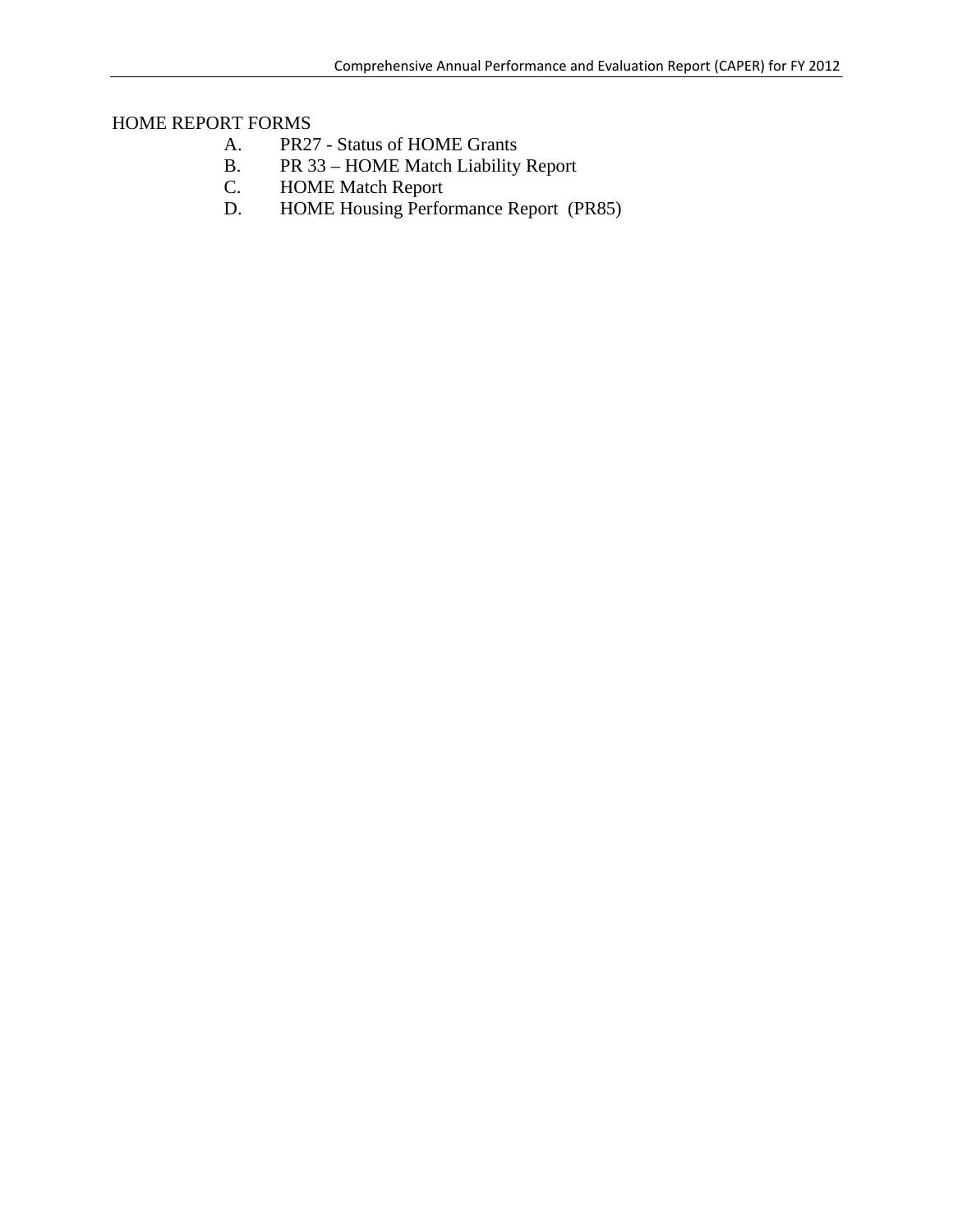## HOME REPORT FORMS

- A. PR27 Status of HOME Grants
- B. PR 33 HOME Match Liability Report
- C. HOME Match Report<br>D. HOME Housing Perfo
- HOME Housing Performance Report (PR85)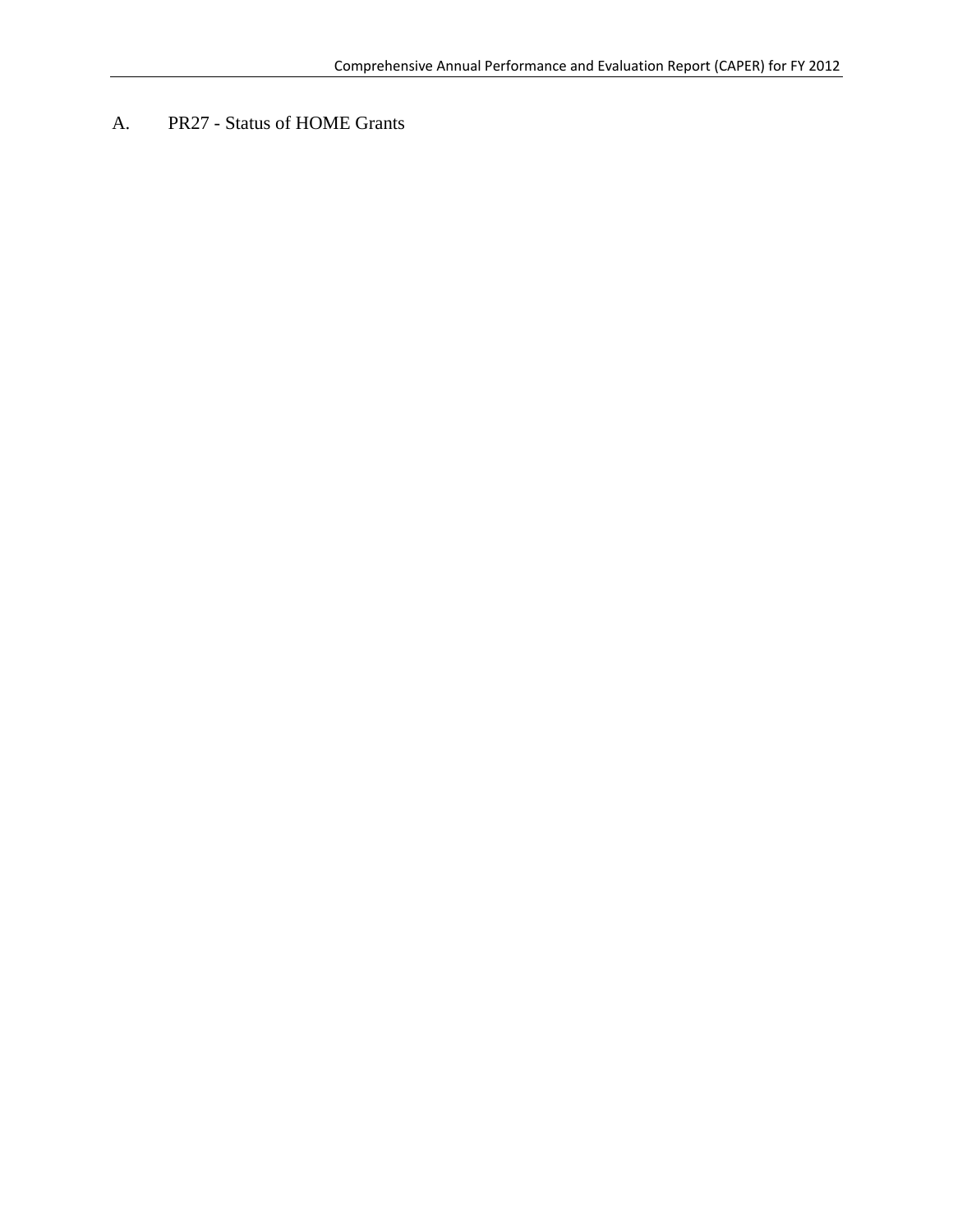A. PR27 - Status of HOME Grants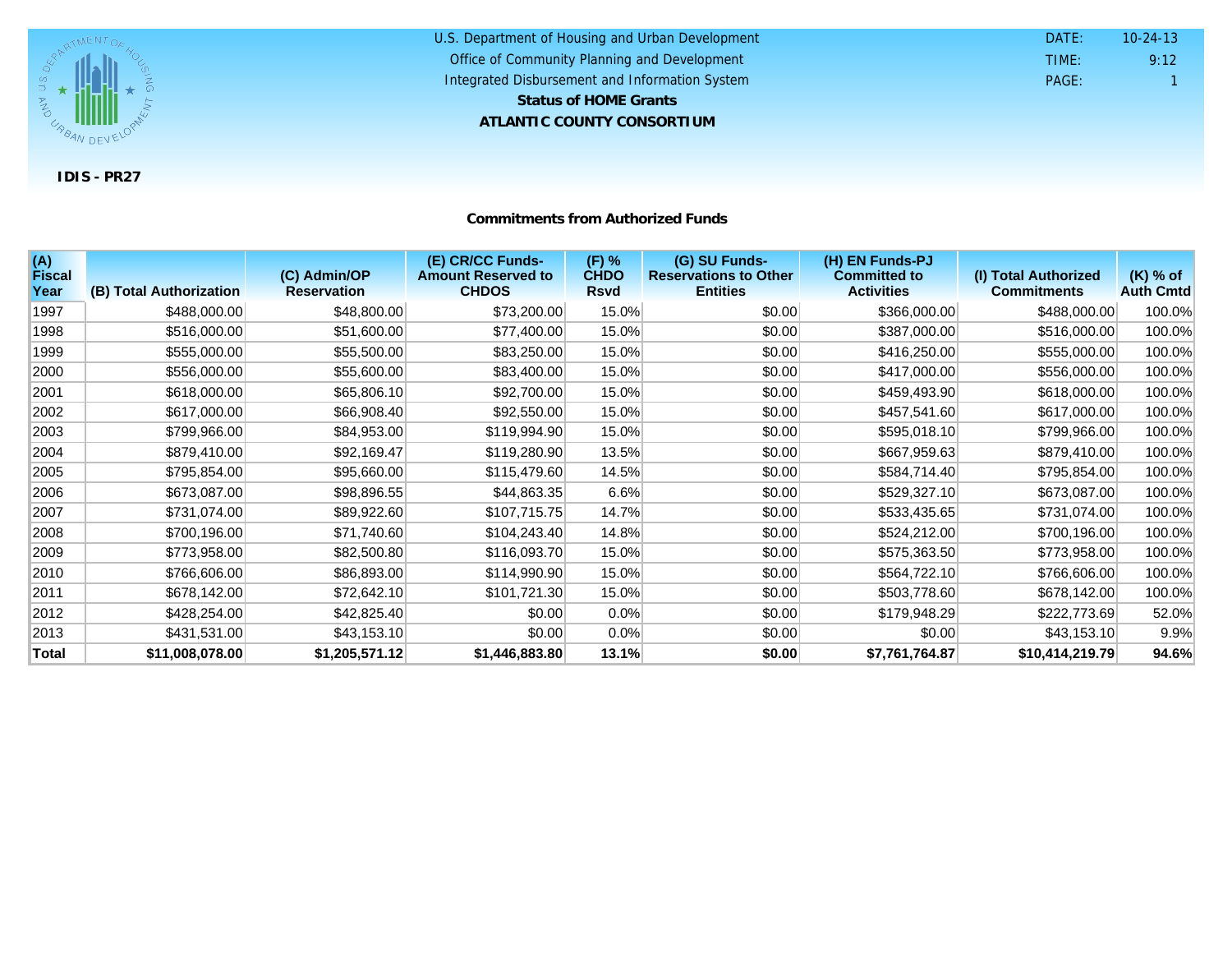

#### U.S. Department of Housing and Urban Development **ATLANTIC COUNTY CONSORTIUM** Office of Community Planning and Development Integrated Disbursement and Information System DATE: TIME: PAGE: 1 9:12 10-24-13 **Status of HOME Grants**

#### **Commitments from Authorized Funds**

| (A)<br><b>Fiscal</b><br>Year | (B) Total Authorization | (C) Admin/OP<br><b>Reservation</b> | (E) CR/CC Funds-<br><b>Amount Reserved to</b><br><b>CHDOS</b> | (F) %<br><b>CHDO</b><br><b>Rsvd</b> | (G) SU Funds-<br><b>Reservations to Other</b><br><b>Entities</b> | (H) EN Funds-PJ<br><b>Committed to</b><br><b>Activities</b> | (I) Total Authorized<br><b>Commitments</b> | $(K)$ % of<br><b>Auth Cmtd</b> |
|------------------------------|-------------------------|------------------------------------|---------------------------------------------------------------|-------------------------------------|------------------------------------------------------------------|-------------------------------------------------------------|--------------------------------------------|--------------------------------|
| 1997                         | \$488,000.00            | \$48,800.00                        | \$73,200.00                                                   | 15.0%                               | \$0.00                                                           | \$366,000.00                                                | \$488,000.00                               | 100.0%                         |
| 1998                         | \$516,000.00            | \$51,600.00                        | \$77,400.00                                                   | 15.0%                               | \$0.00                                                           | \$387,000.00                                                | \$516,000.00                               | 100.0%                         |
|                              |                         |                                    |                                                               |                                     |                                                                  |                                                             |                                            |                                |
| 1999                         | \$555,000.00            | \$55,500.00                        | \$83,250.00                                                   | 15.0%                               | \$0.00                                                           | \$416,250.00                                                | \$555,000.00                               | 100.0%                         |
| 2000                         | \$556,000.00            | \$55,600.00                        | \$83,400.00                                                   | 15.0%                               | \$0.00                                                           | \$417,000.00                                                | \$556,000.00                               | 100.0%                         |
| 2001                         | \$618,000.00            | \$65,806.10                        | \$92,700.00                                                   | 15.0%                               | \$0.00                                                           | \$459,493.90                                                | \$618,000.00                               | 100.0%                         |
| 2002                         | \$617,000.00            | \$66,908.40                        | \$92,550.00                                                   | 15.0%                               | \$0.00                                                           | \$457,541.60                                                | \$617,000.00                               | 100.0%                         |
| 2003                         | \$799,966.00            | \$84,953.00                        | \$119,994.90                                                  | 15.0%                               | \$0.00                                                           | \$595,018.10                                                | \$799,966.00                               | 100.0%                         |
| 2004                         | \$879,410.00            | \$92,169.47                        | \$119,280.90                                                  | 13.5%                               | \$0.00                                                           | \$667,959.63                                                | \$879,410.00                               | 100.0%                         |
| 2005                         | \$795,854.00            | \$95,660.00                        | \$115,479.60                                                  | 14.5%                               | \$0.00                                                           | \$584,714.40                                                | \$795,854.00                               | 100.0%                         |
| 2006                         | \$673,087.00            | \$98,896.55                        | \$44,863.35                                                   | 6.6%                                | \$0.00                                                           | \$529,327.10                                                | \$673,087.00                               | 100.0%                         |
| 2007                         | \$731,074.00            | \$89,922.60                        | \$107,715.75                                                  | 14.7%                               | \$0.00                                                           | \$533,435.65                                                | \$731,074.00                               | 100.0%                         |
| 2008                         | \$700,196.00            | \$71,740.60                        | \$104,243.40                                                  | 14.8%                               | \$0.00                                                           | \$524,212.00                                                | \$700,196.00                               | 100.0%                         |
| 2009                         | \$773,958.00            | \$82,500.80                        | \$116,093.70                                                  | 15.0%                               | \$0.00                                                           | \$575,363.50                                                | \$773,958.00                               | 100.0%                         |
| 2010                         | \$766,606.00            | \$86,893.00                        | \$114,990.90                                                  | 15.0%                               | \$0.00                                                           | \$564,722.10                                                | \$766,606.00                               | 100.0%                         |
| 2011                         | \$678,142.00            | \$72,642.10                        | \$101,721.30                                                  | 15.0%                               | \$0.00                                                           | \$503,778.60                                                | \$678,142.00                               | 100.0%                         |
| 2012                         | \$428,254.00            | \$42,825.40                        | \$0.00                                                        | 0.0%                                | \$0.00                                                           | \$179,948.29                                                | \$222,773.69                               | 52.0%                          |
| 2013                         | \$431,531.00            | \$43,153.10                        | \$0.00                                                        | 0.0%                                | \$0.00                                                           | \$0.00                                                      | \$43,153.10                                | 9.9%                           |
| Total                        | \$11,008,078.00         | \$1,205,571.12                     | \$1,446,883.80                                                | 13.1%                               | \$0.00                                                           | \$7,761,764.87                                              | \$10,414,219.79                            | 94.6%                          |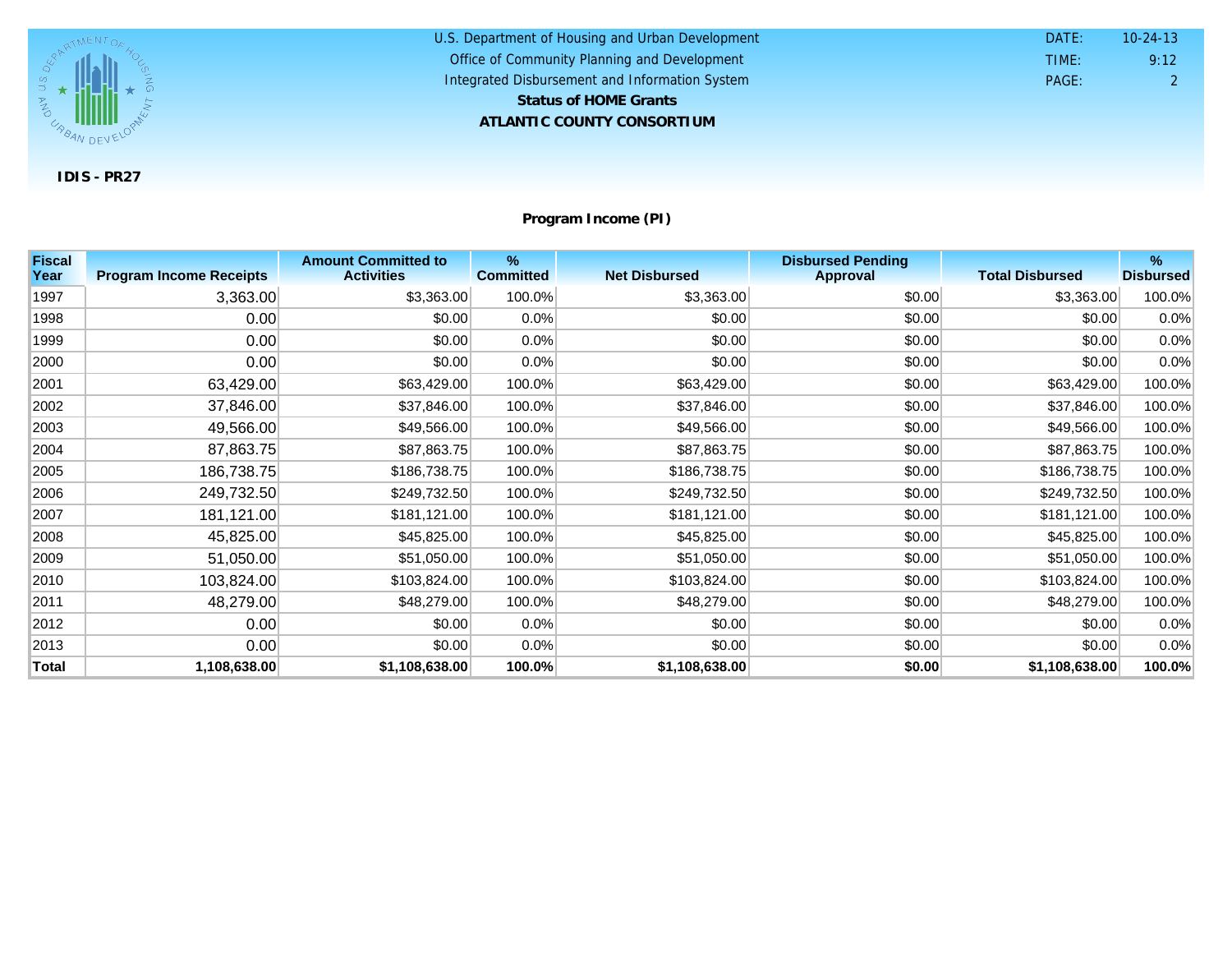

U.S. Department of Housing and Urban Development **ATLANTIC COUNTY CONSORTIUM** Office of Community Planning and Development Integrated Disbursement and Information System DATE: TIME: PAGE: 2 9:12 10-24-13 **Status of HOME Grants**

**Program Income (PI)**

| <b>Fiscal</b><br>Year | <b>Program Income Receipts</b> | <b>Amount Committed to</b><br><b>Activities</b> | %<br><b>Committed</b> | <b>Net Disbursed</b> | <b>Disbursed Pending</b><br><b>Approval</b> | <b>Total Disbursed</b> | %<br><b>Disbursed</b> |
|-----------------------|--------------------------------|-------------------------------------------------|-----------------------|----------------------|---------------------------------------------|------------------------|-----------------------|
|                       |                                |                                                 |                       |                      |                                             |                        |                       |
| 1997                  | 3,363.00                       | \$3,363.00                                      | 100.0%                | \$3,363.00           | \$0.00                                      | \$3,363.00             | 100.0%                |
| 1998                  | 0.00                           | \$0.00                                          | 0.0%                  | \$0.00               | \$0.00                                      | \$0.00                 | 0.0%                  |
| 1999                  | 0.00                           | \$0.00                                          | $0.0\%$               | \$0.00               | \$0.00                                      | \$0.00                 | 0.0%                  |
| 2000                  | 0.00                           | \$0.00                                          | 0.0%                  | \$0.00               | \$0.00                                      | \$0.00                 | 0.0%                  |
| 2001                  | 63,429.00                      | \$63,429.00                                     | 100.0%                | \$63,429.00          | \$0.00                                      | \$63,429.00            | 100.0%                |
| 2002                  | 37,846.00                      | \$37,846.00                                     | 100.0%                | \$37,846.00          | \$0.00                                      | \$37,846.00            | 100.0%                |
| 2003                  | 49,566.00                      | \$49,566.00                                     | 100.0%                | \$49,566.00          | \$0.00                                      | \$49,566.00            | 100.0%                |
| 2004                  | 87,863.75                      | \$87,863.75                                     | 100.0%                | \$87,863.75          | \$0.00                                      | \$87,863.75            | 100.0%                |
| 2005                  | 186,738.75                     | \$186,738.75                                    | 100.0%                | \$186,738.75         | \$0.00                                      | \$186,738.75           | 100.0%                |
| 2006                  | 249,732.50                     | \$249,732.50                                    | 100.0%                | \$249,732.50         | \$0.00                                      | \$249,732.50           | 100.0%                |
| 2007                  | 181,121.00                     | \$181,121.00                                    | 100.0%                | \$181,121.00         | \$0.00                                      | \$181,121.00           | 100.0%                |
| 2008                  | 45,825.00                      | \$45,825.00                                     | 100.0%                | \$45,825.00          | \$0.00                                      | \$45,825.00            | 100.0%                |
| 2009                  | 51,050.00                      | \$51,050.00                                     | 100.0%                | \$51,050.00          | \$0.00                                      | \$51,050.00            | 100.0%                |
| 2010                  | 103,824.00                     | \$103,824.00                                    | 100.0%                | \$103,824.00         | \$0.00                                      | \$103,824.00           | 100.0%                |
| 2011                  | 48,279.00                      | \$48,279.00                                     | 100.0%                | \$48,279.00          | \$0.00                                      | \$48,279.00            | 100.0%                |
| 2012                  | 0.00                           | \$0.00                                          | $0.0\%$               | \$0.00               | \$0.00                                      | \$0.00                 | 0.0%                  |
| 2013                  | 0.00                           | \$0.00                                          | 0.0%                  | \$0.00               | \$0.00                                      | \$0.00                 | 0.0%                  |
| <b>Total</b>          | 1,108,638.00                   | \$1,108,638.00                                  | 100.0%                | \$1,108,638.00       | \$0.00                                      | \$1,108,638.00         | 100.0%                |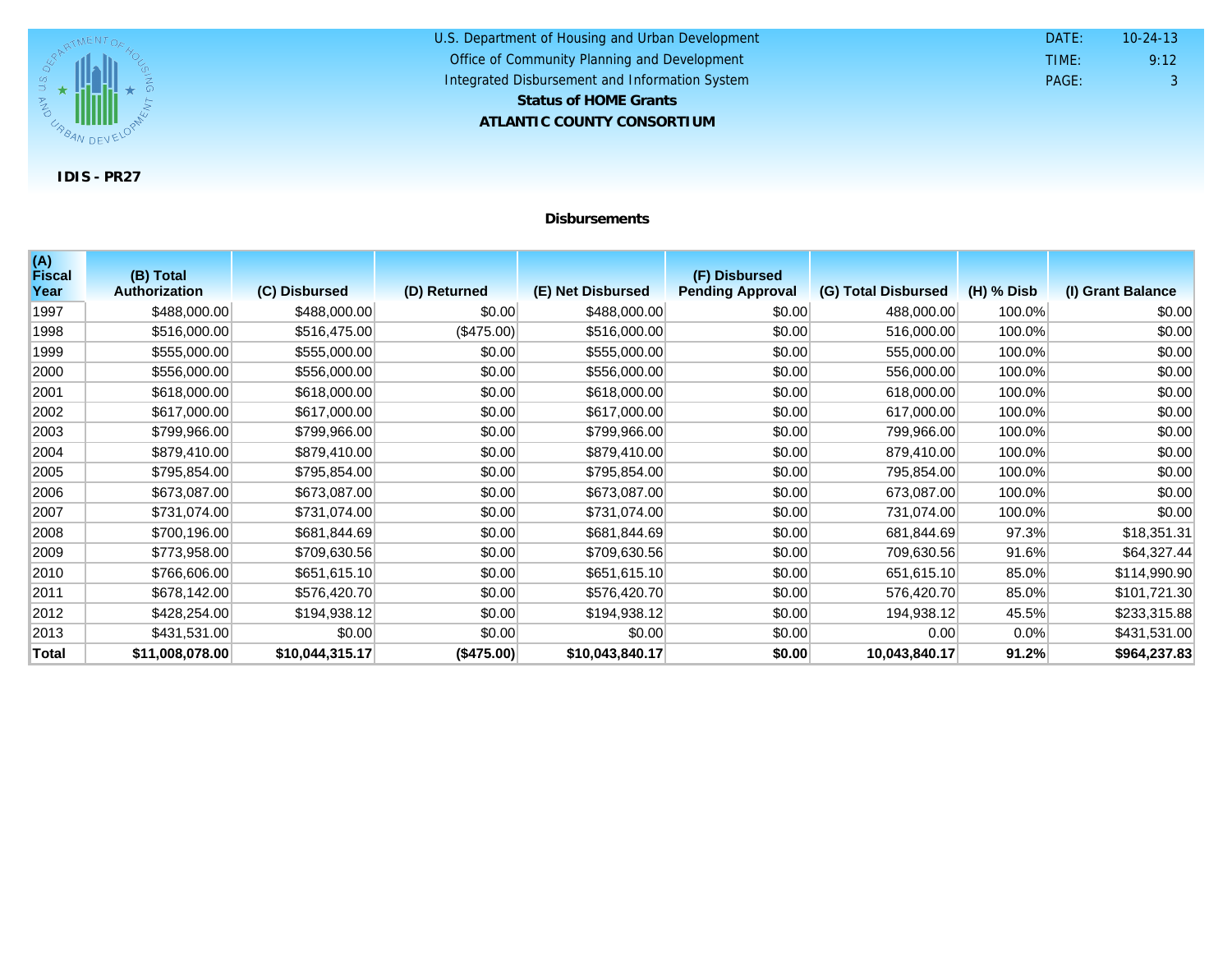

#### U.S. Department of Housing and Urban Development **ATLANTIC COUNTY CONSORTIUM** Office of Community Planning and Development Integrated Disbursement and Information System DATE: TIME: PAGE: 3 9:12 10-24-13 **Status of HOME Grants**

#### **Disbursements**

| (A)<br><b>Fiscal</b> | (B) Total            |                 |              |                   | (F) Disbursed           |                     |              |                   |
|----------------------|----------------------|-----------------|--------------|-------------------|-------------------------|---------------------|--------------|-------------------|
| Year                 | <b>Authorization</b> | (C) Disbursed   | (D) Returned | (E) Net Disbursed | <b>Pending Approval</b> | (G) Total Disbursed | $(H)$ % Disb | (I) Grant Balance |
| 1997                 | \$488,000.00         | \$488,000.00    | \$0.00       | \$488,000.00      | \$0.00                  | 488,000.00          | 100.0%       | \$0.00            |
| 1998                 | \$516,000.00         | \$516,475.00    | (\$475.00)   | \$516,000.00      | \$0.00                  | 516,000.00          | 100.0%       | \$0.00            |
| 1999                 | \$555,000.00         | \$555,000.00    | \$0.00       | \$555,000.00      | \$0.00                  | 555,000.00          | 100.0%       | \$0.00            |
| 2000                 | \$556,000.00         | \$556,000.00    | \$0.00       | \$556,000.00      | \$0.00                  | 556,000.00          | 100.0%       | \$0.00            |
| 2001                 | \$618,000.00         | \$618,000.00    | \$0.00       | \$618,000.00      | \$0.00                  | 618,000.00          | 100.0%       | \$0.00            |
| 2002                 | \$617,000.00         | \$617,000.00    | \$0.00       | \$617,000.00      | \$0.00                  | 617,000.00          | 100.0%       | \$0.00            |
| 2003                 | \$799,966.00         | \$799,966.00    | \$0.00       | \$799,966.00      | \$0.00                  | 799,966.00          | 100.0%       | \$0.00            |
| 2004                 | \$879,410.00         | \$879,410.00    | \$0.00       | \$879,410.00      | \$0.00                  | 879,410.00          | 100.0%       | \$0.00            |
| 2005                 | \$795,854.00         | \$795,854.00    | \$0.00       | \$795,854.00      | \$0.00                  | 795,854.00          | 100.0%       | \$0.00            |
| 2006                 | \$673,087.00         | \$673,087.00    | \$0.00       | \$673,087.00      | \$0.00                  | 673,087.00          | 100.0%       | \$0.00            |
| 2007                 | \$731,074.00         | \$731,074.00    | \$0.00       | \$731,074.00      | \$0.00                  | 731,074.00          | 100.0%       | \$0.00            |
| 2008                 | \$700,196.00         | \$681,844.69    | \$0.00       | \$681,844.69      | \$0.00                  | 681,844.69          | 97.3%        | \$18,351.31       |
| 2009                 | \$773,958.00         | \$709,630.56    | \$0.00       | \$709,630.56      | \$0.00                  | 709,630.56          | 91.6%        | \$64,327.44       |
| 2010                 | \$766,606.00         | \$651,615.10    | \$0.00       | \$651,615.10      | \$0.00                  | 651,615.10          | 85.0%        | \$114,990.90      |
| 2011                 | \$678,142.00         | \$576,420.70    | \$0.00       | \$576,420.70      | \$0.00                  | 576,420.70          | 85.0%        | \$101,721.30      |
| 2012                 | \$428,254.00         | \$194,938.12    | \$0.00       | \$194,938.12      | \$0.00                  | 194,938.12          | 45.5%        | \$233,315.88      |
| 2013                 | \$431,531.00         | \$0.00          | \$0.00       | \$0.00            | \$0.00                  | 0.00                | $0.0\%$      | \$431,531.00      |
| Total                | \$11,008,078.00      | \$10,044,315.17 | (\$475.00)   | \$10,043,840.17   | \$0.00                  | 10,043,840.17       | 91.2%        | \$964,237.83      |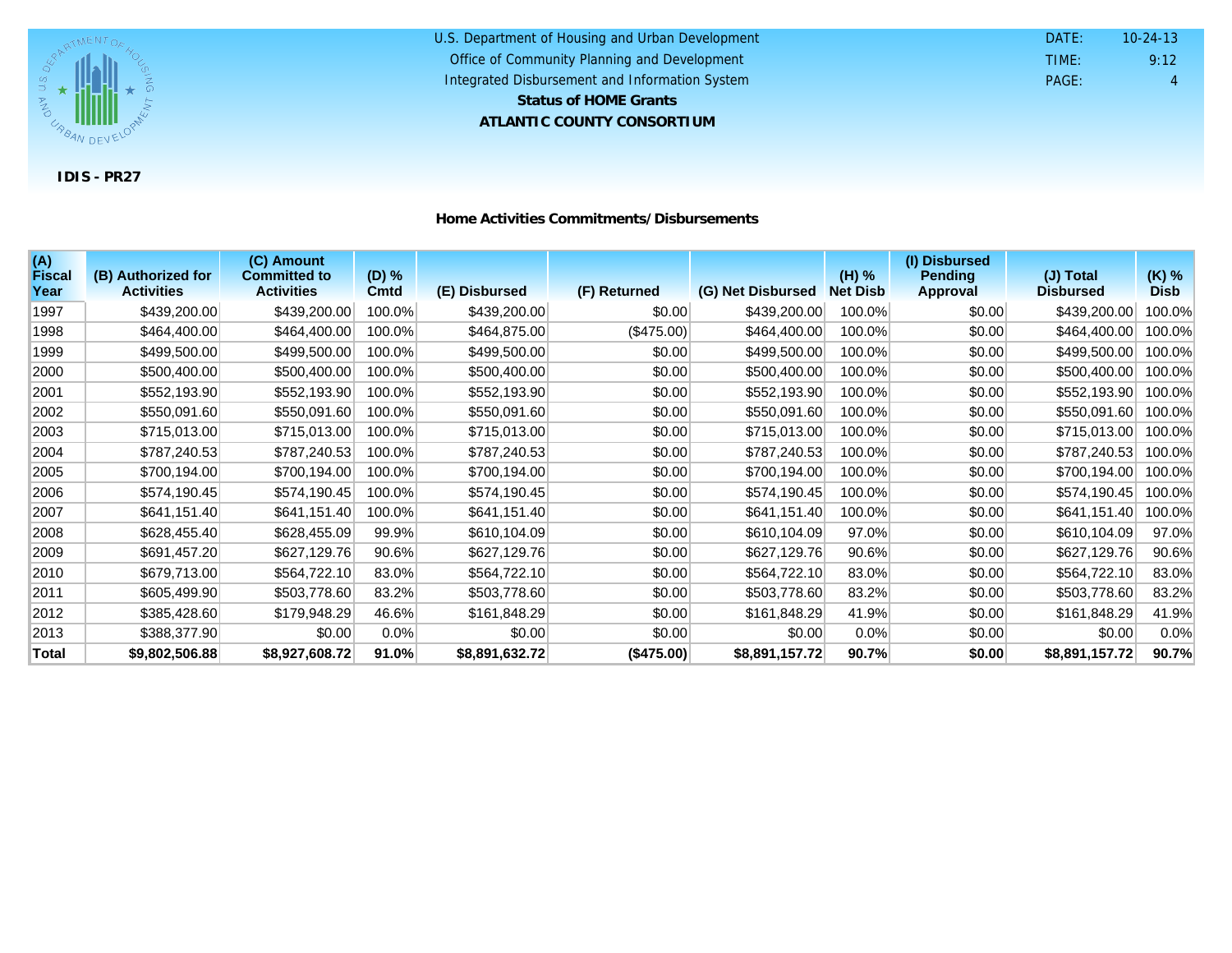

| U.S. Department of Housing and Urban Development | DATE: | $10 - 24 - 13$ |
|--------------------------------------------------|-------|----------------|
| Office of Community Planning and Development     | TIME: | 9:12           |
| Integrated Disbursement and Information System   | PAGE: | 4              |
| <b>Status of HOME Grants</b>                     |       |                |
| ATLANTIC COUNTY CONSORTIUM                       |       |                |

| Home Activities Commitments/Disbursements |
|-------------------------------------------|
|-------------------------------------------|

| (A)<br><b>Fiscal</b> | (B) Authorized for | (C) Amount<br><b>Committed to</b> | (D) %   |                |              |                   | (H) %           | (I) Disbursed<br><b>Pending</b> | (J) Total        | $(K)$ %     |
|----------------------|--------------------|-----------------------------------|---------|----------------|--------------|-------------------|-----------------|---------------------------------|------------------|-------------|
| Year                 | <b>Activities</b>  | <b>Activities</b>                 | Cmtd    | (E) Disbursed  | (F) Returned | (G) Net Disbursed | <b>Net Disb</b> | <b>Approval</b>                 | <b>Disbursed</b> | <b>Disb</b> |
| 1997                 | \$439,200.00       | \$439,200.00                      | 100.0%  | \$439,200.00   | \$0.00       | \$439,200.00      | 100.0%          | \$0.00                          | \$439,200.00     | 100.0%      |
| 1998                 | \$464,400.00       | \$464,400.00                      | 100.0%  | \$464,875.00   | (\$475.00)   | \$464,400.00      | 100.0%          | \$0.00                          | \$464,400.00     | 100.0%      |
| 1999                 | \$499,500.00       | \$499,500.00                      | 100.0%  | \$499,500.00   | \$0.00       | \$499,500.00      | 100.0%          | \$0.00                          | \$499,500.00     | 100.0%      |
| 2000                 | \$500,400.00       | \$500,400.00                      | 100.0%  | \$500,400.00   | \$0.00       | \$500,400.00      | 100.0%          | \$0.00                          | \$500,400.00     | 100.0%      |
| 2001                 | \$552,193.90       | \$552,193.90                      | 100.0%  | \$552,193.90   | \$0.00       | \$552,193.90      | 100.0%          | \$0.00                          | \$552,193.90     | 100.0%      |
| 2002                 | \$550,091.60       | \$550,091.60                      | 100.0%  | \$550,091.60   | \$0.00       | \$550,091.60      | 100.0%          | \$0.00                          | \$550,091.60     | 100.0%      |
| 2003                 | \$715,013.00       | \$715,013.00                      | 100.0%  | \$715,013.00   | \$0.00       | \$715,013.00      | 100.0%          | \$0.00                          | \$715,013.00     | 100.0%      |
| 2004                 | \$787,240.53       | \$787,240.53                      | 100.0%  | \$787,240.53   | \$0.00       | \$787,240.53      | 100.0%          | \$0.00                          | \$787,240.53     | 100.0%      |
| 2005                 | \$700,194.00       | \$700,194.00                      | 100.0%  | \$700,194.00   | \$0.00       | \$700,194.00      | 100.0%          | \$0.00                          | \$700,194.00     | 100.0%      |
| 2006                 | \$574,190.45       | \$574,190.45                      | 100.0%  | \$574,190.45   | \$0.00       | \$574,190.45      | 100.0%          | \$0.00                          | \$574,190.45     | 100.0%      |
| 2007                 | \$641,151.40       | \$641,151.40                      | 100.0%  | \$641,151.40   | \$0.00       | \$641,151.40      | 100.0%          | \$0.00                          | \$641,151.40     | 100.0%      |
| 2008                 | \$628,455.40       | \$628,455.09                      | 99.9%   | \$610,104.09   | \$0.00       | \$610,104.09      | 97.0%           | \$0.00                          | \$610,104.09     | 97.0%       |
| 2009                 | \$691,457.20       | \$627,129.76                      | 90.6%   | \$627,129.76   | \$0.00       | \$627,129.76      | 90.6%           | \$0.00                          | \$627,129.76     | 90.6%       |
| 2010                 | \$679,713.00       | \$564,722.10                      | 83.0%   | \$564,722.10   | \$0.00       | \$564,722.10      | 83.0%           | \$0.00                          | \$564,722.10     | 83.0%       |
| 2011                 | \$605,499.90       | \$503,778.60                      | 83.2%   | \$503,778.60   | \$0.00       | \$503,778.60      | 83.2%           | \$0.00                          | \$503,778.60     | 83.2%       |
| 2012                 | \$385,428.60       | \$179,948.29                      | 46.6%   | \$161,848.29   | \$0.00       | \$161,848.29      | 41.9%           | \$0.00                          | \$161,848.29     | 41.9%       |
| 2013                 | \$388,377.90       | \$0.00                            | $0.0\%$ | \$0.00         | \$0.00       | \$0.00            | $0.0\%$         | \$0.00                          | \$0.00           | 0.0%        |
| <b>Total</b>         | \$9,802,506.88     | \$8,927,608.72                    | 91.0%   | \$8,891,632.72 | (\$475.00)   | \$8,891,157.72    | 90.7%           | \$0.00                          | \$8,891,157.72   | 90.7%       |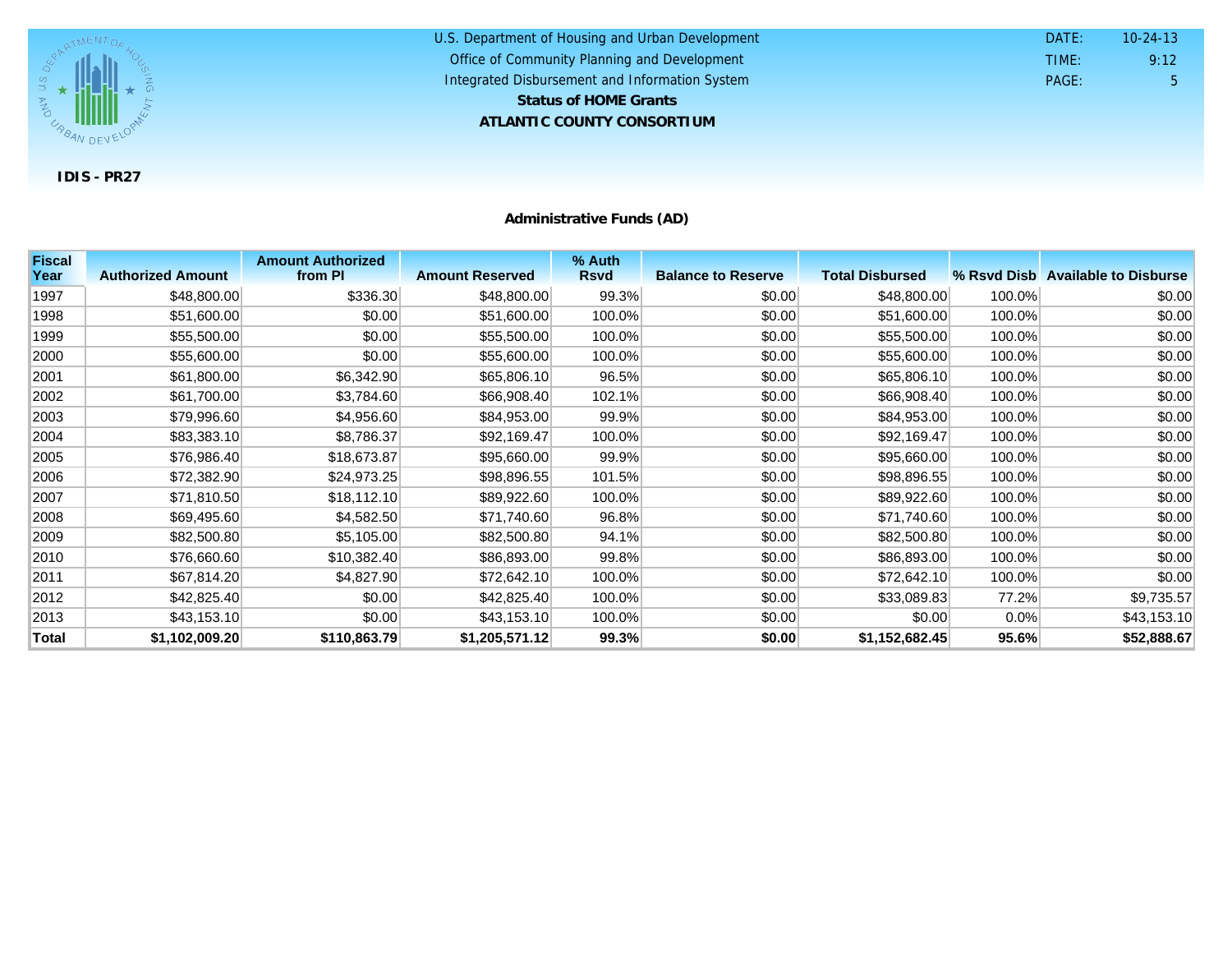

U.S. Department of Housing and Urban Development **ATLANTIC COUNTY CONSORTIUM** Office of Community Planning and Development Integrated Disbursement and Information System DATE: TIME: PAGE: 5 9:12 10-24-13 **Status of HOME Grants**

**Administrative Funds (AD)**

| <b>Fiscal</b> |                          | <b>Amount Authorized</b> |                        | % Auth      |                           |                        |        |                                   |
|---------------|--------------------------|--------------------------|------------------------|-------------|---------------------------|------------------------|--------|-----------------------------------|
| Year          | <b>Authorized Amount</b> | from PI                  | <b>Amount Reserved</b> | <b>Rsvd</b> | <b>Balance to Reserve</b> | <b>Total Disbursed</b> |        | % Rsyd Disb Available to Disburse |
| 1997          | \$48,800.00              | \$336.30                 | \$48,800.00            | 99.3%       | \$0.00                    | \$48,800.00            | 100.0% | \$0.00                            |
| 1998          | \$51,600.00              | \$0.00                   | \$51,600.00            | 100.0%      | \$0.00                    | \$51,600.00            | 100.0% | \$0.00                            |
| 1999          | \$55,500.00              | \$0.00                   | \$55,500.00            | 100.0%      | \$0.00                    | \$55,500.00            | 100.0% | \$0.00                            |
| 2000          | \$55,600.00              | \$0.00                   | \$55,600.00            | 100.0%      | \$0.00                    | \$55,600.00            | 100.0% | \$0.00                            |
| 2001          | \$61,800.00              | \$6,342.90               | \$65,806.10            | 96.5%       | \$0.00                    | \$65,806.10            | 100.0% | \$0.00                            |
| 2002          | \$61,700.00              | \$3,784.60               | \$66,908.40            | 102.1%      | \$0.00                    | \$66,908.40            | 100.0% | \$0.00                            |
| 2003          | \$79,996.60              | \$4,956.60               | \$84,953.00            | 99.9%       | \$0.00                    | \$84,953.00            | 100.0% | \$0.00                            |
| 2004          | \$83,383.10              | \$8,786.37               | \$92,169.47            | 100.0%      | \$0.00                    | \$92,169.47            | 100.0% | \$0.00                            |
| 2005          | \$76,986.40              | \$18,673.87              | \$95,660.00            | 99.9%       | \$0.00                    | \$95,660.00            | 100.0% | \$0.00                            |
| 2006          | \$72,382.90              | \$24,973.25              | \$98,896.55            | 101.5%      | \$0.00                    | \$98,896.55            | 100.0% | \$0.00                            |
| 2007          | \$71,810.50              | \$18,112.10              | \$89,922.60            | 100.0%      | \$0.00                    | \$89,922.60            | 100.0% | \$0.00                            |
| 2008          | \$69,495.60              | \$4,582.50               | \$71,740.60            | 96.8%       | \$0.00                    | \$71,740.60            | 100.0% | \$0.00                            |
| 2009          | \$82,500.80              | \$5,105.00               | \$82,500.80            | 94.1%       | \$0.00                    | \$82,500.80            | 100.0% | \$0.00                            |
| 2010          | \$76,660.60              | \$10,382.40              | \$86,893.00            | 99.8%       | \$0.00                    | \$86,893.00            | 100.0% | \$0.00                            |
| 2011          | \$67,814.20              | \$4,827.90               | \$72,642.10            | 100.0%      | \$0.00                    | \$72,642.10            | 100.0% | \$0.00                            |
| 2012          | \$42,825.40              | \$0.00                   | \$42,825.40            | 100.0%      | \$0.00                    | \$33,089.83            | 77.2%  | \$9,735.57                        |
| 2013          | \$43,153.10              | \$0.00                   | \$43,153.10            | 100.0%      | \$0.00                    | \$0.00                 | 0.0%   | \$43,153.10                       |
| Total         | \$1,102,009.20           | \$110,863.79             | \$1,205,571.12         | 99.3%       | \$0.00                    | \$1,152,682.45         | 95.6%  | \$52,888.67                       |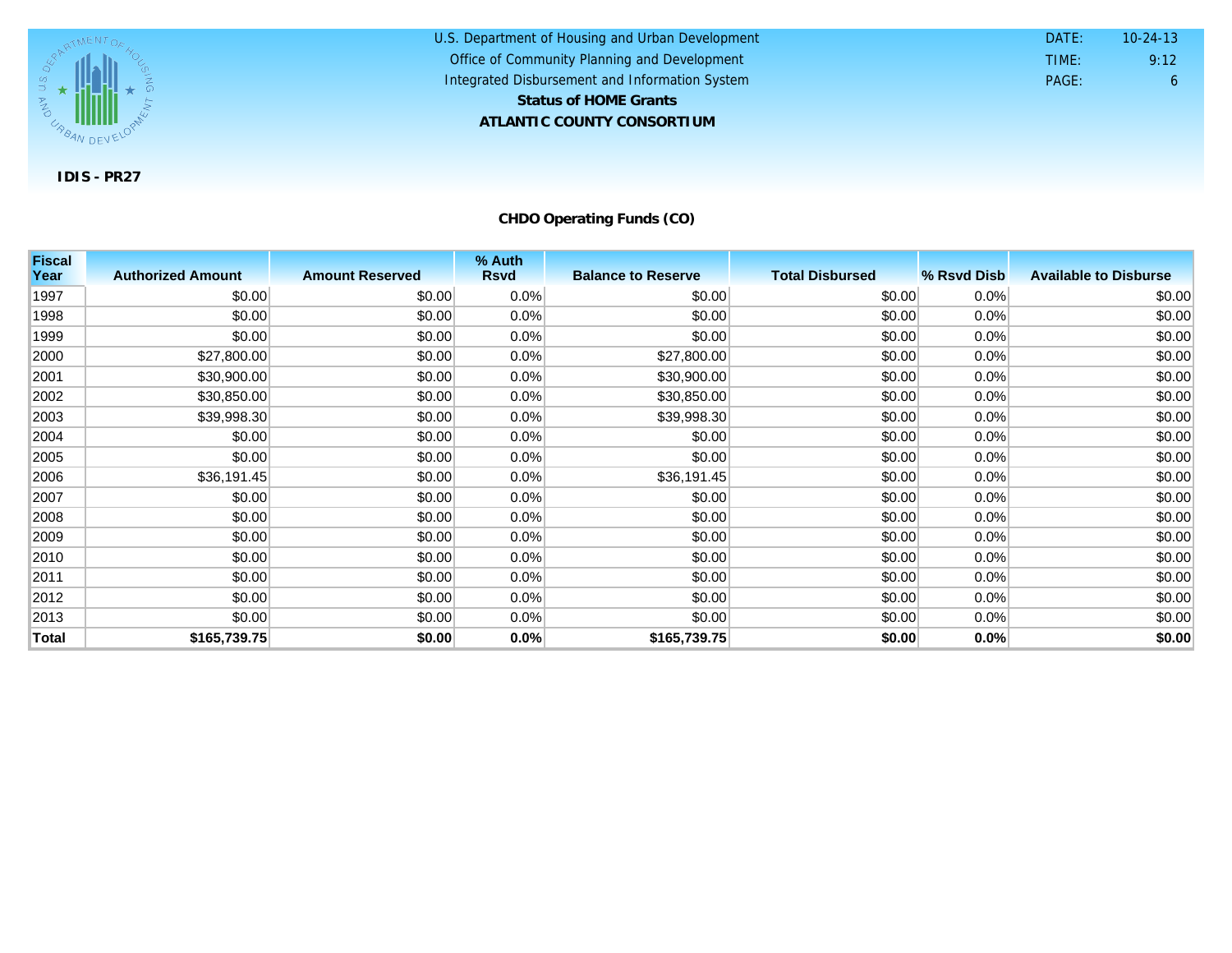

U.S. Department of Housing and Urban Development **ATLANTIC COUNTY CONSORTIUM** Office of Community Planning and Development Integrated Disbursement and Information System DATE: TIME: PAGE: 6 9:12 10-24-13 **Status of HOME Grants**

**CHDO Operating Funds (CO)**

| <b>Fiscal</b><br>Year | <b>Authorized Amount</b> | <b>Amount Reserved</b> | % Auth<br><b>Rsvd</b> | <b>Balance to Reserve</b> | <b>Total Disbursed</b> | % Rsvd Disb | <b>Available to Disburse</b> |
|-----------------------|--------------------------|------------------------|-----------------------|---------------------------|------------------------|-------------|------------------------------|
|                       |                          |                        |                       |                           |                        |             |                              |
| 1997                  | \$0.00                   | \$0.00                 | 0.0%                  | \$0.00                    | \$0.00                 | 0.0%        | \$0.00                       |
| 1998                  | \$0.00                   | \$0.00                 | 0.0%                  | \$0.00                    | \$0.00                 | 0.0%        | \$0.00                       |
| 1999                  | \$0.00                   | \$0.00                 | $0.0\%$               | \$0.00                    | \$0.00                 | 0.0%        | \$0.00                       |
| 2000                  | \$27,800.00              | \$0.00                 | 0.0%                  | \$27,800.00               | \$0.00                 | 0.0%        | \$0.00                       |
| 2001                  | \$30,900.00              | \$0.00                 | 0.0%                  | \$30,900.00               | \$0.00                 | 0.0%        | \$0.00                       |
| 2002                  | \$30,850.00              | \$0.00                 | 0.0%                  | \$30,850.00               | \$0.00                 | 0.0%        | \$0.00                       |
| 2003                  | \$39,998.30              | \$0.00                 | 0.0%                  | \$39,998.30               | \$0.00                 | 0.0%        | \$0.00                       |
| 2004                  | \$0.00                   | \$0.00                 | 0.0%                  | \$0.00                    | \$0.00                 | 0.0%        | \$0.00                       |
| 2005                  | \$0.00                   | \$0.00                 | 0.0%                  | \$0.00                    | \$0.00                 | 0.0%        | \$0.00                       |
| 2006                  | \$36,191.45              | \$0.00                 | 0.0%                  | \$36,191.45               | \$0.00                 | 0.0%        | \$0.00                       |
| 2007                  | \$0.00                   | \$0.00                 | $0.0\%$               | \$0.00                    | \$0.00                 | 0.0%        | \$0.00                       |
| 2008                  | \$0.00                   | \$0.00                 | $0.0\%$               | \$0.00                    | \$0.00                 | 0.0%        | \$0.00                       |
| 2009                  | \$0.00                   | \$0.00                 | 0.0%                  | \$0.00                    | \$0.00                 | 0.0%        | \$0.00                       |
| 2010                  | \$0.00                   | \$0.00                 | 0.0%                  | \$0.00                    | \$0.00                 | 0.0%        | \$0.00                       |
| 2011                  | \$0.00                   | \$0.00                 | $0.0\%$               | \$0.00                    | \$0.00                 | $0.0\%$     | \$0.00                       |
| 2012                  | \$0.00                   | \$0.00                 | 0.0%                  | \$0.00                    | \$0.00                 | 0.0%        | \$0.00                       |
| 2013                  | \$0.00                   | \$0.00                 | 0.0%                  | \$0.00                    | \$0.00                 | 0.0%        | \$0.00                       |
| Total                 | \$165,739.75             | \$0.00                 | 0.0%                  | \$165,739.75              | \$0.00                 | 0.0%        | \$0.00                       |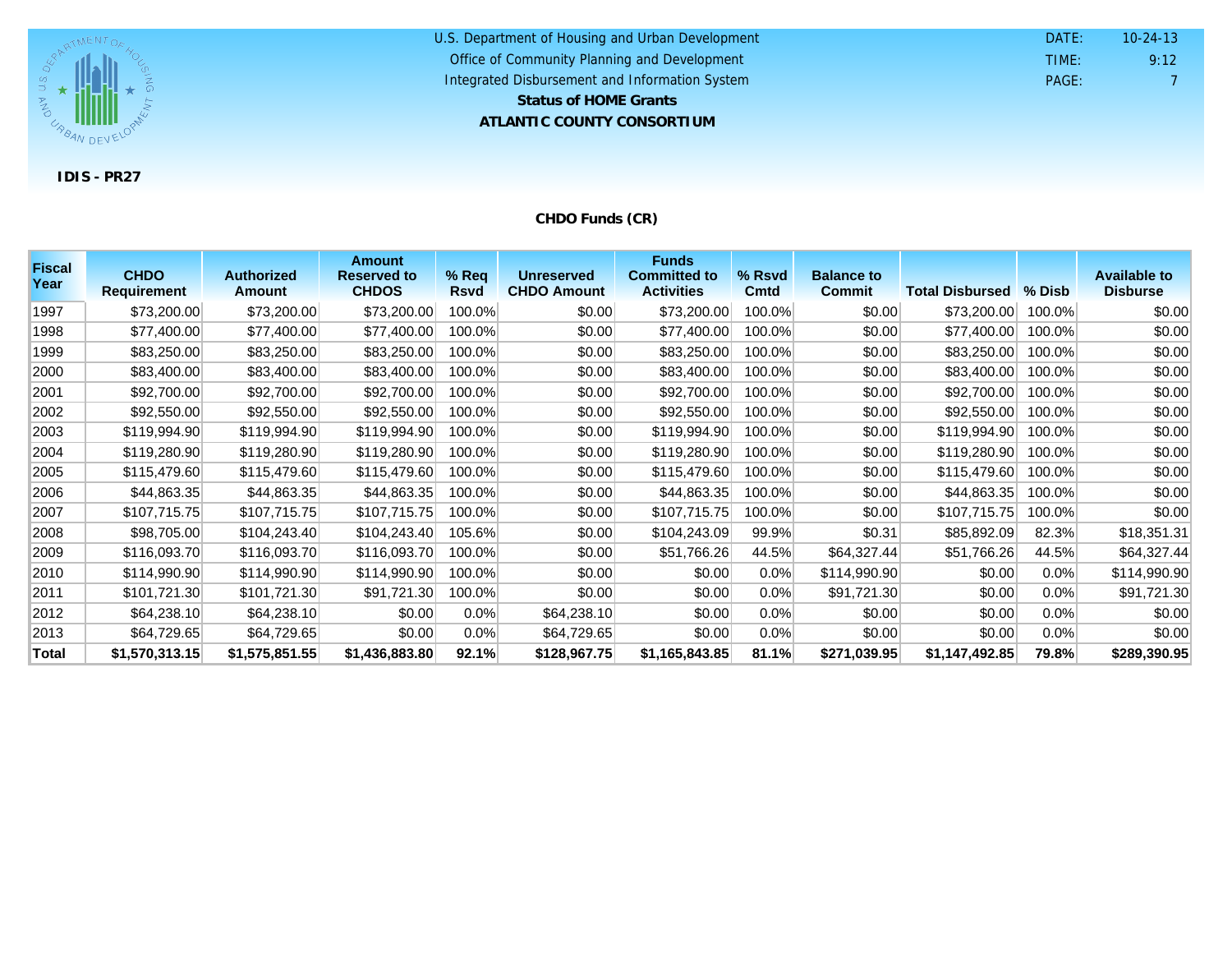

#### U.S. Department of Housing and Urban Development **ATLANTIC COUNTY CONSORTIUM** Office of Community Planning and Development Integrated Disbursement and Information System DATE: TIME: PAGE: 7 9:12 10-24-13 **Status of HOME Grants**

## **CHDO Funds (CR)**

| <b>Fiscal</b><br>Year | <b>CHDO</b>        | <b>Authorized</b> | <b>Amount</b><br><b>Reserved to</b> | $%$ Req     | <b>Unreserved</b>  | <b>Funds</b><br><b>Committed to</b> | % Rsvd  | <b>Balance to</b> |                        |          | <b>Available to</b> |
|-----------------------|--------------------|-------------------|-------------------------------------|-------------|--------------------|-------------------------------------|---------|-------------------|------------------------|----------|---------------------|
|                       | <b>Requirement</b> | <b>Amount</b>     | <b>CHDOS</b>                        | <b>Rsvd</b> | <b>CHDO Amount</b> | <b>Activities</b>                   | Cmtd    | <b>Commit</b>     | <b>Total Disbursed</b> | $%$ Disb | <b>Disburse</b>     |
| 1997                  | \$73,200.00        | \$73,200.00       | \$73,200.00                         | 100.0%      | \$0.00             | \$73,200.00                         | 100.0%  | \$0.00            | \$73,200.00            | 100.0%   | \$0.00              |
| 1998                  | \$77,400.00        | \$77,400.00       | \$77,400.00                         | 100.0%      | \$0.00             | \$77,400.00                         | 100.0%  | \$0.00            | \$77,400.00            | 100.0%   | \$0.00              |
| 1999                  | \$83,250.00        | \$83,250.00       | \$83,250.00                         | 100.0%      | \$0.00             | \$83,250.00                         | 100.0%  | \$0.00            | \$83,250.00            | 100.0%   | \$0.00              |
| 2000                  | \$83,400.00        | \$83,400.00       | \$83,400.00                         | 100.0%      | \$0.00             | \$83,400.00                         | 100.0%  | \$0.00            | \$83,400.00            | 100.0%   | \$0.00              |
| 2001                  | \$92,700.00        | \$92,700.00       | \$92,700.00                         | 100.0%      | \$0.00             | \$92,700.00                         | 100.0%  | \$0.00            | \$92,700.00            | 100.0%   | \$0.00              |
| 2002                  | \$92,550.00        | \$92,550.00       | \$92,550.00                         | 100.0%      | \$0.00             | \$92,550.00                         | 100.0%  | \$0.00            | \$92,550.00            | 100.0%   | \$0.00              |
| 2003                  | \$119,994.90       | \$119,994.90      | \$119,994.90                        | 100.0%      | \$0.00             | \$119,994.90                        | 100.0%  | \$0.00            | \$119,994.90           | 100.0%   | \$0.00              |
| 2004                  | \$119,280.90       | \$119,280.90      | \$119,280.90                        | 100.0%      | \$0.00             | \$119,280.90                        | 100.0%  | \$0.00            | \$119,280.90           | 100.0%   | \$0.00              |
| 2005                  | \$115,479.60       | \$115,479.60      | \$115,479.60                        | 100.0%      | \$0.00             | \$115,479.60                        | 100.0%  | \$0.00            | \$115,479.60           | 100.0%   | \$0.00              |
| 2006                  | \$44,863.35        | \$44,863.35       | \$44,863.35                         | 100.0%      | \$0.00             | \$44,863.35                         | 100.0%  | \$0.00            | \$44,863.35            | 100.0%   | \$0.00              |
| 2007                  | \$107,715.75       | \$107,715.75      | \$107,715.75                        | 100.0%      | \$0.00             | \$107,715.75                        | 100.0%  | \$0.00            | \$107,715.75           | 100.0%   | \$0.00              |
| 2008                  | \$98,705.00        | \$104,243.40      | \$104,243.40                        | 105.6%      | \$0.00             | \$104,243.09                        | 99.9%   | \$0.31            | \$85,892.09            | 82.3%    | \$18,351.31         |
| 2009                  | \$116,093.70       | \$116,093.70      | \$116,093.70                        | 100.0%      | \$0.00             | \$51,766.26                         | 44.5%   | \$64,327.44       | \$51,766.26            | 44.5%    | \$64,327.44         |
| 2010                  | \$114,990.90       | \$114,990.90      | \$114,990.90                        | 100.0%      | \$0.00             | \$0.00                              | 0.0%    | \$114,990.90      | \$0.00                 | $0.0\%$  | \$114,990.90        |
| 2011                  | \$101,721.30       | \$101,721.30      | \$91,721.30                         | 100.0%      | \$0.00             | \$0.00                              | $0.0\%$ | \$91,721.30       | \$0.00                 | 0.0%     | \$91,721.30         |
| 2012                  | \$64,238.10        | \$64,238.10       | \$0.00                              | $0.0\%$     | \$64,238.10        | \$0.00                              | $0.0\%$ | \$0.00            | \$0.00                 | $0.0\%$  | \$0.00              |
| 2013                  | \$64,729.65        | \$64,729.65       | \$0.00                              | $0.0\%$     | \$64,729.65        | \$0.00                              | 0.0%    | \$0.00            | \$0.00                 | $0.0\%$  | \$0.00              |
| Total                 | \$1,570,313.15     | \$1,575,851.55    | \$1,436,883.80                      | 92.1%       | \$128,967.75       | \$1,165,843.85                      | 81.1%   | \$271,039.95      | \$1,147,492.85         | 79.8%    | \$289,390.95        |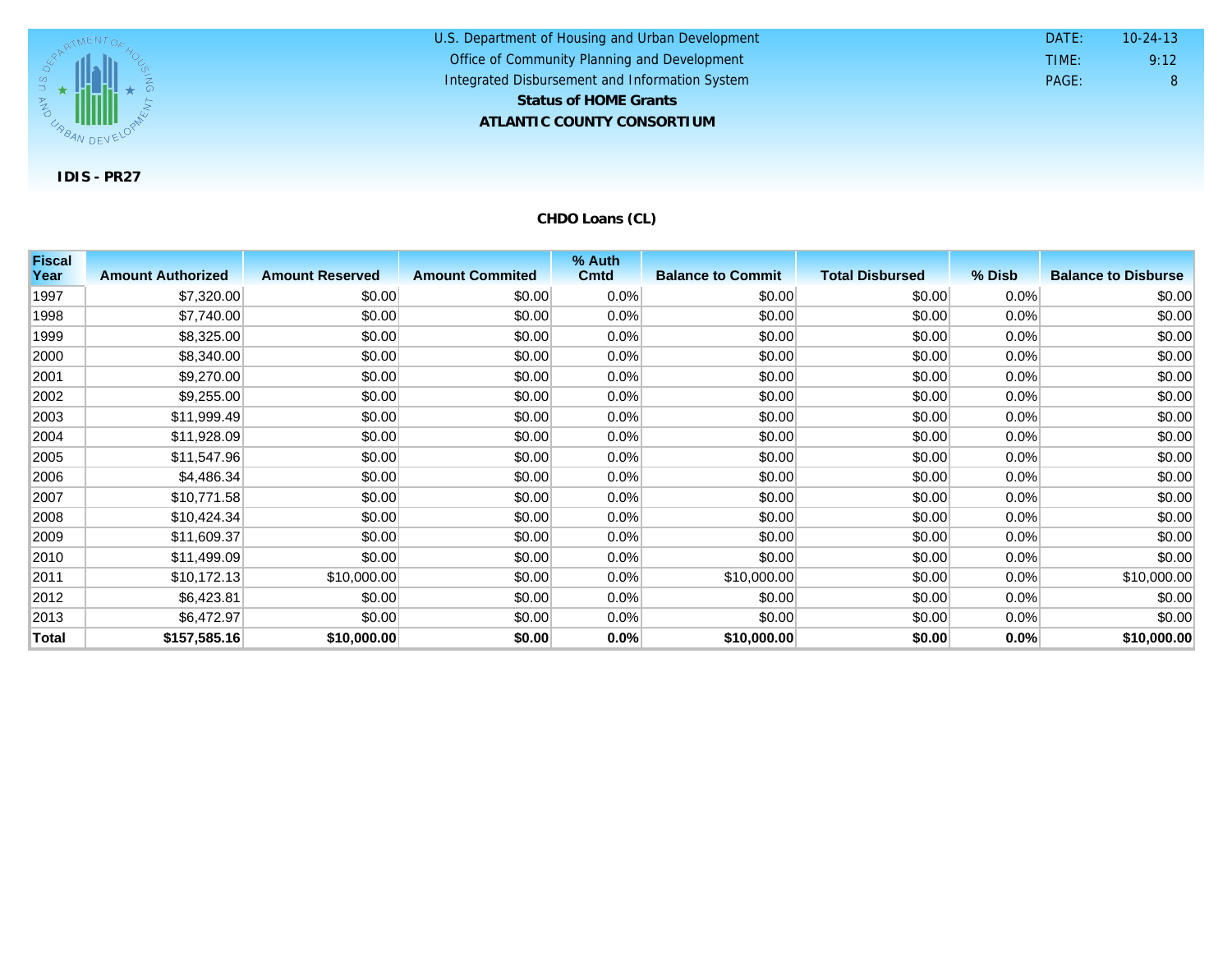

U.S. Department of Housing and Urban Development **ATLANTIC COUNTY CONSORTIUM** Office of Community Planning and Development Integrated Disbursement and Information System DATE: TIME: PAGE: 8 9:12 10-24-13 **Status of HOME Grants**

**CHDO Loans (CL)**

| <b>Fiscal</b> |                          |                        |                        | % Auth      |                          |                        |         |                            |
|---------------|--------------------------|------------------------|------------------------|-------------|--------------------------|------------------------|---------|----------------------------|
| Year          | <b>Amount Authorized</b> | <b>Amount Reserved</b> | <b>Amount Commited</b> | <b>Cmtd</b> | <b>Balance to Commit</b> | <b>Total Disbursed</b> | % Disb  | <b>Balance to Disburse</b> |
| 1997          | \$7,320.00               | \$0.00                 | \$0.00                 | 0.0%        | \$0.00                   | \$0.00                 | 0.0%    | \$0.00                     |
| 1998          | \$7,740.00               | \$0.00                 | \$0.00                 | $0.0\%$     | \$0.00                   | \$0.00                 | $0.0\%$ | \$0.00                     |
| 1999          | \$8,325.00               | \$0.00                 | \$0.00                 | 0.0%        | \$0.00                   | \$0.00                 | 0.0%    | \$0.00                     |
| 2000          | \$8,340.00               | \$0.00                 | \$0.00                 | 0.0%        | \$0.00                   | \$0.00                 | 0.0%    | \$0.00                     |
| 2001          | \$9,270.00               | \$0.00                 | \$0.00                 | $0.0\%$     | \$0.00                   | \$0.00                 | 0.0%    | \$0.00                     |
| 2002          | \$9,255.00               | \$0.00                 | \$0.00                 | $0.0\%$     | \$0.00                   | \$0.00                 | 0.0%    | \$0.00                     |
| 2003          | \$11,999.49              | \$0.00                 | \$0.00                 | $0.0\%$     | \$0.00                   | \$0.00                 | 0.0%    | \$0.00                     |
| 2004          | \$11,928.09              | \$0.00                 | \$0.00                 | $0.0\%$     | \$0.00                   | \$0.00                 | 0.0%    | \$0.00                     |
| 2005          | \$11,547.96              | \$0.00                 | \$0.00                 | 0.0%        | \$0.00                   | \$0.00                 | $0.0\%$ | \$0.00                     |
| 2006          | \$4,486.34               | \$0.00                 | \$0.00                 | $0.0\%$     | \$0.00                   | \$0.00                 | $0.0\%$ | \$0.00                     |
| 2007          | \$10,771.58              | \$0.00                 | \$0.00                 | $0.0\%$     | \$0.00                   | \$0.00                 | $0.0\%$ | \$0.00                     |
| 2008          | \$10,424.34              | \$0.00                 | \$0.00                 | 0.0%        | \$0.00                   | \$0.00                 | $0.0\%$ | \$0.00                     |
| 2009          | \$11,609.37              | \$0.00                 | \$0.00                 | 0.0%        | \$0.00                   | \$0.00                 | 0.0%    | \$0.00                     |
| 2010          | \$11,499.09              | \$0.00                 | \$0.00                 | $0.0\%$     | \$0.00                   | \$0.00                 | 0.0%    | \$0.00                     |
| 2011          | \$10,172.13              | \$10,000.00            | \$0.00                 | $0.0\%$     | \$10,000.00              | \$0.00                 | $0.0\%$ | \$10,000.00                |
| 2012          | \$6,423.81               | \$0.00                 | \$0.00                 | 0.0%        | \$0.00                   | \$0.00                 | $0.0\%$ | \$0.00                     |
| 2013          | \$6,472.97               | \$0.00                 | \$0.00                 | 0.0%        | \$0.00                   | \$0.00                 | $0.0\%$ | \$0.00                     |
| Total         | \$157,585.16             | \$10,000.00            | \$0.00                 | 0.0%        | \$10,000.00              | \$0.00                 | 0.0%    | \$10,000.00                |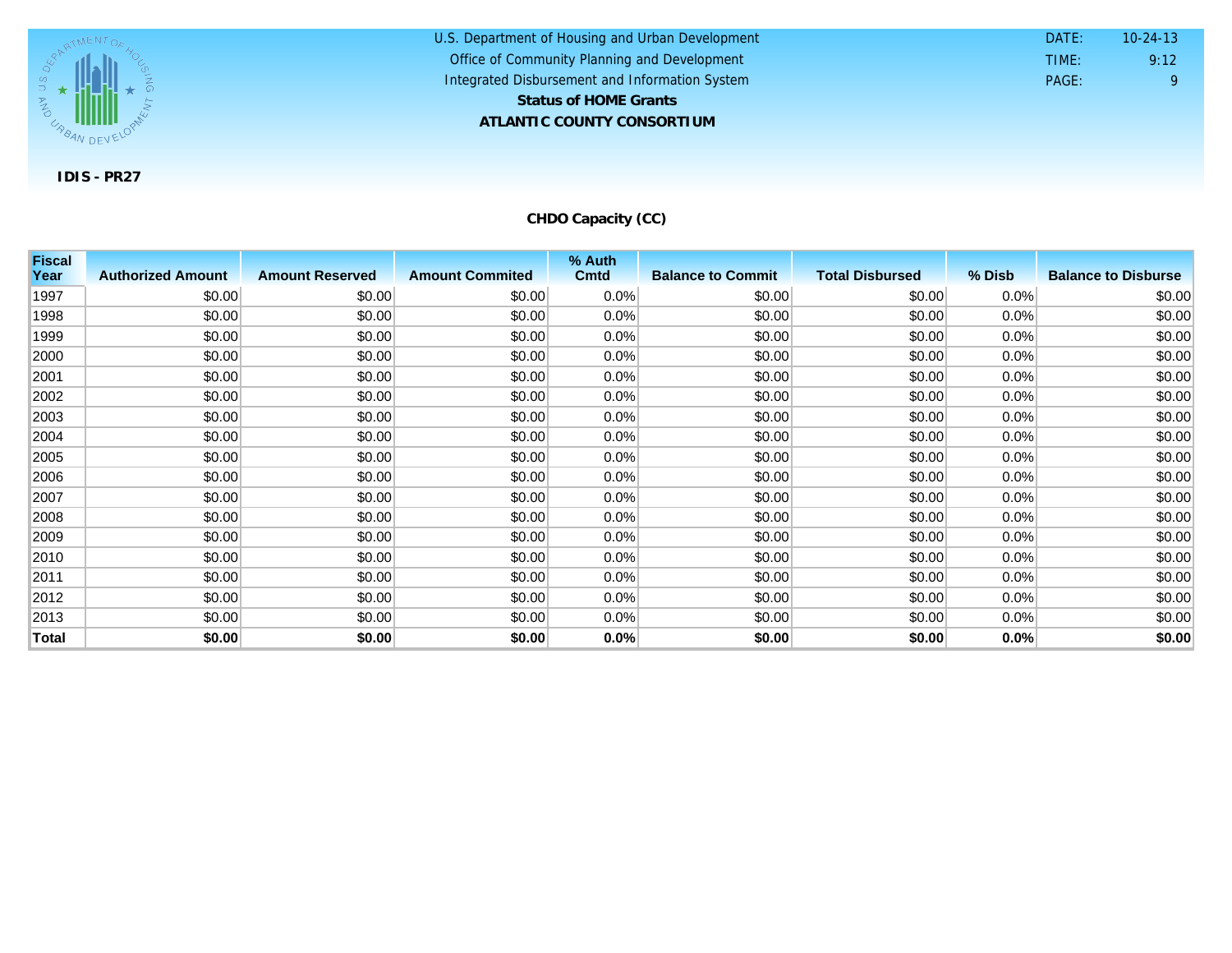

U.S. Department of Housing and Urban Development **ATLANTIC COUNTY CONSORTIUM** Office of Community Planning and Development Integrated Disbursement and Information System DATE: TIME: PAGE: 9 9:12 10-24-13 **Status of HOME Grants**

**CHDO Capacity (CC)**

| <b>Fiscal</b> |                          |                        |                        | % Auth      |                          |                        |         |                            |
|---------------|--------------------------|------------------------|------------------------|-------------|--------------------------|------------------------|---------|----------------------------|
| Year          | <b>Authorized Amount</b> | <b>Amount Reserved</b> | <b>Amount Commited</b> | <b>Cmtd</b> | <b>Balance to Commit</b> | <b>Total Disbursed</b> | % Disb  | <b>Balance to Disburse</b> |
| 1997          | \$0.00                   | \$0.00                 | \$0.00                 | $0.0\%$     | \$0.00                   | \$0.00                 | $0.0\%$ | \$0.00                     |
| 1998          | \$0.00                   | \$0.00                 | \$0.00                 | $0.0\%$     | \$0.00                   | \$0.00                 | $0.0\%$ | \$0.00                     |
| 1999          | \$0.00                   | \$0.00                 | \$0.00                 | $0.0\%$     | \$0.00                   | \$0.00                 | $0.0\%$ | \$0.00                     |
| 2000          | \$0.00                   | \$0.00                 | \$0.00                 | $0.0\%$     | \$0.00                   | \$0.00                 | $0.0\%$ | \$0.00                     |
| 2001          | \$0.00                   | \$0.00                 | \$0.00                 | $0.0\%$     | \$0.00                   | \$0.00                 | $0.0\%$ | \$0.00                     |
| 2002          | \$0.00                   | \$0.00                 | \$0.00                 | 0.0%        | \$0.00                   | \$0.00                 | 0.0%    | \$0.00                     |
| 2003          | \$0.00                   | \$0.00                 | \$0.00                 | $0.0\%$     | \$0.00                   | \$0.00                 | $0.0\%$ | \$0.00                     |
| 2004          | \$0.00                   | \$0.00                 | \$0.00                 | 0.0%        | \$0.00                   | \$0.00                 | $0.0\%$ | \$0.00                     |
| 2005          | \$0.00                   | \$0.00                 | \$0.00                 | $0.0\%$     | \$0.00                   | \$0.00                 | $0.0\%$ | \$0.00                     |
| 2006          | \$0.00                   | \$0.00                 | \$0.00                 | 0.0%        | \$0.00                   | \$0.00                 | 0.0%    | \$0.00                     |
| 2007          | \$0.00                   | \$0.00                 | \$0.00                 | $0.0\%$     | \$0.00                   | \$0.00                 | $0.0\%$ | \$0.00                     |
| 2008          | \$0.00                   | \$0.00                 | \$0.00                 | $0.0\%$     | \$0.00                   | \$0.00                 | $0.0\%$ | \$0.00                     |
| 2009          | \$0.00                   | \$0.00                 | \$0.00                 | $0.0\%$     | \$0.00                   | \$0.00                 | $0.0\%$ | \$0.00                     |
| 2010          | \$0.00                   | \$0.00                 | \$0.00                 | $0.0\%$     | \$0.00                   | \$0.00                 | $0.0\%$ | \$0.00                     |
| 2011          | \$0.00                   | \$0.00                 | \$0.00                 | 0.0%        | \$0.00                   | \$0.00                 | $0.0\%$ | \$0.00                     |
| 2012          | \$0.00                   | \$0.00                 | \$0.00                 | $0.0\%$     | \$0.00                   | \$0.00                 | $0.0\%$ | \$0.00                     |
| 2013          | \$0.00                   | \$0.00                 | \$0.00                 | 0.0%        | \$0.00                   | \$0.00                 | $0.0\%$ | \$0.00                     |
| Total         | \$0.00                   | \$0.00                 | \$0.00                 | 0.0%        | \$0.00                   | \$0.00                 | 0.0%    | \$0.00                     |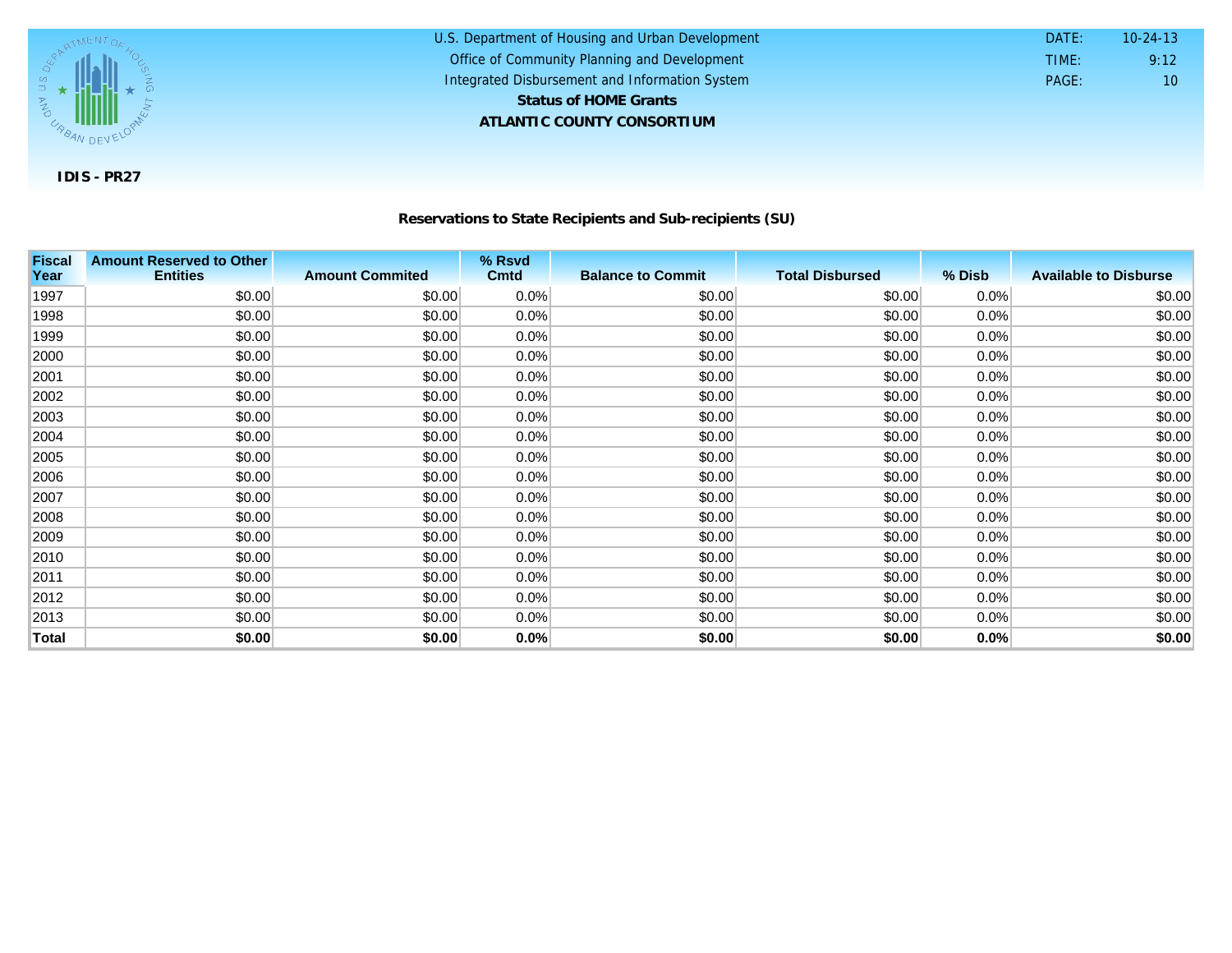

#### **Reservations to State Recipients and Sub-recipients (SU)**

U.S. Department of Housing and Urban Development

 DATE: TIME:

PAGE: 10

9:12 10-24-13

Office of Community Planning and Development Integrated Disbursement and Information System

**ATLANTIC COUNTY CONSORTIUM**

**Status of HOME Grants**

| <b>Fiscal</b><br>Year | <b>Amount Reserved to Other</b><br><b>Entities</b> | <b>Amount Commited</b> | % Rsvd<br><b>Cmtd</b> | <b>Balance to Commit</b> | <b>Total Disbursed</b> | % Disb  | <b>Available to Disburse</b> |
|-----------------------|----------------------------------------------------|------------------------|-----------------------|--------------------------|------------------------|---------|------------------------------|
| 1997                  | \$0.00                                             | \$0.00                 | 0.0%                  | \$0.00                   | \$0.00                 | 0.0%    | \$0.00                       |
| 1998                  | \$0.00                                             | \$0.00                 | 0.0%                  | \$0.00                   | \$0.00                 | 0.0%    | \$0.00                       |
| 1999                  | \$0.00                                             | \$0.00                 | $0.0\%$               | \$0.00                   | \$0.00                 | $0.0\%$ | \$0.00                       |
| 2000                  | \$0.00                                             | \$0.00                 | $0.0\%$               | \$0.00                   | \$0.00                 | 0.0%    | \$0.00                       |
| 2001                  | \$0.00                                             | \$0.00                 | 0.0%                  | \$0.00                   | \$0.00                 | 0.0%    | \$0.00                       |
| 2002                  | \$0.00                                             | \$0.00                 | 0.0%                  | \$0.00                   | \$0.00                 | 0.0%    | \$0.00                       |
| 2003                  | \$0.00                                             | \$0.00                 | $0.0\%$               | \$0.00                   | \$0.00                 | $0.0\%$ | \$0.00                       |
| 2004                  | \$0.00                                             | \$0.00                 | $0.0\%$               | \$0.00                   | \$0.00                 | 0.0%    | \$0.00                       |
| 2005                  | \$0.00                                             | \$0.00                 | $0.0\%$               | \$0.00                   | \$0.00                 | 0.0%    | \$0.00                       |
| 2006                  | \$0.00                                             | \$0.00                 | $0.0\%$               | \$0.00                   | \$0.00                 | 0.0%    | \$0.00                       |
| 2007                  | \$0.00                                             | \$0.00                 | 0.0%                  | \$0.00                   | \$0.00                 | $0.0\%$ | \$0.00                       |
| 2008                  | \$0.00                                             | \$0.00                 | $0.0\%$               | \$0.00                   | \$0.00                 | $0.0\%$ | \$0.00                       |
| 2009                  | \$0.00                                             | \$0.00                 | $0.0\%$               | \$0.00                   | \$0.00                 | 0.0%    | \$0.00                       |
| 2010                  | \$0.00                                             | \$0.00                 | 0.0%                  | \$0.00                   | \$0.00                 | 0.0%    | \$0.00                       |
| 2011                  | \$0.00                                             | \$0.00                 | 0.0%                  | \$0.00                   | \$0.00                 | 0.0%    | \$0.00                       |
| 2012                  | \$0.00                                             | \$0.00                 | $0.0\%$               | \$0.00                   | \$0.00                 | 0.0%    | \$0.00                       |
| 2013                  | \$0.00                                             | \$0.00                 | $0.0\%$               | \$0.00                   | \$0.00                 | 0.0%    | \$0.00                       |
| Total                 | \$0.00                                             | \$0.00                 | 0.0%                  | \$0.00                   | \$0.00                 | 0.0%    | \$0.00                       |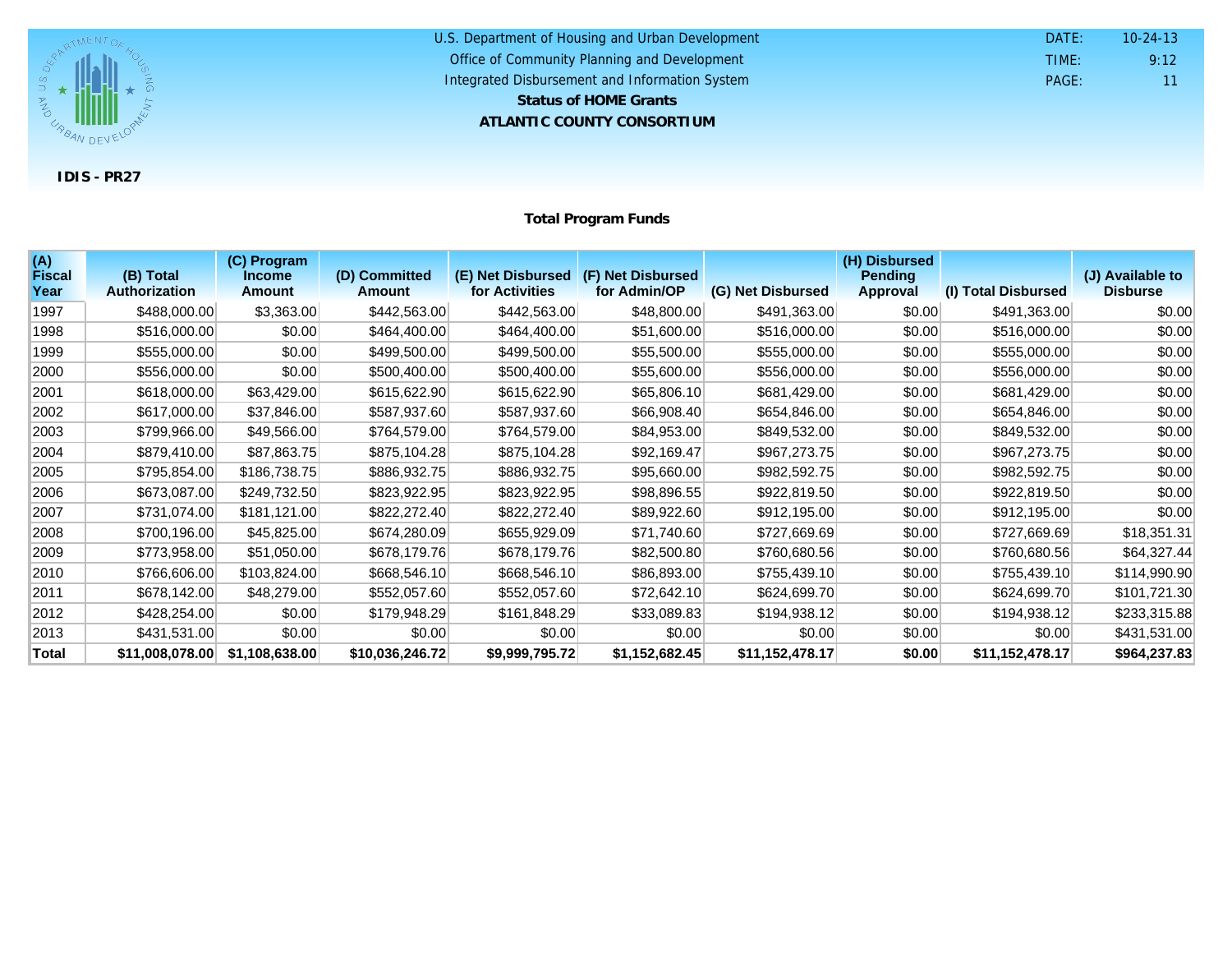

| U.S. Department of Housing and Urban Development | DATF: | $10 - 24 - 13$  |
|--------------------------------------------------|-------|-----------------|
| Office of Community Planning and Development     | TIME: | 9:12            |
| Integrated Disbursement and Information System   | PAGF: | 11 <sup>1</sup> |
| <b>Status of HOME Grants</b>                     |       |                 |
| ATLANTIC COUNTY CONSORTIUM                       |       |                 |

**Total Program Funds**

| (A)<br><b>Fiscal</b> | (B) Total            | (C) Program<br><b>Income</b> | (D) Committed   | (E) Net Disbursed (F) Net Disbursed |                |                   | (H) Disbursed<br><b>Pending</b> |                     | (J) Available to |
|----------------------|----------------------|------------------------------|-----------------|-------------------------------------|----------------|-------------------|---------------------------------|---------------------|------------------|
| Year                 | <b>Authorization</b> | <b>Amount</b>                | <b>Amount</b>   | for Activities                      | for Admin/OP   | (G) Net Disbursed | Approval                        | (I) Total Disbursed | <b>Disburse</b>  |
| 1997                 | \$488,000.00         | \$3,363.00                   | \$442,563.00    | \$442,563.00                        | \$48,800.00    | \$491,363.00      | \$0.00                          | \$491,363.00        | \$0.00           |
| 1998                 | \$516,000.00         | \$0.00                       | \$464,400.00    | \$464,400.00                        | \$51,600.00    | \$516,000.00      | \$0.00                          | \$516,000.00        | \$0.00           |
| 1999                 | \$555,000.00         | \$0.00                       | \$499,500.00    | \$499,500.00                        | \$55,500.00    | \$555,000.00      | \$0.00                          | \$555,000.00        | \$0.00           |
| 2000                 | \$556,000.00         | \$0.00                       | \$500,400.00    | \$500,400.00                        | \$55,600.00    | \$556,000.00      | \$0.00                          | \$556,000.00        | \$0.00           |
| 2001                 | \$618,000.00         | \$63,429.00                  | \$615,622.90    | \$615,622.90                        | \$65,806.10    | \$681,429.00      | \$0.00                          | \$681,429.00        | \$0.00           |
| 2002                 | \$617,000.00         | \$37,846.00                  | \$587,937.60    | \$587,937.60                        | \$66,908.40    | \$654,846.00      | \$0.00                          | \$654,846.00        | \$0.00           |
| 2003                 | \$799,966.00         | \$49,566.00                  | \$764,579.00    | \$764,579.00                        | \$84,953.00    | \$849,532.00      | \$0.00                          | \$849,532.00        | \$0.00           |
| 2004                 | \$879,410.00         | \$87,863.75                  | \$875,104.28    | \$875,104.28                        | \$92,169.47    | \$967,273.75      | \$0.00                          | \$967,273.75        | \$0.00           |
| 2005                 | \$795,854.00         | \$186,738.75                 | \$886,932.75    | \$886,932.75                        | \$95,660.00    | \$982,592.75      | \$0.00                          | \$982,592.75        | \$0.00           |
| 2006                 | \$673,087.00         | \$249,732.50                 | \$823,922.95    | \$823,922.95                        | \$98,896.55    | \$922,819.50      | \$0.00                          | \$922,819.50        | \$0.00           |
| 2007                 | \$731,074.00         | \$181,121.00                 | \$822,272.40    | \$822,272.40                        | \$89,922.60    | \$912,195.00      | \$0.00                          | \$912,195.00        | \$0.00           |
| 2008                 | \$700,196.00         | \$45,825.00                  | \$674,280.09    | \$655,929.09                        | \$71,740.60    | \$727,669.69      | \$0.00                          | \$727,669.69        | \$18,351.31      |
| 2009                 | \$773,958.00         | \$51,050.00                  | \$678,179.76    | \$678,179.76                        | \$82,500.80    | \$760,680.56      | \$0.00                          | \$760,680.56        | \$64,327.44      |
| 2010                 | \$766,606.00         | \$103,824.00                 | \$668,546.10    | \$668,546.10                        | \$86,893.00    | \$755,439.10      | \$0.00                          | \$755,439.10        | \$114,990.90     |
| 2011                 | \$678,142.00         | \$48,279.00                  | \$552,057.60    | \$552,057.60                        | \$72,642.10    | \$624,699.70      | \$0.00                          | \$624,699.70        | \$101,721.30     |
| 2012                 | \$428,254.00         | \$0.00                       | \$179,948.29    | \$161,848.29                        | \$33,089.83    | \$194,938.12      | \$0.00                          | \$194,938.12        | \$233,315.88     |
| 2013                 | \$431,531.00         | \$0.00                       | \$0.00          | \$0.00                              | \$0.00         | \$0.00            | \$0.00                          | \$0.00              | \$431,531.00     |
| <b>Total</b>         | \$11,008,078.00      | \$1,108,638.00               | \$10,036,246.72 | \$9,999,795.72                      | \$1,152,682.45 | \$11,152,478.17   | \$0.00                          | \$11,152,478.17     | \$964,237.83     |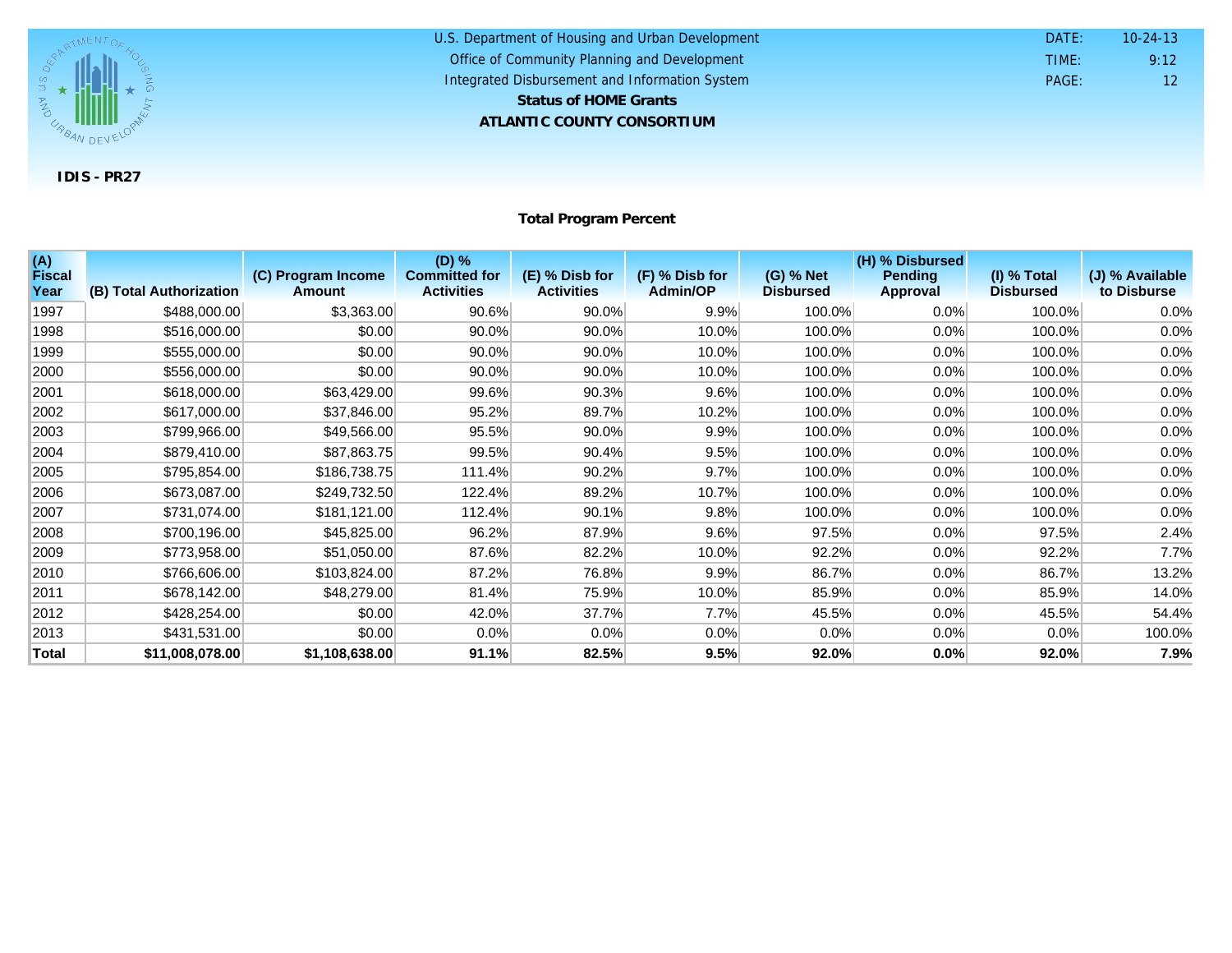

#### U.S. Department of Housing and Urban Development **ATLANTIC COUNTY CONSORTIUM** Office of Community Planning and Development Integrated Disbursement and Information System DATE: TIME: PAGE: 12 9:12 10-24-13 **Status of HOME Grants**

#### **Total Program Percent**

| (A)<br><b>Fiscal</b><br>Year | (B) Total Authorization | (C) Program Income<br>Amount | (D) %<br><b>Committed for</b><br><b>Activities</b> | (E) % Disb for<br><b>Activities</b> | (F) % Disb for<br><b>Admin/OP</b> | (G) % Net<br><b>Disbursed</b> | (H) % Disbursed<br><b>Pending</b><br>Approval | $(I)$ % Total<br><b>Disbursed</b> | (J) % Available<br>to Disburse |
|------------------------------|-------------------------|------------------------------|----------------------------------------------------|-------------------------------------|-----------------------------------|-------------------------------|-----------------------------------------------|-----------------------------------|--------------------------------|
| 1997                         | \$488,000.00            | \$3,363.00                   | 90.6%                                              | 90.0%                               | 9.9%                              | 100.0%                        | 0.0%                                          | 100.0%                            | 0.0%                           |
| 1998                         | \$516,000.00            | \$0.00                       | 90.0%                                              | 90.0%                               | 10.0%                             | 100.0%                        | 0.0%                                          | 100.0%                            | 0.0%                           |
| 1999                         | \$555,000.00            | \$0.00                       | 90.0%                                              | 90.0%                               | 10.0%                             | 100.0%                        | 0.0%                                          | 100.0%                            | 0.0%                           |
| 2000                         | \$556,000.00            | \$0.00                       | $90.0\%$                                           | 90.0%                               | 10.0%                             | 100.0%                        | 0.0%                                          | 100.0%                            | 0.0%                           |
| 2001                         | \$618,000.00            | \$63,429.00                  | 99.6%                                              | 90.3%                               | 9.6%                              | 100.0%                        | 0.0%                                          | 100.0%                            | 0.0%                           |
| 2002                         | \$617,000.00            | \$37,846.00                  | 95.2%                                              | 89.7%                               | 10.2%                             | 100.0%                        | 0.0%                                          | 100.0%                            | 0.0%                           |
| 2003                         | \$799,966.00            | \$49,566.00                  | 95.5%                                              | 90.0%                               | 9.9%                              | 100.0%                        | 0.0%                                          | 100.0%                            | 0.0%                           |
| 2004                         | \$879,410.00            | \$87,863.75                  | 99.5%                                              | 90.4%                               | 9.5%                              | 100.0%                        | 0.0%                                          | 100.0%                            | 0.0%                           |
| 2005                         | \$795,854.00            | \$186,738.75                 | 111.4%                                             | 90.2%                               | 9.7%                              | 100.0%                        | 0.0%                                          | 100.0%                            | 0.0%                           |
| 2006                         | \$673,087.00            | \$249,732.50                 | 122.4%                                             | 89.2%                               | 10.7%                             | 100.0%                        | 0.0%                                          | 100.0%                            | 0.0%                           |
| 2007                         | \$731,074.00            | \$181,121.00                 | 112.4%                                             | 90.1%                               | 9.8%                              | 100.0%                        | 0.0%                                          | 100.0%                            | 0.0%                           |
| 2008                         | \$700,196.00            | \$45,825.00                  | 96.2%                                              | 87.9%                               | 9.6%                              | 97.5%                         | 0.0%                                          | 97.5%                             | 2.4%                           |
| 2009                         | \$773,958.00            | \$51,050.00                  | 87.6%                                              | 82.2%                               | 10.0%                             | 92.2%                         | 0.0%                                          | 92.2%                             | 7.7%                           |
| 2010                         | \$766,606.00            | \$103,824.00                 | 87.2%                                              | 76.8%                               | 9.9%                              | 86.7%                         | 0.0%                                          | 86.7%                             | 13.2%                          |
| 2011                         | \$678,142.00            | \$48,279.00                  | 81.4%                                              | 75.9%                               | 10.0%                             | 85.9%                         | 0.0%                                          | 85.9%                             | 14.0%                          |
| 2012                         | \$428,254.00            | \$0.00                       | 42.0%                                              | 37.7%                               | 7.7%                              | 45.5%                         | 0.0%                                          | 45.5%                             | 54.4%                          |
| 2013                         | \$431,531.00            | \$0.00                       | 0.0%                                               | 0.0%                                | 0.0%                              | 0.0%                          | 0.0%                                          | $0.0\%$                           | 100.0%                         |
| Total                        | \$11,008,078.00         | \$1,108,638.00               | 91.1%                                              | 82.5%                               | 9.5%                              | 92.0%                         | 0.0%                                          | 92.0%                             | 7.9%                           |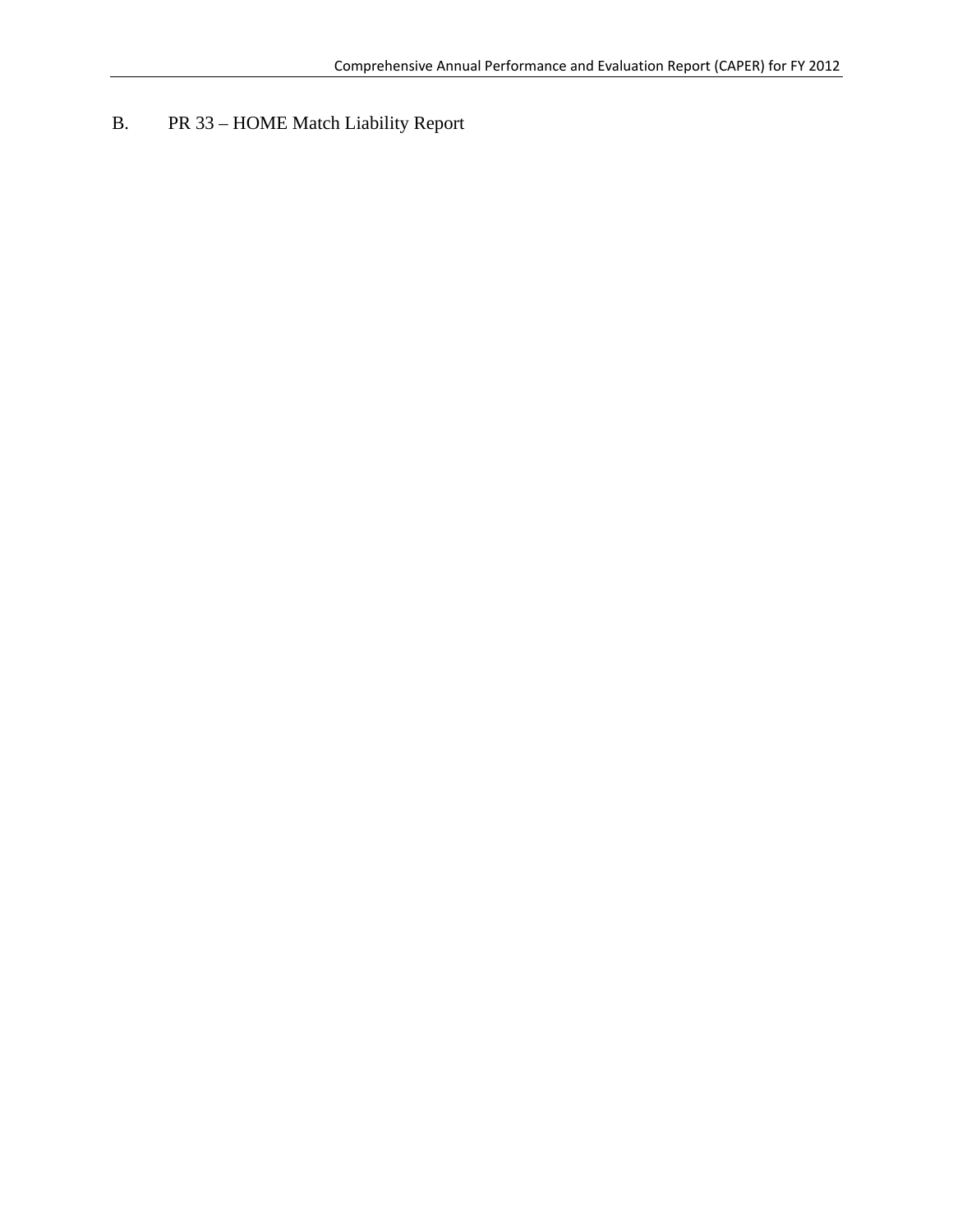# B. PR 33 – HOME Match Liability Report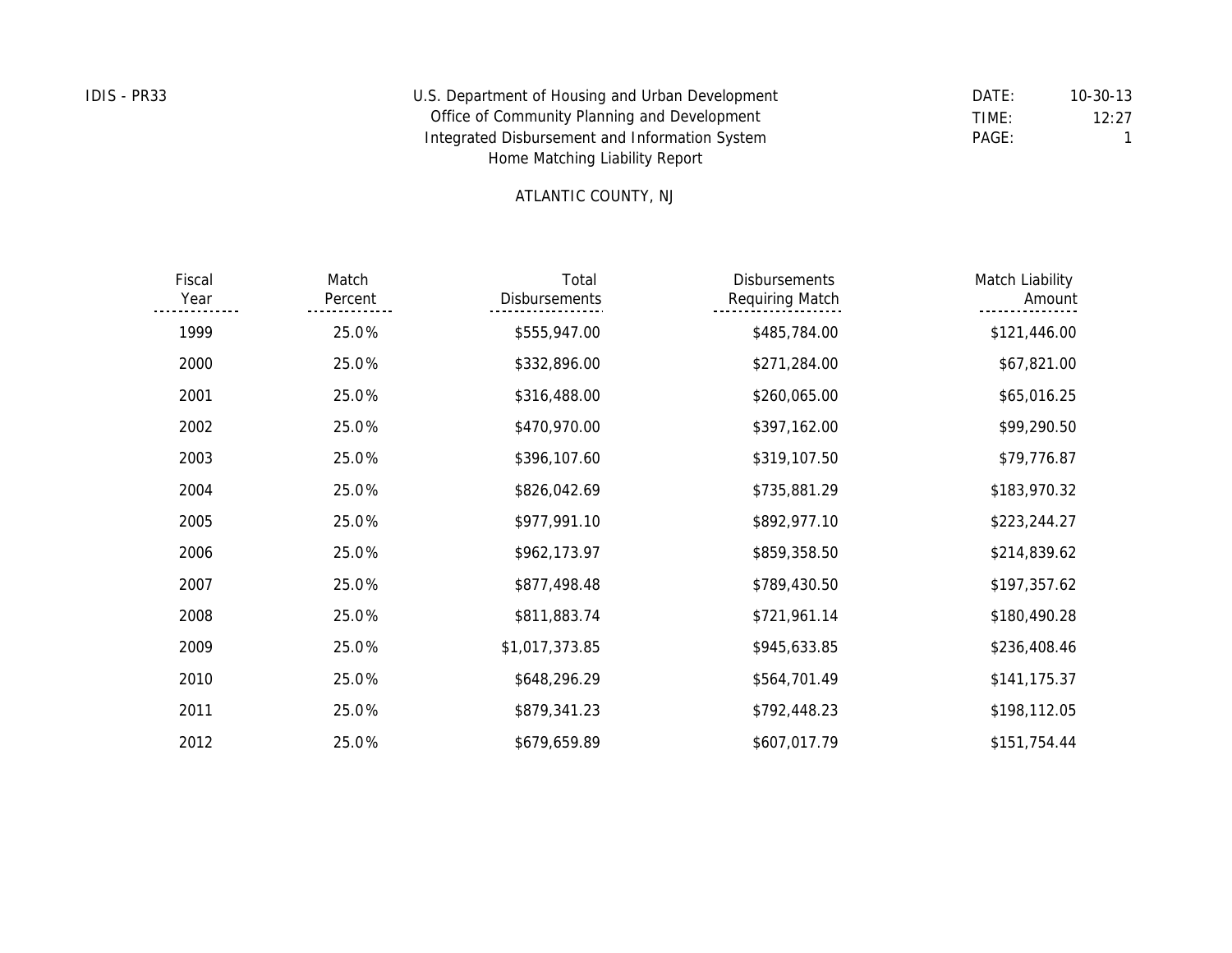| IDIS - PR33 | U.S. Department of Housing and Urban Development | DATE: | $10 - 30 - 13$ |
|-------------|--------------------------------------------------|-------|----------------|
|             | Office of Community Planning and Development     | TIME: | 12:27          |
|             | Integrated Disbursement and Information System   | PAGE: |                |
|             | Home Matching Liability Report                   |       |                |

#### ATLANTIC COUNTY, NJ

| Match Liability<br>Amount | <b>Disbursements</b><br>Requiring Match | Total<br><b>Disbursements</b> | Match<br>Percent | Fiscal<br>Year |
|---------------------------|-----------------------------------------|-------------------------------|------------------|----------------|
| \$121,446.00              | \$485,784.00                            | \$555,947.00                  | 25.0%            | 1999           |
| \$67,821.00               | \$271,284.00                            | \$332,896.00                  | 25.0%            | 2000           |
| \$65,016.25               | \$260,065.00                            | \$316,488.00                  | 25.0%            | 2001           |
| \$99,290.50               | \$397,162.00                            | \$470,970.00                  | 25.0%            | 2002           |
| \$79,776.87               | \$319,107.50                            | \$396,107.60                  | 25.0%            | 2003           |
| \$183,970.32              | \$735,881.29                            | \$826,042.69                  | 25.0%            | 2004           |
| \$223,244.27              | \$892,977.10                            | \$977,991.10                  | 25.0%            | 2005           |
| \$214,839.62              | \$859,358.50                            | \$962,173.97                  | 25.0%            | 2006           |
| \$197,357.62              | \$789,430.50                            | \$877,498.48                  | 25.0%            | 2007           |
| \$180,490.28              | \$721,961.14                            | \$811,883.74                  | 25.0%            | 2008           |
| \$236,408.46              | \$945,633.85                            | \$1,017,373.85                | 25.0%            | 2009           |
| \$141,175.37              | \$564,701.49                            | \$648,296.29                  | 25.0%            | 2010           |
| \$198,112.05              | \$792,448.23                            | \$879,341.23                  | 25.0%            | 2011           |
| \$151,754.44              | \$607,017.79                            | \$679,659.89                  | 25.0%            | 2012           |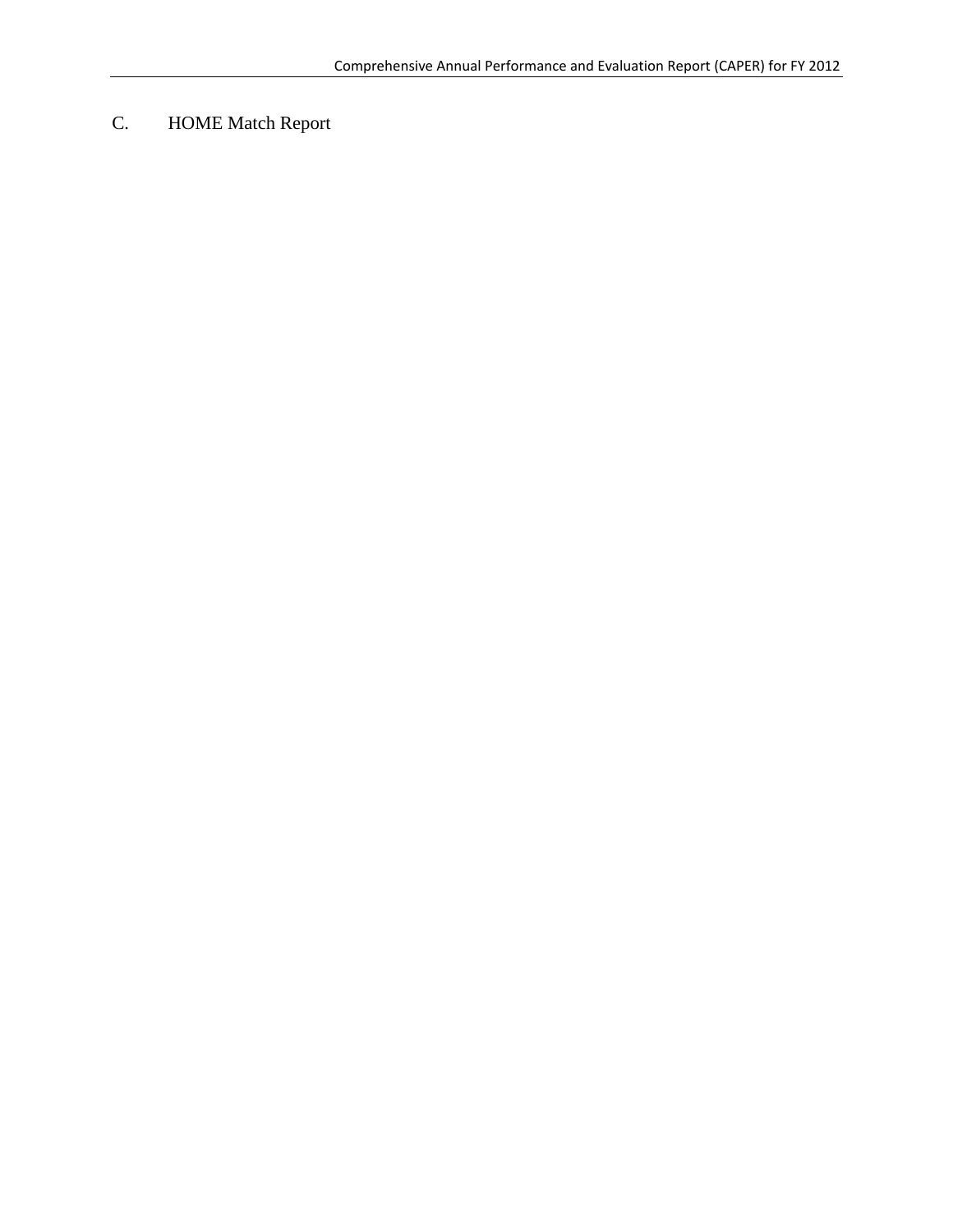C. HOME Match Report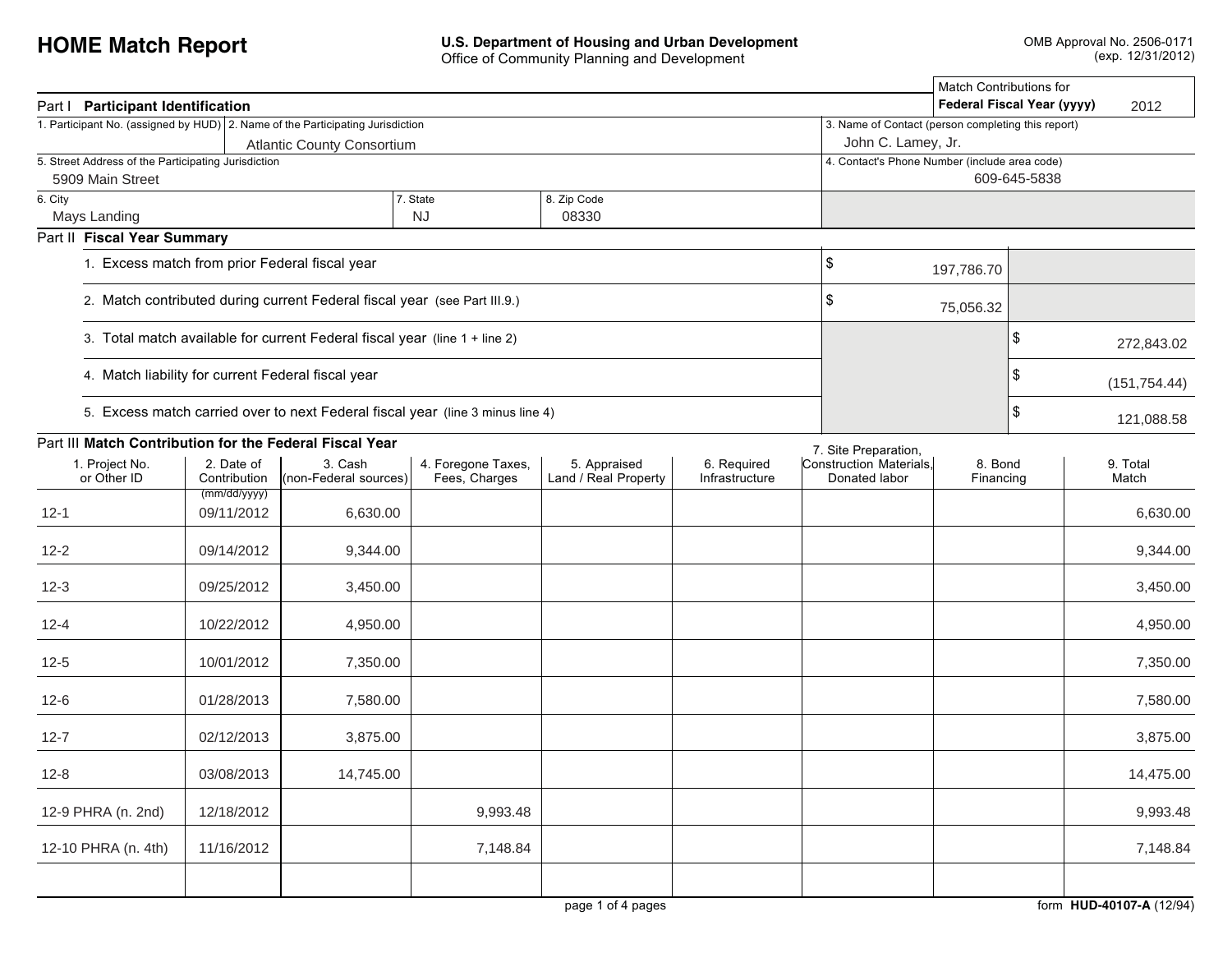| Part   Participant Identification                                              |                                                                           | Match Contributions for<br>Federal Fiscal Year (yyyy)<br>2012 |                                     |                                      |                               |                                          |                      |  |                   |
|--------------------------------------------------------------------------------|---------------------------------------------------------------------------|---------------------------------------------------------------|-------------------------------------|--------------------------------------|-------------------------------|------------------------------------------|----------------------|--|-------------------|
| 1. Participant No. (assigned by HUD) 2. Name of the Participating Jurisdiction |                                                                           | 3. Name of Contact (person completing this report)            |                                     |                                      |                               |                                          |                      |  |                   |
|                                                                                |                                                                           | John C. Lamey, Jr.                                            |                                     |                                      |                               |                                          |                      |  |                   |
| 5. Street Address of the Participating Jurisdiction<br>5909 Main Street        |                                                                           | 4. Contact's Phone Number (include area code)<br>609-645-5838 |                                     |                                      |                               |                                          |                      |  |                   |
| 6. City                                                                        |                                                                           |                                                               |                                     |                                      |                               |                                          |                      |  |                   |
| Mays Landing                                                                   |                                                                           |                                                               | <b>NJ</b>                           |                                      |                               |                                          |                      |  |                   |
| Part II Fiscal Year Summary                                                    |                                                                           |                                                               |                                     |                                      |                               |                                          |                      |  |                   |
| 1. Excess match from prior Federal fiscal year                                 | \$                                                                        | 197,786.70                                                    |                                     |                                      |                               |                                          |                      |  |                   |
|                                                                                | 2. Match contributed during current Federal fiscal year (see Part III.9.) | \$                                                            | 75,056.32                           |                                      |                               |                                          |                      |  |                   |
| 3. Total match available for current Federal fiscal year (line 1 + line 2)     |                                                                           |                                                               | \$                                  | 272,843.02                           |                               |                                          |                      |  |                   |
| 4. Match liability for current Federal fiscal year                             |                                                                           |                                                               | \$                                  | (151, 754.44)                        |                               |                                          |                      |  |                   |
| 5. Excess match carried over to next Federal fiscal year (line 3 minus line 4) |                                                                           | \$<br>121,088.58                                              |                                     |                                      |                               |                                          |                      |  |                   |
| Part III Match Contribution for the Federal Fiscal Year                        |                                                                           |                                                               |                                     |                                      |                               | 7. Site Preparation,                     |                      |  |                   |
| 1. Project No.<br>or Other ID                                                  | 2. Date of<br>Contribution                                                | 3. Cash<br>(non-Federal sources)                              | 4. Foregone Taxes,<br>Fees, Charges | 5. Appraised<br>Land / Real Property | 6. Required<br>Infrastructure | Construction Materials.<br>Donated labor | 8. Bond<br>Financing |  | 9. Total<br>Match |
| $12 - 1$                                                                       | (mm/dd/yyyy)<br>09/11/2012                                                | 6,630.00                                                      |                                     |                                      |                               |                                          |                      |  | 6,630.00          |
| $12 - 2$                                                                       | 09/14/2012                                                                | 9,344.00                                                      |                                     |                                      |                               |                                          |                      |  | 9,344.00          |
| $12 - 3$                                                                       | 09/25/2012                                                                | 3,450.00                                                      |                                     |                                      |                               |                                          |                      |  | 3,450.00          |
| $12 - 4$                                                                       | 10/22/2012                                                                | 4,950.00                                                      |                                     |                                      |                               |                                          |                      |  | 4,950.00          |
| $12 - 5$                                                                       | 10/01/2012                                                                | 7,350.00                                                      |                                     |                                      |                               |                                          |                      |  | 7,350.00          |
| $12-6$                                                                         | 01/28/2013                                                                | 7,580.00                                                      |                                     |                                      |                               |                                          |                      |  | 7,580.00          |
| $12 - 7$                                                                       | 02/12/2013                                                                | 3,875.00                                                      |                                     |                                      |                               |                                          |                      |  | 3,875.00          |
| $12 - 8$                                                                       | 03/08/2013                                                                | 14,745.00                                                     |                                     |                                      |                               |                                          |                      |  | 14,475.00         |
| 12-9 PHRA (n. 2nd)                                                             | 12/18/2012                                                                |                                                               | 9,993.48                            |                                      |                               |                                          |                      |  | 9,993.48          |
| 12-10 PHRA (n. 4th)                                                            | 11/16/2012                                                                |                                                               | 7,148.84                            |                                      |                               |                                          |                      |  | 7,148.84          |
|                                                                                |                                                                           |                                                               |                                     |                                      |                               |                                          |                      |  |                   |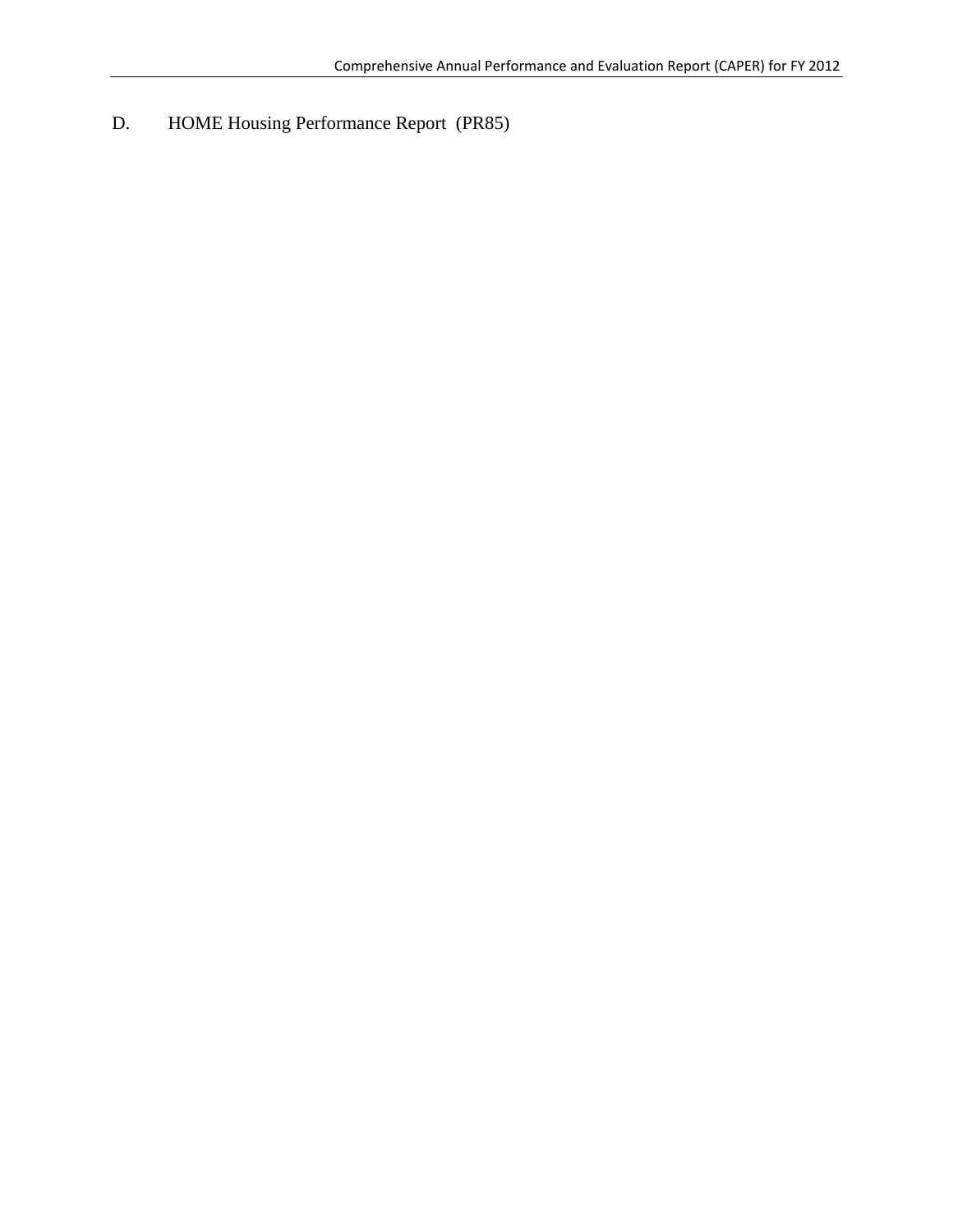D. HOME Housing Performance Report (PR85)